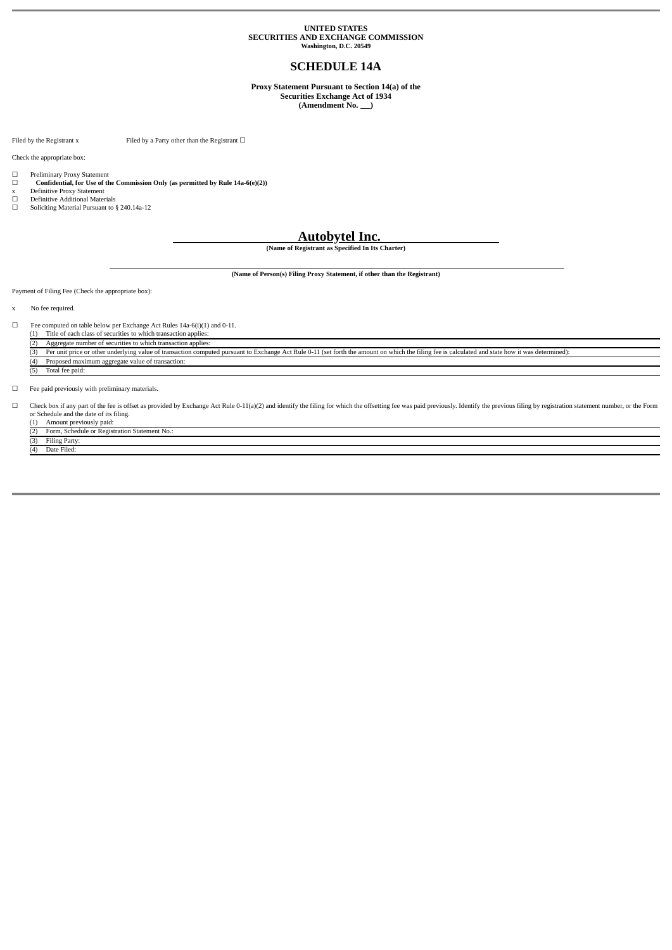# **UNITED STATES SECURITIES AND EXCHANGE COMMISSION Washington, D.C. 20549**

# **SCHEDULE 14A**

**Proxy Statement Pursuant to Section 14(a) of the Securities Exchange Act of 1934**

(Amendment No. <u>)</u>

Filed by the Registrant x Filed by a Party other than the Registrant  $\Box$ 

Check the appropriate box:

- □ Preliminary Proxy Statement ☐ **Confidential, for Use of the Commission Only (as permitted by Rule 14a-6(e)(2))**
- x Definitive Proxy Statement ☐ Definitive Additional Materials
- Soliciting Material Pursuant to § 240.14a-12
	-

# **Autobytel Inc.**

**(Name of Registrant as Specified In Its Charter)**

**(Name of Person(s) Filing Proxy Statement, if other than the Registrant)**

Payment of Filing Fee (Check the appropriate box):

x No fee required.

☐ Fee computed on table below per Exchange Act Rules 14a-6(i)(1) and 0-11. (1) Title of each class of securities to which transaction applies:

ı

(2) Aggregate number of securities to which transaction applies:<br>
(3) Per unit price or other underlying value of transaction compu Per unit price or other underlying value of transaction computed pursuant to Exchange Act Rule 0-11 (set forth the amount on which the filing fee is calculated and state how it was determined) (4) Proposed maximum aggregate value of transaction: (5) Total fee paid:

 $\Box$  <br>Fee paid previously with preliminary materials.

□ Check box if any part of the fee is offset as provided by Exchange Act Rule 0-11(a)(2) and identify the filing for which the offsetting fee was paid previously. Identify the previous filing by registration statement num

(2) Form, Schedule or Registration Statement No.: Filing Party:

 $\overline{D}$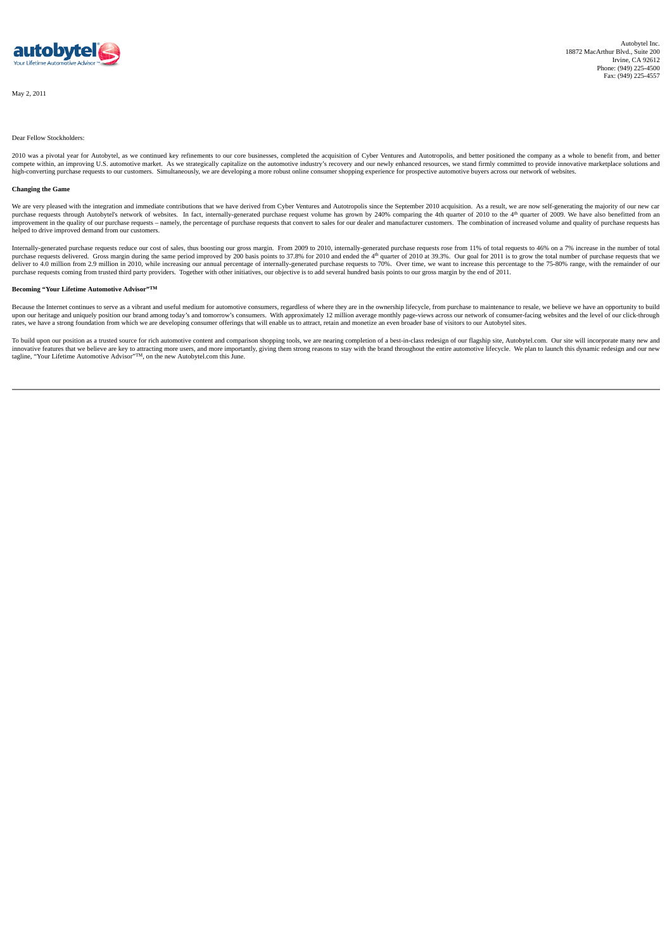

### Dear Fellow Stockholders:

2010 was a pivotal year for Autobytel, as we continued key refinements to our core businesses, completed the acquisition of Cyber Ventures and Autotropolis, and better positioned the company as a whole to benefit from, and compete within, an improving U.S. automotive market. As we strategically capitalize on the automotive industry's recovery and our newly enhanced resources, we stand firmly committed to provide innovative marketplace soluti

#### **Changing the Game**

We are very pleased with the integration and immediate contributions that we have derived from Cyber Ventures and Autotropolis since the September 2010 acquisition. As a result, we are now self-generating the majority of o purchase requests through Autobytel's network of websites. In fact, internally-generated purchase request volume has grown by 240% comparing the 4th quarter of 2010 to the 4<sup>th</sup> quarter of 2009. We have also benefitted fro helped to drive improved demand from our customers.

Internally-generated purchase requests reduce our cost of sales, thus boosting our gross margin. From 2009 to 2010, internally-generated purchase requests rose from 11% of total requests to 46% on a 7% increase in the numb

#### **Becoming "Your Lifetime Automotive Advisor" TM**

Because the Internet continues to serve as a vibrant and useful medium for automotive consumers, regardless of where they are in the ownership lifecycle, from purchase to maintenance to resale, we believe we have an opport upon our heritage and uniquely position our brand among today's and tomorrow's consumers. With approximately 12 million average monthly page-views across our network of consumer-facing websites and the level of our click-t

To build upon our position as a trusted source for rich automotive content and comparison shopping tools, we are nearing completion of a best-in-class redesign of our flagship site, Autobytel.com. Our site will incorporate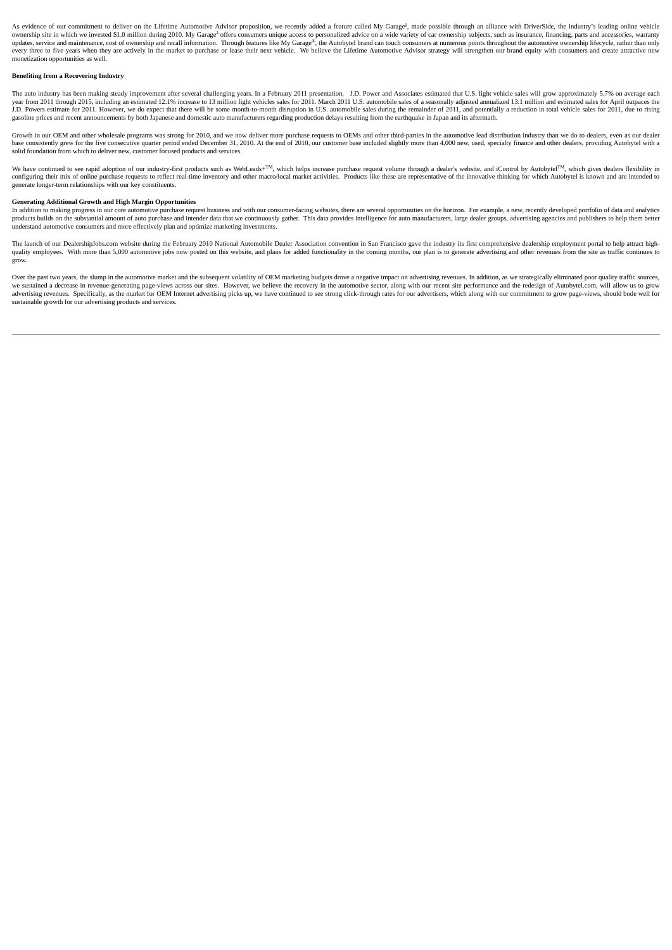As evidence of our commitment to deliver on the Lifetime Automotive Advisor proposition, we recently added a feature called My Garage<sup>å</sup>, made possible through an alliance with DriverSide, the industry's leading online veh ownership site in which we invested \$1.0 million during 2010. My Garage<sup>s</sup> offers consumers unique access to personalized advice on a wide variety of car ownership subjects, such as insurance, financing, parts and accessor every three to five years when they are actively in the market to purchase or lease their next vehicle. We believe the Lifetime Automotive Advisor strategy will strengthen our brand equity with consumers and create attract monetization opportunities as well.

# **Benefiting from a Recovering Industry**

The auto industry has been making steady improvement after several challenging years. In a February 2011 presentation, J.D. Power and Associates estimated that U.S. light vehicle sales will grow approximately 5.7% on ave gasoline prices and recent announcements by both Japanese and domestic auto manufacturers regarding production delays resulting from the earthquake in Japan and its aftermath.

Growth in our OEM and other wholesale programs was strong for 2010, and we now deliver more purchase requests to OEMs and other third-parties in the automotive lead distribution industry than we do to dealers, even as our solid foundation from which to deliver new, customer focused products and services.

We have continued to see rapid adoption of our industry-first products such as WebLeads+TM, which helps increase purchase request volume through a dealer's website, and iControl by AutobytelTM, which gives dealers flexibil configuring their mix of online purchase requests to reflect real-time inventory and other macro/local market activities. Products like these are representative of the innovative thinking for which Autobytel is known and a generate longer-term relationships with our key constituents.

# **Generating Additional Growth and High Margin Opportunities**

In addition to making progress in our core automotive purchase request business and with our consumer-facing websites, there are several opportunities on the horizon. For example, a new, recently developed portfolio of dat understand automotive consumers and more effectively plan and optimize marketing investments.

The launch of our DealershipJobs.com website during the February 2010 National Automobile Dealer Association convention in San Francisco gave the industry its first comprehensive dealership employment portal to help attrac quality employees. With more than 5,000 automotive jobs now posted on this website, and plans for added functionality in the coming months, our plan is to generate advertising and other revenues from the site as traffic co grow.

Over the past two years, the slump in the automotive market and the subsequent volatility of OEM marketing budgets drove a negative impact on advertising revenues. In addition, as we strategically eliminated poor quality t advertising revenues. Specifically, as the market for OEM Internet advertising picks up, we have continued to see strong click-through rates for our advertisers, which along with our commitment to grow page-views, should b sustainable growth for our advertising products and services.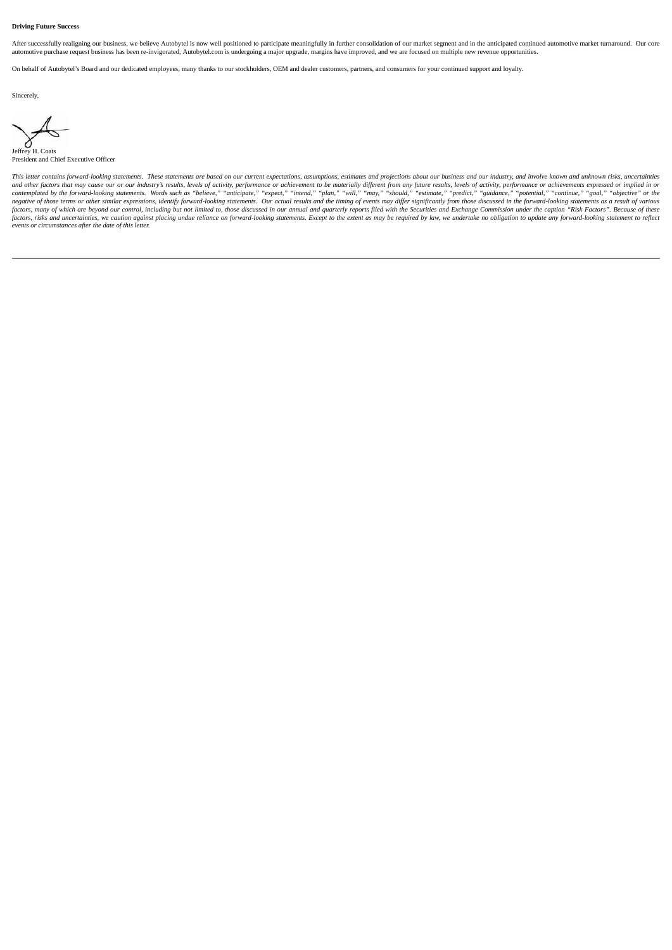#### **Driving Future Success**

After successfully realigning our business, we believe Autobytel is now well positioned to participate meaningfully in further consolidation of our market segment and in the anticipated continued automotive market turnarou automotive purchase request business has been re-invigorated, Autobytel.com is undergoing a major upgrade, margins have improved, and we are focused on multiple new revenue opportunities.

On behalf of Autobytel's Board and our dedicated employees, many thanks to our stockholders, OEM and dealer customers, partners, and consumers for your continued support and loyalty.

Sincerely,

Jeffrey H. Coats President and Chief Executive Officer

This letter contains forward-looking statements. These statements are based on our current expectations, assumptions, estimates and projections about our business and our industry, and involve known and unknown risks, unce and other factors that may cause our or our industry's results, levels of activity, performance or achievement to be materially different from any future results, levels of activity, performance or achievements expressed o negative of those terms or other similar expressions, identify forward-looking statements. Our actual results and the timing of events may differ significantly from those discussed in the forward-looking statements as a re factors, risks and uncertainties, we caution against placing undue reliance on forward-looking statements. Except to the extent as may be required by law, we undertake no obligation to update any forward-looking statement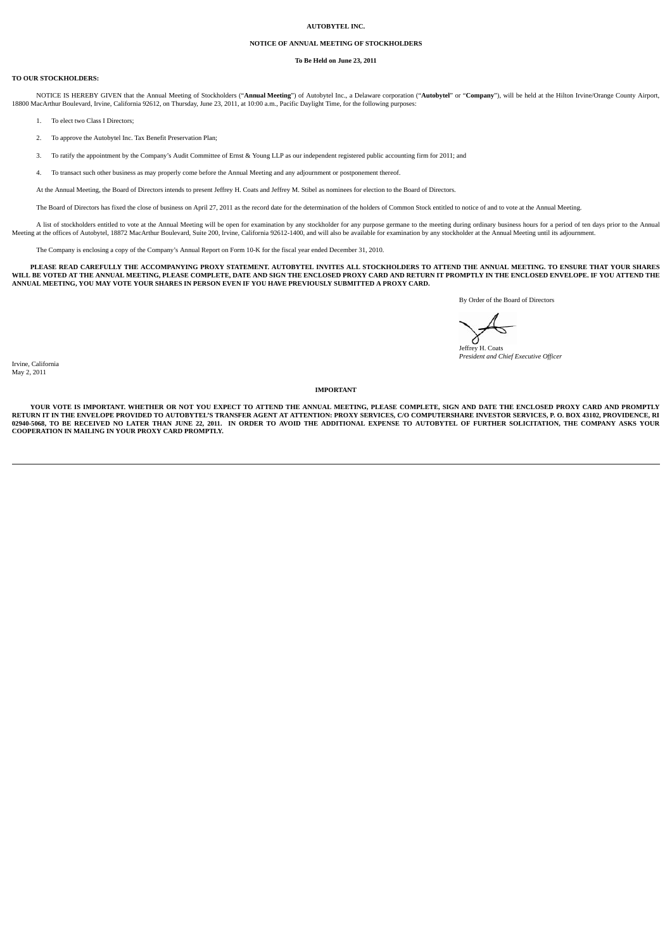## **AUTOBYTEL INC.**

# **NOTICE OF ANNUAL MEETING OF STOCKHOLDERS**

# **To Be Held on June 23, 2011**

#### **TO OUR STOCKHOLDERS:**

NOTICE IS HEREBY GIVEN that the Annual Meeting of Stockholders ("Annual Meeting") of Autobytel Inc., a Delaware corporation ("Autobytel" or "Company"), will be held at the Hilton Irvine/Orange County Airport,<br>18800 MacArth

1. To elect two Class I Directors;

- 2. To approve the Autobytel Inc. Tax Benefit Preservation Plan;
- 3. To ratify the appointment by the Company's Audit Committee of Ernst & Young LLP as our independent registered public accounting firm for 2011; and
- 4. To transact such other business as may properly come before the Annual Meeting and any adjournment or postponement thereof.
- At the Annual Meeting, the Board of Directors intends to present Jeffrey H. Coats and Jeffrey M. Stibel as nominees for election to the Board of Directors.

The Board of Directors has fixed the close of business on April 27, 2011 as the record date for the determination of the holders of Common Stock entitled to notice of and to vote at the Annual Meeting.

A list of stockholders entitled to vote at the Annual Meeting will be open for examination by any stockholder for any purpose germane to the meeting during ordinary business hours for a period of ten days prior to the Annu

The Company is enclosing a copy of the Company's Annual Report on Form 10-K for the fiscal year ended December 31, 2010.

PLEASE READ CAREFULLY THE ACCOMPANYING PROXY STATEMENT. AUTOBYTEL INVITES ALL STOCKHOLDERS TO ATTEND THE ANNUAL MEETING. TO ENSURE THAT YOUR SHARES WILL BE VOTED AT THE ANNUAL MEETING, PLEASE COMPLETE, DATE AND SIGN THE ENCLOSED PROXY CARD AND RETURN IT PROMPTLY IN THE ENCLOSED ENVELOPE. IF YOU ATTEND THE ANNUAL MEETING, YOU MAY VOTE YOUR SHARES IN PERSON EVEN IF YOU HAVE PREVIOUSLY SUBMITTED A PROXY CARD.

By Order of the Board of Directors

Jeffrey H. Coats *President and Chief Executive Officer*

Irvine, California May 2, 2011

**IMPORTANT**

VOUR VOTE IS IMPORTANT WHETHER OR NOT VOU EXPECT TO ATTEND THE ANNUAL MEETING PLEASE COMPLETE SIGN AND DATE THE ENCLOSED PROXY CARD AND PROMPTLY RETURN IT IN THE ENVELOPE PROVIDED TO AUTOBYTEL'S TRANSFER AGENT AT ATTENTION: PROXY SERVICES, C/O COMPUTERSHARE INVESTOR SERVICES, P. O. BOX 43102, PROVIDENCE, RI<br>02940-5068, TO BE RECEIVED NO LATER THAN JUNE 22, 2011. I **COOPERATION IN MAILING IN YOUR PROXY CARD PROMPTLY.**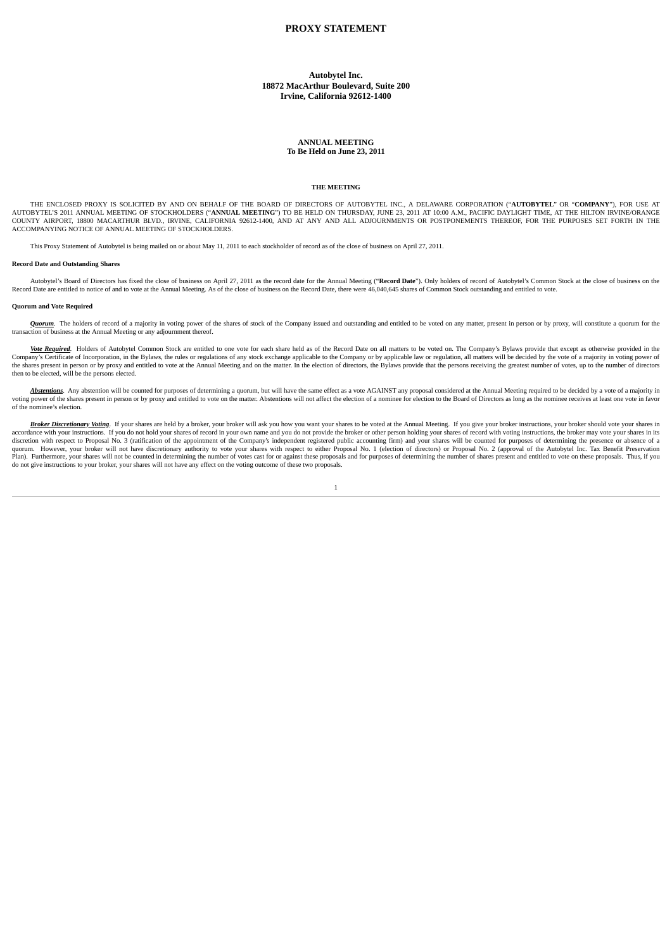# **PROXY STATEMENT**

**Autobytel Inc. 18872 MacArthur Boulevard, Suite 200 Irvine, California 92612-1400**

## **ANNUAL MEETING To Be Held on June 23, 2011**

# **THE MEETING**

THE ENCLOSED PROXY IS SOLICITED BY AND ON BEHALF OF THE BOARD OF DIRECTORS OF AUTOBYTEL INC., A DELAWARE CORPORATION ("AUTOBYTEL" OR "COMPANY"), FOR USE AT AUTOBYTELIS 2011 ANNUAL MEETING OF STOCKHOLDERS ("ANNUAL MEETING") COUNTY AIRPORT, 18800 MACARTHUR BLVD., IRVINE, CALIFORNIA 92612-1400, AND AT ANY AND ALL ADJOURNMENTS OR POSTPONEMENTS THEREOF, FOR THE PURPOSES SET FORTH IN THE<br>ACCOMPANYING NOTICE OF ANNUAL MEETING OF STOCKHOLDERS.

This Proxy Statement of Autobytel is being mailed on or about May 11, 2011 to each stockholder of record as of the close of business on April 27, 2011.

#### **Record Date and Outstanding Shares**

Autobytel's Board of Directors has fixed the close of business on April 27, 2011 as the record date for the Annual Meeting ("Record Date"). Only holders of record of Autobytel's Common Stock at the close of business on the Record Date are entitled to notice of and to vote at the Annual Meeting. As of the close of business on the Record Date, there were 46,040,645 shares of Common Stock outstanding and entitled to vote.

#### **Quorum and Vote Required**

Quorum. The holders of record of a majority in voting power of the shares of stock of the Company issued and outstanding and entitled to be voted on any matter, present in person or by proxy, will constitute a quorum for t transaction of business at the Annual Meeting or any adjournment thereof.

Vote Required. Holders of Autobytel Common Stock are entitled to one vote for each share held as of the Record Date on all matters to be voted on. The Company's Bylaws provide that except as otherwise provided in the Company's Certificate of Incorporation, in the Bylaws, the rules or regulations of any stock exchange applicable to the Company or by applicable law or regulation, all matters will be decided by the vote of a majority in v the shares present in person or by proxy and entitled to vote at the Annual Meeting and on the matter. In the election of directors, the Bylaws provide that the persons receiving the greatest number of ovtes, up to the num then to be elected, will be the persons elected.

Abstentions. Any abstention will be counted for purposes of determining a quorum, but will have the same effect as a vote AGAINST any proposal considered at the Annual Meeting required to be decided by a vote of a majority of the nominee's election.

Broker Discretionary Voting. If your shares are held by a broker, your broker will ask you how you want your shares to be voted at the Annual Meeting. If you give your broker instructions, your broker should vote your shar accordance with your instructions. If you do not hold your shares of record in your own name and you do not provide the broker or other person holding your shares of record with voting instructions, the broker may vote you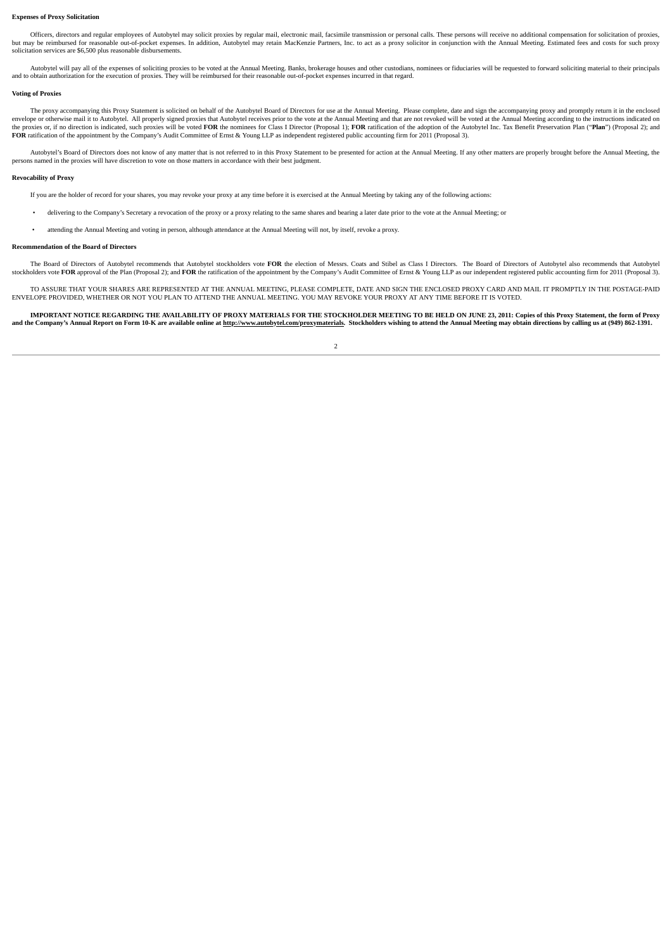#### **Expenses of Proxy Solicitation**

Officers, directors and regular employees of Autobytel may solicit proxies by regular mail, electronic mail, facsimile transmission or personal calls. These persons will receive no additional compensation for solicitation but may be reimbursed for reasonable out-of-pocket expenses. In addition, Autobytel may retain MacKenzie Partners, Inc. to act as a proxy solicitor in conjunction with the Annual Meeting. Estimated fees and costs for such solicitation services are \$6,500 plus reasonable disbursements.

Autobytel will pay all of the expenses of soliciting proxies to be voted at the Annual Meeting. Banks, brokerage houses and other custodians, nominees or fiduciaries will be requested to forward soliciting material to thei and to obtain authorization for the execution of proxies. They will be reimbursed for their reasonable out-of-pocket expenses incurred in that regard.

#### **Voting of Proxies**

The proxy accompanying this Proxy Statement is solicited on behalf of the Autobytel Board of Directors for use at the Annual Meeting. Please complete, date and sign the accompanying proxy and promptly return it in the encl envelope or otherwise mail it to Autobytel. All properly signed proxies that Autobytel receives prior to the vote at the Annual Meeting and that are not revoked will be voted at the Annual Meeting according to the instruct the proxies or, if no direction is indicated, such proxies will be voted FOR the nominees for Class I Director (Proposal 1); FOR ratification of the adoption of the Autobytel Inc. Tax Benefit Preservation Plan ("Plan") (Pr **FOR** ratification of the appointment by the Company's Audit Committee of Ernst & Young LLP as independent registered public accounting firm for 2011 (Proposal 3).

Autobytel's Board of Directors does not know of any matter that is not referred to in this Proxy Statement to be presented for action at the Annual Meeting. If any other matters are properly brought before the Annual Meeti persons named in the proxies will have discretion to vote on those matters in accordance with their best judgment.

# **Revocability of Proxy**

- If you are the holder of record for your shares, you may revoke your proxy at any time before it is exercised at the Annual Meeting by taking any of the following actions:
- delivering to the Company's Secretary a revocation of the proxy or a proxy relating to the same shares and bearing a later date prior to the vote at the Annual Meeting; or
- attending the Annual Meeting and voting in person, although attendance at the Annual Meeting will not, by itself, revoke a proxy.

# **Recommendation of the Board of Directors**

The Board of Directors of Autobytel recommends that Autobytel stockholders vote **FOR** the election of Messrs. Coats and Stibel as Class I Directors. The Board of Directors of Autobytel also recommends that Autobytel stockholders vote FOR approval of the Plan (Proposal 2); and FOR the ratification of the appointment by the Company's Audit Committee of Ernst & Young LLP as our independent registered public accounting firm for 2011 (Prop

TO ASSURE THAT YOUR SHARES ARE REPRESENTED AT THE ANNUAL MEETING, PLEASE COMPLETE, DATE AND SIGN THE ENCLOSED PROXY CARD AND MAIL IT PROMPTLY IN THE POSTAGE-PAID ENVELOPE PROVIDED, WHETHER OR NOT YOU PLAN TO ATTEND THE ANNUAL MEETING. YOU MAY REVOKE YOUR PROXY AT ANY TIME BEFORE IT IS VOTED.

IMPORTANT NOTICE REGARDING THE AVAILABILITY OF PROXY MATERIALS FOR THE STOCKHOLDER MEETING TO BE HELD ON JUNE 23, 2011: Copies of this Proxy Statement, the form of Proxy and the Company's Annual Report on Form 10-K are available online at http://www.autobytel.com/proxymaterials. Stockholders wishing to attend the Annual Meeting may obtain directions by calling us at (949) 862-1391.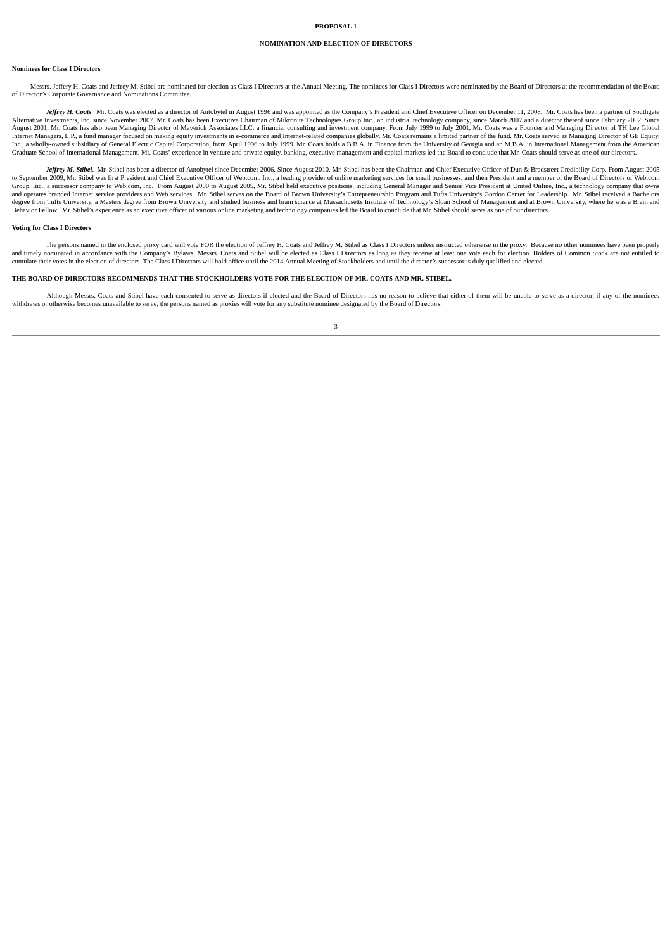#### **NOMINATION AND ELECTION OF DIRECTORS**

#### **Nominees for Class I Directors**

Messrs, Jeffery H. Coats and Jeffrey M. Stibel are nominated for election as Class I Directors at the Annual Meeting. The nominees for Class I Directors were nominated by the Board of Directors at the recommendation of the of Director's Corporate Governance and Nominations Committee.

Jeffrey H. Coats. Mr. Coats was elected as a director of Autobytel in August 1996 and was appointed as the Company's President and Chief Executive Officer on December 11, 2008. Mr. Coats has been a partner of Southgate (So August 2001, Mr. Coats has also been Managing Director of Maverick Associates LLC, a financial consulting and investment company. From July 1999 to July 2001, Mr. Coats was a Founder and Managing Director of TH Lee Global Internet Managers, L.P., a fund manager focused on making equity investments in e-commerce and Internet-related companies globally. Mr. Coats remains a limited partner of the fund. Mr. Coats served as Managing Director of Graduate School of International Management. Mr. Coats' experience in venture and private equity, banking, executive management and capital markets led the Board to conclude that Mr. Coats should serve as one of our direct

Jeffrey M. Stibel. Mr. Stibel has been a director of Autobytel since December 2006. Since August 2010, Mr. Stibel has been the Chairman and Chief Executive Officer of Dun & Bradstreet Credibility Corp. From August 2005 of the process of the Distribution of the Board of Directors of Web.com, the control of the Board of Directors Control of the Board of Directors of Web.com, the Security Officer of Web.com, Inc., a leading provider of roll Group, Inc., a successor company to Web.com, Inc. From August 2000 to August 2005, Mr. Stibel held executive positions, including General Manager and Senior Vice President at United Online, Inc., a technology company that degree from Tufts University, a Masters degree from Brown University and studied business and brain science at Massachusetts Institute of Technology's Sloan School of Management and at Brown University, where he was a Brai

#### **Voting for Class I Directors**

The persons named in the enclosed proxy card will vote FOR the election of Jeffrey H. Coats and Jeffrey M. Stibel as Class I Directors unless instructed otherwise in the proxy. Because no other nominees have been properly and timely nominated in accordance with the Company's Bylaws, Messrs. Coats and Stibel will be elected as Class I Directors as long as they receive at least one vote each for election. Holders of Common Stock are not entit

# THE BOARD OF DIRECTORS RECOMMENDS THAT THE STOCKHOLDERS VOTE FOR THE ELECTION OF MR. COATS AND MR. STIBEL

Although Messrs. Coats and Stibel have each consented to serve as directors if elected and the Board of Directors has no reason to believe that either of them will be unable to serve as a director, if any of the nominees withdraws or otherwise becomes unavailable to serve, the persons named as proxies will vote for any substitute nominee designated by the Board of Directors.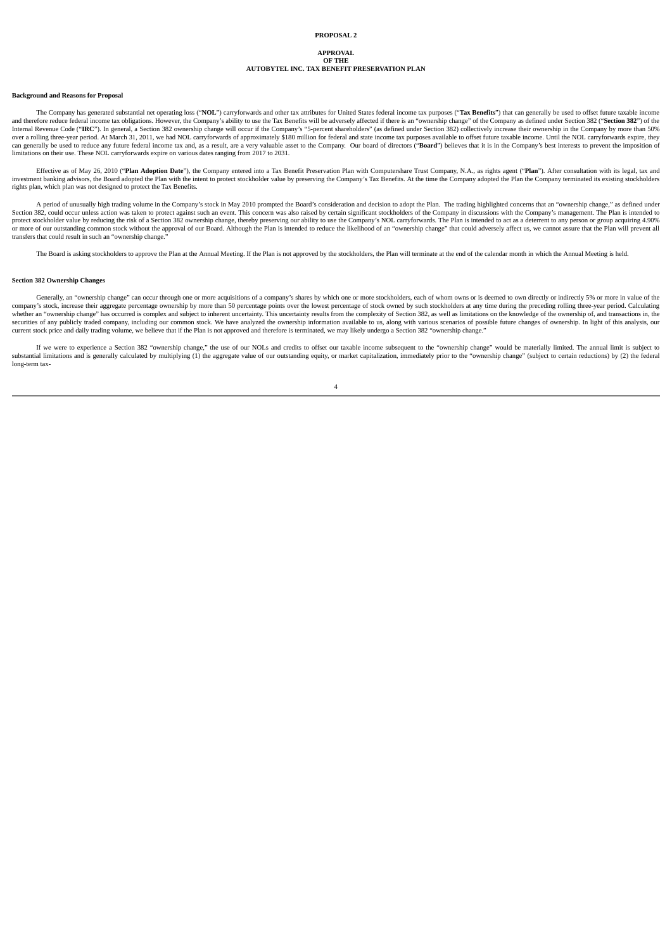#### **APPROVAL OF THE**

# **AUTOBYTEL INC. TAX BENEFIT PRESERVATION PLAN**

## **Background and Reasons for Proposal**

The Company has generated substantial net operating loss ("NOL") carryforwards and other tax attributes for United States federal income tax purposes ("Tax Benefits") that can generally be used to offset future taxable inc and therefore reduce federal income tax obligations. However, the Company's ability to use the Tax Benefits will be adversely affected if there is an "ownership change" of the Company as defined under Section 382 ("**Sectio** can generally be used to reduce any future federal income tax and, as a result, are a very valuable asset to the Company. Our board of directors ("Board") believes that it is in the Company's best interests to prevent the limitations on their use. These NOL carryforwards expire on various dates ranging from 2017 to 2031.

Effective as of May 26, 2010 ("Plan Adoption Date"), the Company entered into a Tax Benefit Preservation Plan with Computershare Trust Company, N.A., as rights agent ("Plan"). After consultation with its legal, tax and inv rights plan, which plan was not designed to protect the Tax Benefits.

A period of unusually high trading volume in the Company's stock in May 2010 prompted the Board's consideration and decision to adopt the Plan. The trading highlighted concerns that an "ownership change," as defined under Section 382, could occur unless action was taken to protect against such an event. This concern was also raised by certain significant stockholders of the Company in discussions with the Company's management. The Plan is i transfers that could result in such an "ownership change."

The Board is asking stockholders to approve the Plan at the Annual Meeting. If the Plan is not approved by the stockholders, the Plan will terminate at the end of the calendar month in which the Annual Meeting is held.

#### **Section 382 Ownership Changes**

Generally, an "ownership change" can occur through one or more acquisitions of a company's shares by which one or more stockholders, each of whom owns or is deemed to own directly or indirectly 5% or more in value of the company's stock, increase their aggregate percentage ownership by more than 50 percentage points over the lowest percentage of stock owned by such stockholders at any time during the preceding rolling three-year period. Ca securities of any publicly traded company, including our common stock. We have analyzed the ownership information available to us, along with various scenarios of possible future changes of ownership. In light of this anal

If we were to experience a Section 382 "ownership change," the use of our NOLs and credits to offset our taxable income subsequent to the "ownership change" would be materially limited. The annual limit is subject to the s long-term tax-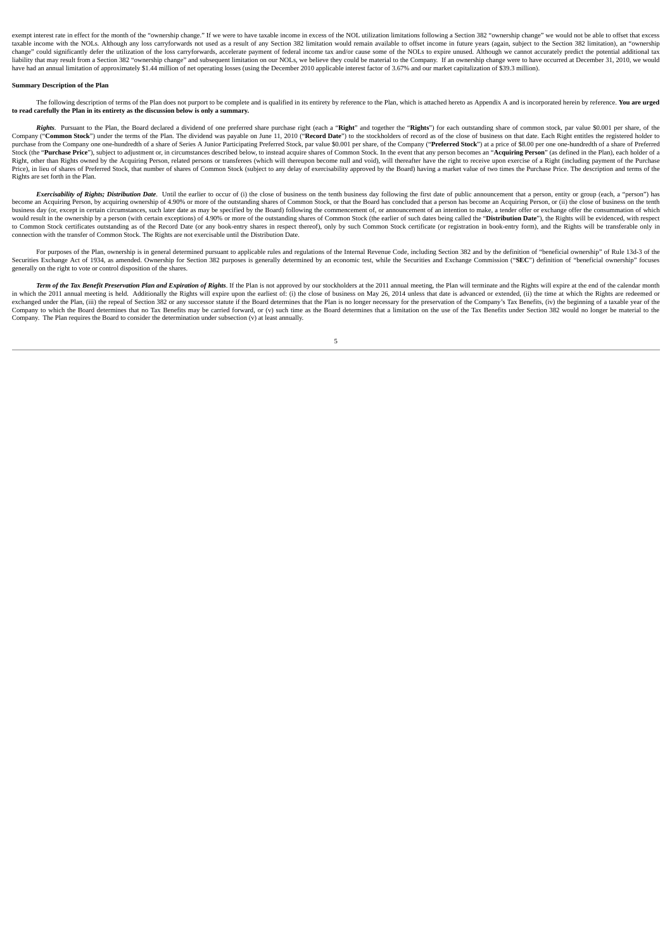exempt interest rate in effect for the month of the "ownership change." If we were to have taxable income in excess of the NOL utilization limitations following a Section 382 "ownership change" we would not be able to offs taxable income with the NOLs. Although any loss carryforwards not used as a result of any Section 382 limitation would remain available to offset income in future years (again, subject to the Section 382 limitation), an "o change" could significantly defer the utilization of the loss carryforwards, accelerate payment of federal income tax and/or cause some of the NOLs to expire unused. Although we cannot accurately predict the potential addi liability that may result from a Section 382 "ownership change" and subsequent limitation on our NOLs, we believe they could be material to the Company. If an ownership change were to have occurred at December 31, 2010, we have had an annual limitation of approximately \$1.44 million of net operating losses (using the December 2010 applicable interest factor of 3.67% and our market capitalization of \$39.3 million).

# **Summary Description of the Plan**

The following description of terms of the Plan does not purport to be complete and is qualified in its entirety by reference to the Plan, which is attached hereto as Appendix A and is incorporated herein by reference. You **to read carefully the Plan in its entirety as the discussion below is only a summary.**

Rights. Pursuant to the Plan, the Board declared a dividend of one preferred share purchase right (each a "Right" and together the "Rights") for each outstanding share of common stock, par value \$0,001 per share, of the Company ("Common Stock") under the terms of the Plan. The dividend was payable on June 11, 2010 ("Record Date") to the stockholders of record as of the close of business on that date. Each Right entitles the registered hol purchase from the Company one one-hundredth of a share of Series A Junior Participating Preferred Stock, par value \$0.001 per share, of the Company ("Preferred Stock") at a price of \$8.00 per one one-hundredth of a share o Stock (the "Purchase Price"), subject to adjustment or, in circumstances described below, to instead acquire shares of Common Stock. In the event that any person becomes an "Acquiring Person" (as defined in the Plan), each Right, other than Rights owned by the Acquiring Person, related persons or transferees (which will thereupon become null and void), will thereafter have the right to receive upon exercise of a Right (including payment of t Rights are set forth in the Plan.

Exercisability of Rights; Distribution Date. Until the earlier to occur of (i) the close of business on the tenth business day following the first date of public announcement that a person, entity or group (each, a "person become an Acquiring Person, by acquiring ownership of 4.90% or more of the outstanding shares of Common Stock, or that the Board has concluded that a person has become an Acquiring Person, or (ii) the close of business on business day (or, except in certain circumstances, such later date as may be specified by the Board) following the commencement of, or announcement of an intention to make. a tender offer or exchange offer the consummation such a person (with certain exceptions) of 4.90% or more of the outstanding shares of Common Stock (the earlier of such dates being called the "Distribution Date"), the Rights will be evidenced, with respect when  $\frac{1}{2}$ to Common Stock certificates outstanding as of the Record Date (or any book-entry shares in respect thereof), only by such Common Stock certificate (or registration in book-entry form), and the Rights will be transferable

For purposes of the Plan, ownership is in general determined pursuant to applicable rules and regulations of the Internal Revenue Code, including Section 382 and by the definition of "beneficial ownership" of Rule 13d-3 of generally on the right to vote or control disposition of the shares.

Term of the Tax Benefit Preservation Plan and Expiration of Rights. If the Plan is not approved by our stockholders at the 2011 annual meeting, the Plan will terminate and the Rights will expire at the end of the calendar in which the 2011 annual meeting is held. Additionally the Rights will expire upon the earliest of: (i) the close of business on May 26, 2014 unless that date is advanced or extended, (ii) the time at which the Rights are exchanged under the Plan, (iii) the repeal of Section 382 or any successor statute if the Board determines that the Plan is no longer necessary for the preservation of the Company's Tax Benefits, (iv) the beginning of a ta Company to which the Board determines that no Tax Benefits may be carried forward, or (v) such time as the Board determines that a limitation on the use of the Tax Benefits under Section 382 would no longer be material to Company. The Plan requires the Board to consider the determination under subsection (v) at least annually.

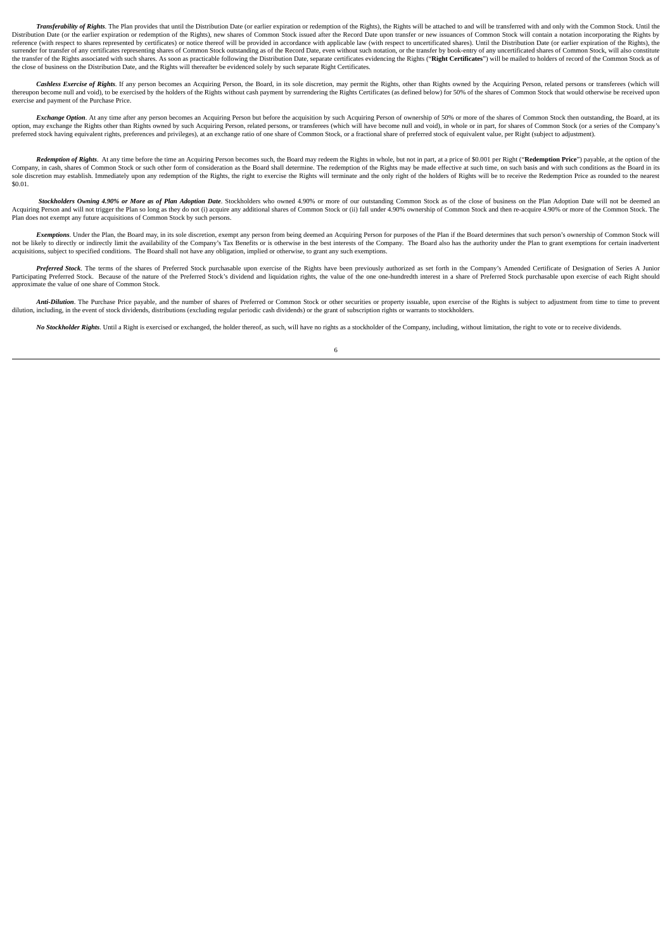Transferability of Rights. The Plan provides that until the Distribution Date (or earlier expiration or redemption of the Rights), the Rights will be attached to and will be transferred with and only with the Common Stock. Distribution Date (or the earlier expiration or redemption of the Rights), new shares of Common Stock issued after the Record Date upon transfer or new issuances of Common Stock will contain a notation incorporating the Ri reference (with respect to shares represented by certificates) or notice thereof will be provided in accordance with applicable law (with respect to uncertificated shares). Until the Distribution Date (or earlier expiratio surrender for transfer of any certificates representing shares of Common Stock outstanding as of the Record Date, even without such notation, or the transfer by book-entry of any uncertificated shares of Common Stock, will the transfer of the Rights associated with such shares. As soon as practicable following the Distribution Date, separate certificates evidencing the Rights ("Right Certificates") will be mailed to holders of record of the the close of business on the Distribution Date, and the Rights will thereafter be evidenced solely by such separate Right Certificates.

Cashless Exercise of Rights. If any person becomes an Acquiring Person, the Board, in its sole discretion, may permit the Rights, other than Rights owned by the Acquiring Person, related persons or transferees (which will exercise and payment of the Purchase Price.

Exchange Option. At any time after any person becomes an Acquiring Person but before the acquisition by such Acquiring Person of ownership of 50% or more of the shares of Common Stock then outstanding, the Board, at its option, may exchange the Rights other than Rights owned by such Acquiring Person, related persons, or transferees (which will have become null and void), in whole or in part, for shares of Common Stock (or a series of the preferred stock having equivalent rights, preferences and privileges), at an exchange ratio of one share of Common Stock, or a fractional share of preferred stock of equivalent value, per Right (subject to adjustment).

Redemntion of Rights. At any time before the time an Acquiring Person becomes such the Board may redeem the Rights in whole but not in part at a price of \$0.001 per Right ("Redemntion Price") payable, at the ontion of the Company in cash, shares of Common Stock or such the form of consideration as the Board shall determine. The redemption of the Rights may be made effective at such time, on such basis and with such conditions as the Board i sole discretion may establish. Immediately upon any redemption of the Rights, the right to exercise the Rights will terminate and the only right of the holders of Rights will be to receive the Redemption Price as rounded t \$0.01.

Stockholders Owning 4.90% or More as of Plan Adoption Date. Stockholders who owned 4.90% or more of our outstanding Common Stock as of the close of business on the Plan Adoption Date will not be deemed an Acquiring Person Plan does not exempt any future acquisitions of Common Stock by such persons.

Exemptions. Under the Plan, the Board may, in its sole discretion, exempt any person from being deemed an Acquiring Person for purposes of the Plan if the Board determines that such person's ownership of Common Stock will not be likely to directly or indirectly limit the availability of the Company's Tax Benefits or is otherwise in the best interests of the Company. The Board also has the authority under the Plan to grant exemptions for cer

Preferred Stock. The terms of the shares of Preferred Stock purchasable upon exercise of the Rights have been previously authorized as set forth in the Company's Amended Certificate of Designation of Series A Junior Participating Preferred Stock. Because of the nature of the Preferred Stock's dividend and liquidation rights, the value of the one one-hundredth interest in a share of Preferred Stock purchasable upon exercise of each Rig approximate the value of one share of Common Stock.

Anti-Dilution. The Purchase Price payable, and the number of shares of Preferred or Common Stock or other securities or property issuable, upon exercise of the Rights is subject to adjustment from time to time to prevent d

No Stockholder Rights. Until a Right is exercised or exchanged, the holder thereof, as such, will have no rights as a stockholder of the Company, including, without limitation, the right to vote or to receive dividends.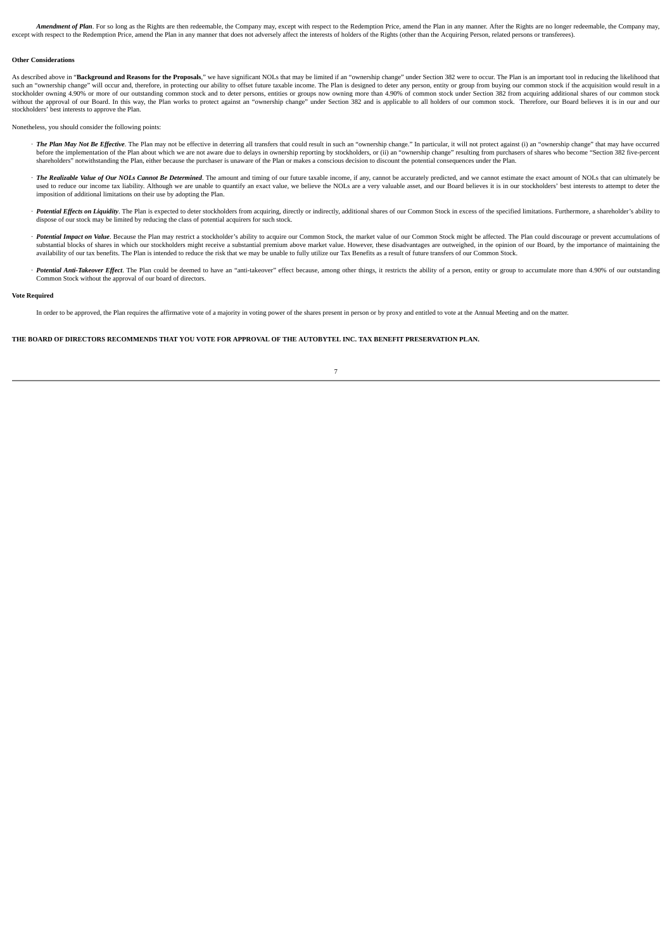Amendment of Plan. For so long as the Rights are then redeemable, the Company may, except with respect to the Redemption Price, amend the Plan in any manner. After the Rights are no longer redeemable, the Company may, except with respect to the Redemption Price, amend the Plan in any manner that does not adversely affect the interests of holders of the Rights (other than the Acquiring Person, related persons or transferees).

#### **Other Considerations**

As described above in "Background and Reasons for the Proposals." we have significant NOLs that may be limited if an "ownership change" under Section 382 were to occur. The Plan is an important tool in reducing the likelih such an "ownership change" will occur and, therefore, in protecting our ability to offset future taxable income. The Plan is designed to deter any person, entity or group from buying our common stock if the acquisition wou stockholders' best interests to approve the Plan.

Nonetheless, you should consider the following points:

- · The Plan May Not Be Effective. The Plan may not be effective in deterring all transfers that could result in such an "ownership change." In particular, it will not protect against (i) an "ownership change" that may have before the implementation of the Plan about which we are not aware due to delays in ownership reporting by stockholders, or (ii) an "ownership change" resulting from purchasers of shares who become "Section 382 five-percent shareholders" notwithstanding the Plan, either because the purchaser is unaware of the Plan or makes a conscious decision to discount the potential consequences under the Plan.
- · The Realizable Value of Our NOLs Cannot Be Determined. The amount and timing of our future taxable income, if any, cannot be accurately predicted, and we cannot estimate the exact amount of NOLs that can ultimately be used to reduce our income tax liability. Although we are unable to quantify an exact value, we believe the NOLs are a very valuable asset, and our Board believes it is in our stockholders' best interests to attempt to dete
- Potential Effects on Liquidity. The Plan is expected to deter stockholders from acquiring, directly or indirectly, additional shares of our Common Stock in excess of the specified limitations. Furthermore, a shareholder's dispose of our stock may be limited by reducing the class of potential acquirers for such stock.
- Potential Impact on Value. Because the Plan may restrict a stockholder's ability to acquire our Common Stock, the market value of our Common Stock might be affected. The Plan could discourage or prevent accumulations of substantial blocks of shares in which our stockholders might receive a substantial premium above market value. However, these disadvantages are outweighed, in the opinion of our Board, by the importance of maintaining the availability of our tax benefits. The Plan is intended to reduce the risk that we may be unable to fully utilize our Tax Benefits as a result of future transfers of our Common Stock.
- · Potential Anti-Takeover Effect The Plan could be deemed to have an "anti-takeover" effect because among other things it restricts the ability of a person entity or groun to accumulate more than 4 90% of our outstanding Common Stock without the approval of our board of directors.

#### **Vote Required**

In order to be approved, the Plan requires the affirmative vote of a majority in voting power of the shares present in person or by proxy and entitled to vote at the Annual Meeting and on the matter.

# THE BOARD OF DIRECTORS RECOMMENDS THAT YOU VOTE FOR APPROVAL OF THE AUTOBYTEL INC. TAX BENEFIT PRESERVATION PLAN.

| I |  |
|---|--|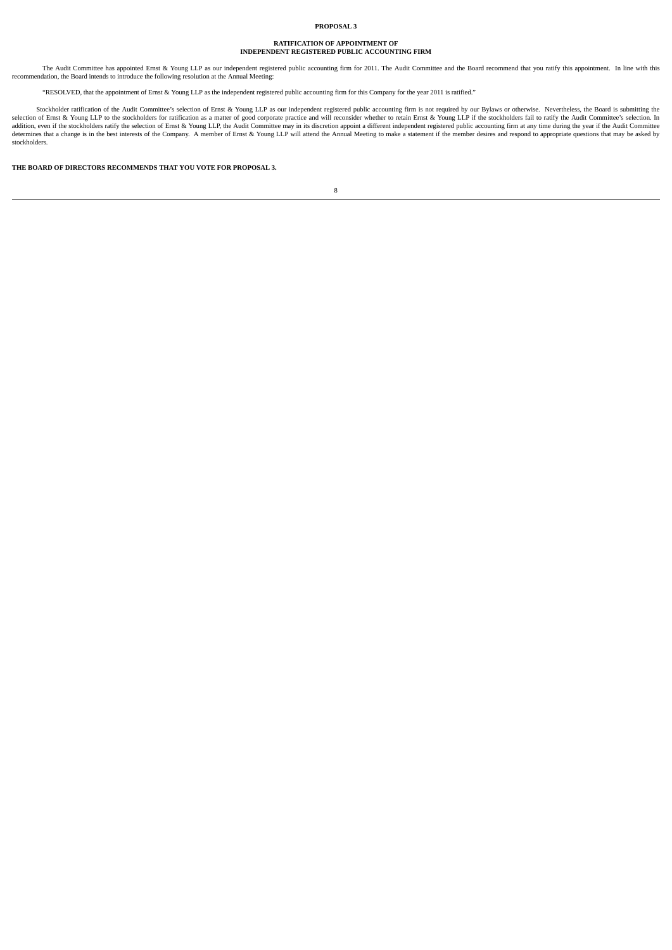## **PROPOSAL 3**

# **RATIFICATION OF APPOINTMENT OF INDEPENDENT REGISTERED PUBLIC ACCOUNTING FIRM**

The Audit Committee has appointed Ernst & Young LLP as our independent registered public accounting firm for 2011. The Audit Committee and the Board recommend that you ratify this appointment. In line with this recommendat

"RESOLVED, that the appointment of Ernst & Young LLP as the independent registered public accounting firm for this Company for the year 2011 is ratified."

Stockholder ratification of the Audit Committee's selection of Ernst & Young LLP as our independent registered public accounting firm is not required by our Bylaws or otherwise. Nevertheless, the Board is submitting the th addition, even if the stockholders ratify the selection of Ernst & Young LLP, the Audit Committee may in its discretion appoint a different independent registered public accounting firm at any time during the year if the A stockholders.

**THE BOARD OF DIRECTORS RECOMMENDS THAT YOU VOTE FOR PROPOSAL 3.**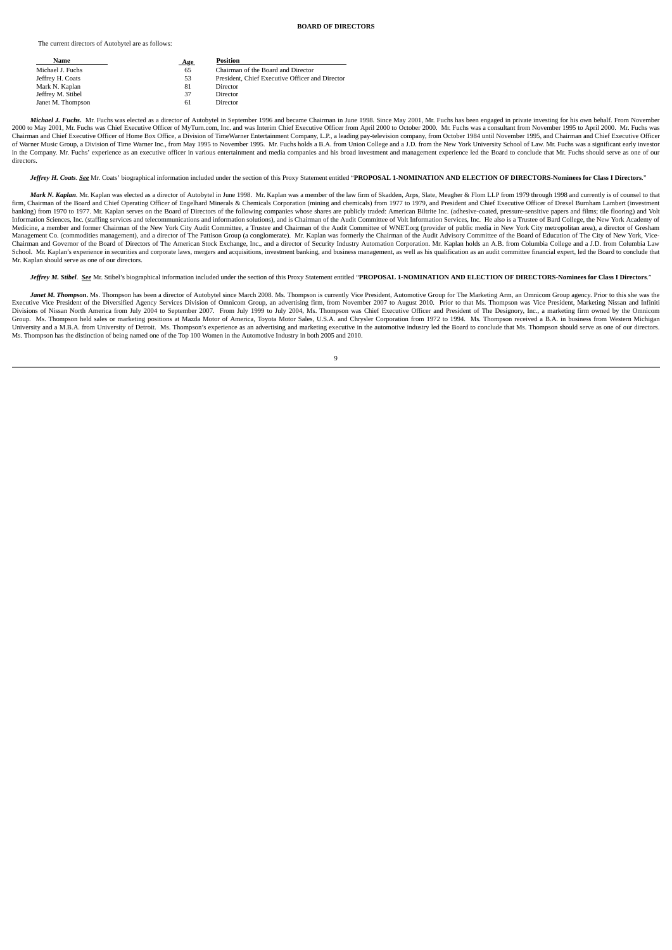## **BOARD OF DIRECTORS**

The current directors of Autobytel are as follows:

| Name              | <b>Age</b> | <b>Position</b>                                 |
|-------------------|------------|-------------------------------------------------|
| Michael J. Fuchs  | 65         | Chairman of the Board and Director              |
| Jeffrey H. Coats  | 53         | President, Chief Executive Officer and Director |
| Mark N. Kaplan    | 81         | Director                                        |
| Jeffrey M. Stibel | 37         | Director                                        |
| Janet M. Thompson | 61         | Director                                        |

Michael J. Fuchs. Mr. Fuchs was elected as a director of Autobytel in September 1996 and became Chairman in June 1998. Since May 2001, Mr. Fuchs has been engaged in private investing for his own behalf. From November 2000 to May 2001, Mr. Fuchs was Chief Executive Officer of MyTurn.com, Inc. and was Interim Chief Executive Officer from April 2000 to October 2000. Mr. Fuchs was a consultant from November 1995 to April 2000. Mr. Fuchs wa Chairman and Chief Executive Officer of Home Box Office, a Division of TimeWarner Entertainment Company, L.P., a leading pay-television company, from October 1984 until November 1995, and Chairman and Chief Executive Offic in the Company. Mr. Fuchs' experience as an executive officer in various entertainment and media companies and his broad investment and management experience led the Board to conclude that Mr. Fuchs should serve as one of directors.

Jeffrey H. Coats. See Mr. Coats' biographical information included under the section of this Proxy Statement entitled "PROPOSAL 1-NOMINATION AND ELECTION OF DIRECTORS-Nominees for Class I Directors.

Mark N. Kaplan, Mr. Kaplan was elected as a director of Autobytel in June 1998. Mr. Kaplan was a member of the law firm of Skadden, Arrs. Slate, Meagher & Flom J.J.P. from 1979 through 1998 and currently is of counsel to t firm, Chairman of the Board and Chief Operating Officer of Engelhard Minerals & Chemicals Corporation (mining and chemicals) from 1977 to 1979, and President and Chief Executive Officer of Drexel Burnham Lambert (investment banking) from 1970 to 1977. Mr. Kaplan serves on the Board of Directors of the following companies whose shares are publicly traded: American Biltrite Inc. (adhesive-coated, pressure-sensitive papers and films; tile floori Medicine, a member and former Chairman of the New York City Audit Committee, a Trustee and Chairman of the Audit Committee of WNET.org (provider of public media in New York City metropolitan area), a director of Gresham Management Co. (commodities management), and a director of The Pattison Group (a conglomerate). Mr. Kaplan was formerly the Chairman of the Audit Advisory Committee of the Board of Education of The City of New York, Vice-Chairman and Governor of the Board of Directors of The American Stock Exchange, Inc., and a director of Security Industry Automation Corporation. Mr. Kaplan holds an A.B. from Columbia College and a J.D. from Columbia Law School. Mr. Kaplan's experience in securities and corporate laws, mergers and acquisitions, investment banking, and business management, as well as his qualification as an audit committee financial expert, led the Board to Mr. Kaplan should serve as one of our directors.

Jeffrey M. Stibel. See Mr. Stibel's biographical information included under the section of this Proxy Statement entitled "PROPOSAL 1-NOMINATION AND ELECTION OF DIRECTORS-Nominees for Class I Directors."

Janet M. Thompson. Ms. Thompson has been a director of Autobytel since March 2008. Ms. Thompson is currently Vice President, Automotive Group for The Marketing Arm, an Omnicom Group agency. Prior to this she was the Executive Vice President of the Diversified Agency Services Division of Omnicom Group, an advertising firm, from November 2007 to August 2010. Prior to that Ms. Thompson was Vice President, Marketing Nissan and Infiniti<br>Di Group. Ms. Thompson held sales or marketing positions at Mazda Motor of America, Toyota Motor Sales, U.S.A. and Chrysler Corporation from 1972 to 1994. Ms. Thompson received a B.A. in business from Western Michigan University and a M.B.A. from University of Detroit. Ms. Thompson's experience as an advertising and marketing executive in the automotive industry led the Board to conclude that Ms. Thompson should serve as one of our dire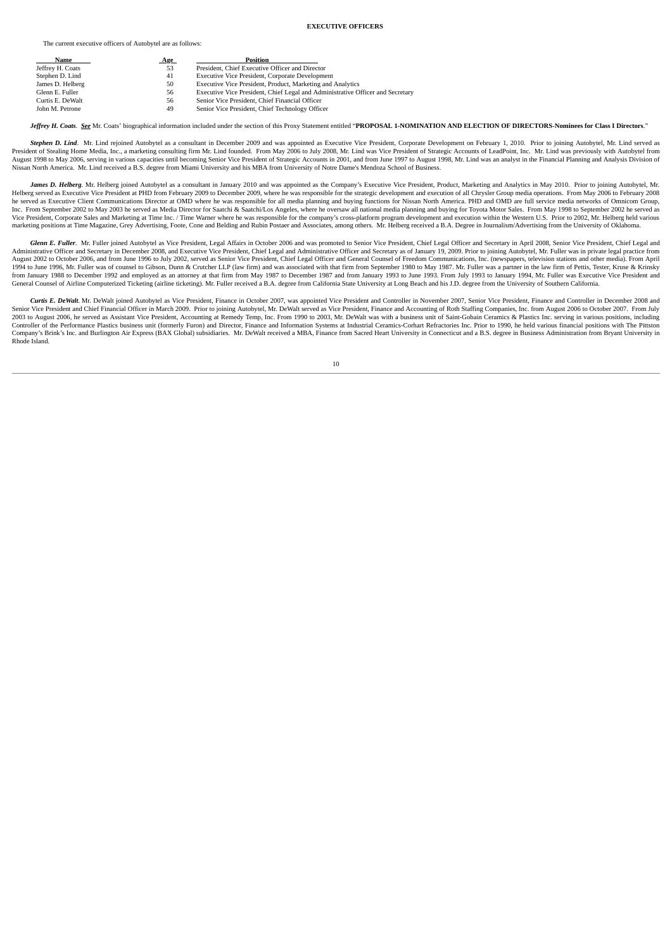## **EXECUTIVE OFFICERS**

The current executive officers of Autobytel are as follows:

| Name             | <b>Age</b> | <b>Position</b>                                                                |
|------------------|------------|--------------------------------------------------------------------------------|
| Jeffrey H. Coats | 53         | President, Chief Executive Officer and Director                                |
| Stephen D. Lind  | 41         | Executive Vice President, Corporate Development                                |
| James D. Helberg | 50         | Executive Vice President, Product, Marketing and Analytics                     |
| Glenn E. Fuller  | 56         | Executive Vice President, Chief Legal and Administrative Officer and Secretary |
| Curtis E. DeWalt | 56         | Senior Vice President, Chief Financial Officer                                 |
| John M. Petrone  | 49         | Senior Vice President, Chief Technology Officer                                |
|                  |            |                                                                                |

Jeffrey H. Coats. See Mr. Coats' biographical information included under the section of this Proxy Statement entitled "PROPOSAL 1-NOMINATION AND ELECTION OF DIRECTORS-Nominees for Class I Directors."

Stephen D. Lind. Mr. Lind rejoined Autobytel as a consultant in December 2009 and was appointed as Executive Vice President, Corporate Development on February 1, 2010. Prior to joining Autobytel, Mr. Lind served as President of Stealing Home Media, Inc., a marketing consulting firm Mr. Lind founded. From May 2006 to July 2008, Mr. Lind was Vice President of Strategic Accounts of LeadPoint, Inc. Mr. Lind was previously with Autobytel Nissan North America. Mr. Lind received a B.S. degree from Miami University and his MBA from University of Notre Dame's Mendoza School of Business.

James D. Helbera. Mr. Helberg joined Autobytel as a consultant in January 2010 and was appointed as the Company's Executive Vice President. Product, Marketing and Analytics in May 2010. Prior to joining Autobytel, Mr. Helberg served as Executive Vice President at PHD from February 2009 to December 2009, where he was responsible for the strategic development and execution of all Chrysler Group media operations. From May 2006 to February he served as Executive Client Communications Director at OMD where he was responsible for all media planning and buying functions for Nissan North America. PHD and OMD are full service media networks of Omnicom Group,<br>Inc. Vice President, Corporate Sales and Marketing at Time Inc. / Time Warner where he was responsible for the company's cross-platform program development and execution within the Western U.S. Prior to 2002, Mr. Helberg held v

Glenn E. Fuller. Mr. Fuller joined Autobytel as Vice President, Legal Affairs in October 2006 and was promoted to Senior Vice President, Chief Legal Officer and Secretary in April 2008, Senior Vice President, Chief Legal a August 2002 to October 2006, and from June 1996 to July 2002, served as Senior Vice President, Chief Legal Officer and General Counsel of Freedom Communications, Inc. (newspapers, television stations and other media). From 1994 to June 1996, Mr. Fuller was of counsel to Gibson, Dunn & Crutcher LLP (law firm) and was associated with that firm from September 1980 to May 1987. Mr. Fuller was a partner in the law firm of Pettis, Tester, Kruse & from January 1988 to December 1992 and employed as an attorney at that firm from May 1987 to December 1987 and from January 1993 to June 1993. From July 1993 to January 1994, Mr. Fuller was Executive Vice President and General Counsel of Airline Computerized Ticketing (airline ticketing). Mr. Fuller received a B.A. degree from California State University at Long Beach and his J.D. degree from the University of Southern California.

Curtis E. DeWalt. Mr. DeWalt joined Autobytel as Vice President, Finance in October 2007, was appointed Vice President and Controller in November 2007, Senior Vice President, Finance and Controller in December 2008 and Senior Vice President and Chief Financial Officer in March 2009. Prior to joining Autobytel, Mr. DeWalt served as Vice President, Finance and Accounting of Roth Staffing Companies, Inc. from August 2006 to October 2007. Fr 2003 to August 2006, he served as Assistant Vice President, Accounting at Remedy Temp, Inc. From 1990 to 2003, Mr. DeWalt was with a business unit of Saint-Gobain Ceramics & Plastics Inc. serving in various positions, incl Controller of the Performance Plastics business unit (formerly Furon) and Director, Finance and Information Systems at Industrial Ceramics-Corhart Refractories Inc. Prior to 1990, he held various financial positions with T Company's Brink's Inc. and Burlington Air Express (BAX Global) subsidiaries. Mr. DeWalt received a MBA, Finance from Sacred Heart University in Connecticut and a B.S. degree in Business Administration from Bryant Universit Rhode Island.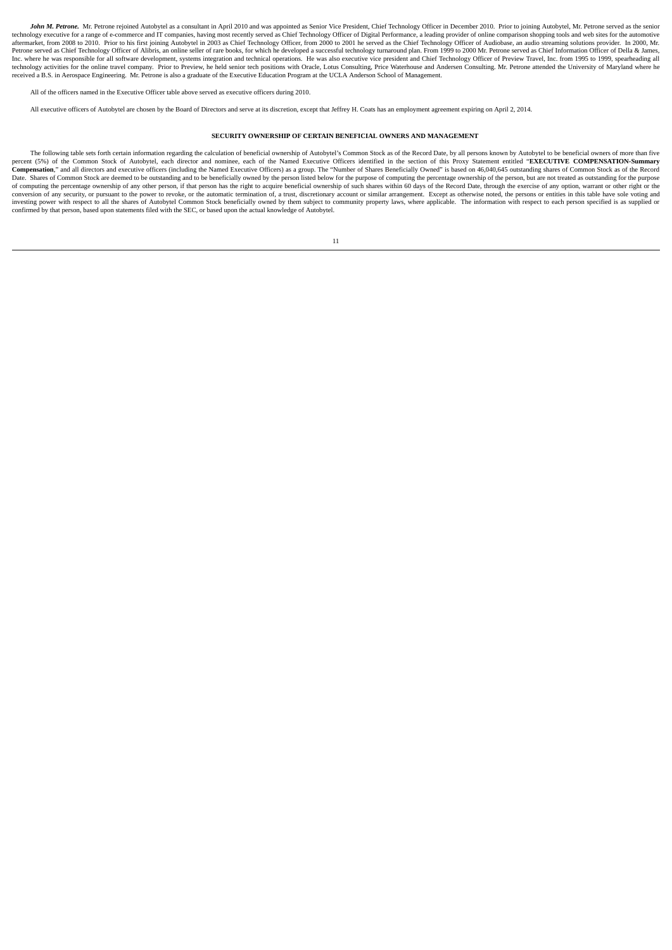John M. Petrone. Mr. Petrone rejoined Autobytel as a consultant in April 2010 and was appointed as Senior Vice President. Chief Technology Officer in December 2010. Prior to joining Autobytel. Mr. Petrone served as the sen technology executive for a range of e-commerce and IT companies, having most recently served as Chief Technology Officer of Digital Performance, a leading provider of online comparison shopping tools and web sites for the Inc. where he was responsible for all software development, systems integration and technical operations. He was also executive vice president and Chief Technology Officer of Preview Travel, Inc. from 1995 to 1999, spearhe received a B.S. in Aerospace Engineering. Mr. Petrone is also a graduate of the Executive Education Program at the UCLA Anderson School of Management.

All of the officers named in the Executive Officer table above served as executive officers during 2010.

All executive officers of Autobytel are chosen by the Board of Directors and serve at its discretion, except that Jeffrey H. Coats has an employment agreement expiring on April 2, 2014.

# **SECURITY OWNERSHIP OF CERTAIN BENEFICIAL OWNERS AND MANAGEMENT**

The following table sets forth certain information regarding the calculation of beneficial ownership of Autobytel's Common Stock as of the Record Date, by all nersons known by Autobytel to be beneficial owners of more than percent (5%) of the Common Stock of Autobytel, each director and nominee, each of the Named Executive Officers identified in the section of this Proxy Statement entitled "EXECUTIVE COMPENSATION-Summary<br>Compensation," and a Date Character Common Stock are deemed to be outstanding and to be beneficially owned by the person listed below for the purpose of computing the percentage ownership of the person, but are not treated as outstanding for t of computing the percentage ownership of any other person, if that person has the right to acquire beneficial ownership of such shares within 60 days of the Record Date, through the exercise of any option, warrant or other investing power with respect to all the shares of Autobytel Common Stock beneficially owned by them subject to community property laws, where applicable. The information with respect to each person specified is as supplied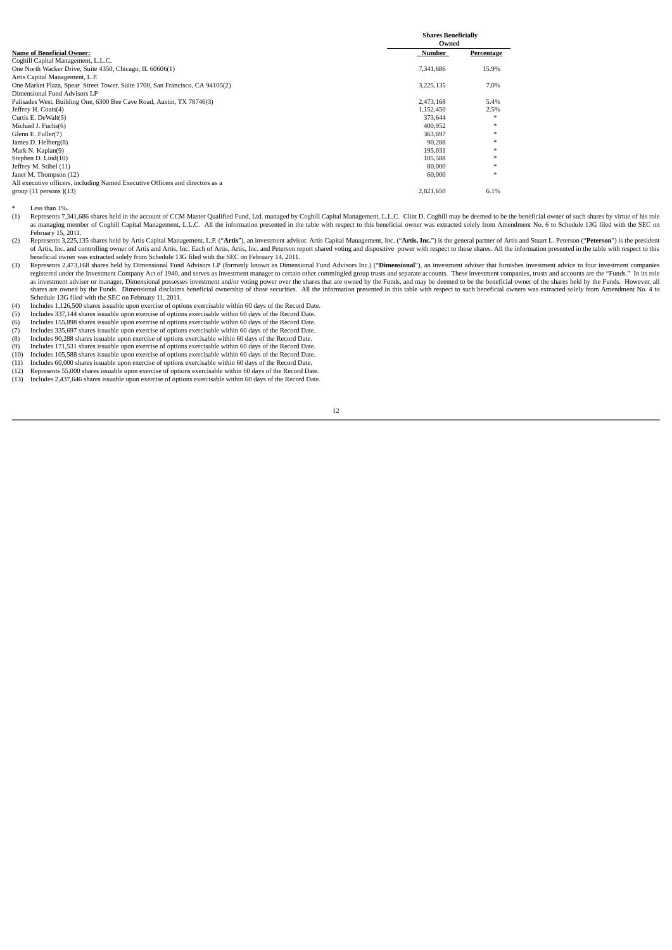|                                                                               | <b>Shares Beneficially</b> |            |  |
|-------------------------------------------------------------------------------|----------------------------|------------|--|
|                                                                               | Owned                      |            |  |
| <b>Name of Beneficial Owner:</b>                                              | Number                     | Percentage |  |
| Coghill Capital Management, L.L.C.                                            |                            |            |  |
| One North Wacker Drive, Suite 4350, Chicago, IL 60606(1)                      | 7,341,686                  | 15.9%      |  |
| Artis Capital Management, L.P.                                                |                            |            |  |
| One Market Plaza, Spear Street Tower, Suite 1700, San Francisco, CA 94105(2)  | 3,225,135                  | 7.0%       |  |
| Dimensional Fund Advisors LP                                                  |                            |            |  |
| Palisades West, Building One, 6300 Bee Cave Road, Austin, TX 78746(3)         | 2.473.168                  | 5.4%       |  |
| Jeffrey H. Coats(4)                                                           | 1.152.450                  | 2.5%       |  |
| Curtis E. DeWalt(5)                                                           | 373,644                    | $\ast$     |  |
| Michael J. Fuchs(6)                                                           | 400,952                    | $*$        |  |
| Glenn E. Fuller(7)                                                            | 363,697                    | $\ast$     |  |
| James D. Helberg(8)                                                           | 90.288                     | $*$        |  |
| Mark N. Kaplan(9)                                                             | 195.031                    | $\ast$     |  |
| Stephen D. Lind(10)                                                           | 105,588                    | $\ast$     |  |
| Jeffrey M. Stibel (11)                                                        | 80,000                     | $\ast$     |  |
| Janet M. Thompson (12)                                                        | 60,000                     | $\ast$     |  |
| All executive officers, including Named Executive Officers and directors as a |                            |            |  |
| group $(11$ persons $)(13)$                                                   | 2.821.650                  | 6.1%       |  |

\* Less than 1%<br>(1) Represents 7.

Represents 7,341,686 shares held in the account of CCM Master Qualified Fund, Ltd. managed by Coghill Capital Management, L.L.C. Clint D. Coghill may be deemed to be the beneficial owner of such shares by virtue of his rol as managing member of Coghill Capital Management, L.L.C. All the information presented in the table with respect to this beneficial owner was extracted solely from Amendment No. 6 to Schedule 13G filed with the SEC on February 15, 2011.

Concurs 7.5, 2011. Approxents 3,225,135 shares held by Artis Capital Management, L.P. ("Artis"), an investment advisor. Artis Capital Management, Inc. ("Artis, Inc.") is the general partner of Artis and Stuart L. Peterson of Artis, Inc. and controlling owner of Artis and Artis, Inc. Each of Artis, Artis, Inc. and Peterson report shared voting and dispositive power with respect to these shares. All the information presented in the table wit

- (3) Represents 2,473,168 shares held by Dimensional Fund Advisors LP (formerly known as Dimensional Fund Advisors Inc.) ("Dimensional"), an investment adviser that furnishes investment advice to four investment companies registered under the Investment Company Act of 1940, and serves as investment manager to certain other commingled group trusts and separate accounts. These investment companies, trusts and accounts are the "Funds." In its as investment adviser or manager, Dimensional possesses investment and/or voting power over the shares that are owned by the Funds, and may be deemed to be the beneficial owner of the shares held by the Funds. However, all Schedule 13G filed with the SEC on February 11, 2011.
- (4) Includes 1,126,500 shares issuable upon exercise of options exercisable within 60 days of the Record Date. (5) Includes 337,144 shares issuable upon exercise of options exercisable within 60 days of the Record Date.
- 
- (6) Includes 155,898 shares issuable upon exercise of options exercisable within 60 days of the Record Date. (7) Includes 335,697 shares issuable upon exercise of options exercisable within 60 days of the Record Date.
- (8) Includes 90,288 shares issuable upon exercise of options exercisable within 60 days of the Record Date.
- 
- (9) Includes 171,531 shares issuable upon exercise of options exercisable within 60 days of the Record Date.<br>(10) Includes 105,588 shares issuable upon exercise of options exercisable within 60 days of the Record Date.
- (10) Includes 105,588 shares issuable upon exercise of options exercisable within 60 days of the Record Date.<br>(11) Includes 60,000 shares issuable upon exercise of options exercisable within 60 days of the Record Date.<br>(12 (11) Includes 60,000 shares issuable upon exercise of options exercisable within 60 days of the Record Date. (12) Represents 55,000 shares issuable upon exercise of options exercisable within 60 days of the Record Date.
- 
- (13) Includes 2,437,646 shares issuable upon exercise of options exercisable within 60 days of the Record Date.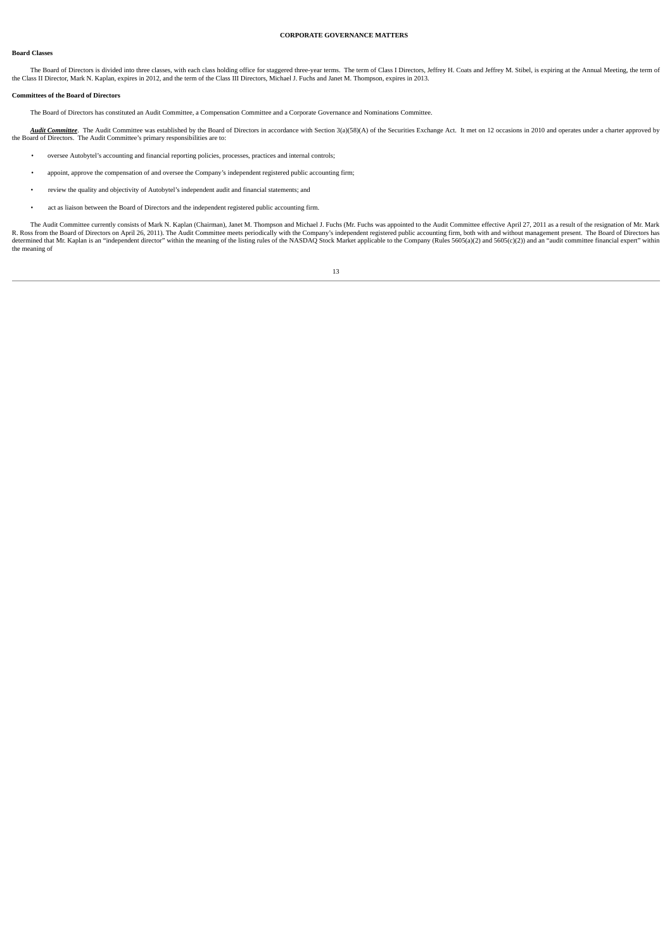## **Board Classes**

# **CORPORATE GOVERNANCE MATTERS**

The Board of Directors is divided into three classes, with each class holding office for staggered three-year terms. The term of Class I Directors, Jeffrey H. Coats and Jeffrey M. Stibel, is expiring at the Annual Meeting,

#### **Committees of the Board of Directors**

The Board of Directors has constituted an Audit Committee, a Compensation Committee and a Corporate Governance and Nominations Committee.

Audit Committee. The Audit Committee was established by the Board of Directors in accordance with Section 3(a)(58)(A) of the Securities Exchange Act. It met on 12 occasions in 2010 and operates under a charter approved by the Board of Directors. The Audit Committee's primary responsibilities are to:

- oversee Autobytel's accounting and financial reporting policies, processes, practices and internal controls;
- appoint, approve the compensation of and oversee the Company's independent registered public accounting firm;
- review the quality and objectivity of Autobytel's independent audit and financial statements; and
- act as liaison between the Board of Directors and the independent registered public accounting firm.

The Audit Committee currently consists of Mark N. Kaplan (Chairman), Janet M. Thompson and Michael J. Fuchs (Mr. Fuchs was appointed to the Audit Committee effective April 27, 2011 as a result of the resignation of Mr. Mar R. Ross from the Board of Directors on April 26, 2011). The Audit Committee meets periodically with the Company's independent registered public accounting firm, both with and without management present. The Board of Direct the meaning of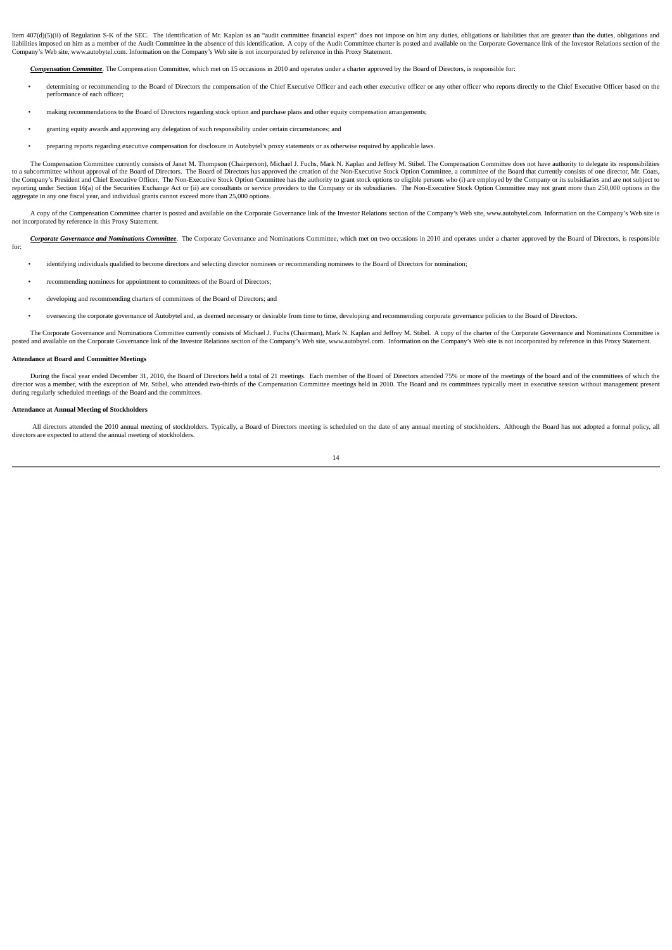Item 407(d)(5)(ii) of Regulation S-K of the SEC. The identification of Mr. Kaplan as an "audit committee financial expert" does not impose on him any duties, obligations or liabilities that are greater than the duties, obl liabilities imposed on him as a member of the Audit Committee in the absence of this identification. A copy of the Audit Committee charter is posted and available on the Corporate Governance link of the Investor Relations Company's Web site, www.autobytel.com. Information on the Company's Web site is not incorporated by reference in this Proxy Statement.

*Compensation Committee*. The Compensation Committee, which met on 15 occasions in 2010 and operates under a charter approved by the Board of Directors, is responsible for:

- determining or recommending to the Board of Directors the compensation of the Chief Executive Officer and each other executive officer or any other officer who reports directly to the Chief Executive Officer based on the performance of each officer;
- making recommendations to the Board of Directors regarding stock option and purchase plans and other equity compensation arrangements;
- granting equity awards and approving any delegation of such responsibility under certain circumstances; and
- preparing reports regarding executive compensation for disclosure in Autobytel's proxy statements or as otherwise required by applicable laws.

The Compensation Committee currently consists of Janet M. Thompson (Chairperson), Michael J. Fuchs, Mark N. Kaplan and Jeffrey M. Stibel. The Compensation Committee does not have authority to delegate its responsibilities reporting under Section 16(a) of the Securities Exchange Act or (ii) are consultants or service providers to the Company or its subsidiaries. The Non-Executive Stock Option Committee may not grant more than 250,000 options aggregate in any one fiscal year, and individual grants cannot exceed more than 25,000 options.

A copy of the Compensation Committee charter is posted and available on the Corporate Governance link of the Investor Relations section of the Company's Web site, www.autobvtel.com. Information on the Company's Web site, w not incorporated by reference in this Proxy Statement.

Corporate Governance and Nominations Committee. The Corporate Governance and Nominations Committee, which met on two occasions in 2010 and operates under a charter approved by the Board of Directors, is responsible for:

- identifying individuals qualified to become directors and selecting director nominees or recommending nominees to the Board of Directors for nomination;
- recommending nominees for appointment to committees of the Board of Directors;
- developing and recommending charters of committees of the Board of Directors; and
- overseeing the corporate governance of Autobytel and, as deemed necessary or desirable from time to time, developing and recommending corporate governance policies to the Board of Directors.

The Corporate Governance and Nominations Committee currently consists of Michael J. Fuchs (Chairman), Mark N. Kaplan and Jeffrey M. Stibel. A copy of the charter of the Corporate Governance and Nominations Committee is posted and available on the Corporate Governance link of the Investor Relations section of the Company's Web site, www.autobytel.com. Information on the Company's Web site is not incorporated by reference in this Proxy Sta

#### **Attendance at Board and Committee Meetings**

During the fiscal year ended December 31, 2010, the Board of Directors held a total of 21 meetings. Each member of the Board of Directors attended 75% or more of the meetings of the board and of the committees of which the director was a member. with the exception of Mr. Stibel, who attended two-thirds of the Compensation Committee meetings held in 2010. The Board and its committees typically meet in executive session without management pres during regularly scheduled meetings of the Board and the committees.

#### **Attendance at Annual Meeting of Stockholders**

All directors attended the 2010 annual meeting of stockholders. Typically, a Board of Directors meeting is scheduled on the date of any annual meeting of stockholders. Although the Board has not adopted a formal policy, al directors are expected to attend the annual meeting of stockholders.

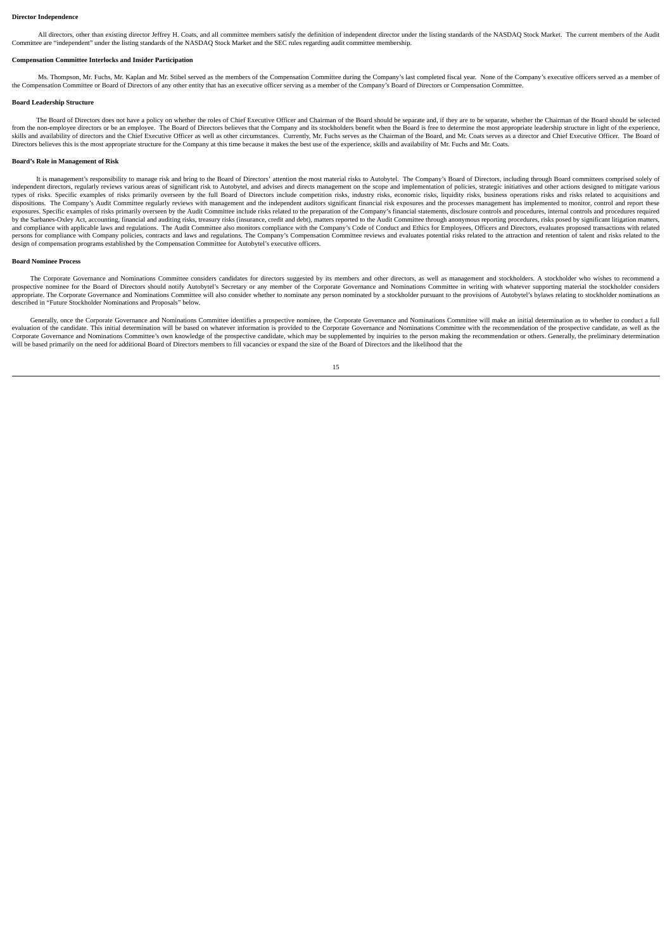#### **Director Independence**

All directors, other than existing director Jeffrey H. Coats, and all committee members satisfy the definition of independent director under the listing standards of the NASDAQ Stock Market. The current members of the Audi Committee are "independent" under the listing standards of the NASDAQ Stock Market and the SEC rules regarding audit committee membership.

#### **Compensation Committee Interlocks and Insider Participation**

Ms. Thompson, Mr. Fuchs, Mr. Kaplan and Mr. Stibel served as the members of the Compensation Committee during the Company's last completed fiscal year. None of the Company's executive officers served as a member of the Compensation Committee or Board of Directors of any other entity that has an executive officer serving as a member of the Company's Board of Directors or Compensation Committee.

#### **Board Leadership Structure**

The Board of Directors does not have a policy on whether the roles of Chief Executive Officer and Chairman of the Board should be separate and, if they are to be separate, whether the Chairman of the Board should be select from the non-employee directors or be an employee. The Board of Directors believes that the Company and its stockholders benefit when the Board is free to determine the most appropriate leadership structure in light of the skills and availability of directors and the Chief Executive Officer as well as other circumstances. Currently, Mr. Fuchs serves as the Chairman of the Board, and Mr. Coats serves as a director and Chief Executive Officer. Directors believes this is the most appropriate structure for the Company at this time because it makes the best use of the experience, skills and availability of Mr. Fuchs and Mr. Coats.

## **Board's Role in Management of Risk**

It is management's responsibility to manage risk and bring to the Board of Directors' attention the most material risks to Autobytel. The Company's Board of Directors, including through Board committees comprised solely of independent directors, regularly reviews various areas of significant risk to Autobytel, and advises and directs management on the scope and implementation of policies, strategic initiatives and other actions designed to m types of risks. Specific examples of risks primarily overseen by the full Board of Directors include competition risks, industry risks, economic risks, liquidity risks, business operations risks and risks related to acquis exposures. Specific examples of risks primarily overseen by the Audit Committee include risks related to the preparation of the Company's financial statements, disclosure controls and procedures, internal controls and proc and compliance with applicable laws and regulations. The Audit Committee also monitors compliance with the Company's Code of Conduct and Ethics for Employees, Officers and Directors, evaluates proposed transactions with re persons for compliance with Company policies, contracts and laws and regulations. The Company's Compensation Committee reviews and evaluates potential risks related to the attraction and retention of talent and risks relat

#### **Board Nominee Process**

The Corporate Governance and Nominations Committee considers candidates for directors suggested by its members and other directors, as well as management and stockholders. A stockholder who wishes to recommend a prospective nominee for the Board of Directors should notify Autobytel's Secretary or any member of the Corporate Governance and Nominations Committee in writing with whatever supporting material the stockholder considers described in "Future Stockholder Nominations and Proposals" below.

Generally, once the Corporate Governance and Nominations Committee identifies a prospective nominee, the Corporate Governance and Nominations Committee will make an initial determination as to whether to conduct a full evaluation of the candidate. This initial determination will be based on whatever information is provided to the Corporate Governance and Nominations Committee with the recommendation of the prospective candidate, as well will be based primarily on the need for additional Board of Directors members to fill vacancies or expand the size of the Board of Directors and the likelihood that the

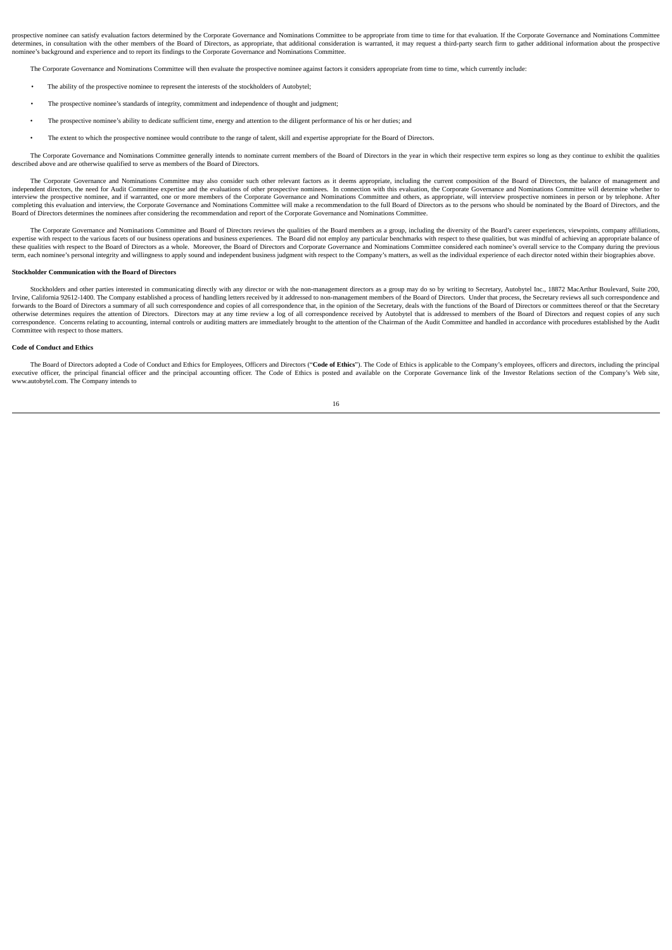prospective nominee can satisfy evaluation factors determined by the Corporate Governance and Nominations Committee to be appropriate from time to time for that evaluation. If the Corporate Governance and Nominations Commi determines, in consultation with the other members of the Board of Directors, as appropriate, that additional consideration is warranted, it may request a third-party search firm to gather additional information about the nominee's background and experience and to report its findings to the Corporate Governance and Nominations Committee.

The Corporate Governance and Nominations Committee will then evaluate the prospective nominee against factors it considers appropriate from time to time, which currently include:

- The ability of the prospective nominee to represent the interests of the stockholders of Autobytel;
- The prospective nominee's standards of integrity, commitment and independence of thought and judgment;
- The prospective nominee's ability to dedicate sufficient time, energy and attention to the diligent performance of his or her duties; and
- The extent to which the prospective nominee would contribute to the range of talent, skill and expertise appropriate for the Board of Directors.

The Corporate Governance and Nominations Committee generally intends to nominate current members of the Board of Directors in the year in which their respective term expires so long as they continue to exhibit the qualitie described above and are otherwise qualified to serve as members of the Board of Directors.

The Corporate Governance and Nominations Committee may also consider such other relevant factors as it deems appropriate, including the current composition of the Board of Directors, the balance of management and independent directors, the need for Audit Committee expertise and the evaluations of other prospective nominees. In connection with this evaluation, the Corporate Governance and Nominations Committee will determine whether interview the prospective nominee, and if warranted, one or more members of the Corporate Governance and Nominations Committee and others, as appropriate, will interview prospective nominees in person or by telephone. After completing this evaluation and interview, the Corporate Governance and Nominations Committee will make a recommendation to the full Board of Directors as to the persons who should be nominated by the Board of Directors, an Board of Directors determines the nominees after considering the recommendation and report of the Corporate Governance and Nominations Committee.

The Corporate Governance and Nominations Committee and Board of Directors reviews the qualities of the Board members as a group, including the diversity of the Board's career experiences, viewpoints, company affiliations, expertise with respect to the various facets of our business operations and business experiences. The Board did not employ any particular benchmarks with respect to these qualities, but was mindful of achieving an appropri these qualities with respect to the Board of Directors as a whole. Moreover, the Board of Directors and Corporate Governance and Nominations Committee considered each nomine's overall service to the Company during the prev term, each nominee's personal integrity and willingness to apply sound and independent business judgment with respect to the Company's matters, as well as the individual experience of each director noted within their biogr

## **Stockholder Communication with the Board of Directors**

Stockholders and other parties interested in communicating directly with any director or with the non-management directors as a group may do so by writing to Secretary, Autobytel Inc., 18872 MacArthur Boulevard, Suite 200, Irvine, California 92612-1400. The Company established a process of handling letters received by it addressed to non-management members of the Board of Directors. Under that process, the Secretary reviews all such correspo forwards to the Board of Directors a summary of all such correspondence and copies of all correspondence that, in the opinion of the Secretary, deals with the functions of the Board of Directors or committees thereof or th otherwise determines requires the attention of Directors. Directors may at any time review a log of all correspondence received by Autobytel that is addressed to members of the Board of Directors and request copies of any correspondence. Concerns relating to accounting, internal controls or auditing matters are immediately brought to the attention of the Chairman of the Audit Committee and handled in accordance with procedures established b

#### **Code of Conduct and Ethics**

The Board of Directors adopted a Code of Conduct and Ethics for Employees, Officers and Directors ("Code of Ethics"). The Code of Ethics is applicable to the Company's employees, officers and directors, including the princ executive officer, the principal financial officer and the principal accounting officer. The Code of Ethics is posted and available on the Corporate Governance link of the Investor Relations section of the Company's Web si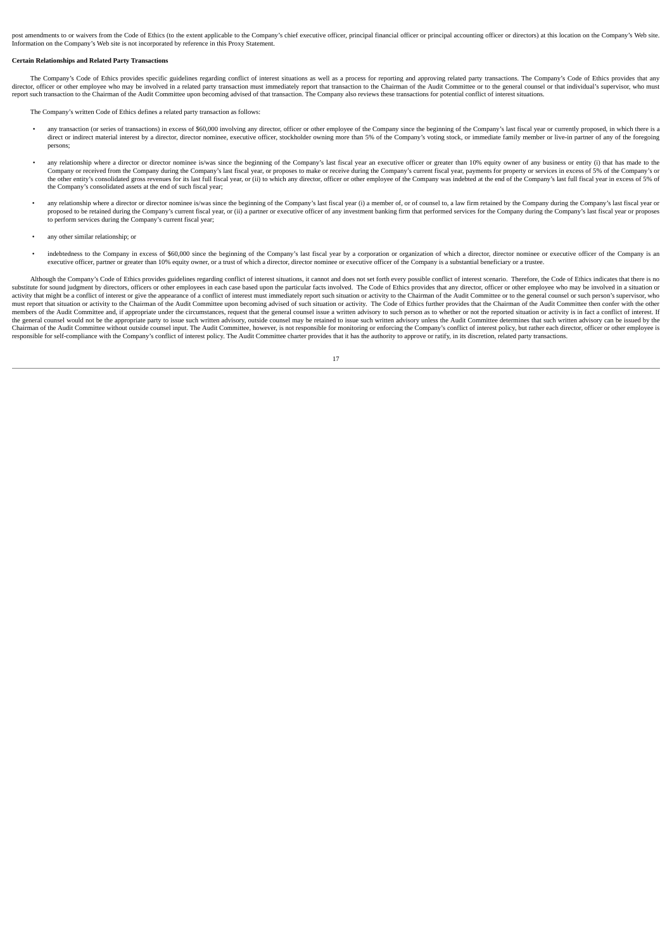post amendments to or waivers from the Code of Ethics (to the extent applicable to the Company's chief executive officer, principal financial officer or principal accounting officer or directors) at this location on the Co Information on the Company's Web site is not incorporated by reference in this Proxy Statement.

#### **Certain Relationships and Related Party Transactions**

The Company's Code of Ethics provides specific guidelines regarding conflict of interest situations as well as a process for reporting and approving related party transactions. The Company's Code of Ethics provides that any director, officer or other employee who may be involved in a related party transaction must immediately report that transaction to the Chairman of the Audit Committee or to the general counsel or that individual's supervis report such transaction to the Chairman of the Audit Committee upon becoming advised of that transaction. The Company also reviews these transactions for potential conflict of interest situations.

The Company's written Code of Ethics defines a related party transaction as follows:

- any transaction (or series of transactions) in excess of \$60,000 involving any director, officer or other employee of the Company since the beginning of the Company's last fiscal year or currently proposed, in which there direct or indirect material interest by a director, director nominee, executive officer, stockholder owning more than 5% of the Company's voting stock, or immediate family member or live-in partner of any of the foregoing persons;
- any relationship where a director or director nominee is/was since the beginning of the Company's last fiscal year an executive officer or greater than 10% equity owner of any business or entity (i) that has made to the Company or received from the Company during the Company's last fiscal year, or proposes to make or receive during the Company's current fiscal year, payments for property or services in excess of 5% of the Company's or<br>the the Company's consolidated assets at the end of such fiscal year;
- any relationship where a director or director nominee is/was since the beginning of the Company's last fiscal year (i) a member of, or of counsel to, a law firm retained by the Company during the Company's last fiscal year proposed to be retained during the Company's current fiscal year, or (ii) a partner or executive officer of any investment banking firm that performed services for the Company during the Company's last fiscal year or propo
- any other similar relationship; or
- indebtedness to the Company in excess of \$60,000 since the beginning of the Company's last fiscal year by a corporation or organization of which a director, director nominee or executive officer of the Company is an executive officer, partner or greater than 10% equity owner, or a trust of which a director, director nominee or executive officer of the Company is a substantial beneficiary or a trustee.

Although the Company's Code of Ethics provides guidelines regarding conflict of interest situations, it cannot and does not set forth every possible conflict of interest scenario. Therefore, the Code of Ethics indicates th substitute for sound judgment by directors, officers or other employees in each case based upon the particular facts involved. The Code of Ethics provides that any director, officer or other employee who may be involved in nustry un ingentified to the Chairman of the Audit Committee upon becoming advised of such situation or activity. The Code of Ethics further provides that the Chairman of the Audit Committee then confer with the other members of the Audit Committee and, if appropriate under the circumstances, request that the general counsel issue a written advisory to such person as to whether or not the reported situation or activity is in fact a conf Chairman of the Audit Committee without outside counsel input. The Audit Committee, however, is not responsible for monitoring or enforcing the Company's conflict of interest policy, but rather each director, officer or ot

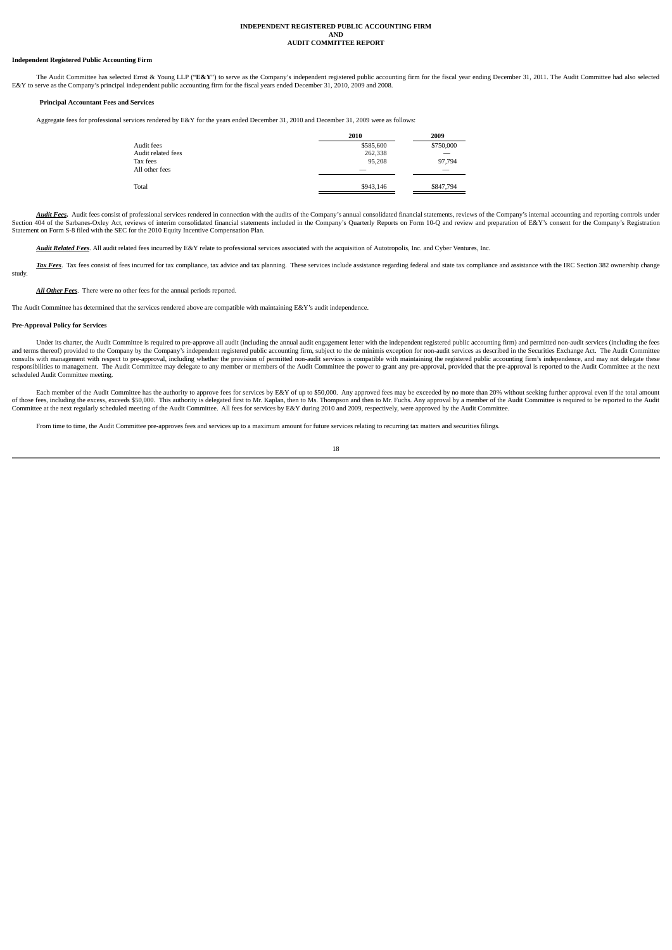# **INDEPENDENT REGISTERED PUBLIC ACCOUNTING FIRM AND AUDIT COMMITTEE REPORT**

## **Independent Registered Public Accounting Firm**

The Audit Committee has selected Ernst & Young LLP ("**E&Y**") to serve as the Company's independent registered public accounting firm for the fiscal year ending December 31, 2011. The Audit Committee had also selected E&Y to serve as the Company's principal independent public accounting firm for the fiscal years ended December 31, 2010, 2009 and 2008.

#### **Principal Accountant Fees and Services**

Aggregate fees for professional services rendered by E&Y for the years ended December 31, 2010 and December 31, 2009 were as follows:

|                    | 2010      | 2009                     |  |  |
|--------------------|-----------|--------------------------|--|--|
| Audit fees         | \$585,600 | \$750,000                |  |  |
| Audit related fees | 262,338   | --                       |  |  |
| Tax fees           | 95.208    | 97,794                   |  |  |
| All other fees     |           | $\overline{\phantom{a}}$ |  |  |
| Total              | \$943,146 | \$847,794                |  |  |
|                    |           |                          |  |  |

Audit Fees. Audit fees consist of professional services rendered in connection with the audits of the Company's annual consolidated financial statements, reviews of the Company's internal accounting and reporting controls Section 404 of the Sarbanes-Oxley Act, reviews of interim consolidated financial statements included in the Company's Quarterly Reports on Form 10-Q and review and preparation of E&Y's consent for the Company's Registratio

*Audit Related Fees*. All audit related fees incurred by E&Y relate to professional services associated with the acquisition of Autotropolis, Inc. and Cyber Ventures, Inc.

Tax Fees. Tax fees consist of fees incurred for tax compliance, tax advice and tax planning. These services include assistance regarding federal and state tax compliance and assistance with the IRC Section 382 ownership ch study.

*All Other Fees*. There were no other fees for the annual periods reported.

The Audit Committee has determined that the services rendered above are compatible with maintaining E&Y's audit independence.

# **Pre-Approval Policy for Services**

Under its charter, the Audit Committee is required to pre-approve all audit (including the annual audit engagement letter with the independent registered public accounting firm) and permitted non-audit services (including and terms thereof) provided to the Company by the Company's independent registered public accounting firm, subject to the de minimis exception for non-audit services as described in the Securities Exchange Act. The Audit C responsibilities to management. The Audit Committee may delegate to any member or members of the Audit Committee the power to grant any pre-approval, provided that the pre-approval, is reported to the Audit Committee at th scheduled Audit Committee meeting.

Each member of the Audit Committee has the authority to approve fees for services by E&Y of up to \$50,000. Any approved fees may be exceeded by no more than 20% without seeking further approval even if the total amount of those fees, including the excess, exceeds \$50,000. This authority is delegated first to Mr. Kaplan, then to Ms. Thompson and then to Mr. Fuchs. Any approval by a member of the Audit Committee is required to be reported

From time to time, the Audit Committee pre-approves fees and services up to a maximum amount for future services relating to recurring tax matters and securities filings.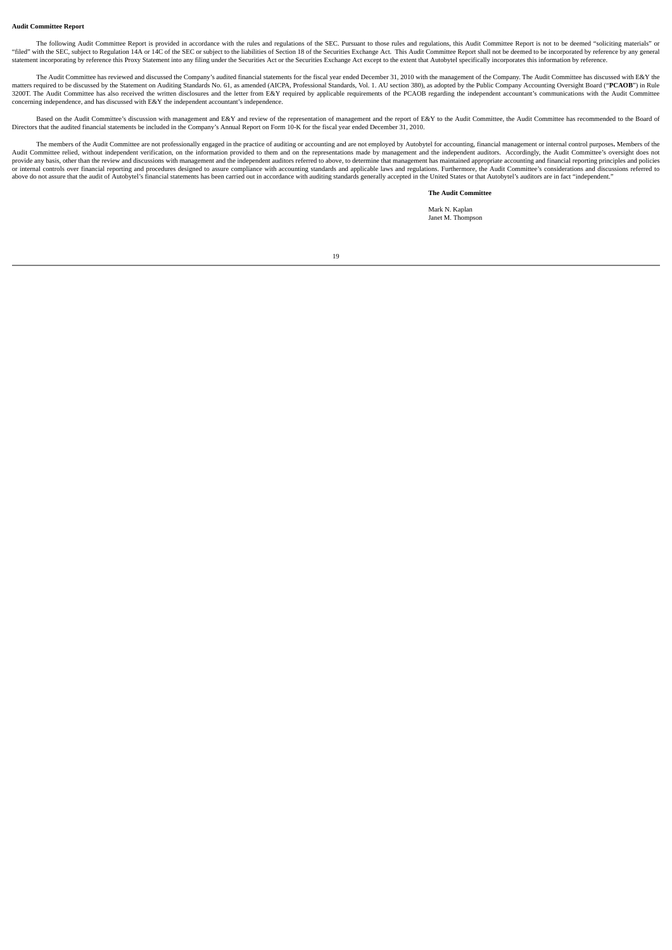#### **Audit Committee Report**

The following Audit Committee Report is provided in accordance with the rules and regulations of the SEC. Pursuant to those rules and regulations, this Audit Committee Report is not to be deemed "soliciting materials" or "filed" with the SEC, subject to Regulation 14A or 14C of the SEC or subject to the liabilities of Section 18 of the Section 18 of the Section 18 of the Securities Exchange Act. This Audit Committee Report shall not be dee statement incorporating by reference this Proxy Statement into any filing under the Securities Act or the Securities Exchange Act except to the extent that Autobytel specifically incorporates this information by reference.

The Audit Committee has reviewed and discussed the Company's audited financial statements for the fiscal year ended December 31, 2010 with the management of the Company. The Audit Committee has discussed with E&Y the matters required to be discussed by the Statement on Auditing Standards No. 61, as amended (AICPA, Professional Standards, Vol. 1. AU section 380), as adopted by the Public Company Accounting Oversight Board ("**PCAOB**") in concerning independence, and has discussed with E&Y the independent accountant's independence.

Based on the Audit Committee's discussion with management and E&Y and review of the representation of management and the report of E&Y to the Audit Committee, the Audit Committee has recommended to the Board of Directors that the audited financial statements be included in the Company's Annual Report on Form 10-K for the fiscal year ended December 31, 2010.

The members of the Audit Committee are not professionally engaged in the practice of auditing or accounting and are not employed by Autobytel for accounting, financial management or internal control purposes. Members of th Audit Committee relied, without independent verification, on the information provided to them and on the representations made by management and the independent auditors. Accordingly, the Audit Committee's oversight does no provide any basis, other than the review and discussions with management and the independent auditors referred to above, to determine that management has maintained appropriate accounting and financial reporting principles above do not assure that the audit of Autobytel's financial statements has been carried out in accordance with auditing standards generally accepted in the United States or that Autobytel's auditors are in fact "independen

#### **The Audit Committee**

Mark N. Kaplan Janet M. Thompson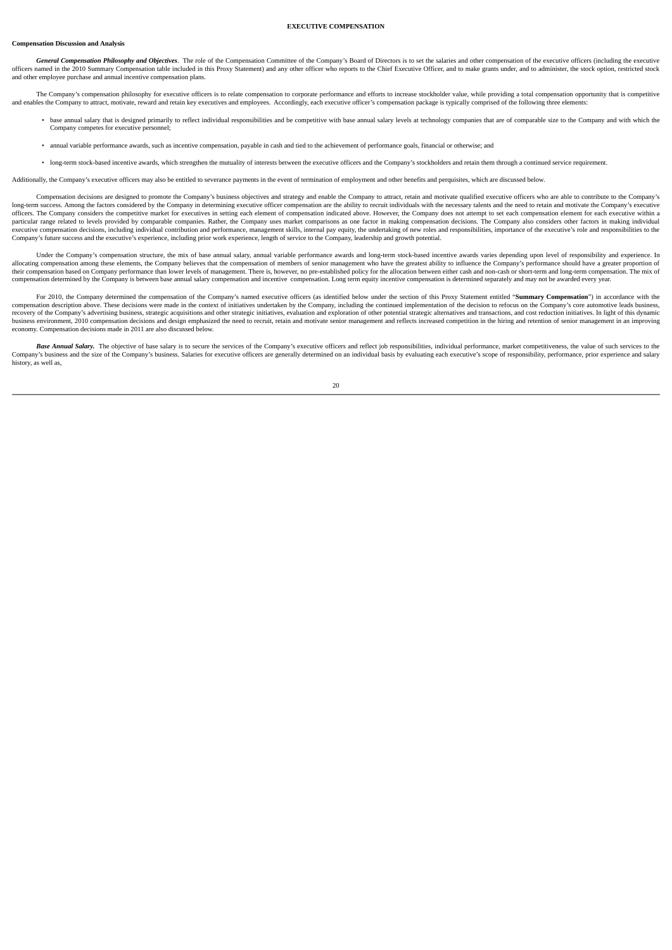# **Compensation Discussion and Analysis**

General Compensation Philosophy and Objectives. The role of the Compensation Committee of the Company's Board of Directors is to set the salaries and other compensation of the executive officers (including the executive officers named in the 2010 Summary Compensation table included in this Proxy Statement) and any other officer who reports to the Chief Executive Officer, and to nake grants under, and to administer, the stock option, restr and other employee purchase and annual incentive compensation plans.

**EXECUTIVE COMPENSATION**

The Company's compensation philosophy for executive officers is to relate compensation to corporate performance and efforts to increase stockholder value, while providing a total compensation opportunity that is competitiv and enables the Company to attract, motivate, reward and retain key executives and employees. Accordingly, each executive officer's compensation package is typically comprised of the following three elements:

- base annual salary that is designed primarily to reflect individual responsibilities and be competitive with base annual salary levels at technology companies that are of comparable size to the Company and with which the Company competes for executive personnel;
- annual variable performance awards, such as incentive compensation, payable in cash and tied to the achievement of performance goals, financial or otherwise; and
- long-term stock-based incentive awards, which strengthen the mutuality of interests between the executive officers and the Company's stockholders and retain them through a continued service requirement.

Additionally, the Company's executive officers may also be entitled to severance payments in the event of termination of employment and other benefits and perquisites, which are discussed below.

Compensation decisions are designed to promote the Company's business objectives and strategy and enable the Company to attract, retain and motivate qualified executive officers who are able to contribute to the Company's long-term success. Among the factors considered by the Company in determining executive officer compensation are the ability to recruit individuals with the necessary talents and the need to retain and motivate the Company officers. The Company considers the competitive market for executives in setting each element of compensation indicated above. However, the Company does not attempt to set each compensation element for each executive withi particular range related to levels provided by comparable companies. Rather, the Company uses market comparisons as one factor in making compensation decisions. The Company also considers other factors in making individual executive compensation decisions, including individual contribution and performance, management skills, internal pay equity, the undertaking of new roles and responsibilities, importance of the executive's role and respons Company's future success and the executive's experience, including prior work experience, length of service to the Company, leadership and growth potential.

Under the Company's compensation structure, the mix of base annual salary, annual variable performance awards and long-term stock-based incentive awards varies depending upon level of responsibility and experience. In allocating compensation among these elements, the Company believes that the compensation of members of senior management who have the greatest ability to influence the Company's performance should have a greater proportion their compensation based on Company performance than lower levels of management. There is, however, no pre-established policy for the allocation between either cash and non-cash or short-term and long-term compensation. Th

For 2010, the Company determined the compensation of the Company's named executive officers (as identified below under the section of this Proxy Statement entitled "**Summary Compensation**") in accordance with the compensation description above. These decisions were made in the context of initiatives undertaken by the Company, including the continued implementation of the decision to refocus on the Company's core automotive leads bu recovery of the Company's advertising business, strategic acquisitions and other strategic initiatives, evaluation and exploration of other potential strategic alternatives and transactions, and cost reduction initiatives. business environment 2010 compensation decisions and design emphasized the need to recruit retain and motivate senior management and reflects increased competition in the hiring and retention of senior management in an imp economy. Compensation decisions made in 2011 are also discussed below.

Base Annual Salary. The objective of base salary is to secure the services of the Company's executive officers and reflect job responsibilities, individual performance, market competitiveness, the value of such services to Company's business and the size of the Company's business. Salaries for executive officers are generally determined on an individual basis by evaluating each executive's scope of responsibility, performance, prior experien history, as well as,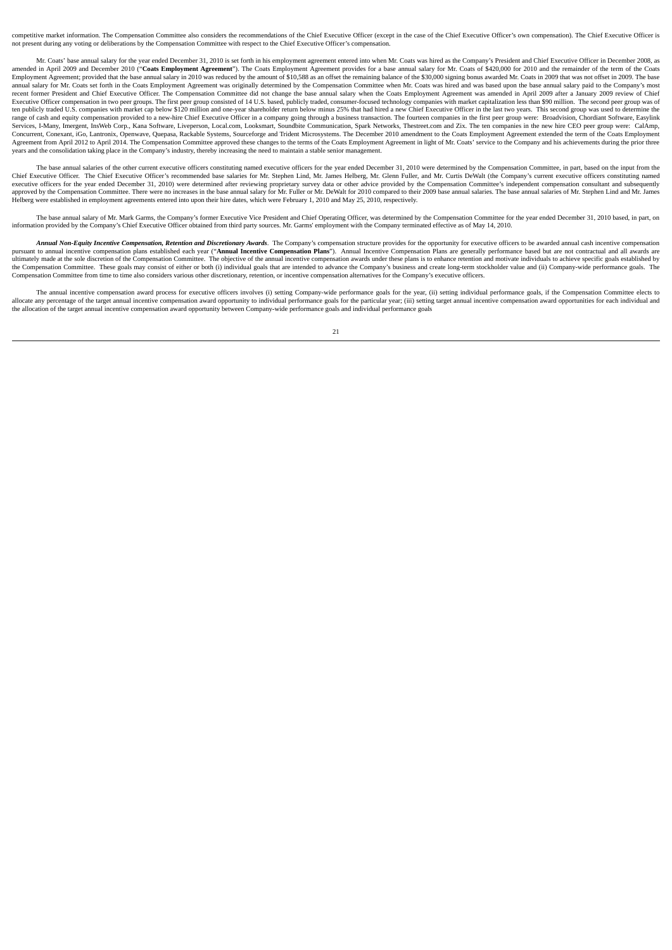competitive market information. The Compensation Committee also considers the recommendations of the Chief Executive Officer (except in the case of the Chief Executive Officer's own compensation). The Chief Executive Offic not present during any voting or deliberations by the Compensation Committee with respect to the Chief Executive Officer's compensation.

Mr. Coats' base annual salary for the year ended December 31, 2010 is set forth in his employment agreement entered into when Mr. Coats was hired as the Company's President and Chief Executive Officer in December 2008, as amended in April 2009 and December 2010 ("**Coats Employment Agreement"**). The Coats Employment Agreement provides for a base annual salary for Mr. Coats of \$420,000 for 2010 and the remainder of the term of the Coats<br>Emplo annual salary for Mr. Coats set forth in the Coats Employment Agreement was originally determined by the Compensation Committee when Mr. Coats was hired and was based upon the base annual salary paid to the Company's most recent former President and Chief Executive Officer. The Compensation Committee did not change the base annual salary when the Coats Employment Agreement was amended in April 2009 after a January 2009 review of Chief Executive Officer compensation in two peer groups. The first peer group consisted of 14 U.S. based, publicly traded, consumer-focused technology companies with market capitalization less than \$90 million. The second peer g ten publicly traded U.S. companies with market cap below \$120 million and one-year shareholder return below minus 25% that had hired a new Chief Executive Officer in the last two years. This second group was used to determ range of cash and equity compensation provided to a new-hire Chief Executive Officer in a company going through a business transaction. The fourteen companies in the first peer group were: Broadvision, Chordiant Software, Services, I-Many, Imergent, InsWeb Corp., Kana Software, Liveperson, Local.com, Looksmart, Soundbite Communication, Spark Networks, Thestreet.com and Zix. The ten companies in the new hire CEO peer group were: CalAmp,<br>Conc Superment from April 2012 to April 2014. The Compensation Committee approved these changes to the terms of the Coats Employment Agreement in light of Mr. Coats' service to the Company and his achievements during the prior years and the consolidation taking place in the Company's industry, thereby increasing the need to maintain a stable senior management.

The base annual salaries of the other current executive officers constituting named executive officers for the year ended December 31, 2010 were determined by the Compensation Committee, in part, based on the input from th Chief Executive Officer. The Chief Executive Officer's recommended base salaries for Mr. Stephen Lind, Mr. James Helberg, Mr. Glenn Fuller, and Mr. Curtis DeWalt (the Company's current executive officers constituting named approved by the Compensation Committee. There were no increases in the base annual salary for Mr. Fuller or Mr. DeWalt for 2010 compared to their 2009 base annual salaries. The base annual salaries of Mr. Stephen Lind and

The base annual salary of Mr. Mark Garms, the Company's former Executive Vice President and Chief Operating Officer, was determined by the Compensation Committee for the year ended December 31, 2010 based, in part, on info

Annual Non-Equity Incentive Compensation, Retention and Discretionary Awards. The Company's compensation structure provides for the opportunity for executive officers to be awarded annual cash incentive compensation plans nutimately made at the sole discretion of the Compensation Committee. The objective of the annual incentive compensation awards under these plans is to enhance retention and motivate individuals to achieve specific goals e the Compensation Committee. These goals may consist of either or both (i) individual goals that are intended to advance the Company's business and create long-term stockholder value and (ii) Company-wide performance goals.

The annual incentive compensation award process for executive officers involves (i) setting Company-wide performance goals for the year, (ii) setting individual performance goals, if the Compensation Committee elects to al the allocation of the target annual incentive compensation award opportunity between Company-wide performance goals and individual performance goals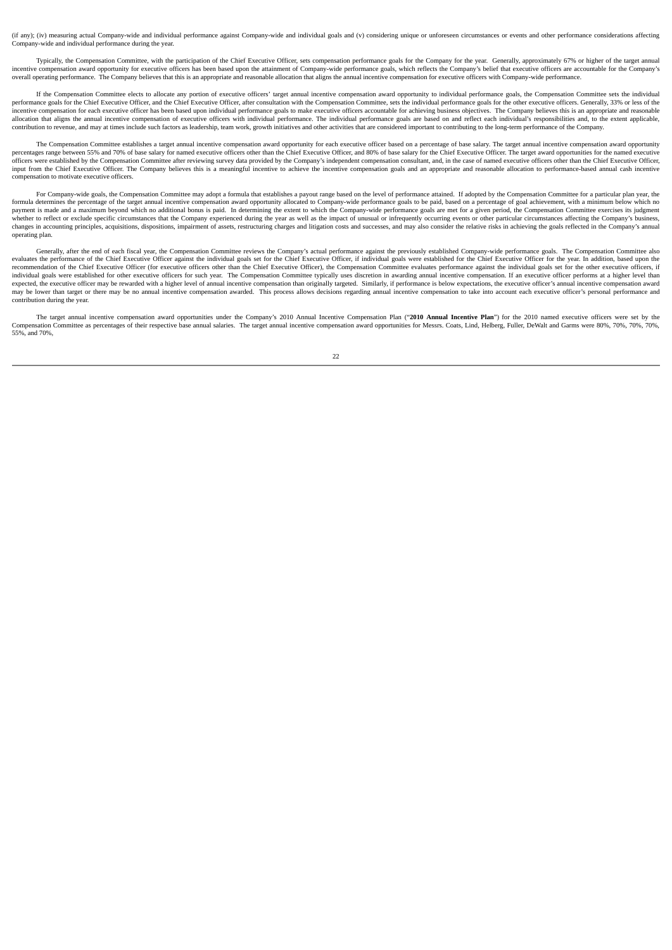(if any); (iv) measuring actual Company-wide and individual performance against Company-wide and individual goals and (v) considering unique or unforeseen circumstances or events and other performance considerations affect ny-wide and individual performance during the year.

Typically, the Compensation Committee, with the participation of the Chief Executive Officer, sets compensation performance goals for the Company for the year. Generally, approximately 67% or higher of the target annual incentive compensation award opportunity for executive officers has been based upon the attainment of Company-wide performance goals, which reflects the Company's belief that executive officers are accountable for the Comp overall operating performance. The Company believes that this is an appropriate and reasonable allocation that aligns the annual incentive compensation for executive officers with Company-wide performance.

If the Compensation Committee elects to allocate any portion of executive officers' target annual incentive compensation award opportunity to individual performance goals, the Compensation Committee sets the individual performance goals for the Chief Executive Officer, and the Chief Executive Officer, after consultation with the Compensation Committee, sets the individual performance goals for the other executive officers. Generally, 33% .<br>incentive compensation for each executive officer has been based upon individual performance goals to make executive officers accountable for achieving business objectives. The Company believes this is an appropriate and allocation that aligns the annual incentive compensation of executive officers with individual performance. The individual performance goals are based on and reflect each individual's responsibilities and, to the extent ap contribution to revenue, and may at times include such factors as leadership, team work, growth initiatives and other activities that are considered important to contributing to the long-term performance of the Company.

The Compensation Committee establishes a target annual incentive compensation award opportunity for each executive officer based on a percentage of base salary. The target annual incentive compensation award opportunity percentages range between 55% and 70% of base salary for named executive officers other than the Chief Executive Officer, and 80% of base salary for the Chief Executive Officers, and 80% of base salary for the Chief Execut officers were established by the Compensation Committee after reviewing survey data provided by the Company's independent compensation consultant, and, in the case of named executive officers other than the Chief Executive compensation to motivate executive officers.

For Company-wide goals, the Compensation Committee may adopt a formula that establishes a payout range based on the level of performance attained. If adopted by the Compensation Committee for a particular plan year, the formula determines the percentage of the target annual incentive compensation award opportunity allocated to Company-wide performance goals to be paid, based on a percentage of goal achievement, with a minimum below which changes in accounting principles, acquisitions, dispositions, impairment of assets, restructuring charges and litigation costs and successes, and may also consider the relative risks in achieving the goals reflected in the operating plan.

Generally, after the end of each fiscal year, the Compensation Committee reviews the Company's actual performance against the previously established Company-wide performance goals. The Compensation Committee also evaluates the performance of the Chief Executive Officer against the individual goals set for the Chief Executive Officer, if individual goals were established for the Chief Executive Officer for the year. In addition, bas recommendation of the Chief Executive Officer (for executive officers other than the Chief Executive Officer), the Compensation Committee evaluates performance against the individual goals set for the other executive offic expected, the executive officer may be rewarded with a higher level of annual incentive compensation than originally targeted. Similarly, if performance is below expectations, the executive officer's annual incentive compe may be lower than target or there may be no annual incentive compensation awarded. This process allows decisions regarding annual incentive compensation to take into account each executive officer's personal performance an contribution during the year.

The target annual incentive compensation award opportunities under the Company's 2010 Annual Incentive Compensation Plan ("2010 Annual Incentive Plan") for the 2010 named executive officers were set by the Compensation Committee as percentages of their respective base annual salaries. The target annual incentive compensation award opportunities for Messrs. Coats, Lind, Helberg, Fuller, DeWalt and Garms were 80%, 70%, 70%, 70 55%, and 70%,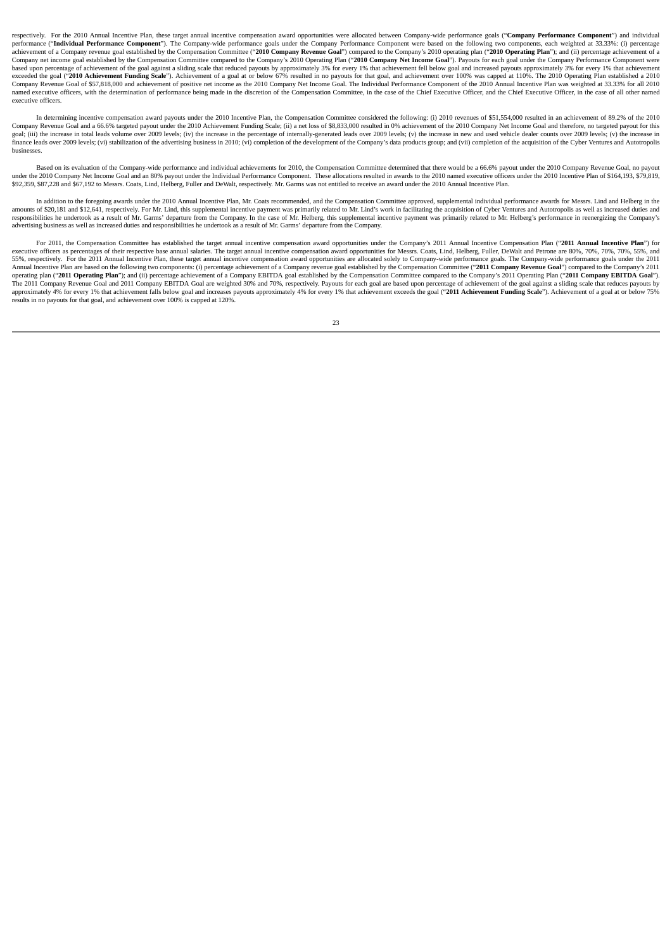respectively. For the 2010 Annual Incentive Plan, these target annual incentive compensation award opportunities were allocated between Company-wide performance goals (**"Company Performance Component**") and individual perf Company net income goal established by the Compensation Committee compared to the Company's 2010 Operating Plan ("2010 Company Net Income Goal"). Payouts for each goal under the Company Performance Component were based upon percentage of achievement of the goal against a sliding scale that reduced payouts by approximately 3% for every 1% that achievement fell below goal and increased payouts approximately 3% for every 1% that achie Company Revenue Goal of \$57,818,000 and achievement of positive net income as the 2010 Company Net Income Goal. The Individual Performance Component of the 2010 Annual Incentive Plan was weighted at 33.33% for all 2010 Computer contracts to the computer of the Computer contracts of the Computer contracts of the Computer of the Computer computer in the case of the Chief Executive Officer, and the Chief Executive Officer, in the case of al executive officers.

In determining incentive compensation award payouts under the 2010 Incentive Plan, the Compensation Committee considered the following: (i) 2010 revenues of \$51,554,000 resulted in an achievement of 89.2% of the 2010 Company Revenue Goal and a 66.6% targeted payout under the 2010 Achievement Funding Scale; (ii) a net loss of \$8,833,000 resulted in 0% achievement of the 2010 Company Net Income Goal and therefore, no targeted payout for Example in the access of the development of the Company's data products group; and (vii) completion of the accuration of the accuration of the Cyber Ventures and Autotropolis finance leads over 2009 levels; (vi) stabilizat businesses.

Based on its evaluation of the Company-wide performance and individual achievements for 2010, the Compensation Committee determined that there would be a 66.6% payout under the 2010 Company Revenue Goal, no payout under the 2010 Company Net Income Goal and an 80% payout under the Individual Performance Component. These allocations resulted in awards to the 2010 named executive officers under the 2010 Incentive Plan of \$164,193, \$79,

In addition to the foregoing awards under the 2010 Annual Incentive Plan, Mr. Coats recommended, and the Compensation Committee approved, supplemental individual performance awards for Messrs. Lind and Helberg in the amoun responsibilities he undertook as a result of Mr. Garms' departure from the Company. In the case of Mr. Helberg, this supplemental incentive payment was primarily related to Mr. Helberg's performance in reenergizing the Com

For 2011, the Compensation Committee has established the target annual incentive compensation award opportunities under the Company's 2011 Annual Incentive Compensation Plan ("2011 Annual Incentive Plan") for executive off 55%, respectively. For the 2011 Annual Incentive Plan, these target annual incentive compensation award opportunities are allocated solely to Company-wide performance goals. The Company-wide performance goals under the 2011 Annual Incentive Plan are based on the following two components: (i) percentage achievement of a Company revenue goal established by the Compensation Committee ("**2011 Company Revenue Goal**") compared to the Company's 2011 The 2011 Company Revenue Goal and 2011 Company EBITDA Goal are weighted 30% and 70%, respectively. Payouts for each goal are based upon percentage of achievement of the goal against a sliding scale that reduces payouts by<br> results in no payouts for that goal, and achievement over 100% is capped at 120%.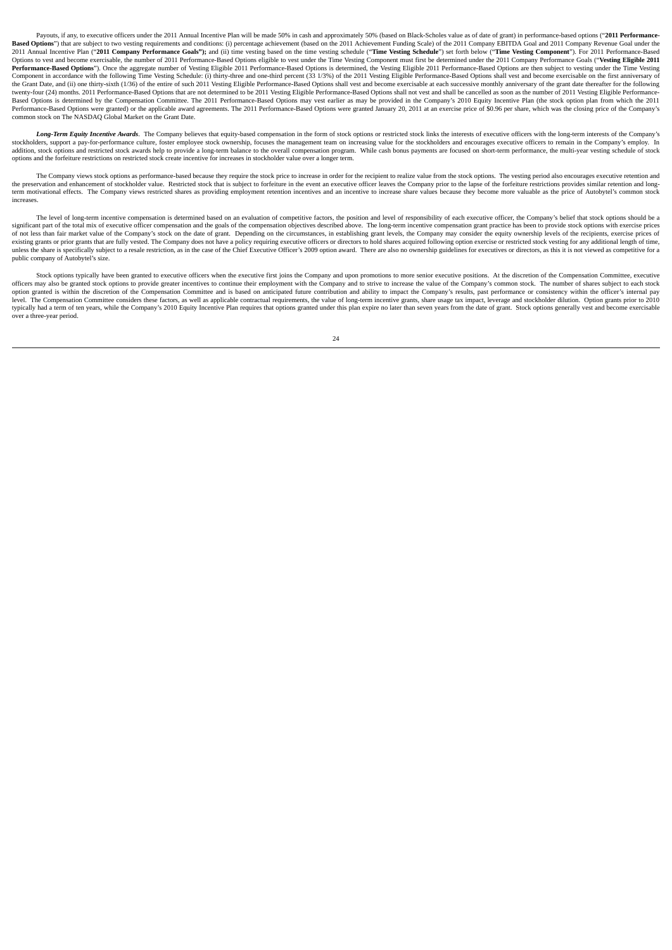Payouts, if any, to executive officers under the 2011 Annual Incentive Plan will be made 50% in cash and approximately 50% (based on Black-Scholes value as of date of grant) in performance-based options ("2011 Performance-Based Options") that are subject to two vesting requirements and conditions: (i) percentage achievement (based on the 2011 Achievement Funding Scale) of the 2011 Company EBITDA Goal and 2011 Company Revenue Goal under the Description of the Surfect to We Vessure Schemance Goals"); and (ii) time vesting based on the time vesting Schemance ("Time Vesting Schedule") set forth below ("Time Vesting Component"). For 2011 Performance-Based 2011 An Options to vest and become exercisable, the number of 2011 Performance-Based Options eligible to vest under the Time Vesting Component must first be determined under the 2011 Company Performance Goals ("Vesting Eligible 20 Performance-Based Options"). Once the aggregate number of Vesting Eligible 2011 Performance-Based Options is determined, the Vesting Eligible 2011 Performance-Based Options are then subject to vesting under the Time Vestin Component in accordance with the following Time Vesting Schedule: (i) thirty-three and one-third percent (33 1/3%) of the 2011 Vesting Eligible Performance-Based Options shall vest and become exercisable on the first anniv the Grant Date, and (ii) one thirty-sixth (1/36) of the entire of such 2011 Vesting Eligible Performance-Based Options shall vest and become exercisable at each successive monthly anniversary of the grant date thereafter f ue Grant Data (2011) Differently-3-Martial COVID-10 Different Data Control of the Controller Controller Sased Options shall not vest and shall be cancelled as soon as the number of 2011 Vesting Eligible Performance-Based O Based Options is determined by the Compensation Committee. The 2011 Performance-Based Options may vest earlier as may be provided in the Company's 2010 Equity Incentive Plan (the stock option plan from which the 2011<br>Perfo common stock on The NASDAQ Global Market on the Grant Date.

Long-Term Equity Incentive Awards. The Company believes that equity-based compensation in the form of stock ontions or restricted stock links the interests of executive officers with the long-term interests of the Company' state in the company's controllers, support a pay-for-performance culture, foster employee stock ownership, focuses the management team on increasing value for the stockholders and encourages executive officers to remain i addition, stock options and restricted stock awards help to provide a long-term balance to the overall compensation program. While cash bonus payments are focused on short-term performance, the multi-year vesting schedule

The Company views stock options as performance-based because they require the stock price to increase in order for the recipient to realize value from the stock options. The vesting period also encourages executive retenti term motivational effects. The Company views restricted shares as providing employment retention incentives and an incentive to increase share values because they become more valuable as the price of Autobytel's common stock increases.

The level of long-term incentive compensation is determined based on an evaluation of competitive factors, the position and level of responsibility of each executive officer, the Company's belief that stock options should of not less than fair market value of the Company's stock on the date of grant. Depending on the circumstances, in establishing grant levels, the Company may consider the equity ownership levels of the recipients, exercise existing grants or prior grants that are fully vested. The Company does not have a policy requiring executive officers or directors to hold shares acquired following option exercise or restricted stock vesting for any addi public company of Autobytel's size.

Stock options typically have been granted to executive officers when the executive first joins the Company and upon promotions to more senior executive positions. At the discretion of the Compensation Committee, executive officers may also be granted stock options to provide greater incentives to continue their employment with the Company and to strive to increase the value of the Company's common stock. The number of shares subject to each option granted is within the discretion of the Compensation Committee and is based on anticipated future contribution and ability to impact the Company's results, past performance or consistency within the officer's intern level. The Compensation Committee considers these factors, as well as applicable contractual requirements, the value of long-term incentive grants, share usage tax impact, leverage and stockholder dilution. Option grants p typically had a term of ten years, while the Company's 2010 Equity Incentive Plan requires that options granted under this plan expire no later than seven years from the date of grant. Stock options generally vest and beco over a three-year period.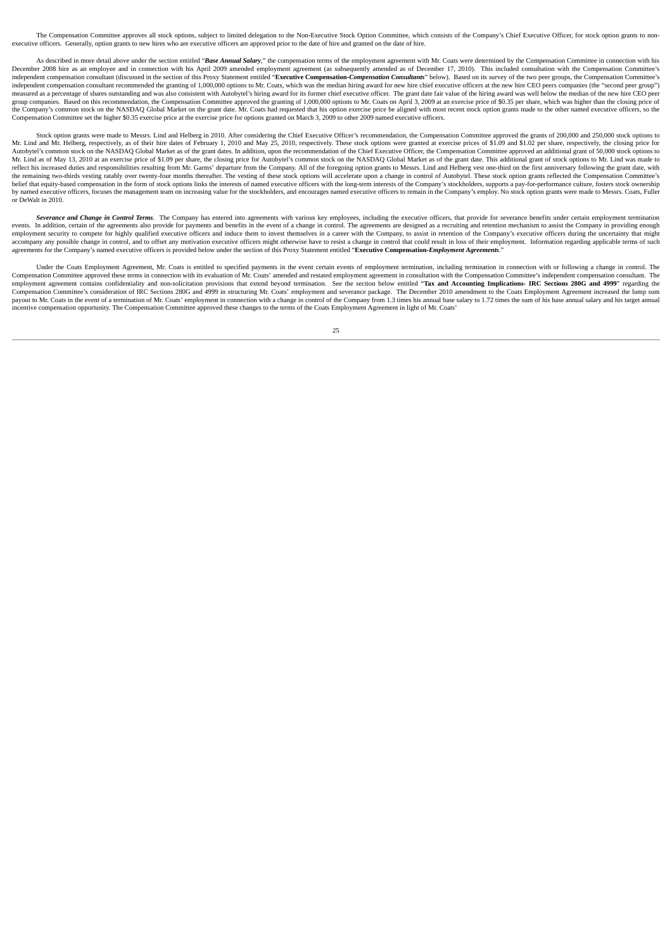The Compensation Committee approves all stock options, subject to limited delegation to the Non-Executive Stock Option Committee, which consists of the Company's Chief Executive Officer, for stock option grants to nonexecutive officers. Generally, option grants to new hires who are executive officers are approved prior to the date of hire and granted on the date of hire.

As described in more detail above under the section entitled "Base Annual Salary." the compensation terms of the employment agreement with Mr. Coats were determined by the Compensation Committee in connection with his December 2008 hire as an employee and in connection with his April 2009 amended employment agreement (as subsequently amended as of December 17, 2010). This included consultation with the Compensation Committee's independent compensation consultant (discussed in the section of this Proxy Statement entitled "Executive Compensation-Compensation Consultants" below). Based on its survey of the two peer groups, the Compensation Committe independent compensation consultant recommended the granting of 1,000,000 options to Mr. Coats, which was the median hiring award for new hire chief executive officers at the new bire CEO peers companies (the "second peer measured as a percentage of shares outstanding and was also consistent with Autobytel's hiring award for its former chief executive officer. The grant date fair value of the hiring award was well below the median of the ne group companies. Based on this recommendation, the Compensation Committee approved the granting of 1,000,000 options to Mr. Coats on April 3, 2009 at an exercise price of \$0.35 per share, which was higher than the closing the Company's common stock on the NASDAQ Global Market on the grant date. Mr. Coats had requested that his option exercise price be aligned with most recent stock option grants made to the other named executive officers, s

Stock option grants were made to Messrs. Lind and Helberg in 2010. After considering the Chief Executive Officer's recommendation, the Compensation Committee approved the grants of 200,000 and 250,000 stock options to<br>Mr. Autobytel's common stock on the NASDAQ Global Market as of the grant dates. In addition, upon the recommendation of the Chief Executive Officer, the Compensation Committee approved an additional grant of 50,000 stock optio Mr. Lind as of May 13, 2010 at an exercise price of \$1.09 per share, the closing price for Autobytel's common stock on the NASDAO Global Market as of the grant date. This additional grant of stock options to Mr. Lind was m reflect his increased duties and responsibilities resulting from Mr. Garms' departure from the Company. All of the foregoing option grants to Messrs. Lind and Helberg vest one-third on the first anniversary following the g the remaining two-thirds vesting ratably over twenty-four months thereafter. The vesting of these stock options will accelerate upon a change in control of Autobytel. These stock option grants reflected the Compensation Co by named executive officers, focuses the management team on increasing value for the stockholders, and encourages named executive officers to remain in the Company's employ. No stock option grants were made to Messrs. Coat or DeWalt in 2010.

Severance and Change in Control Terms. The Company has entered into agreements with various key employees, including the executive officers, that provide for severance benefits under certain employment termination events. employment security to compete for highly qualified executive officers and induce them to invest themselves in a career with the Company, to assist in retention of the Company's executive officers during the uncertainty th accompany any possible change in control, and to offset any motivation executive officers might otherwise have to resist a change in control that could result in loss of their employment. Information regarding applicable t

Under the Coats Employment Agreement, Mr. Coats is entitled to specified payments in the event certain events of employment termination, including termination in connection with or following a change in control. The Compen employment agreement contains confidentiality and non-solicitation provisions that extend beyond termination. See the section below entitled "Tax and Accounting Implications- IRC Sections 280G and 4999" regarding the Compensation Committee's consideration of IRC Sections 280G and 4999 in structuring Mr. Coats' employment and severance package. The December 2010 amendment to the Coats Employment Agreement increased the lump sum payout to Mr. Coats in the event of a termination of Mr. Coats' employment in connection with a change in control of the Company from 1.3 times his annual base salary to 1.72 times the sum of his base annual salary and his incentive compensation opportunity. The Compensation Committee approved these changes to the terms of the Coats Employment Agreement in light of Mr. Coats'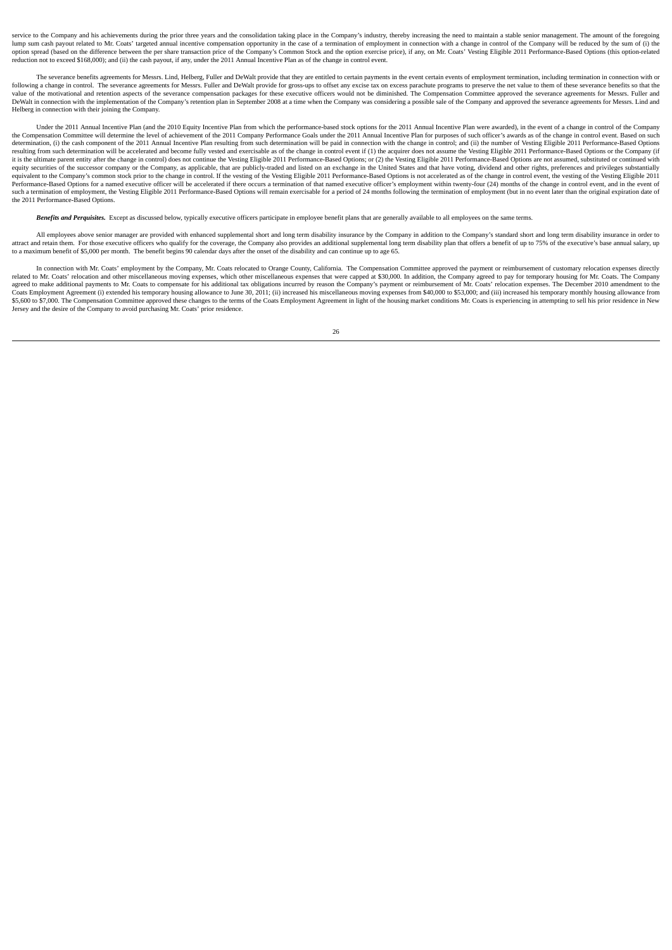service to the Company and his achievements during the prior three years and the consolidation taking place in the Company's industry, thereby increasing the need to maintain a stable senior management. The amount of the f lump sum cash payout related to Mr. Coats' targeted annual incentive compensation opportunity in the case of a termination of employment in connection with a change in control of the Company will be reduced by the sum of ( option spread (based on the difference between the per share transaction price of the Company's Common Stock and the option exercise price), if any, on Mr. Coats' Vesting Eligible 2011 Performance-Based Options (this optio reduction not to exceed \$168,000); and (ii) the cash payout, if any, under the 2011 Annual Incentive Plan as of the change in control event.

The severance benefits agreements for Messrs. Lind, Helberg, Fuller and DeWalt provide that they are entitled to certain payments in the event certain events of employment termination, including termination in connection w following a change in control. The severance agreements for Messrs. Fuller and DeWalt provide for gross-ups to offset any excise tax on excess parachute programs to preserve the net value to them of these severance benefit Helberg in connection with their joining the Company.

Under the 2011 Annual Incentive Plan (and the 2010 Equity Incentive Plan from which the performance-based stock options for the 2011 Annual Incentive Plan were awarded), in the event of a change in control of the Company the Compensation Committee will determine the level of achievement of the 2011 Company Performance Goals under the 2011 Annual Incentive Plan for purposes of such officer's awards as of the change in control event. Based o resulting from such determination will be accelerated and become fully vested and exercisable as of the change in control event if (1) the acquirer does not assume the Vesting Eligible 2011 Performance-Based Options or the it is the ultimate parent entity after the change in control) does not continue the Vesting Eligible 2011 Performance-Based Ontions: or (2) the Vesting Eligible 2011 Performance-Based Ontions, are not assumed substituted o A construction of the successor company of the Company, as applicable, that are publicly-traded and listed on an exchange in the United States and that have voting, dividend and other rights, preferences and privileges sub equivalent to the Company's common stock prior to the change in control. If the vesting of the Vesting Eligible 2011 Performance-Based Options is not accelerated as of the change in control event, the vesting of the Vestin such a termination of employment, the Vesting Eligible 2011 Performance-Based Options will remain exercisable for a period of 24 months following the termination of employment (but in no event later than the original expir the 2011 Performance-Based Options.

*Benefits and Perquisites.* Except as discussed below, typically executive officers participate in employee benefit plans that are generally available to all employees on the same terms.

All employees above senior manager are provided with enhanced supplemental short and long term disability insurance by the Company in addition to the Company's standard short and long term disability insurance in order to attract and retain them. For those executive officers who qualify for the coverage, the Company also provides an additional supplemental long term disability plan that offers a benefit of up to 75% of the executive's base

In connection with Mr. Coats' employment by the Company, Mr. Coats relocated to Orange County, California. The Compensation Committee approved the payment or reimbursement of customary relocation expenses directly related to Mr. Coats' relocation and other miscellaneous moving expenses, which other miscellaneous expenses that were capped at \$30,000. In addition, the Company agreed to pay for temporary housing for Mr. Coats. The Comp Coats Employment Agreement (i) extended his temporary housing allowance to June 30, 2011; (ii) increased his miscellaneous moving expenses from \$40,000 to \$53,000; and (iii) increased his temporary monthly housing allowanc Jersey and the desire of the Company to avoid purchasing Mr. Coats' prior residence.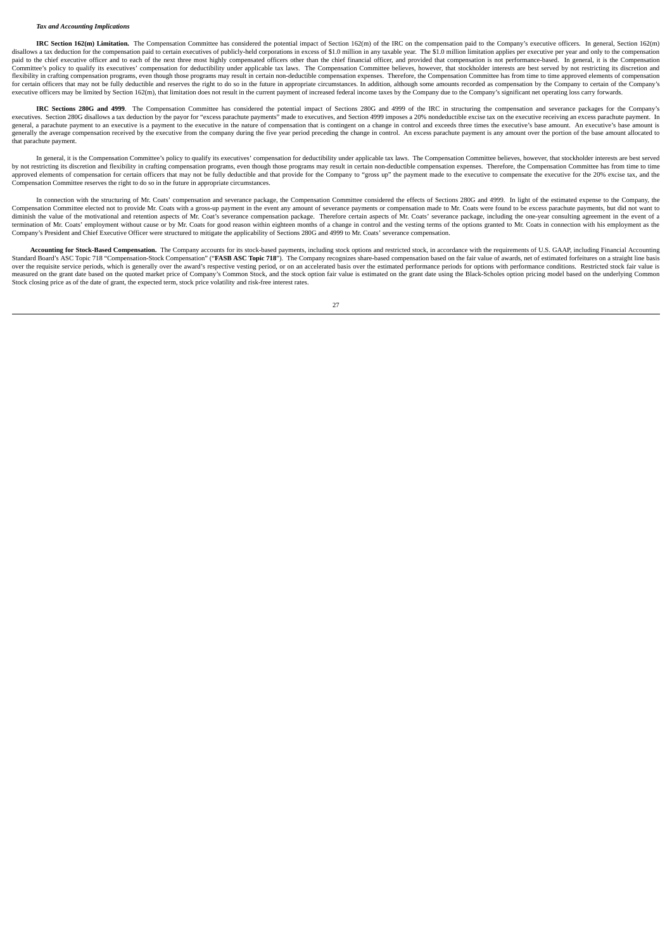#### *Tax and Accounting Implications*

IRC Section 162(m) Limitation. The Compensation Committee has considered the potential impact of Section 162(m) of the IRC on the compensation paid to the Company's executive officers. In general, Section 162(m) disallows a tax deduction for the compensation paid to certain executives of publicly-held corporations in excess of \$1.0 million in any taxable year. The \$1.0 million limitation applies per executive per year and only to paid to the chief executive officer and to each of the next three most highly compensated officers other than the chief financial officer, and provided that compensation is not performance-based. In general, it is the Comp Committee's policy to qualify its executives' compensation for deductibility under applicable tax laws. The Compensation Committee believes, however, that stockholder interests are best served by not restricting its discre Elexibility in crafting compensation programs, even though those programs may result in certain non-deductible compensation expenses. Therefore, the Compensation Committee has from time to time approved elements of compens for certain officers that may not be fully deductible and reserves the right to do so in the future in appropriate circumstances. In addition, although some amounts recorded as compensation by the Com executive officers may be limited by Section 162(m), that limitation does not result in the current payment of increased federal income taxes by the Company due to the Company's significant net operating loss carry forward

**IRC Sections 280G and 4999.** The Compensation Committee has considered the potential impact of Sections 280G and 4999 of the IRC in structuring the compensation and severance packages for the Company's executives. Section 280G disallows a tax deduction by the payor for "excess parachute payments" made to executives, and Section 4999 imposes a 20% nondeductible excise tax on the executive receiving an excess parachute pay general, a parachute payment to an executive is a payment to the executive in the nature of compensation that is contingent on a change in control and exceeds three times the executive's base amount. An executive's base am that parachute payment.

In general, it is the Compensation Committee's policy to qualify its executives' compensation for deductibility under applicable tax laws. The Compensation Committee believes, however, that stockholder interests are best s by not restricting its discretion and flexibility in crafting compensation programs, even though those programs may result in certain non-deductible compensation expenses. Therefore, the Compensation Committee has from tim Compensation Committee reserves the right to do so in the future in appropriate circumstances.

In connection with the structuring of Mr. Coats' compensation and severance package, the Compensation Committee considered the effects of Sections 280G and 4999. In light of the estimated expense to the Company, the Compensation Committee elected not to provide Mr. Coats with a gross-up payment in the event any amount of severance payments or compensation made to Mr. Coats were found to be excess parachute payments, but did not want to diminish the value of the motivational and retention aspects of Mr. Coat's severance compensation package. Therefore certain aspects of Mr. Coats' severance package, including the one-year consulting agreement in the event Company's President and Chief Executive Officer were structured to mitigate the applicability of Sections 280G and 4999 to Mr. Coats' severance compensation.

Accounting for Stock-Based Compensation. The Company accounts for its stock-based payments, including stock options and restricted stock, in accordance with the requirements of U.S. GAAP, including Financial Accounting Standard Board's ASC Topic 718 "Compensation-Stock Compensation" ("**FASB ASC Topic 718**"). The Company recognizes share-based compensation based on the fair value of awards, net of estimated forfeitures on a straight line measured on the grant date based on the quoted market price of Company's Common Stock, and the stock option fair value is estimated on the grant date using the Black-Scholes option pricing model based on the underlying Com Stock closing price as of the date of grant, the expected term, stock price volatility and risk-free interest rates.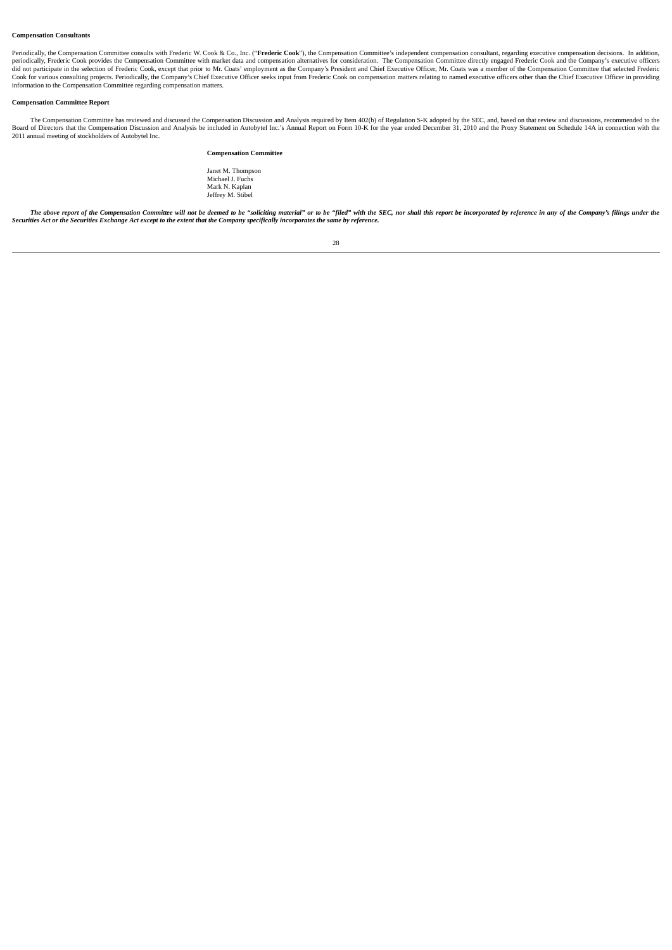## **Compensation Consultants**

Periodically, the Compensation Committee consults with Frederic W. Cook & Co., Inc. ("**Frederic Cook"**), the Compensation Committee's independent compensation consultant, regarding executive compensation decisions. In addi Cook for various consulting projects. Periodically, the Company's Chief Executive Officer seeks input from Frederic Cook on compensation matters relating to named executive officers other than the Chief Executive Officer i

# **Compensation Committee Report**

The Compensation Committee has reviewed and discussed the Compensation Discussion and Analysis required by Item 402(b) of Regulation S-K adopted by the SEC, and, based on that review and discussions, recommended to the Boa 2011 annual meeting of stockholders of Autobytel Inc.

#### **Compensation Committee**

Janet M. Thompson Michael J. Fuchs Mark N. Kaplan Jeffrey M. Stibel

The above report of the Compensation Committee will not be deemed to be "soliciting material" or to be "filed" with the SEC, nor shall this report be incorporated by reference in any of the Company's filings under the Secu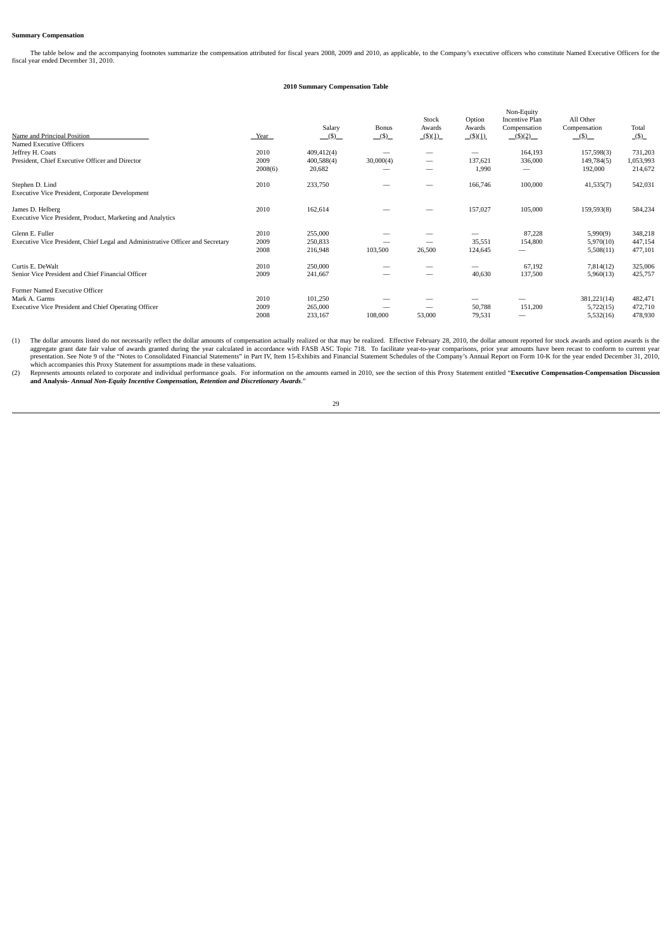## **Summary Compensation**

The table below and the accompanying footnotes summarize the compensation attributed for fiscal years 2008, 2009 and 2010, as applicable, to the Company's executive officers who constitute Named Executive Officers for the

#### **2010 Summary Compensation Table**

| Name and Principal Position<br>Named Executive Officers                                                 | Year                    | Salary<br>$($ $\bullet$ $)$        | Bonus<br>(5)   | Stock<br>Awards<br>$($ \$ $)(1)$ | Option<br>Awards<br>(5)(1) | Non-Equity<br><b>Incentive Plan</b><br>Compensation<br>$($ \$)(2) | All Other<br>Compensation<br>$($ \$)  | Total<br>(S)                    |
|---------------------------------------------------------------------------------------------------------|-------------------------|------------------------------------|----------------|----------------------------------|----------------------------|-------------------------------------------------------------------|---------------------------------------|---------------------------------|
| Jeffrey H. Coats<br>President, Chief Executive Officer and Director                                     | 2010<br>2009<br>2008(6) | 409,412(4)<br>400,588(4)<br>20,682 | -<br>30,000(4) | $\overline{\phantom{a}}$         | 137,621<br>1,990           | 164,193<br>336,000                                                | 157,598(3)<br>149,784(5)<br>192,000   | 731,203<br>1,053,993<br>214,672 |
| Stephen D. Lind<br>Executive Vice President, Corporate Development                                      | 2010                    | 233,750                            |                | -                                | 166,746                    | 100,000                                                           | 41,535(7)                             | 542,031                         |
| James D. Helberg<br>Executive Vice President, Product, Marketing and Analytics                          | 2010                    | 162,614                            |                |                                  | 157,027                    | 105,000                                                           | 159,593(8)                            | 584,234                         |
| Glenn E. Fuller<br>Executive Vice President, Chief Legal and Administrative Officer and Secretary       | 2010<br>2009<br>2008    | 255,000<br>250,833<br>216,948      | 103,500        | 26,500                           | 35,551<br>124,645          | 87,228<br>154,800                                                 | 5,990(9)<br>5,970(10)<br>5,508(11)    | 348,218<br>447,154<br>477,101   |
| Curtis E. DeWalt<br>Senior Vice President and Chief Financial Officer                                   | 2010<br>2009            | 250,000<br>241,667                 |                |                                  | 40,630                     | 67,192<br>137,500                                                 | 7,814(12)<br>5,960(13)                | 325,006<br>425,757              |
| Former Named Executive Officer<br>Mark A. Garms<br>Executive Vice President and Chief Operating Officer | 2010<br>2009<br>2008    | 101,250<br>265,000<br>233,167      | 108,000        | 53,000                           | 50,788<br>79,531           | 151,200                                                           | 381,221(14)<br>5,722(15)<br>5,532(16) | 482,471<br>472,710<br>478,930   |

(1) The dollar amounts listed do not necessarily reflect the dollar amounts of compensation actually realized or that may be realized. Effective February 28, 2010, the dollar amount reported for stock awards and option awa

(2) Represents amounts related to corporate and individual performance goals. For information on the amounts earned in 2010, see the section of this Proxy Statement entitled "Executive Compensation-Compensation Discussion<br>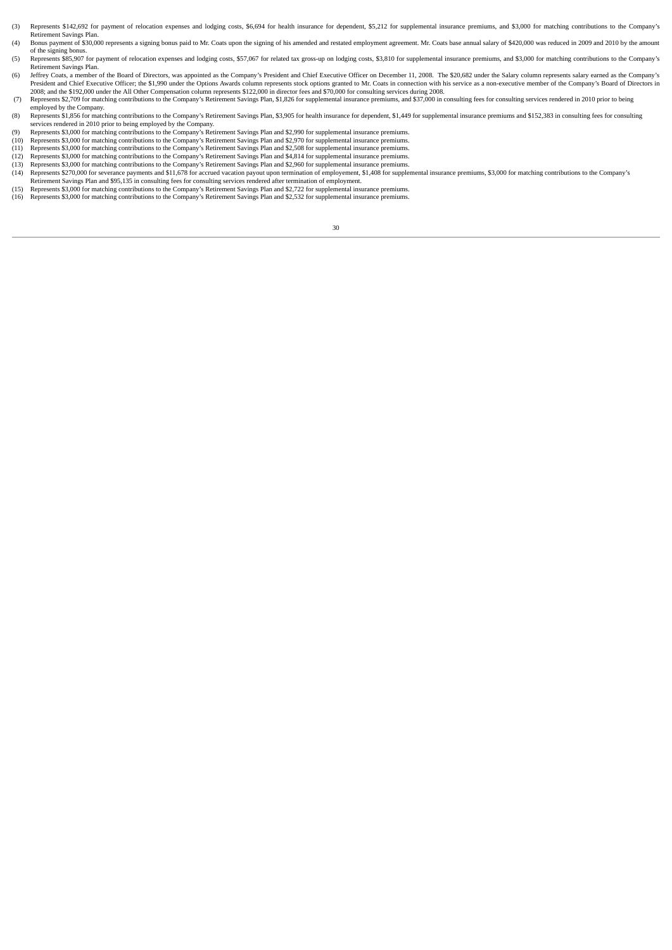- (3) Represents \$142,692 for payment of relocation expenses and lodging costs, \$6,694 for health insurance for dependent, \$5,212 for supplemental insurance premiums, and \$3,000 for matching contributions to the Company's Retirement Savings Plan.
- (4) Bonus payment of \$30,000 represents a signing bonus paid to Mr. Coats upon the signing of his amended and restated employment agreement. Mr. Coats base annual salary of \$420,000 was reduced in 2009 and 2010 by the amount of the signing bonus.
- (5) Represents \$85,907 for payment of relocation expenses and lodging costs, \$57,067 for related tax gross-up on lodging costs, \$3,810 for supplemental insurance premiums, and \$3,000 for matching contributions to the Compa Retirement Savings Plan.
- (6) Jeffrey Coats, a member of the Board of Directors, was appointed as the Company's President and Chief Executive Officer on December 11, 2008. The \$20,682 under the Salary column represents salary earned as the Company' 2008; and the \$192,000 under the All Other Compensation column represents \$122,000 in director fees and \$70,000 for consulting services during 2008.<br>(7) Represents \$2,709 for matching contributions to the Company's Retirem
- employed by the Company.
- (8) Represents \$1,856 for matching contributions to the Company's Retirement Savings Plan, \$3,905 for health insurance for dependent, \$1,449 for supplemental insurance premiums and \$152,383 in consulting fees for consultin
- (9) Represents \$3,000 for matching contributions to the Company's Retirement Savings Plan and \$2,990 for supplemental insurance premiums.
- (10) Represents \$3,000 for matching contributions to the Company's Retirement Savings Plan and \$2,970 for supplemental insurance premiums.<br>(11) Represents \$3,000 for matching contributions to the Company's Retirement Savin
- 
- (12) Represents \$3,000 for matching contributions to the Company's Retirement Savings Plan and \$4,814 for supplemental insurance premiums.<br>(13) Represents \$3,000 for matching contributions to the Company's Retirement Savin
- (14) Represents \$270,000 for severance payments and \$11,678 for accrued vacation payout upon termination of employement, \$1,408 for supplemental insurance premiums, \$3,000 for matching contributions to the Company's<br>Retire
- 
- (15) Represents \$3,000 for matching contributions to the Company's Retirement Savings Plan and \$2,722 for supplemental insurance premiums.<br>(16) Represents \$3,000 for matching contributions to the Company's Retirement Savin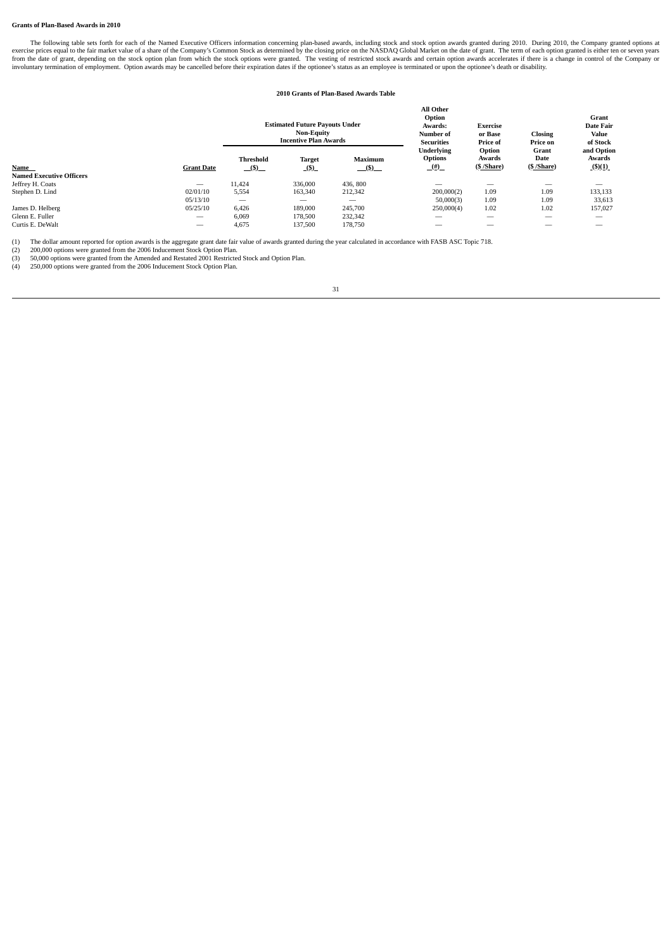# **Grants of Plan-Based Awards in 2010**

The following table sets forth for each of the Named Executive Officers information concerning plan-based awards, including stock and stock option awards granted during 2010. During 2010, the Company granted options at exe

# **2010 Grants of Plan-Based Awards Table**

**All Other**

| <b>Estimated Future Payouts Under</b><br><b>Non-Equity</b><br><b>Incentive Plan Awards</b> |                                            |                       | All Other<br>Option<br>Awards:<br>Number of<br><b>Securities</b> | <b>Exercise</b><br>or Base<br>Price of | <b>Closing</b><br>Price on | Grant<br><b>Date Fair</b><br>Value<br>of Stock |
|--------------------------------------------------------------------------------------------|--------------------------------------------|-----------------------|------------------------------------------------------------------|----------------------------------------|----------------------------|------------------------------------------------|
| <b>Threshold</b><br>(5)                                                                    | <b>Target</b><br>(5)                       | <b>Maximum</b><br>(5) | <b>Underlying</b><br><b>Options</b><br>(#)                       | Option<br>Awards<br>(S/Share)          | Grant<br>Date<br>(S/Share) | and Option<br>Awards<br>$($ \$)(1)             |
|                                                                                            |                                            |                       |                                                                  |                                        |                            |                                                |
|                                                                                            | 336,000                                    | 436, 800              | -                                                                |                                        |                            |                                                |
|                                                                                            | 163,340                                    | 212,342               | 200,000(2)                                                       | 1.09                                   | 1.09                       | 133,133                                        |
|                                                                                            | $-$                                        | -                     | 50,000(3)                                                        | 1.09                                   | 1.09                       | 33,613                                         |
|                                                                                            | 189,000                                    | 245,700               | 250,000(4)                                                       | 1.02                                   | 1.02                       | 157,027                                        |
|                                                                                            | 178,500                                    | 232,342               | -                                                                | $\overline{\phantom{a}}$               | $\overline{\phantom{a}}$   | _                                              |
|                                                                                            | 137,500                                    | 178,750               | _                                                                |                                        |                            | _                                              |
|                                                                                            | 11,424<br>5,554<br>6,426<br>6.069<br>4,675 |                       |                                                                  |                                        |                            |                                                |

(1) The dollar amount reported for option awards is the aggregate grant date fair value of awards granted during the year calculated in accordance with FASB ASC Topic 718.<br>(2) 50,000 options were granted from the 2006 Indu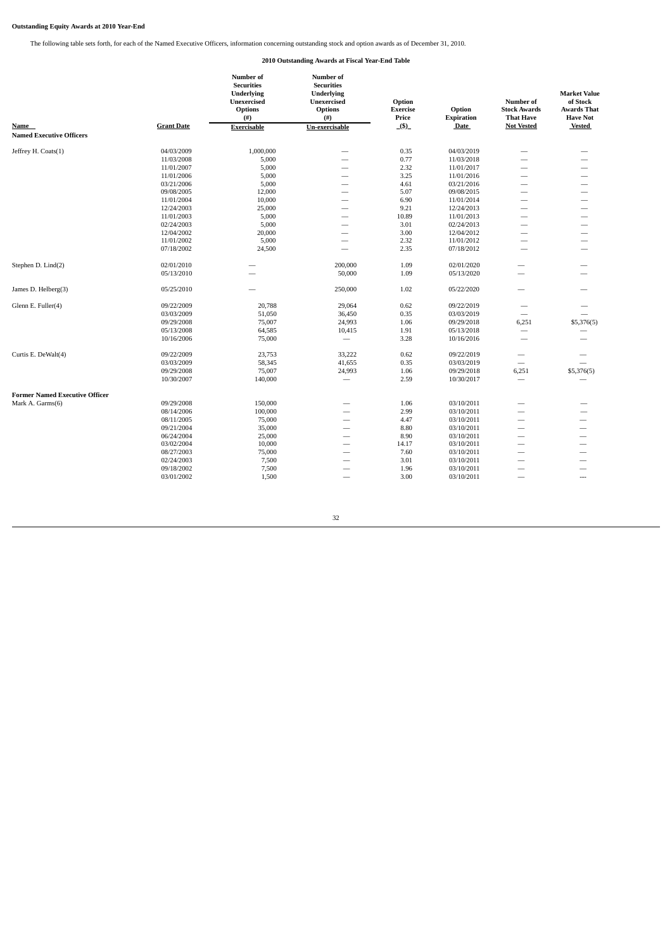# **Outstanding Equity Awards at 2010 Year-End**

The following table sets forth, for each of the Named Executive Officers, information concerning outstanding stock and option awards as of December 31, 2010.

# **2010 Outstanding Awards at Fiscal Year-End Table**

| Name<br><b>Named Executive Officers</b> | <b>Grant Date</b> | Number of<br><b>Securities</b><br><b>Underlying</b><br><b>Unexercised</b><br><b>Options</b><br>(#)<br><b>Exercisable</b> | Number of<br><b>Securities</b><br><b>Underlying</b><br><b>Unexercised</b><br><b>Options</b><br>$($ # $)$<br>Un-exercisable | Option<br><b>Exercise</b><br>Price<br>(5) | Option<br><b>Expiration</b><br>Date | Number of<br><b>Stock Awards</b><br><b>That Have</b><br><b>Not Vested</b> | <b>Market Value</b><br>of Stock<br><b>Awards That</b><br><b>Have Not</b><br><b>Vested</b> |
|-----------------------------------------|-------------------|--------------------------------------------------------------------------------------------------------------------------|----------------------------------------------------------------------------------------------------------------------------|-------------------------------------------|-------------------------------------|---------------------------------------------------------------------------|-------------------------------------------------------------------------------------------|
| Jeffrey H. Coats(1)                     | 04/03/2009        | 1,000,000                                                                                                                |                                                                                                                            | 0.35                                      | 04/03/2019                          |                                                                           |                                                                                           |
|                                         | 11/03/2008        | 5,000                                                                                                                    |                                                                                                                            | 0.77                                      | 11/03/2018                          | -                                                                         |                                                                                           |
|                                         | 11/01/2007        | 5,000                                                                                                                    | $\overline{\phantom{0}}$                                                                                                   | 2.32                                      | 11/01/2017                          | $\overbrace{\phantom{12332}}$                                             |                                                                                           |
|                                         | 11/01/2006        | 5,000                                                                                                                    |                                                                                                                            | 3.25                                      | 11/01/2016                          |                                                                           |                                                                                           |
|                                         | 03/21/2006        | 5,000                                                                                                                    | $\overline{\phantom{0}}$                                                                                                   | 4.61                                      | 03/21/2016                          | -                                                                         | -                                                                                         |
|                                         | 09/08/2005        | 12,000                                                                                                                   | $\overline{\phantom{0}}$                                                                                                   | 5.07                                      | 09/08/2015                          | $\overbrace{\phantom{12332}}$                                             |                                                                                           |
|                                         | 11/01/2004        | 10,000                                                                                                                   |                                                                                                                            | 6.90                                      | 11/01/2014                          |                                                                           | -                                                                                         |
|                                         | 12/24/2003        | 25,000                                                                                                                   |                                                                                                                            | 9.21                                      | 12/24/2013                          |                                                                           |                                                                                           |
|                                         | 11/01/2003        | 5,000                                                                                                                    | $\overline{\phantom{a}}$                                                                                                   | 10.89                                     | 11/01/2013                          |                                                                           | $\overline{\phantom{0}}$                                                                  |
|                                         | 02/24/2003        | 5,000                                                                                                                    | $\overbrace{\qquad \qquad }^{}$                                                                                            | 3.01                                      | 02/24/2013                          | $\overbrace{\phantom{12332}}$                                             | $\overline{\phantom{0}}$                                                                  |
|                                         | 12/04/2002        |                                                                                                                          |                                                                                                                            |                                           |                                     |                                                                           |                                                                                           |
|                                         |                   | 20,000<br>5,000                                                                                                          | $\overline{\phantom{0}}$                                                                                                   | 3.00<br>2.32                              | 12/04/2012                          |                                                                           |                                                                                           |
|                                         | 11/01/2002        |                                                                                                                          | $\overline{\phantom{0}}$                                                                                                   | 2.35                                      | 11/01/2012                          | $\overline{\phantom{0}}$                                                  | -                                                                                         |
|                                         | 07/18/2002        | 24,500                                                                                                                   |                                                                                                                            |                                           | 07/18/2012                          |                                                                           |                                                                                           |
|                                         | 02/01/2010        |                                                                                                                          | 200,000                                                                                                                    | 1.09                                      | 02/01/2020                          |                                                                           |                                                                                           |
| Stephen D. Lind(2)                      |                   |                                                                                                                          |                                                                                                                            |                                           |                                     | -                                                                         |                                                                                           |
|                                         | 05/13/2010        |                                                                                                                          | 50,000                                                                                                                     | 1.09                                      | 05/13/2020                          |                                                                           |                                                                                           |
| James D. Helberg(3)                     | 05/25/2010        |                                                                                                                          | 250,000                                                                                                                    | 1.02                                      | 05/22/2020                          | -                                                                         |                                                                                           |
| Glenn E. Fuller(4)                      | 09/22/2009        | 20,788                                                                                                                   | 29,064                                                                                                                     | 0.62                                      | 09/22/2019                          |                                                                           |                                                                                           |
|                                         | 03/03/2009        | 51,050                                                                                                                   | 36,450                                                                                                                     | 0.35                                      | 03/03/2019                          |                                                                           |                                                                                           |
|                                         | 09/29/2008        | 75,007                                                                                                                   | 24,993                                                                                                                     | 1.06                                      | 09/29/2018                          | 6,251                                                                     | \$5,376(5)                                                                                |
|                                         | 05/13/2008        | 64,585                                                                                                                   | 10,415                                                                                                                     | 1.91                                      | 05/13/2018                          | $\overline{\phantom{m}}$                                                  |                                                                                           |
|                                         | 10/16/2006        | 75,000                                                                                                                   |                                                                                                                            | 3.28                                      | 10/16/2016                          | $\overline{\phantom{a}}$                                                  |                                                                                           |
| Curtis E. DeWalt(4)                     | 09/22/2009        | 23,753                                                                                                                   | 33,222                                                                                                                     | 0.62                                      | 09/22/2019                          | -                                                                         |                                                                                           |
|                                         | 03/03/2009        | 58,345                                                                                                                   | 41,655                                                                                                                     | 0.35                                      | 03/03/2019                          | $\overline{\phantom{0}}$                                                  |                                                                                           |
|                                         | 09/29/2008        | 75,007                                                                                                                   | 24,993                                                                                                                     | 1.06                                      | 09/29/2018                          | 6,251                                                                     | \$5,376(5)                                                                                |
|                                         | 10/30/2007        | 140,000                                                                                                                  |                                                                                                                            | 2.59                                      | 10/30/2017                          | $\overline{\phantom{0}}$                                                  |                                                                                           |
|                                         |                   |                                                                                                                          |                                                                                                                            |                                           |                                     |                                                                           |                                                                                           |
| <b>Former Named Executive Officer</b>   |                   |                                                                                                                          |                                                                                                                            |                                           |                                     |                                                                           |                                                                                           |
| Mark A. Garms(6)                        | 09/29/2008        | 150,000                                                                                                                  | -                                                                                                                          | 1.06                                      | 03/10/2011                          |                                                                           |                                                                                           |
|                                         | 08/14/2006        | 100,000                                                                                                                  |                                                                                                                            | 2.99                                      | 03/10/2011                          |                                                                           |                                                                                           |
|                                         | 08/11/2005        | 75,000                                                                                                                   | -                                                                                                                          | 4.47                                      | 03/10/2011                          | -                                                                         |                                                                                           |
|                                         | 09/21/2004        | 35,000                                                                                                                   |                                                                                                                            | 8.80                                      | 03/10/2011                          | -                                                                         |                                                                                           |
|                                         | 06/24/2004        | 25,000                                                                                                                   | $\overline{\phantom{0}}$                                                                                                   | 8.90                                      | 03/10/2011                          | $\overline{\phantom{0}}$                                                  | $\overline{\phantom{0}}$                                                                  |
|                                         | 03/02/2004        | 10,000                                                                                                                   | $\overline{\phantom{0}}$                                                                                                   | 14.17                                     | 03/10/2011                          | $\overline{\phantom{0}}$                                                  | $\overline{\phantom{0}}$                                                                  |
|                                         | 08/27/2003        | 75,000                                                                                                                   | -                                                                                                                          | 7.60                                      | 03/10/2011                          | -                                                                         | -                                                                                         |
|                                         | 02/24/2003        | 7,500                                                                                                                    | $\overline{\phantom{0}}$                                                                                                   | 3.01                                      | 03/10/2011                          | $\overline{\phantom{0}}$                                                  | $\overbrace{\qquad \qquad }^{}$                                                           |
|                                         | 09/18/2002        | 7,500                                                                                                                    |                                                                                                                            | 1.96                                      | 03/10/2011                          |                                                                           | $\overbrace{\phantom{12332}}$                                                             |
|                                         | 03/01/2002        | 1,500                                                                                                                    |                                                                                                                            | 3.00                                      | 03/10/2011                          |                                                                           | $\overline{a}$                                                                            |
|                                         |                   |                                                                                                                          |                                                                                                                            |                                           |                                     |                                                                           |                                                                                           |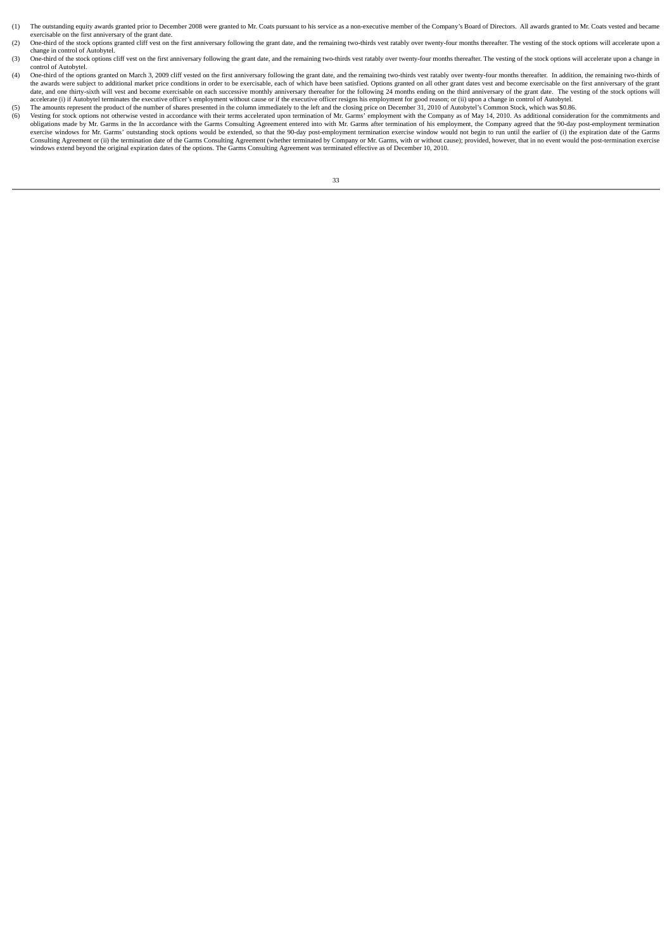- (1) The outstanding equity awards granted prior to December 2008 were granted to Mr. Coats pursuant to his service as a non-executive member of the Company's Board of Directors. All awards granted to Mr. Coats vested and b exercisable on the first anniversary of the grant date
- (2) One-third of the stock options granted cliff vest on the first anniversary following the grant date, and the remaining two-thirds vest ratably over twenty-four months thereafter. The vesting of the stock options will a change in control of Autobytel.
- (3) One-third of the stock options cliff vest on the first anniversary following the grant date, and the remaining two-thirds vest ratably over twenty-four months thereafter. The vesting of the stock options will accelerat control of Autobytel.
- (4) One-third of the options granted on March 3, 2009 cliff vested on the first anniversary following the grant date, and the remaining two-thirds vest ratably over twenty-four months thereafter. In addition, the remaining date, and one third anniversary of the grant date. The vesting of the stock options will vest and become exercisable on each successive monthly anniversary thereafter for the following 24 months ending on the third anniver accelerate (i) if Autobytel terminates the executive officer's employment without cause or if the executive officer resigns his employment for good reason; or (ii) upon a change in control of Autobytel.
- The amounts represent the product of the number of shares presented in the column immediately to the left and the closing price on December 31, 2010 of Autobytel's Common Stock, which was \$0.86.<br>(6) Vesting for stock optio (6) Vesting for stock options not otherwise vested in accordance with their terms accelerated upon termination of Mr. Garms' employment with the Company as of May 14, 2010. As additional consideration for the commitments a exercise windows for Mr. Garms' outstanding stock options would be extended, so that the 90-day post-employment termination exercise window would not begin to run until the earlier of (i) the expiration date of the Garms Consulting Agreement or (ii) the termination date of the Garms Consulting Agreement (whether terminated by Company or Mr. Garms, with or without cause); provided, however, that in no event would the post-termination exerci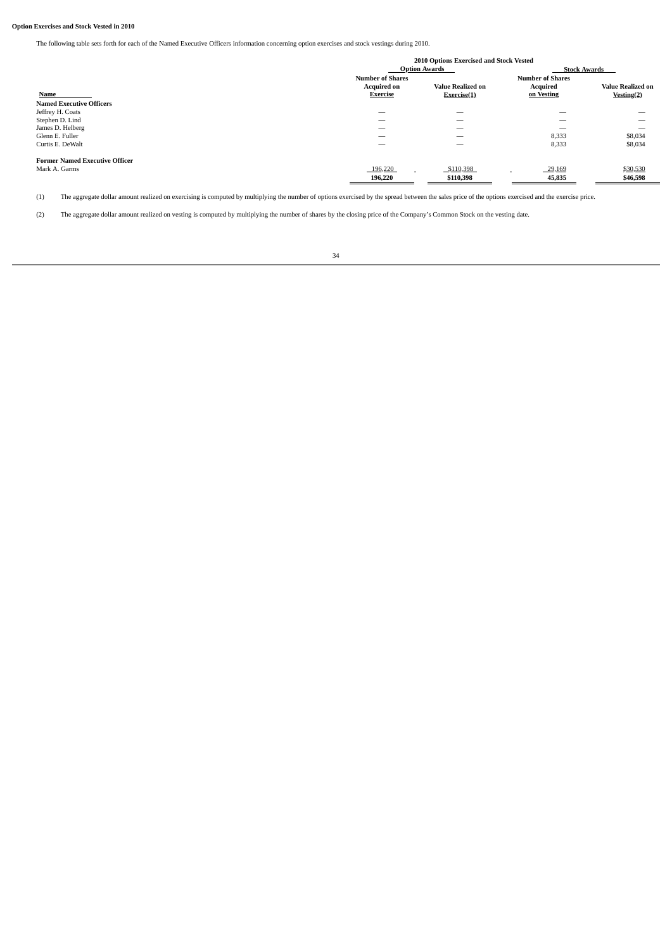# **Option Exercises and Stock Vested in 2010**

The following table sets forth for each of the Named Executive Officers information concerning option exercises and stock vestings during 2010.

|                                       |                          | 2010 Options Exercised and Stock Vested |                         |                          |
|---------------------------------------|--------------------------|-----------------------------------------|-------------------------|--------------------------|
|                                       |                          | <b>Option Awards</b>                    | <b>Stock Awards</b>     |                          |
|                                       | <b>Number of Shares</b>  |                                         | <b>Number of Shares</b> |                          |
|                                       | <b>Acquired on</b>       | <b>Value Realized on</b>                | <b>Acquired</b>         | <b>Value Realized on</b> |
| Name                                  | <b>Exercise</b>          | Exercise(1)                             | on Vesting              | Vesting(2)               |
| <b>Named Executive Officers</b>       |                          |                                         |                         |                          |
| Jeffrey H. Coats                      |                          |                                         | _                       |                          |
| Stephen D. Lind                       | $\overline{\phantom{a}}$ | $\overline{\phantom{a}}$                | -                       |                          |
| James D. Helberg                      |                          | $\overline{\phantom{a}}$                | _                       |                          |
| Glenn E. Fuller                       | $\overline{\phantom{a}}$ | $\overline{\phantom{a}}$                | 8,333                   | \$8,034                  |
| Curtis E. DeWalt                      | _                        | $\overline{\phantom{a}}$                | 8,333                   | \$8,034                  |
| <b>Former Named Executive Officer</b> |                          |                                         |                         |                          |
| Mark A. Garms                         | 196,220                  | \$110,398                               | 29,169                  | \$30,530                 |
|                                       | 196,220                  | \$110,398                               | 45,835                  | \$46,598                 |

(1) The aggregate dollar amount realized on exercising is computed by multiplying the number of options exercised by the spread between the sales price of the options exercised and the exercise price.

(2) The aggregate dollar amount realized on vesting is computed by multiplying the number of shares by the closing price of the Company's Common Stock on the vesting date.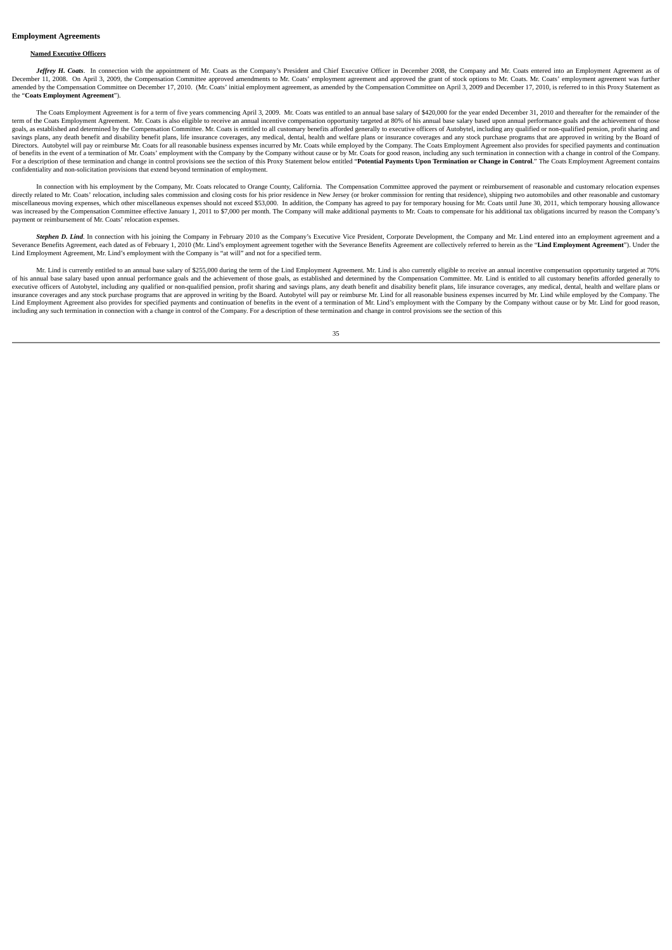## **Employment Agreements**

# **Named Executive Officers**

Jeffrey H. Coats. In connection with the appointment of Mr. Coats as the Company's President and Chief Executive Officer in December 2008, the Company and Mr. Coats entered into an Employment Agreement as of December 11, 2008. On April 3, 2009, the Compensation Committee approved amendments to Mr. Coats' employment and employment and approved the grant of stock options to Mr. Coats. Mr. Coats' employment agreement was further amended by the Compensation Committee on December 17, 2010. (Mr. Coats' initial employment agreement, as amended by the Compensation Committee on April 3, 2009 and December 17, 2010, is referred to in this Proxy Statement the "**Coats Employment Agreement**").

The Coats Employment Agreement is for a term of five years commencing April 3, 2009. Mr. Coats was entitled to an annual base salary of \$420,000 for the year ended December 31, 2010 and thereafter for the remainder of the term of the Coats Employment Agreement. Mr. Coats is also eligible to receive an annual incentive compensation opportunity targeted at 80% of his annual base salary based upon annual performance goals and the achievement o goals, as established and determined by the Compensation Committee. Mr. Coats is entitled to all customary benefits afforded generally to executive officers of Autobytel, including any qualified or non-qualified or non-qua savings plans, any death benefit and disability benefit plans, life insurance coverages, any medical, dental, health and welfare plans or insurance coverages and any stock purchase programs that are approved in writing by Directors. Autobytel will pay or reimburse Mr. Coats for all reasonable business expenses incurred by Mr. Coats while employed by the Company. The Coats Employment Agreement also provides for specified payments and continu of benefits in the event of a termination of Mr. Coats' employment with the Company by the Company without cause or by Mr. Coats for good reason, including any such termination in connection with a change in control of the For a description of these termination and change in control provisions see the section of this Proxy Statement below entitled "Potential Payments Upon Termination or Change in Control." The Coats Employment Agreement cont confidentiality and non-solicitation provisions that extend beyond termination of employment.

In connection with his employment by the Company, Mr. Coats relocated to Orange County, California. The Compensation Committee approved the payment or reimbursement of reasonable and customary relocation expenses directly related to Mr. Coats' relocation, including sales commission and closing costs for his prior residence in New Jersey (or broker commission for renting that residence), shipping two automobiles and other reasonable unctive process relationships and consumer success that consumer that consumer the state in the state of the subsequent of the procedure of the procedure of the Demperature of the Demperature of the Demperature of the Comp was increased by the Compensation Committee effective January 1, 2011 to \$7,000 per month. The Company will make additional payments to Mr. Coats to compensate for his additional tax obligations incurred by reason the Comp payment or reimbursement of Mr. Coats' relocation expenses.

Stephen D. Lind. In connection with his joining the Company in February 2010 as the Company's Executive Vice President, Corporate Development, the Company and Mr. Lind entered into an employment agreement and a Severance B Lind Employment Agreement, Mr. Lind's employment with the Company is "at will" and not for a specified term.

Mr. Lind is currently entitled to an annual base salary of \$255,000 during the term of the Lind Employment Agreement. Mr. Lind is also currently eligible to receive an annual incentive compensation opportunity targeted at of his annual base salary based upon annual performance goals and the achievement of those goals, as established and determined by the Compensation Committee. Mr. Lind is entitled to all customary benefits afforded general executive officers of Autobytel, including any qualified or non-qualified pension, profit sharing and savings plans, any death benefit and disability benefit plans, life insurance coverages, any medical, dental, health and Lind Employment Agreement also provides for specified payments and continuation of benefits in the event of a termination of Mr. Lind's employment with the Company by the Company without cause or by Mr. Lind for good reaso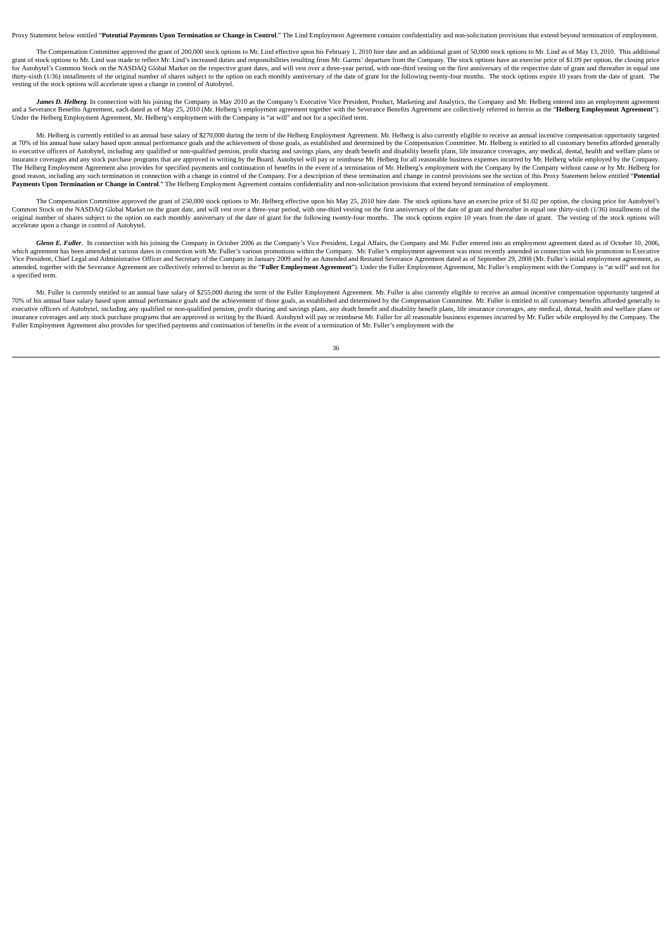Proxy Statement below entitled "Potential Payments Unon Termination or Change in Control." The Lind Employment Agreement contains confidentiality and non-solicitation provisions that extend beyond termination of employment

The Compensation Committee approved the grant of 200,000 stock options to Mr. Lind effective upon his February 1, 2010 hire date and an additional grant of 50,000 stock options to Mr. Lind as of May 13, 2010. This addition grant of stock options to Mr. Lind was made to reflect Mr. Lind's increased duties and responsibilities resulting from Mr. Garms' departure from the Company. The stock options have an exercise price of \$1.09 per option, th thirty-sixth (1/36) installments of the original number of shares subject to the option on each monthly anniversary of the date of grant for the following twenty-four months. The stock options expire 10 years from the date vesting of the stock options will accelerate upon a change in control of Autobytel.

James D. Helberg. In connection with his joining the Company in May 2010 as the Company's Executive Vice President, Product, Marketing and Analytics, the Company and Mr. Helberg entered into an employment agreement and a Severance Benefits Agreement, each dated as of May 25, 2010 (Mr. Helberg's employment agreement together with the Severance Benefits Agreement are collectively referred to herein as the "**Helberg Employment Agreement** 

Mr. Helberg is currently entitled to an annual base salary of \$270,000 during the term of the Helberg Employment Agreement. Mr. Helberg is also currently eligible to receive an annual incentive compensation opportunity tar at 70% of his annual base salary based upon annual performance goals and the achievement of those goals, as established and determined by the Compensation Committee. Mr. Helberg is entitled to all customary benefits afford to executive officers of Autobytel, including any qualified or non-qualified pension, profit sharing and savings plans, any death benefit and disability benefit plans, life insurance coverages, any medical, dental, health insurance coverages and any stock purchase programs that are approved in writing by the Board Autobytel will pay or reimburse Mr. Helberg for all reasonable business expenses incurred by Mr. Helberg while employed by the C The Helberg Employment Agreement also provides for specified payments and continuation of benefits in the event of a termination of Mr. Helberg's employment with the Company by the Company without cause or by Mr. Helberg f good reason, including any such termination in connection with a change in control of the Company. For a description of these termination and change in control provisions see the section of this Proxy Statement below entit

The Compensation Committee approved the grant of 250,000 stock options to Mr. Helberg effective upon his May 25, 2010 hire date. The stock options have an exercise price of \$1.02 per option, the closing price for Autobytel original number of shares subject to the option on each monthly anniversary of the date of grant for the following twenty-four months. The stock options expire 10 years from the date of grant. The vesting of the stock opti accelerate upon a change in control of Autobytel.

Glenn E. Fuller. In connection with his joining the Company in October 2006 as the Company's Vice President, Legal Affairs, the Company and Mr. Fuller entered into an employment agreement thas been amended at various dates Vice President, Chief Legal and Administrative Officer and Secretary of the Company in January 2009 and by an Amended and Restated Severance Agreement dated as of September 29, 2008 (Mr. Fuller's initial employment agreeme amended, together with the Severance Agreement are collectively referred to herein as the "Fuller Employment Agreement"). Under the Fuller Employment Agreement, Mr. Fuller's employment with the Company is "at will" and not a specified term.

Mr. Fuller is currently entitled to an annual base salary of \$255,000 during the term of the Fuller Employment Agreement. Mr. Fuller is also currently eligible to receive an annual incentive compensation opportunity target 70% of his annual base salary based upon annual performance goals and the achievement of those goals, as established and determined by the Compensation Committee. Mr. Fuller is entitled to all customary benefits afforded g executive officers of Autobytel, including any qualified or non-qualified pension, profit sharing and savings plans, any death benefit and disability benefit plans, life insurance coverages, any medical, dental, health and insurance coverages and any stock purchase programs that are approved in writing by the Board. Autobytel will pay or reimburse Mr. Fuller for all reasonable business expenses incurred by Mr. Fuller while employed by the Co Fuller Employment Agreement also provides for specified payments and continuation of benefits in the event of a termination of Mr. Fuller's employment with the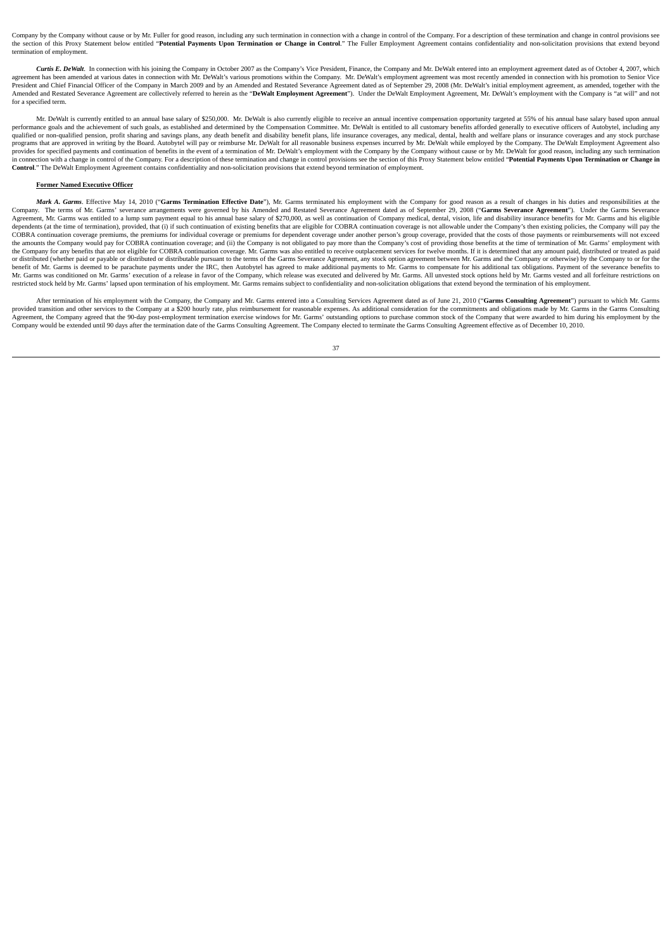Company by the Company without cause or by Mr. Fuller for good reason, including any such termination in connection with a change in control of the Company. For a description of these termination and change in control prov the section of this Proxy Statement below entitled "Potential Payments Upon Termination or Change in Control." The Fuller Employment Agreement contains confidentiality and non-solicitation provisions that extend beyond termination of employment.

Curtis E. DeWalt. In connection with his joining the Company in October 2007 as the Company's Vice President, Finance, the Company and Mr. DeWalt entered into an employment agreement dated as of October 4, 2007, which agreement has been amended at various dates in connection with Mr. DeWalt's various promotions within the Company. Mr. DeWalt's employment agreement was most recently amended in connection with his promotion to Senior Vice President and Chief Financial Officer of the Company in March 2009 and by an Amended and Restated Severance Agreement dated as of September 29, 2008 (Mr. DeWalt's initial employment agreement, as amended, together with the Amended and Restated Severance Agreement are collectively referred to herein as the "DeWalt Employment Agreement"). Under the DeWalt Employment Agreement, Mr. DeWalt's employment with the Company is "at will" and not for a specified term.

Mr. DeWalt is currently entitled to an annual base salary of \$250,000. Mr. DeWalt is also currently eligible to receive an annual incentive compensation opportunity targeted at 55% of his annual base salary based upon annu performance goals and the achievement of such goals, as established and determined by the Compensation Committee. Mr. DeWalt is entitled to all customary benefits afforded generally to executive officers of Autobytel, incl qualified or non-qualified pension, profit sharing and savings plans, any death benefit and disability benefit plans, life insurance coverages, any medical, dental, health and welfare plans or insurance coverages and any s provides for specified payments and continuation of benefits in the event of a termination of Mr. DeWalt's employment with the Company by the Company without cause or by Mr. DeWalt for good reason, including any such termi **Control**." The DeWalt Employment Agreement contains confidentiality and non-solicitation provisions that extend beyond termination of employment.

### **Former Named Executive Officer**

Mark A. Garms. Effective May 14, 2010 ("Garms Termination Effective Date"), Mr. Garms terminated his employment with the Company for good reason as a result of changes in his duties and responsibilities at the Company. The terms of Mr. Garms' severance arrangements were governed by his Amended and Restated Severance Agreement dated as of September 29, 2008 ("**Garms Severance Agreement**"). Under the Garms Severance<br>Agreement, Mr. dependents (at the time of termination), provided, that (i) if such continuation of existing benefits that are eligible for COBRA continuation coverage is not allowable under the Company's then existing policies, the Compa COBRA continuation coverage premiums, the premiums for individual coverage or premiums for dependent coverage under another person's group coverage, provided that the costs of those payments or reimbursements will not exceed the amounts the Company would pay for COBRA continuation coverage; and (ii) the Company is not obligated to pay more than the Company's cost of providing those benefits at the time of termination of Mr. Garms' employment w or distributed (whether paid or payable or distributed or distributed or distributable pursuant to the terms of the Garms Severance Agreement, any stock option agreement between Mr. Garms and the Company or otherwise) by t benefit of Mr. Garms is deemed to be parachute payments under the IRC, then Autobytel has agreed to make additional payments to Mr. Garms to compensate for his additional tax obligations. Payment of the severance benefits restricted stock held by Mr. Garms' lapsed upon termination of his employment. Mr. Garms remains subject to confidentiality and non-solicitation obligations that extend beyond the termination of his employment.

After termination of his employment with the Company, the Company and Mr. Garms entered into a Consulting Services Agreement dated as of June 21, 2010 ("Garms Consulting Agreement") pursuant to which Mr. Garms provided transition and other services to the Company at a \$200 hourly rate, plus reimbursement for reasonable expenses. As additional consideration for the commitments and obligations made by Mr. Garms in the Garms Consul Agreement, the Company agreed that the 90-day post-employment termination exercise windows for Mr. Garms' outstanding options to purchase common stock of the Company that were awarded to him during his employment by the Ag Company would be extended until 90 days after the termination date of the Garms Consulting Agreement. The Company elected to terminate the Garms Consulting Agreement effective as of December 10, 2010.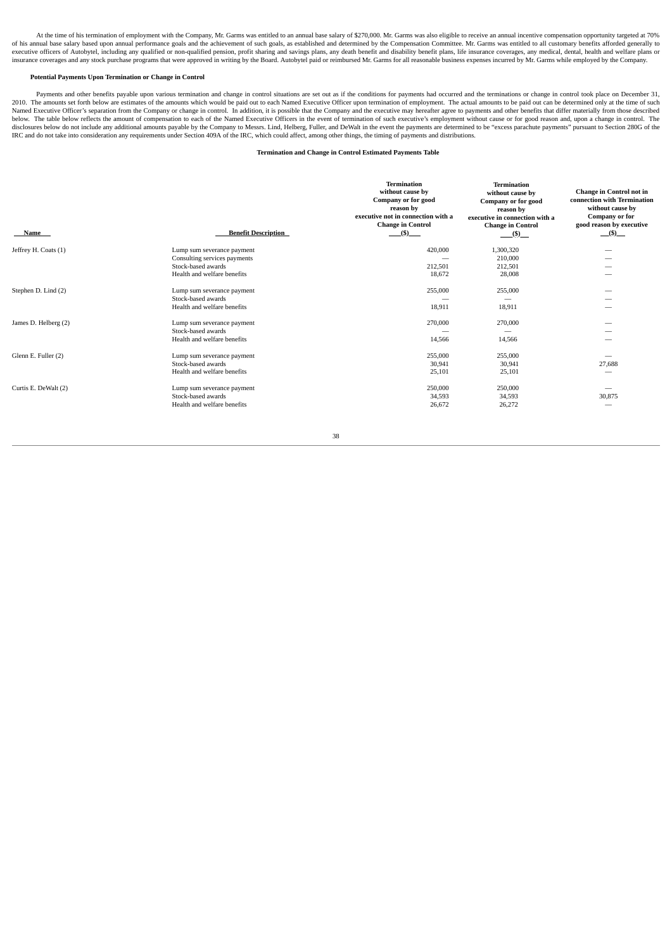At the time of his termination of employment with the Company, Mr. Garms was entitled to an annual base salary of \$270,000. Mr. Garms was also eligible to receive an annual incentive compensation opportunity targeted at 70

## **Potential Payments Upon Termination or Change in Control**

Payments and other benefits payable upon various termination and change in control situations are set out as if the conditions for payments had occurred and the terminations or change in control took place on December 31, 2010. The amounts set forth below are estimates of the amounts which would be paid out to each Named Executive Officer upon termination of employment. The actual amounts to be paid out can be determined only at the time of IRC and do not take into consideration any requirements under Section 409A of the IRC, which could affect, among other things, the timing of payments and distributions.

## **Termination and Change in Control Estimated Payments Table**

| Name                 | <b>Benefit Description</b>                                 | <b>Termination</b><br>without cause by<br>Company or for good<br>reason by<br>executive not in connection with a<br><b>Change in Control</b><br>(5) | <b>Termination</b><br>without cause by<br>Company or for good<br>reason by<br>executive in connection with a<br><b>Change in Control</b><br>$($ \ $\bullet$ $)$ $\bullet$ | <b>Change in Control not in</b><br>connection with Termination<br>without cause by<br>Company or for<br>good reason by executive<br>(5) |
|----------------------|------------------------------------------------------------|-----------------------------------------------------------------------------------------------------------------------------------------------------|---------------------------------------------------------------------------------------------------------------------------------------------------------------------------|-----------------------------------------------------------------------------------------------------------------------------------------|
| Jeffrey H. Coats (1) | Lump sum severance payment<br>Consulting services payments | 420,000                                                                                                                                             | 1,300,320<br>210,000                                                                                                                                                      |                                                                                                                                         |
|                      | Stock-based awards                                         | 212,501                                                                                                                                             | 212,501                                                                                                                                                                   |                                                                                                                                         |
|                      | Health and welfare benefits                                | 18,672                                                                                                                                              | 28,008                                                                                                                                                                    |                                                                                                                                         |
| Stephen D. Lind (2)  | Lump sum severance payment<br>Stock-based awards           | 255,000                                                                                                                                             | 255,000                                                                                                                                                                   | -                                                                                                                                       |
|                      | Health and welfare benefits                                | 18,911                                                                                                                                              | 18,911                                                                                                                                                                    |                                                                                                                                         |
| James D. Helberg (2) | Lump sum severance payment<br>Stock-based awards           | 270,000                                                                                                                                             | 270,000<br>--                                                                                                                                                             |                                                                                                                                         |
|                      | Health and welfare benefits                                | 14,566                                                                                                                                              | 14,566                                                                                                                                                                    |                                                                                                                                         |
| Glenn E. Fuller (2)  | Lump sum severance payment                                 | 255,000                                                                                                                                             | 255,000                                                                                                                                                                   |                                                                                                                                         |
|                      | Stock-based awards                                         | 30,941                                                                                                                                              | 30,941                                                                                                                                                                    | 27,688                                                                                                                                  |
|                      | Health and welfare benefits                                | 25,101                                                                                                                                              | 25,101                                                                                                                                                                    | $\qquad \qquad$                                                                                                                         |
| Curtis E. DeWalt (2) | Lump sum severance payment                                 | 250,000                                                                                                                                             | 250,000                                                                                                                                                                   |                                                                                                                                         |
|                      | Stock-based awards                                         | 34,593                                                                                                                                              | 34,593                                                                                                                                                                    | 30,875                                                                                                                                  |
|                      | Health and welfare benefits                                | 26,672                                                                                                                                              | 26,272                                                                                                                                                                    | $\qquad \qquad$                                                                                                                         |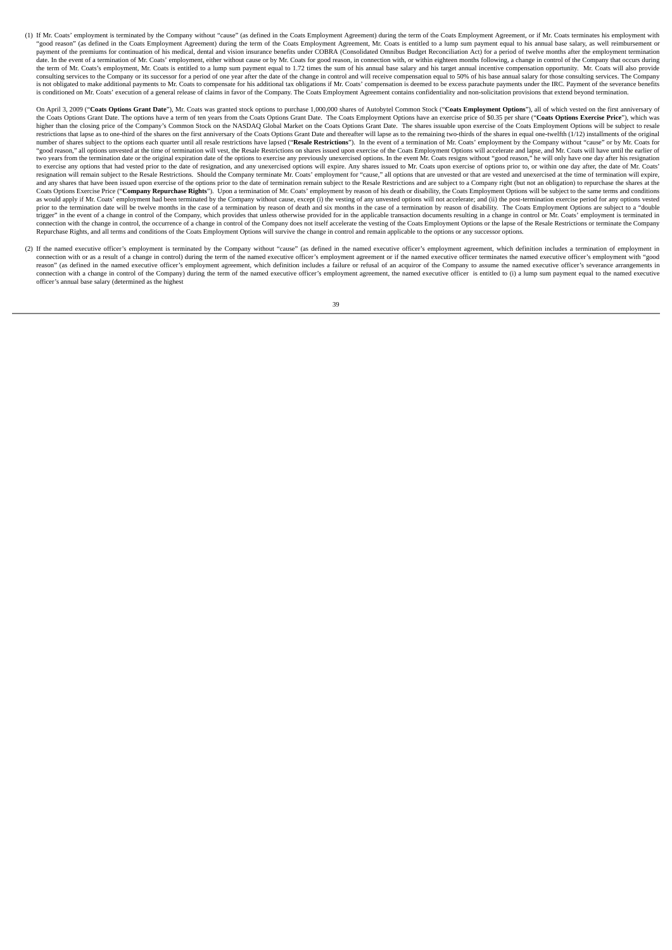(1) If Mr. Coats' employment is terminated by the Company without "cause" (as defined in the Coats Employment Agreement) during the term of the Coats Employment Agreement, or if Mr. Coats terminates his employment with "good reason" (as defined in the Coats Employment Agreement) during the term of the Coats Employment Agreement, Mr. Coats is entitled to a lump sum payment equal to his annual base salary, as well reimbursement or<br>payment date. In the event of a termination of Mr. Coats' employment, either without cause or by Mr. Coats for good reason, in connection with, or within eighteen months following, a change in control of the Company that occurs du the term of Mr. Coats's employment, Mr. Coats is entitled to a lump sum payment equal to 1.72 times the sum of his annual base salary and his target annual incentive compensation opportunity. Mr. Coats will also provide consulting services to the Company or its successor for a period of one year after the date of the change in control and will receive compensation equal to 50% of his base annual salary for those consulting services. The C is not obligated to make additional payments to Mr. Coats to compensate for his additional tax obligations if Mr. Coats' compensation is deemed to be excess parachute payments under the IRC. Payment of the severance benefits is conditioned on Mr. Coats' execution of a general release of claims in favor of the Company. The Coats Employment Agreement contains confidentiality and non-solicitation provisions that extend beyond termination.

On April 3, 2009 ("Coats Options Grant Date"), Mr. Coats was granted stock options to purchase 1,000,000 shares of Autobytel Common Stock ("Coats Employment Options"), all of which vested on the first anniversary of the Coats Options Grant Date. The options have a term of ten years from the Coats Coptions Grant Date. The Coats Employment Options have an exercise price of \$0.35 per share ("Coats Options Exercise Price"), which was<br>high higher than the closing price of the Company's Common Stock on the NASDAQ Global Market on the Coats Options Grant Date. The shares issuable upon exercise of the Coats Employment Options will be subject to respect to respe restrictions that lanse as to one-third of the shares on the first anniversary of the Coats Ontions Grant Date and thereafter will lanse as to the remaining two-thirds of the hares in equal one-twelfth (1/12) installments number of shares subject to the options each quarter until all resale restrictions have lapsed ("Resale Restrictions"). In the event of a termination of Mr. Coats' employment by the Company without "cause" or by Mr. Coats "good reason," all options unvested at the time of termination will vest, the Resale Restrictions on shares issued upon exercise of the Coats Employment Options will accelerate and lapse, and Mr. Coats will have until the to exercise any options that had vested prior to the date of resignation, and any unexercised options will expire. Any shares issued to Mr. Coats upon exercise of options prior to, or within one day after, the date of Mr. and any shares that have been issued upon exercise of the options prior to the date of termination remain subject to the Resale Restrictions and are subject to a Company right (but not an obligation) to repurchase the shar Coats Options Exercise Price ("Company Repurchase Rights"). Upon a termination of Mr. Coats' employment by reason of his death or disability, the Coats Employment Options will be subject to the same terms and conditions as would apply if Mr. Coats' employment had been terminated by the Company without cause, except (i) the vesting of any unvested options will not accelerate; and (ii) the post-termination exercise period for any options ve prior to the termination date will be twelve months in the case of a termination by reason of death and six months in the case of a termination by reason of disability. The Coats Employment Options are subject to a "double ringer" in the event of a change in control of the Company, which provides that unless otherwise provided for in the applicable transaction documents resulting in a change in control or Mr. Coats' employment is terminated connection with the change in control, the occurrence of a change in control of the Company does not itself accelerate the vesting of the Coats Employment Options or the lapse of the Resale Restrictions or terminate the Co Repurchase Rights, and all terms and conditions of the Coats Employment Options will survive the change in control and remain applicable to the options or any successor options.

(2) If the named executive officer's employment is terminated by the Company without "cause" (as defined in the named executive officer's employment agreement, which definition includes a termination of employment in connection with or as a result of a change in control) during the term of the named executive officer's employment agreement or if the named executive officer terminates the named executive officer's employment with "good reason" (as defined in the named executive officer's employment agreement, which definition includes a failure or refusal of an acquiror of the Company to assume the named executive officer's severance arrangements in connection with a change in control of the Company) during the term of the named executive officer's employment agreement, the named executive officer is entitled to (i) a lump sum payment equal to the named executive officer's annual base salary (determined as the highest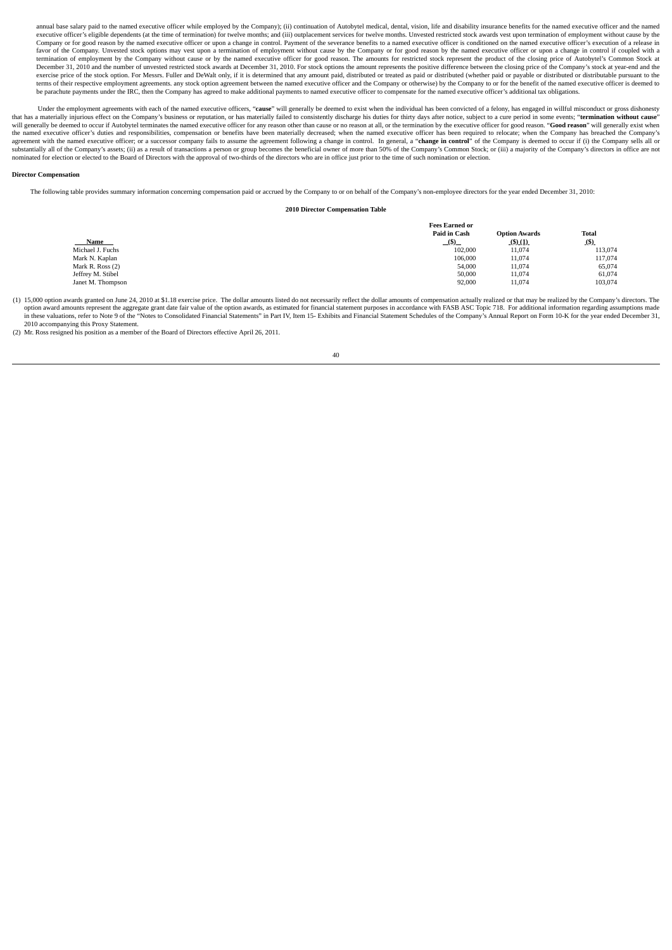annual base salary paid to the named executive officer while employed by the Company): (ii) continuation of Autobytel medical, dental, vision. life and disability insurance benefits for the named executive officer and the executive officer's eligible dependents (at the time of termination) for twelve months; and (iii) outplacement services for twelve months. Unvested restricted stock awards vest upon termination of employment without cause Company or for good reason by the named executive officer or upon a change in control. Payment of the severance benefits to a named executive officer is conditioned on the named executive officer's execution of a release i favor of the Company. Unvested stock options may vest upon a termination of employment without cause by the Company or for good reason by the named executive officer or upon a change in control if coupled with a termination of employment by the Company without cause or by the named executive officer for good reason. The amounts for restricted stock represent the product of the closing price of Autobytel's Common Stock at<br>December exercise price of the stock option. For Messrs. Fuller and DeWalt only, if it is determined that any amount paid, distributed or trated as paid or distributed (whether paid or payable or distributed or distributable pursua be parachute payments under the IRC, then the Company has agreed to make additional payments to named executive officer to compensate for the named executive officer's additional tax obligations.

Under the employment agreements with each of the named executive officers, "cause" will generally be deemed to exist when the individual has been convicted of a felony, has engaged in willful misconduct or gross dishonesty that has a materially injurious effect on the Company's business or reputation, or has materially failed to consistently discharge his duties for thirty days after notice, subject to a cure period in some events; "terminat will generally be deemed to occur if Autobytel terminates the named executive officer for any reason other than cause or no reason at all, or the termination by the executive officer for good reason. "**Good reason**" will g agreement with the named executive officer; or a successor company fails to assume the agreement following a change in control. In general, a "**change in control**" of the Company is deemed to occur if (i) the Company sells nominated for election or elected to the Board of Directors with the approval of two-thirds of the directors who are in office just prior to the time of such nomination or election.

## **Director Compensation**

The following table provides summary information concerning compensation paid or accrued by the Company to or on behalf of the Company's non-employee directors for the year ended December 31, 2010:

## **2010 Director Compensation Table**

|                   | <b>Fees Earned or</b> |                      |         |
|-------------------|-----------------------|----------------------|---------|
|                   | Paid in Cash          | <b>Option Awards</b> | Total   |
| Name              | (5)                   | (5)(1)               | (5)     |
| Michael J. Fuchs  | 102,000               | 11,074               | 113,074 |
| Mark N. Kaplan    | 106,000               | 11,074               | 117,074 |
| Mark R. Ross (2)  | 54,000                | 11,074               | 65,074  |
| Jeffrey M. Stibel | 50,000                | 11,074               | 61,074  |
| Janet M. Thompson | 92,000                | 11,074               | 103,074 |

(1) 15,000 option awards granted on June 24, 2010 at \$1.18 exercise price. The dollar amounts listed do not necessarily reflect the dollar amounts of compensation actually realized or that may be realized by the Company's option award amounts represent the aggregate grant date fair value of the option awards, as estimated for financial statement purposes in accordance with FASB ASC Topic 718. For additional information regarding assumptions 2010 accompanying this Proxy Statement.

(2) Mr. Ross resigned his position as a member of the Board of Directors effective April 26, 2011.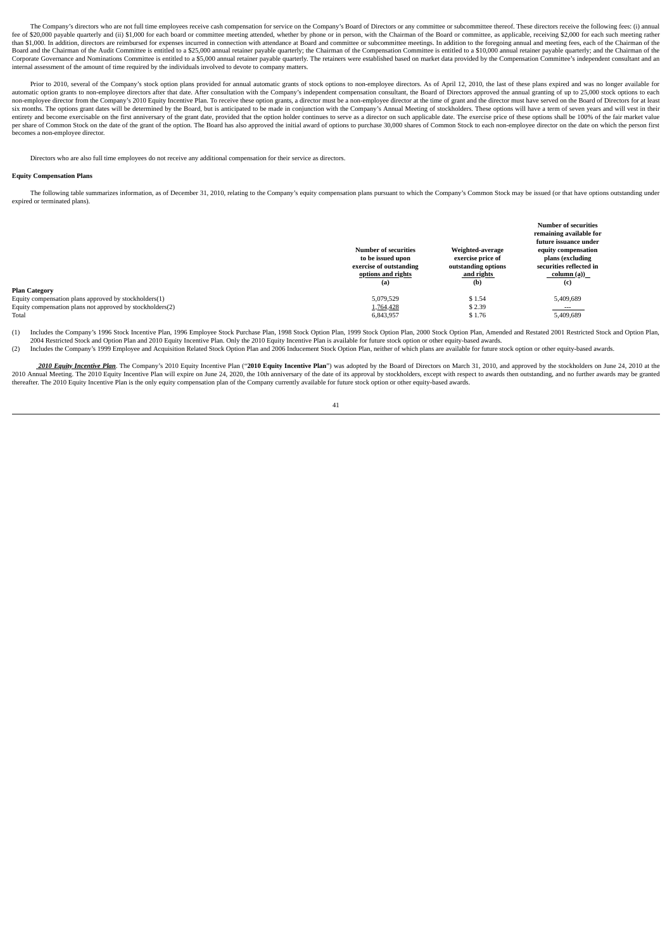The Company's directors who are not full time employees receive cash compensation for service on the Company's Board of Directors or any committee or subcommittee thereof. These directors receive the following fees: (i) an fee of \$20,000 payable quarterly and (ii) \$1,000 for each board or committee meeting attended, whether by phone or in person, with the Chairman of the Board or committee, as applicable, receiving \$2,000 for each such meeti than \$1,000. In addition, directors are reimbursed for expenses incurred in connection with attendance at Board and committee or subcommittee meetings. In addition to the foregoing annual and meeting fees, each of the Chai Board and the Chairman of the Audit Committee is entitled to a \$25,000 annual retainer payable quarterly; the Chairman of the Compensation Committee is entitled to a \$10,000 annual retainer payable quarterly; and the Chair Corporate Governance and Nominations Committee is entitled to a \$5,000 annual retainer payable quarterly. The retainers were established based on market data provided by the Compensation Committee's independent consultant internal assessment of the amount of time required by the individuals involved to devote to company matters.

Prior to 2010, several of the Company's stock option plans provided for annual automatic grants of stock options to non-employee directors. As of April 12, 2010, the last of these plans expired and was no longer available non-employee director from the Company's 2010 Equity Incentive Plan. To receive these option grants, a director must be a non-employee director at the time of grant and the director must have served on the Board of Directo entirely and become exercisely on the first anniversary of the grant date, provided that the option holder continues to serve as a director on such applicable date. The exercise price of these options shall be 100% of the per share of Common Stock on the date of the grant of the option. The Board has also approved the initial award of options to purchase 30,000 shares of Common Stock to each non-emplovee director on the date on which the pe becomes a non-employee director.

Directors who are also full time employees do not receive any additional compensation for their service as directors.

#### **Equity Compensation Plans**

The following table summarizes information, as of December 31, 2010, relating to the Company's equity compensation plans pursuant to which the Company's Common Stock may be issued (or that have options outstanding under expired or terminated plans).

|                                                           |                             |                     | <b>Number of securities</b>                    |
|-----------------------------------------------------------|-----------------------------|---------------------|------------------------------------------------|
|                                                           |                             |                     | remaining available for                        |
|                                                           |                             |                     | future issuance under                          |
|                                                           | <b>Number of securities</b> | Weighted-average    | equity compensation                            |
|                                                           | to be issued upon           | exercise price of   | plans (excluding                               |
|                                                           | exercise of outstanding     | outstanding options | securities reflected in                        |
|                                                           | options and rights          | and rights          | $\frac{\text{column (a))}}{\text{column (b)}}$ |
|                                                           | (a)                         | (b)                 | (c)                                            |
| <b>Plan Category</b>                                      |                             |                     |                                                |
| Equity compensation plans approved by stockholders(1)     | 5.079.529                   | \$1.54              | 5,409,689                                      |
| Equity compensation plans not approved by stockholders(2) | 1,764,428                   | \$2.39              | $\sim$ $\sim$ $\sim$                           |
| Total                                                     | 6,843,957                   | \$1.76              | 5,409,689                                      |

(1) Includes the Company's 1996 Stock Incentive Plan, 1996 Employee Stock Purchase Plan, 1998 Stock Option Plan, 1999 Stock Option Plan, 2000 Stock Option Plan, Amended and Restated 2001 Restricted Stock and Option Plan, 2004 Restricted Stock and Option Plan and 2010 Equity Incentive Plan. Only the 2010 Equity Incentive Plan is available for future stock option or other equity-based awards.

(2) Includes the Company's 1999 Employee and Acquisition Related Stock Option Plan and 2006 Inducement Stock Option Plan, neither of which plans are available for future stock option or other equity-based awards.

**2010 Equity Incentive Plan.** The Company's 2010 Equity Incentive Plan ("**2010 Equity Incentive Plan")** was adopted by the Board of Directors on March 31, 2010, and approved by the stockholders on June 24, 2010 at the stoc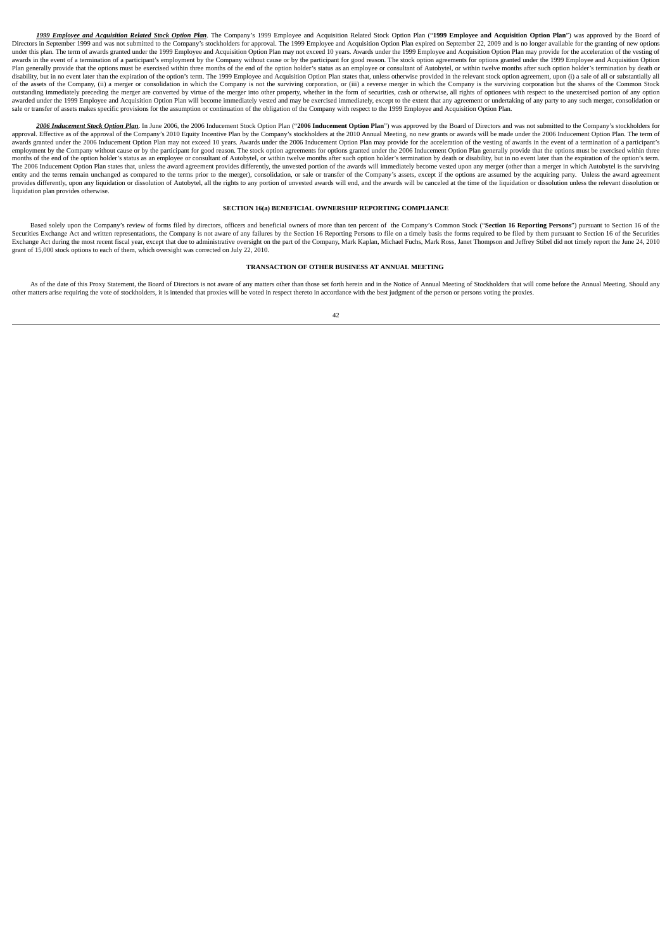1999 Employee and Acquisition Related Stock Option Plan. The Company's 1999 Employee and Acquisition Related Stock Option Plan ("1999 Employee and Acquisition Option Plan") was approved by the Board of<br>in September 1999 an Directors in September 1999 and was not submitted to the Company's stockholders for approval. The 1999 Employee and Acquisition Option Plan expired on September 22, 2009 and is no longer available for the Latercours are very and was not south and a substantial contract of the USBN process in the USBN provides in the contract of the exting of the very substanting to the exting of the very substantion option Plan may provide awards in the event of a termination of a participant's employment by the Company without cause or by the participant for good reason. The stock option agreements for options granted under the 1999 Employee and Acquisition Plan generally provide that the options must be exercised within three months of the end of the option holder's status as an employee or consultant of Autobytel, or within twelve months after such option holder's terminati disability, but in no event later than the expiration of the option's term. The 1999 Employee and Acquisition Option Plan states that, unless otherwise provided in the relevant stock option agreement, upon (i) a sale of al of the assets of the Company, (ii) a merger or consolidation in which the Company is not the surviving corporation, or (iii) a reverse merger in which the Company is the surviving corporation but the shares of the Common S awarded under the 1999 Employee and Acquisition Option Plan will become immediately vested and may be exercised immediately, except to the extent that any agreement or undertaking of any party to any such merger, consolida

2006 Inducement Stock Option Plan.</u> In June 2006, the 2006 Inducement Stock Option Plan ("2<mark>006 Inducement Option Plan</mark>") was approved by the Board of Directors and was not submitted to the Company's stockholders for approved Effective as of the approval of the Company's 2010 Equity Incentive Plan by the Company's stockholders at the 2010 Annual Meeting no new grants or awards will be made under the 2006 Inducement Option Plan. The ter apply of the company of the company of the company of the company of the company of the acceleration of the exceleration of the vesting of awards in the event of a termination of a participant's awards granted under the 20 employment by the Company without cause or by the participant for good reason. The stock option agreements for options granted under the 2006 Inducement Option Plan generally provide that the options must be exercised with The 2006 Inducement Option Plan states that, unless the award agreement provides differently, the unvested portion of the awards will immediately become vested upon any merger (other than a merger in which Autobytel is the provides differently, upon any liquidation or dissolution of Autobytel, all the rights to any portion of unvested awards will end, and the awards will be canceled at the time of the liquidation or dissolution unless the re liquidation plan provides otherwise.

## **SECTION 16(a) BENEFICIAL OWNERSHIP REPORTING COMPLIANCE**

Based solely upon the Company's review of forms filed by directors, officers and beneficial owners of more than ten percent of the Company's Common Stock ("Section 16 Reporting Persons") pursuant to Section 16 of the Securities Exchange Act and written representations, the Company is not aware of any failures by the Section 16 Reporting Persons to file on a timely basis the forms required to be filed by them pursuant to Section 16 of t Exchange Act during the most recent fiscal year, except that due to administrative oversight on the part of the Company, Mark Kaplan, Michael Fuchs, Mark Ross, Janet Thompson and Jeffrey Stibel did not timely report the Ju grant of 15,000 stock options to each of them, which oversight was corrected on July 22, 2010.

## **TRANSACTION OF OTHER BUSINESS AT ANNUAL MEETING**

As of the date of this Proxy Statement, the Board of Directors is not aware of any matters other than those set forth herein and in the Notice of Annual Meeting of Stockholders that will come before the Annual Meeting. Sho other matters arise requiring the vote of stockholders, it is intended that proxies will be voted in respect thereto in accordance with the best judgment of the person or persons voting the proxies.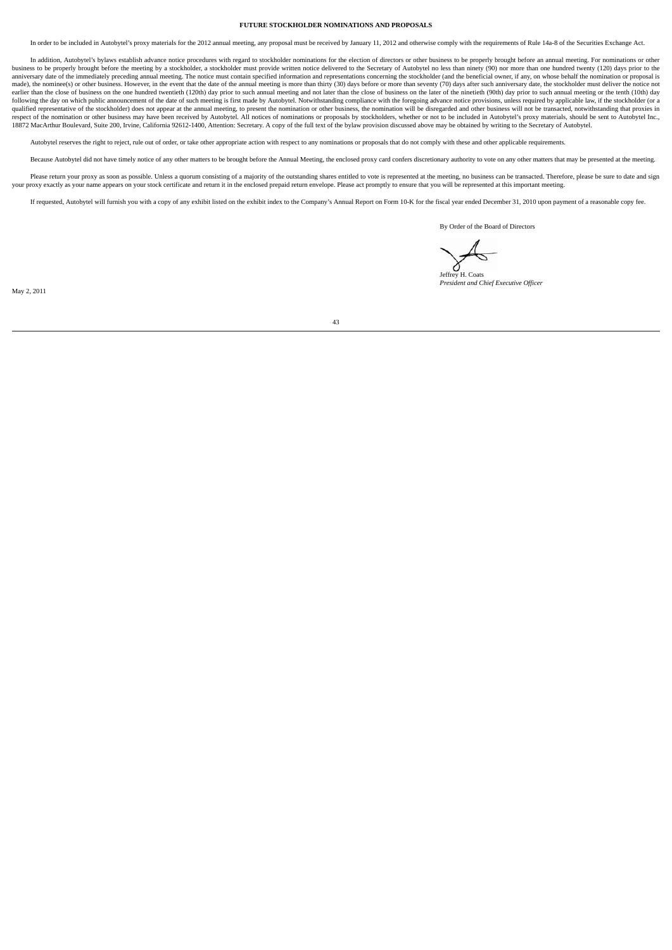## **FUTURE STOCKHOLDER NOMINATIONS AND PROPOSALS**

In order to be included in Autobytel's proxy materials for the 2012 annual meeting, any proposal must be received by January 11, 2012 and otherwise comply with the requirements of Rule 14a-8 of the Securities Exchange Act.

In addition, Autobytel's bylaws establish advance notice procedures with regard to stockholder nominations for the election of directors or other business to be properly brought before an annual meeting. For nominations or business to be properly brought before the meeting by a stockholder, a stockholder must provide written notice delivered to the Secretary of Autobytel no less than ninety (90) nor more than one hundred twenty (120) days pr anniversary date of the immediately preceding annual meeting. The notice must contain specified information and representations concerning the stockholder (and the beneficial owner, if any, on whose behalf the nomination o made), the nominee(s) or other business. However, in the event that the date of the annual meeting is more than thirty (30) days before or more than seventy (70) days after such anniversary date, the stockholder must deliv following the day on which public announcement of the date of such meeting is first made by Autobytel. Notwithstanding compliance with the foregoing advance notice provisions, unless required by applicable law, if the stoc respect of the nomination or other business may have been received by Autobytel. All notices of nominations or proposals by stockholders, whether or not to be included in Autobytel's proxy materials, should be sent to Auto 18872 MacArthur Boulevard, Suite 200, Irvine, California 92612-1400, Attention: Secretary. A copy of the full text of the bylaw provision discussed above may be obtained by writing to the Secretary of Autobytel.

Autobytel reserves the right to reject, rule out of order, or take other appropriate action with respect to any nominations or proposals that do not comply with these and other applicable requirements.

Because Autobytel did not have timely notice of any other matters to be brought before the Annual Meeting the enclosed proxy card confers discretionary authority to yote on any other matters that may be presented at the me

Please return your proxy as soon as possible. Unless a quorum consisting of a majority of the outstanding shares entitled to vote is represented at the meeting, no business can be transacted. Therefore, please be sure to d your proxy exactly as your name appears on your stock certificate and return it in the enclosed prepaid return envelope. Please act promptly to ensure that you will be represented at this important meeting.

If requested, Autobytel will furnish you with a copy of any exhibit listed on the exhibit index to the Company's Annual Report on Form 10-K for the fiscal year ended December 31, 2010 upon payment of a reasonable copy fee.

By Order of the Board of Directors

Jeffrey H. Coats *President and Chief Executive Officer*

May 2, 2011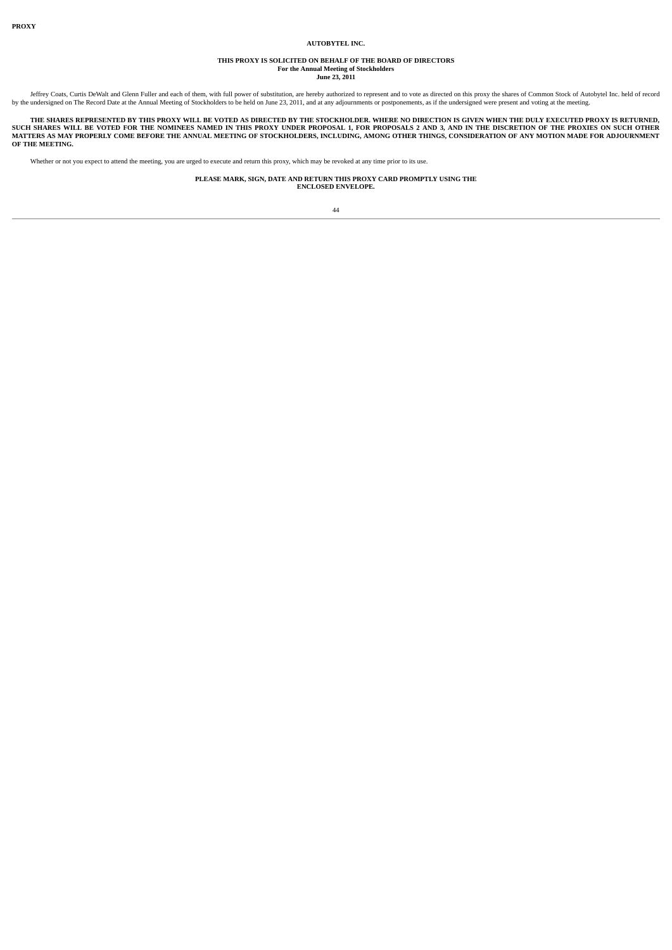#### **AUTOBYTEL INC.**

# **THIS PROXY IS SOLICITED ON BEHALF OF THE BOARD OF DIRECTORS For the Annual Meeting of Stockholders June 23, 2011**

Jeffrey Coats, Curtis DeWalt and Glenn Fuller and each of them, with full power of substitution, are hereby authorized to represent and to vote as directed on this proxy the shares of Common Stock of Autobytel Inc. held of

THE SHARES REPRESENTED BY THIS PROXY WILL BE VOTED AS DIRECTED BY THE STOCKHOLDER. WHERE NO DIRECTION IS GIVEN WHEN THE DULY EXECUTED PROXY IS RETURNED,<br>SUCH SHARES WILL BE VOTED FOR THE NOMINEES NAMED IN THIS PROXY UNDER

Whether or not you expect to attend the meeting, you are urged to execute and return this proxy, which may be revoked at any time prior to its use.

**PLEASE MARK, SIGN, DATE AND RETURN THIS PROXY CARD PROMPTLY USING THE ENCLOSED ENVELOPE.**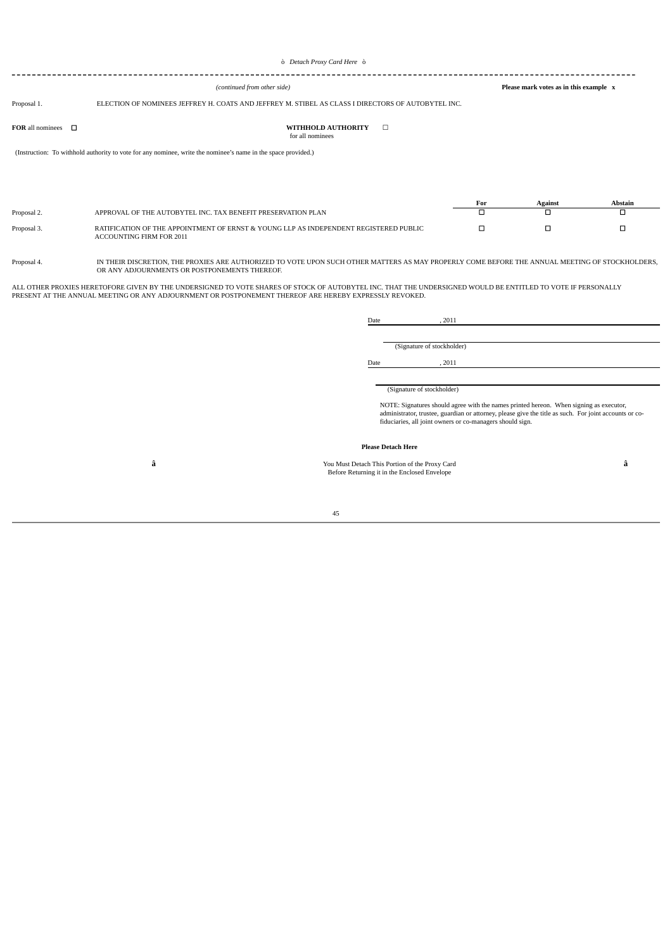#### 

*(continued from other side)* **Please mark votes as in this example x**

# Proposal 1. ELECTION OF NOMINEES JEFFREY H. COATS AND JEFFREY M. STIBEL AS CLASS I DIRECTORS OF AUTOBYTEL INC.

## **FOR** all nominees ☐ **WITHHOLD AUTHORITY** ☐ for all nominees

(Instruction: To withhold authority to vote for any nominee, write the nominee's name in the space provided.)

|             |                                                                                                                   | Against | Abstain |
|-------------|-------------------------------------------------------------------------------------------------------------------|---------|---------|
| Proposal 2. | APPROVAL OF THE AUTOBYTEL INC. TAX BENEFIT PRESERVATION PLAN                                                      |         |         |
| Proposal 3. | RATIFICATION OF THE APPOINTMENT OF ERNST & YOUNG LLP AS INDEPENDENT REGISTERED PUBLIC<br>ACCOUNTING FIRM FOR 2011 |         |         |

Proposal 4. IN THEIR DISCRETION, THE PROXIES ARE AUTHORIZED TO VOTE UPON SUCH OTHER MATTERS AS MAY PROPERLY COME BEFORE THE ANNUAL MEETING OF STOCKHOLDERS, OR ANY ADJOURNMENTS OR POSTPONEMENTS THEREOF

ALL OTHER PROXIES HERETOFORE GIVEN BY THE UNDERSIGNED TO VOTE SHARES OF STOCK OF AUTOBYTEL INC. THAT THE UNDERSIGNED WOULD BE ENTITLED TO VOTE IF PERSONALLY<br>PRESENT AT THE ANNUAL MEETING OR ANY ADJOURNMENT OR POSTPONEMENT

|      | (Signature of stockholder) |  |
|------|----------------------------|--|
| Date | . 2011                     |  |
|      |                            |  |
|      | (Signature of stockholder) |  |

administrator, trustee, guardian or attorney, please give the title as such. For joint accounts or co-fiduciaries, all joint owners or co-managers should sign.

## **Please Detach Here**

**â** You Must Detach This Portion of the Proxy Card **â** Before Returning it in the Enclosed Envelope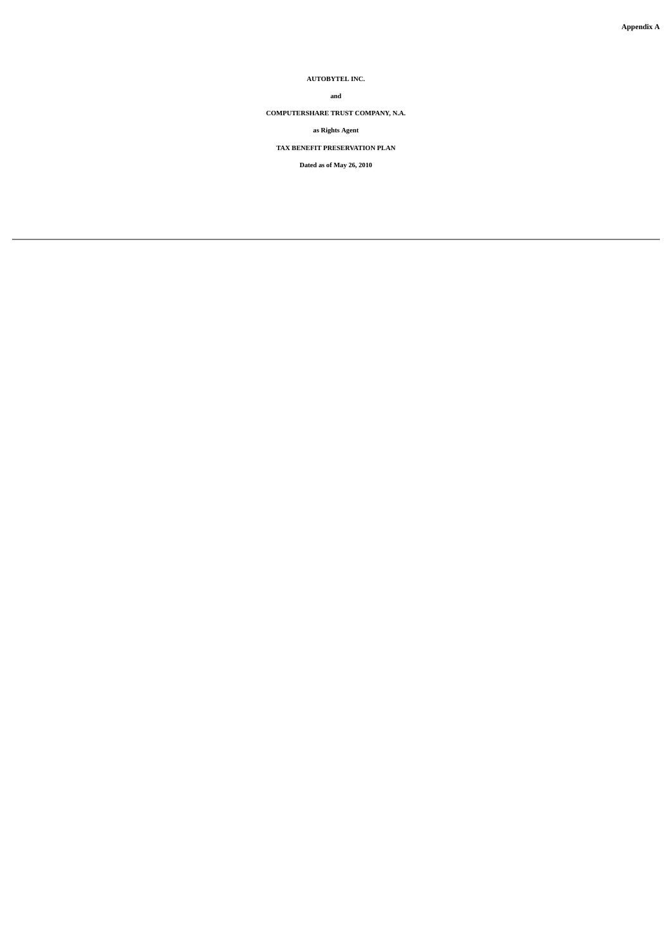**AUTOBYTEL INC.**

# **and**

**COMPUTERSHARE TRUST COMPANY, N.A.**

**as Rights Agent**

**TAX BENEFIT PRESERVATION PLAN**

**Dated as of May 26, 2010**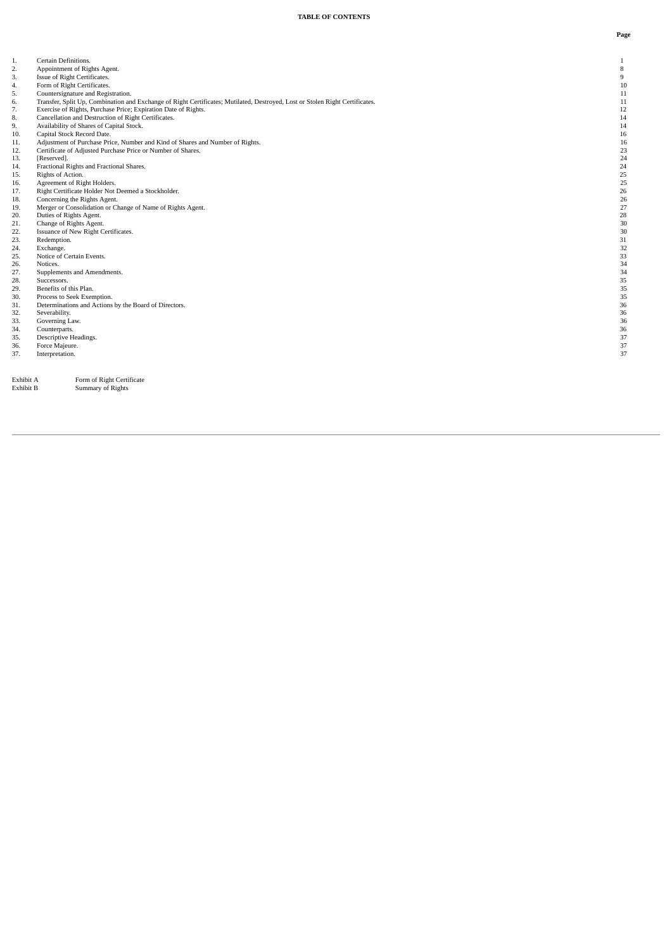| 1.  | Certain Definitions.                                                                                                         | $\mathbf{1}$   |
|-----|------------------------------------------------------------------------------------------------------------------------------|----------------|
| 2.  | Appointment of Rights Agent.                                                                                                 | $\, 8$         |
| 3.  | Issue of Right Certificates.                                                                                                 | $\overline{9}$ |
| 4.  | Form of Right Certificates.                                                                                                  | 10             |
| 5.  | Countersignature and Registration.                                                                                           | 11             |
| 6.  | Transfer, Split Up, Combination and Exchange of Right Certificates; Mutilated, Destroyed, Lost or Stolen Right Certificates. | 11             |
| 7.  | Exercise of Rights, Purchase Price; Expiration Date of Rights.                                                               | 12             |
| 8.  | Cancellation and Destruction of Right Certificates.                                                                          | 14             |
| 9.  | Availability of Shares of Capital Stock.                                                                                     | 14             |
| 10. | Capital Stock Record Date.                                                                                                   | 16             |
| 11. | Adjustment of Purchase Price, Number and Kind of Shares and Number of Rights.                                                | 16             |
| 12. | Certificate of Adjusted Purchase Price or Number of Shares.                                                                  | 23             |
| 13. | [Reserved].                                                                                                                  | 24             |
| 14. | Fractional Rights and Fractional Shares.                                                                                     | 24             |
| 15. | Rights of Action.                                                                                                            | 25             |
| 16. | Agreement of Right Holders.                                                                                                  | 25             |
| 17. | Right Certificate Holder Not Deemed a Stockholder.                                                                           | 26             |
| 18. | Concerning the Rights Agent.                                                                                                 | 26             |
| 19. | Merger or Consolidation or Change of Name of Rights Agent.                                                                   | 27             |
| 20. | Duties of Rights Agent.                                                                                                      | 28             |
| 21. | Change of Rights Agent.                                                                                                      | 30             |
| 22. | Issuance of New Right Certificates.                                                                                          | 30             |
| 23. | Redemption.                                                                                                                  | 31             |
| 24. | Exchange.                                                                                                                    | 32             |
| 25. | Notice of Certain Events.                                                                                                    | 33             |
| 26. | Notices.                                                                                                                     | 34             |
| 27. | Supplements and Amendments.                                                                                                  | 34             |
| 28. | Successors.                                                                                                                  | 35             |
| 29. | Benefits of this Plan.                                                                                                       | 35             |
| 30. | Process to Seek Exemption.                                                                                                   | 35             |
| 31. | Determinations and Actions by the Board of Directors.                                                                        | 36             |
| 32. | Severability.                                                                                                                | 36             |
| 33. | Governing Law.                                                                                                               | 36             |
| 34. | Counterparts.                                                                                                                | 36             |
| 35. | Descriptive Headings.                                                                                                        | 37             |
| 36. | Force Majeure.                                                                                                               | 37             |
| 37. | Interpretation.                                                                                                              | 37             |
|     |                                                                                                                              |                |
|     |                                                                                                                              |                |

Exhibit A<br>Exhibit B

Form of Right Certificate<br>Summary of Rights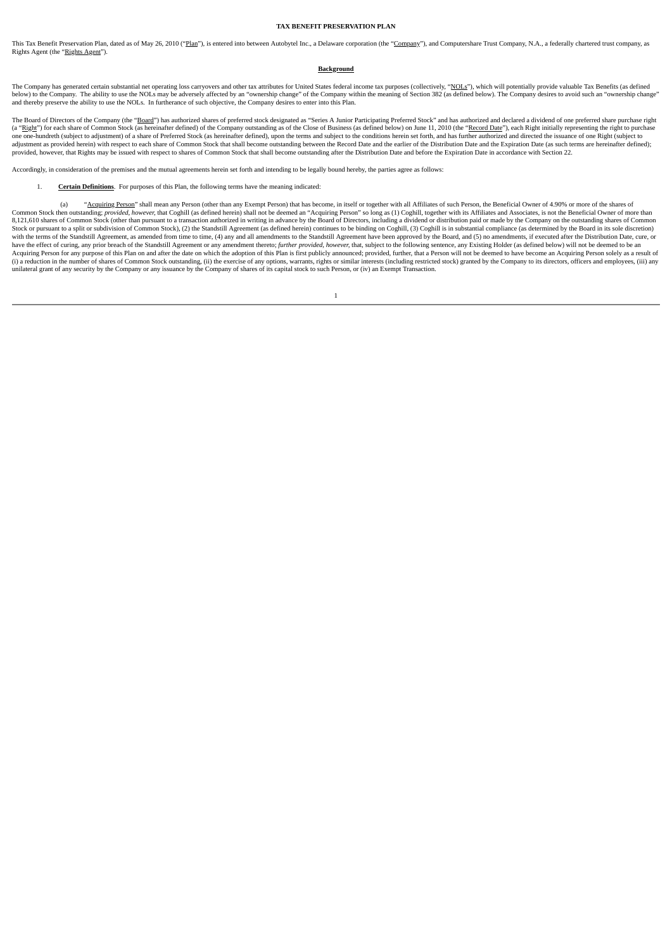#### **TAX BENEFIT PRESERVATION PLAN**

This Tax Benefit Preservation Plan, dated as of May 26, 2010 ("Plan"), is entered into between Autobytel Inc., a Delaware corporation (the "Company"), and Computershare Trust Company, N.A., a federally chartered trust comp Rights Agent (the "Rights Agent").

## **Background**

The Company has generated certain substantial net operating loss carryovers and other tax attributes for United States federal income tax purposes (collectively, "NOLs"), which will potentially provide valuable Tax Benefit below) to the Company. The ability to use the NOLs may be adversely affected by an "ownership change" of the Company within the meaning of Section 382 (as defined below). The Company desires to avoid such an "ownership cha

The Board of Directors of the Company (the "Board") has authorized shares of preferred stock designated as "Series A Junior Participating Preferred Stock" and has authorized and declared a dividend of one preferred share p (a "Right") for each share of Common Stock (as hereinafter defined) of the Company outstanding as of the Close of Business (as defined below) on June 11, 2010 (the "Record Date"), each Right initially representing the righ Concerns and subject to the conditions herein set forth, and has further authorized and directed the issuance of one Right (subject to adjustment) of a share of Preferred Stock (as hereinafter defined), upon the terms and adjustment as provided herein) with respect to each share of Common Stock that shall become outstanding between the Record Date and the earlier of the Distribution Date and the Expiration Date (as such terms are hereinafte provided, however, that Rights may be issued with respect to shares of Common Stock that shall become outstanding after the Distribution Date and before the Expiration Date in accordance with Section 22.

Accordingly, in consideration of the premises and the mutual agreements herein set forth and intending to be legally bound hereby, the parties agree as follows:

1. **Certain Definitions**. For purposes of this Plan, the following terms have the meaning indicated:

(a) "Acquiring Person" shall mean any Person (other than any Exempt Person) that has become, in itself or together with all Affiliates of such Person, the Beneficial Owner of 4.90% or more of the shares of Common Stock then outstanding; *provided, however,* that Coghill (as defined herein) shall not be deemed an "Acquiring Person" so long as (1) Coghill, together with its Affiliates and Associates, is not the Beneficial Owne with the terms of the Standstill Agreement, as amended from time to time, (4) any and all amendments othe Standstill Agreement have been approved by the Board, and (5) no amendments, if executed after the Distribution Date Acquiring Person for any purpose of this Plan on and after the date on which the adoption of this Plan is first publicly announced; provided, further, that a Person will not be deemed to have become an Acquiring Person sol (i) a reduction in the number of shares of Common Stock outstanding, (ii) the exercise of any options, warrants, rights or similar interests (including restricted stock) granted by the Company to its directors, officers an

| ٠ |
|---|
|   |
|   |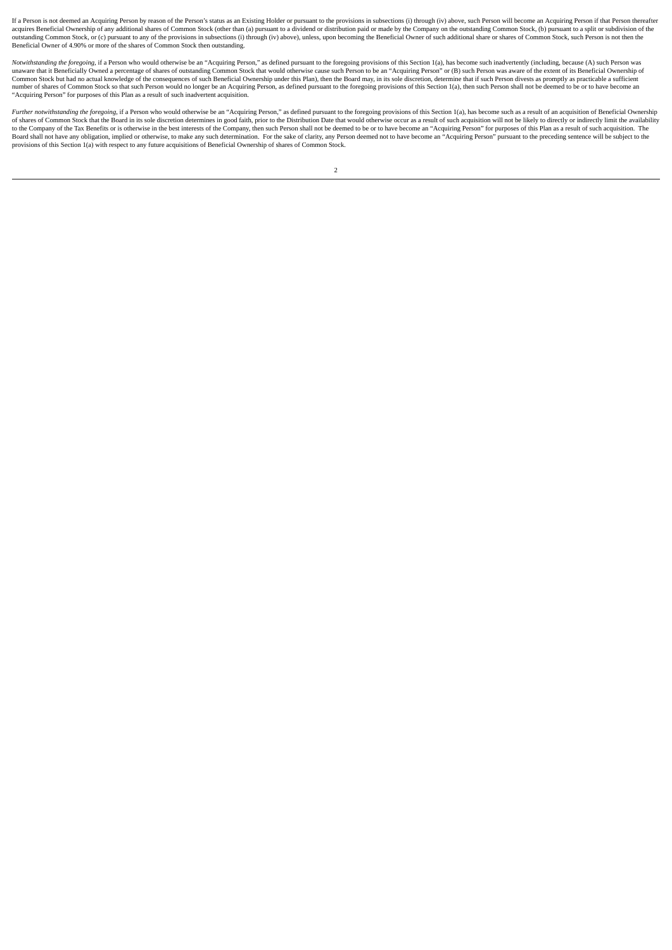If a Person is not deemed an Acquiring Person by reason of the Person's status as an Existing Holder or pursuant to the provisions in subsections (i) through (iv) above, such Person will become an Acquiring Person if that Accelerate the company of the company of the company of the company of the company of the company of the company of the customing Common Stock, (b) pursuant to a split or subdivision of the accelerate of common Stock, (b) outstanding Common Stock, or (c) pursuant to any of the provisions in subsections (i) through (iv) above), unless, upon becoming the Beneficial Owner of such additional share or shares of Common Stock, such Person is not t

Notwithstanding the foregoing, if a Person who would otherwise be an "Acquiring Person," as defined pursuant to the foregoing provisions of this Section 1(a), has become such inadvertently (including, because (A) such Pers Common Stock but had no actual knowledge of the consequences of such Beneficial Ownership under this Plan), then the Board may, in its sole discretion, determine that if such Person divests as promptly as practicable a suf "Acquiring Person" for purposes of this Plan as a result of such inadvertent acquisition.

Further notwithstanding the foregoing, if a Person who would otherwise be an "Acquiring Person," as defined pursuant to the foregoing provisions of this Section 1(a), has become such as a result of an acquisition of Benefi to the Company of the Tax Benefits or is otherwise in the best interests of the Company, then such Person shall not be deemed to be or to have become an "Acquiring Person" for purposes of this Plan as a result of such acqu provisions of this Section 1(a) with respect to any future acquisitions of Beneficial Ownership of shares of Common Stock.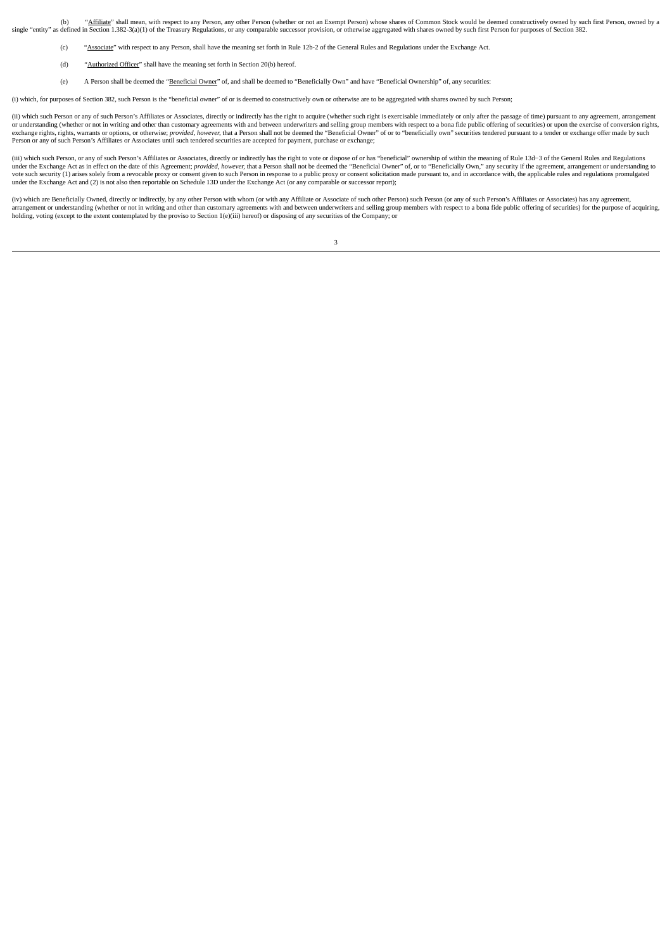(b) "Affiliate" shall mean, with respect to any Person, any other Person (whether or not an Exempt Person) whose shares of Common Stock would be deemed constructively owned by such first Person, owned by a single "entity" as defined in Section 1.382-3(a)(1) of the Treasury Regulations, or any comparable successor provision, or otherwise aggregated with shares owned by such first Person for purposes of Section 382.

- (c) "Associate" with respect to any Person, shall have the meaning set forth in Rule 12b-2 of the General Rules and Regulations under the Exchange Act.
- (d) "Authorized Officer" shall have the meaning set forth in Section 20(b) hereof.
- (e) A Person shall be deemed the "Beneficial Owner" of, and shall be deemed to "Beneficially Own" and have "Beneficial Ownership" of, any securities:

(i) which, for purposes of Section 382, such Person is the "beneficial owner" of or is deemed to constructively own or otherwise are to be aggregated with shares owned by such Person;

(ii) which such Person or any of such Person's Affiliates or Associates, directly or indirectly has the right to acquire (whether such right is exercisable immediately or only after the passage of time) pursuant to any agr or understanding (whether or not in writing and other than customary agreements with and between underwriters and selling group members with respect to a bona fide public offering of securities) or upon the exercise of con Person or any of such Person's Affiliates or Associates until such tendered securities are accepted for payment, purchase or exchange;

(iii) which such Person, or any of such Person's Affiliates or Associates, directly or indirectly has the right to vote or dispose of or has "beneficial" ownership of within the meaning of Rule 13d-3 of the General Rules a under the Exchange Act as in effect on the date of this Agreement; provided, however, that a Person shall not be deemed the "Beneficial Owner" of, or to "Beneficially Own," any security if the agreement, arrangement or und vote such security (1) arises solely from a revocable proxy or consent given to such Person in response to a public proxy or consent solicitation made pursuant to, and in accordance with, the applicable rules and regulatio under the Exchange Act and (2) is not also then reportable on Schedule 13D under the Exchange Act (or any comparable or successor report);

(iv) which are Beneficially Owned, directly or indirectly, by any other Person with whom (or with any Affiliate or Associate of such other Person) such Person (or any of such Person's Affiliates or Associates) has any agre arrangement or understanding (whether or not in writing and other than customary agreements with and between underwriters and selling group members with respect to a bona fide public offering of securities) for the purpose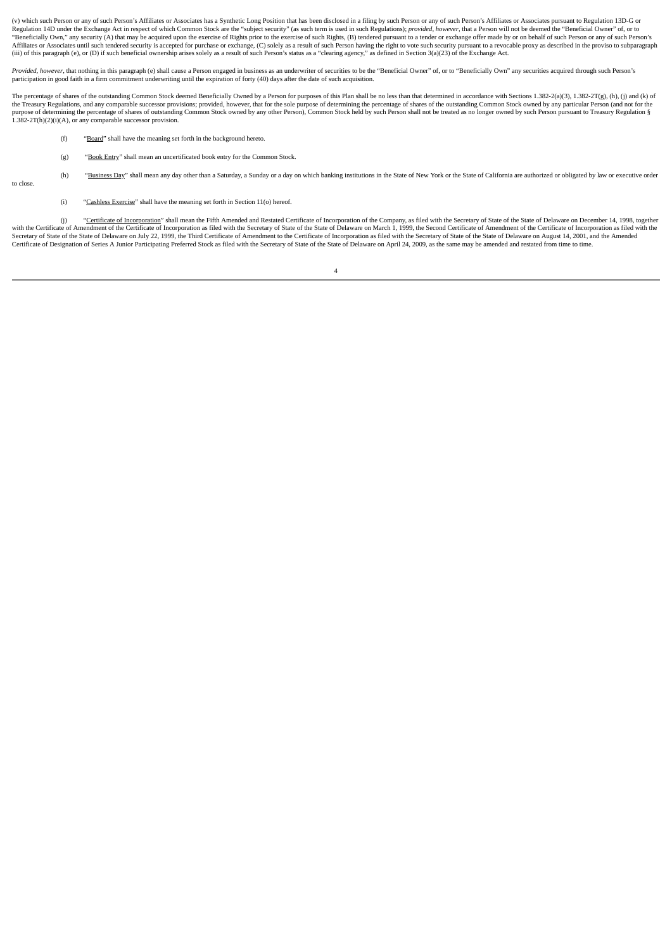(v) which such Person or any of such Person's Affiliates or Associates has a Synthetic Long Position that has been disclosed in a filing by such Person or any of such Person's Affiliates or Associates pursuant to Regulatio (explation 14D under the Exchange Act in respect of which Common Stock are the "subject security" (as such term is used in such a may be an a security provided, however, that a Person will not be deemed the "Beneficial Own "Beneficially Own," any security (A) that may be acquired upon the exercise of Rights prior to the exercise of such Reghts, (B) tendered pursuant to a tender or exchange offer made by or on behalf of such Person or any of (iii) of this paragraph (e), or (D) if such beneficial ownership arises solely as a result of such Person's status as a "clearing agency," as defined in Section 3(a)(23) of the Exchange Act.

Provided, however, that nothing in this paragraph (e) shall cause a Person engaged in business as an underwriter of securities to be the "Beneficial Owner" of, or to "Beneficially Own" any securities acquired through such participation in good faith in a firm commitment underwriting until the expiration of forty (40) days after the date of such acquisition.

The percentage of shares of the outstanding Common Stock deemed Beneficially Owned by a Person for purposes of this Plan shall be no less than that determined in accordance with Sections 1 382-2/a(3) 1 382-27(a) (h) (i) an the Treasury Regulations, and any comparable successor provisions; provided, however, that for the sole purpose of determining the percentage of shares of the outstanding Common Stock owned by any particular Person (and no

- (f) "Board" shall have the meaning set forth in the background hereto.
- (g) "Book Entry" shall mean an uncertificated book entry for the Common Stock.
- (h) "Business Day" shall mean any day other than a Saturday, a Sunday or a day on which banking institutions in the State of New York or the State of California are authorized or obligated by law or executive order
- to close
- (i) "Cashless Exercise" shall have the meaning set forth in Section 11(o) hereof.

(j) "Certificate of Incorporation" shall mean the Fifth Amended and Restated Certificate of Incorporation of the Company, as filed with the Secretary of State of the State of Delaware on December 14, 1998, together swith t Secretary of State of the State of Delaware on July 22, 1999, the Third Certificate of Amendment to the Certificate of Incorporation as filed with the Secretary of State of the State of Delaware on August 14, 2001, and the Certificate of Designation of Series A Junior Participating Preferred Stock as filed with the Secretary of State of the State of Delaware on April 24, 2009, as the same may be amended and restated from time to time.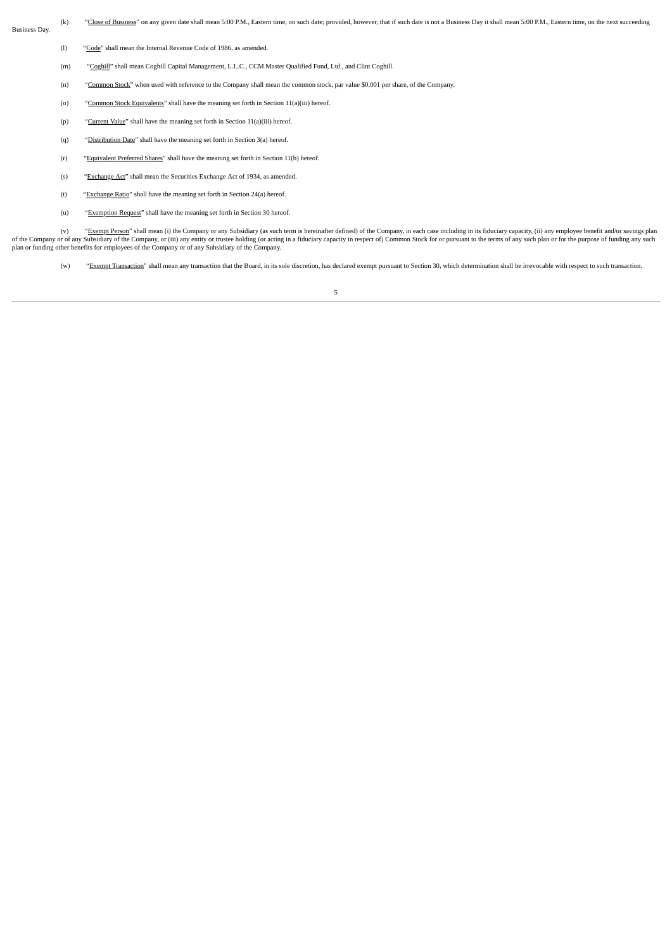Business Day.

(k) "Close of Business" on any given date shall mean 5:00 P.M., Eastern time, on such date; provided, however, that if such date is not a Business Day it shall mean 5:00 P.M., Eastern time, on the next succeeding

- (l) "Code" shall mean the Internal Revenue Code of 1986, as amended.
- (m) "Coghill" shall mean Coghill Capital Management, L.L.C., CCM Master Qualified Fund, Ltd., and Clint Coghill.
- (n) "Common Stock" when used with reference to the Company shall mean the common stock, par value \$0.001 per share, of the Company.
- (o) "Common Stock Equivalents" shall have the meaning set forth in Section 11(a)(iii) hereof.
- (p) "Current Value" shall have the meaning set forth in Section 11(a)(iii) hereof.
- (q) "Distribution Date" shall have the meaning set forth in Section 3(a) hereof.
- (r) "Equivalent Preferred Shares" shall have the meaning set forth in Section 11(b) hereof.
- (s) "Exchange Act" shall mean the Securities Exchange Act of 1934, as amended.
- (t) "Exchange Ratio" shall have the meaning set forth in Section 24(a) hereof.
- (u) "Exemption Request" shall have the meaning set forth in Section 30 hereof.

(v) "Exempt Person" shall mean (i) the Company or any Subsidiary (as such term is hereinafter defined) of the Company, in each case including in its fiduciary capacity, (ii) any employee benefit and/or savings plan of the Company or of any Subsidiary of the Company, or (iii) any entity or trustee holding (or acting in a fiduciary capacity in respect of) Common Stock for or pursuant to the terms of any such plan or for the purpose of

(w) "Exempt Transaction" shall mean any transaction that the Board, in its sole discretion, has declared exempt pursuant to Section 30, which determination shall be irrevocable with respect to such transaction.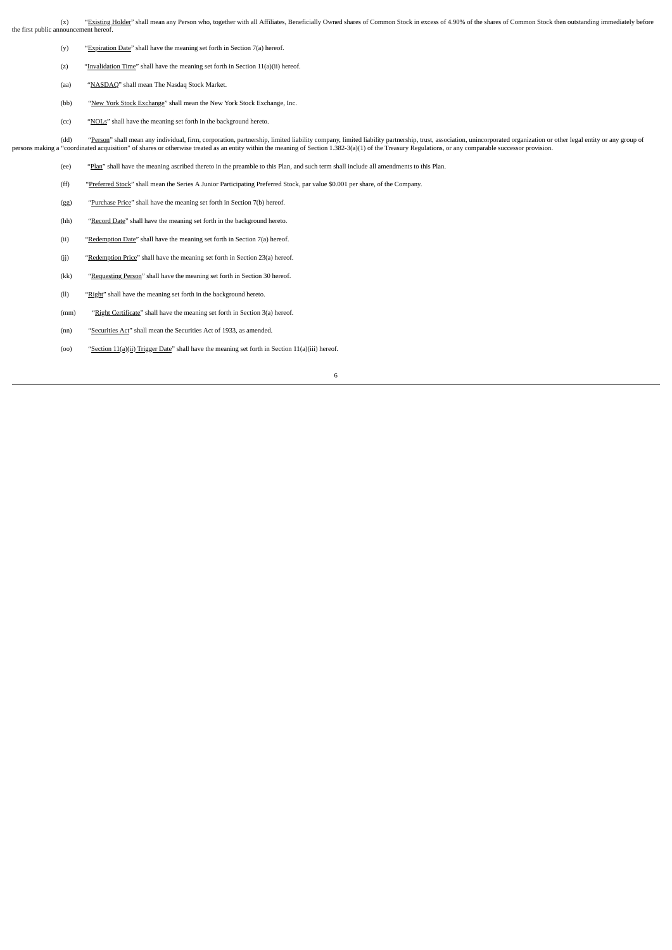(x) "Existing Holder" shall mean any Person who, together with all Affiliates, Beneficially Owned shares of Common Stock in excess of 4.90% of the shares of Common Stock then outstanding immediately before the first public announcement hereof.

- (y) "Expiration Date" shall have the meaning set forth in Section 7(a) hereof.
- (z) "Invalidation Time" shall have the meaning set forth in Section 11(a)(ii) hereof.
- (aa) "NASDAQ" shall mean The Nasdaq Stock Market.
- (bb) "New York Stock Exchange" shall mean the New York Stock Exchange, Inc.
- (cc) "NOLs" shall have the meaning set forth in the background hereto.

(dd) "Person" shall mean any individual, firm, corporation, partnership, limited liability company, limited liability partnership, trust, association, unincorporated organization or other legal entity or any group of persons making a "coordinated acquisition" of shares or otherwise treated as an entity within the meaning of Section 1.382-3(a)(1) of the Treasury Regulations, or any comparable successor provision.

(ee) "Plan" shall have the meaning ascribed thereto in the preamble to this Plan, and such term shall include all amendments to this Plan.

- (ff) "Preferred Stock" shall mean the Series A Junior Participating Preferred Stock, par value \$0.001 per share, of the Company.
- (gg) "Purchase Price" shall have the meaning set forth in Section 7(b) hereof.
- (hh) "Record Date" shall have the meaning set forth in the background hereto.
- (ii) "Redemption Date" shall have the meaning set forth in Section 7(a) hereof.
- (jj) "Redemption Price" shall have the meaning set forth in Section 23(a) hereof.
- (kk) "Requesting Person" shall have the meaning set forth in Section 30 hereof.
- (ll) "Right" shall have the meaning set forth in the background hereto.
- (mm) "Right Certificate" shall have the meaning set forth in Section 3(a) hereof.
- (nn) "Securities Act" shall mean the Securities Act of 1933, as amended.
- (oo) "Section 11(a)(ii) Trigger Date" shall have the meaning set forth in Section 11(a)(iii) hereof.
	- 6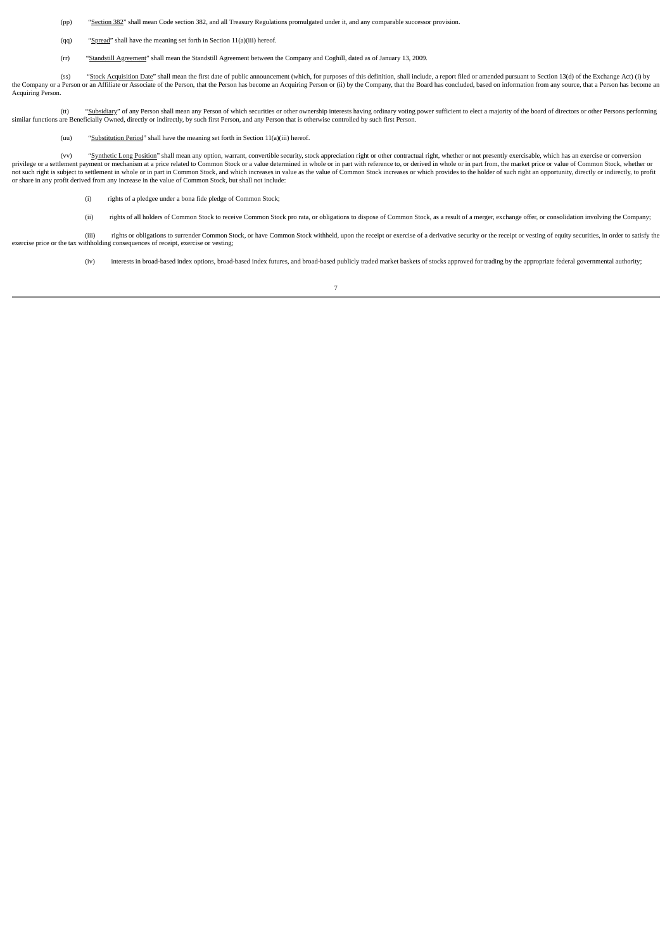(pp) "Section 382" shall mean Code section 382, and all Treasury Regulations promulgated under it, and any comparable successor provision.

- (qq) "Spread" shall have the meaning set forth in Section 11(a)(iii) hereof.
- (rr) "Standstill Agreement" shall mean the Standstill Agreement between the Company and Coghill, dated as of January 13, 2009.

(ss) "Stock Acquisition Date" shall mean the first date of public announcement (which, for purposes of this definition, shall include, a report filed or amended pursuant to Section 13(d) of the Exchange Act) (i) by the Company or a Person or an Affiliate or Associate of the Person, that the Person has become an Acquiring Person or (ii) by the Company, that the Board has concluded, based on information from any source, that a Person h Acquiring Person.

(tt) "Subsidiary" of any Person shall mean any Person of which securities or other ownership interests having ordinary voting power sufficient to elect a majority of the board of directors or other Persons performing similar functions are Beneficially Owned, directly or indirectly, by such first Person, and any Person that is otherwise controlled by such first Person.

(uu) "Substitution Period" shall have the meaning set forth in Section 11(a)(iii) hereof.

(vv) "Synthetic Long Position" shall mean any option, warrant, convertible security, stock appreciation right or other contractual right, whether or not presently exercisable, which has an exercise or conversion privilege or a settlement payment or mechanism at a price related to Common Stock or a value determined in whole or in part with reference to, or derived in whole or in part from, the market price or value of Common Stock, or share in any profit derived from any increase in the value of Common Stock, but shall not include:

- (i) rights of a pledgee under a bona fide pledge of Common Stock;
- (ii) rights of all holders of Common Stock to receive Common Stock pro rata, or obligations to dispose of Common Stock, as a result of a merger, exchange offer, or consolidation involving the Company;

(iii) rights or obligations to surrender Common Stock, or have Common Stock withheld, upon the receipt or geercise of a derivative security or the receipt or vesting of equity securities, in order to satisfy the exercise price or the tax withholding consequences of receipt, exercise or vesting;

(iv) interests in broad-based index options, broad-based index futures, and broad-based publicly traded market baskets of stocks approved for trading by the appropriate federal governmental authority;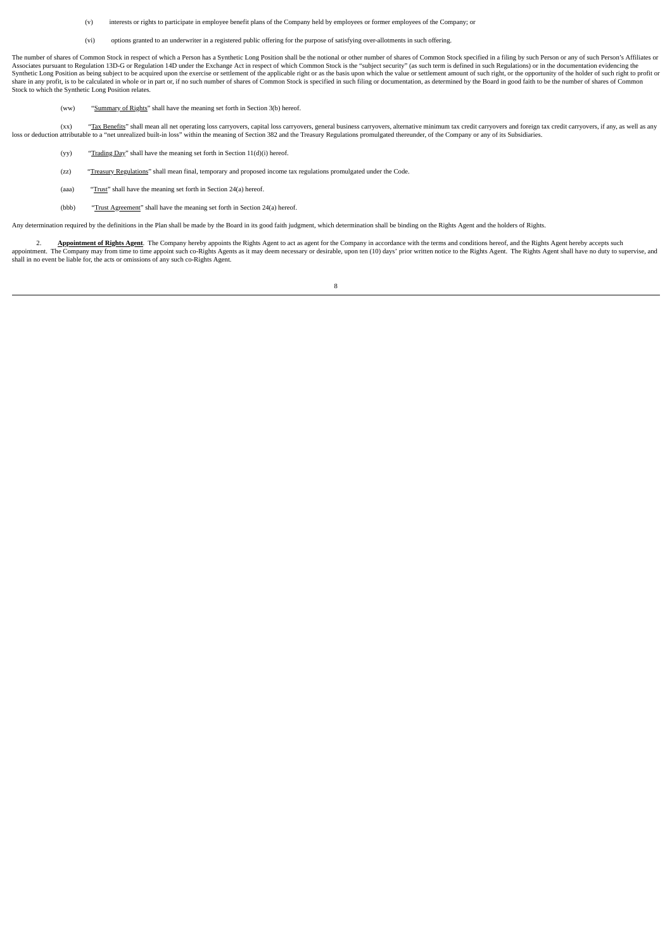(v) interests or rights to participate in employee benefit plans of the Company held by employees or former employees of the Company; or

(vi) options granted to an underwriter in a registered public offering for the purpose of satisfying over-allotments in such offering.

The number of shares of Common Stock in respect of which a Person has a Synthetic Long Position shall be the notional or other number of shares of Common Stock specified in a filing by such Person or any of such Person's A Associates pursuant to Regulation 13D-G or Regulation 14D under the Exchange Act in respect of which Common Stock is the "subject security" (as such term is defined in such Regulations) or in the documentation evidencing t share in any profit, is to be calculated in whole or in part or, if no such number of shares of Common Stock is specified in such filing or documentation, as determined by the Board in good faith to be the number of shares Stock to which the Synthetic Long Position relates.

(ww) "Summary of Rights" shall have the meaning set forth in Section 3(b) hereof.

(xx) "Tax Benefits" shall mean all net operating loss carryovers, capital loss carryovers, general business carryovers, alternative minimum tax credit carryovers and foreign tax credit carryovers, if any, as well as any loss or deduction attributable to a "net unrealized built-in loss" within the meaning of Section 382 and the Treasury Regulations promulgated thereunder, of the Company or any of its Subsidiaries.

- (yy) "Trading Day" shall have the meaning set forth in Section  $11(d)(i)$  hereof.
- (zz) "Treasury Regulations" shall mean final, temporary and proposed income tax regulations promulgated under the Code.
- (aaa) "Trust" shall have the meaning set forth in Section 24(a) hereof.
- (bbb) "Trust Agreement" shall have the meaning set forth in Section 24(a) hereof.

Any determination required by the definitions in the Plan shall be made by the Board in its good faith judgment, which determination shall be binding on the Rights Agent and the holders of Rights.

2. Appointment of Rights Agent. The Company hereby appoints the Rights Agent to act as agent for the Company in accordance with the terms and conditions hereof, and the Rights Agent hereby accepts such appointment. The Company may from time to time appoint such co-Rights Agents as it may deem necessary or desirable, upon ten (10) days' prior written notice to the Rights Agent. The Rights Agent shall have no duty to super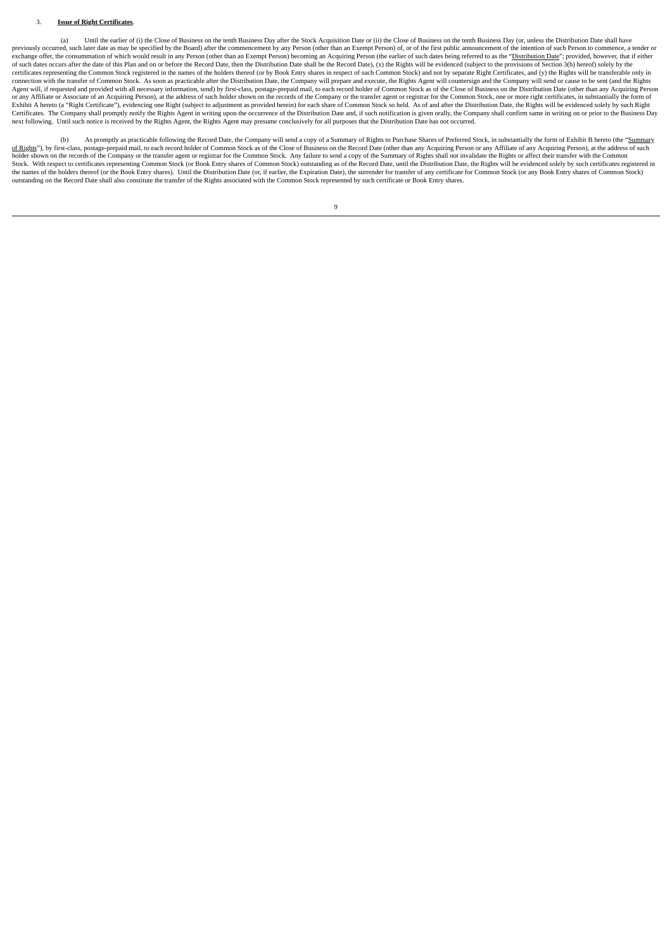### 3. **Issue of Right Certificates**.

(a) Until the earlier of (i) the Close of Business on the tenth Business Day after the Stock Acquisition Date or (ii) the Close of Business on the tenth Business Day (or, unless the Distribution Date shall have previously occurred, such later date as may be specified by the Board) after the commencement by any Person (other than an Exempt Person) of, or of the first public announcement of the intention of such Person to commence, exchange offer, the consummation of which would result in any Person (other than an Exempt Person) becoming an Acquiring Person (the earlier of such dates being referred to as the "Distribution Date"; provided, however, th of such dates occurs after the date of this Plan and on or before the Record Date, then the Distribution Date shall be the Record Date). (x) the Rights will be evidenced (subject to the provisions of Section 3(h) hereof) s certificates representing the Common Stock registered in the names of the holders thereof (or by Book Entry shares in respect of such Common Stock) and not by separate Right Certificates, and (y) the Rights will be transfe connection with the transfer of Common Stock. As soon as practicable after the Distribution Date, the Company will prepare and execute, the Rights Agent will countersign and the Company will send or cause to be sent (and t or any Affiliate or Associate of an Acquiring Person), at the address of such holder shown on the records of the Company or the transfer agent or registrar for the Common Stock, one or more right certificates, in substanti Certificates. The Company shall promptly notify the Rights Agent in writing upon the occurrence of the Distribution Date and, if such notification is given orally, the Company shall confirm same in writing on or prior to t

(b) As promptly as practicable following the Record Date, the Company will send a copy of a Summary of Rights to Purchase Shares of Preferred Stock, in substantially the form of Exhibit B hereto (the "Summary <u>of Rights</u>"), by first-class, postage-prepaid mail, to each record holder of Common Stock as of the Close of Business on the Record Date (other than any Acquiring Person or any Affiliate of any Acquiring Person), at the a Stock. With respect to certificates representing Common Stock (or Book Entry shares of Common Stock) outstanding as of the Record Date, until the Distribution Date, the Rights will be evidenced solely by such certificates outstanding on the Record Date shall also constitute the transfer of the Rights associated with the Common Stock represented by such certificate or Book Entry shares.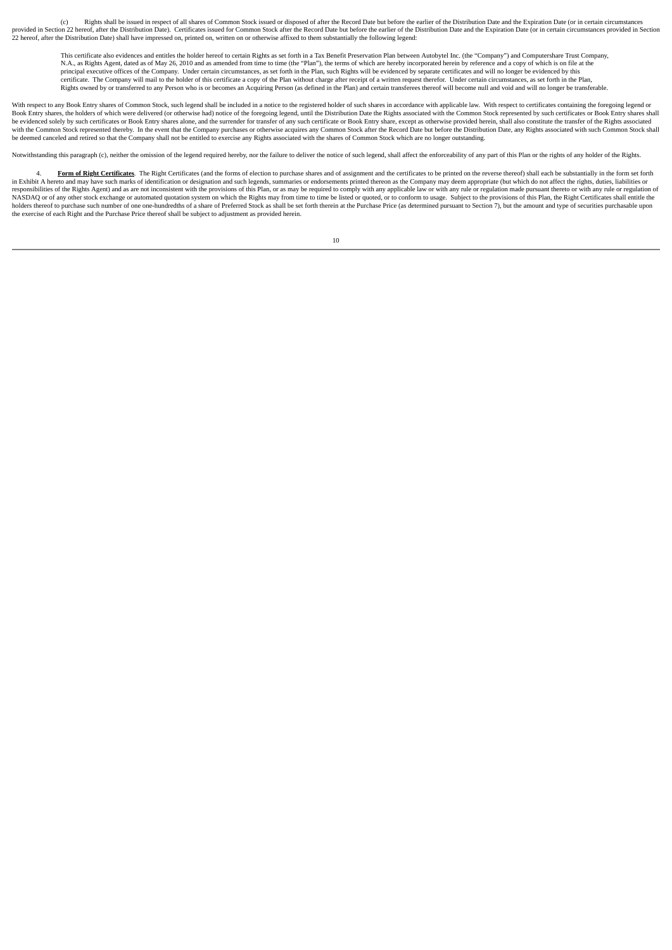(c) Rights shall be issued in respect of all shares of Common Stock issued or disposed of after the Record Date but before the earlier of the Distribution Date and the Expiration Date (or in certain circums provided in Section 22 hereof. after the Distribution Date). Certificates issued for Common Stock after the Record Date but before the earlier of the Distribution Date and the Expiration Date (or in certain circumstances p 22 hereof, after the Distribution Date) shall have impressed on, printed on, written on or otherwise affixed to them substantially the following legend:

This certificate also evidences and entitles the holder hereof to certain Rights as set forth in a Tax Benefit Preservation Plan between Autobytel Inc. (the "Company") and Computershare Trust Company, N.A., as Rights Agent, dated as of May 26, 2010 and as amended from time to time (the "Plan"), the terms of which are hereby incorporated herein by reference and a copy of which is on file at the principal executive offices of the Company. Under certain circumstances, as set forth in the Plan, such Rights will be evidenced by separate certificates and will no longer be evidenced by this<br>certificate. The Company wil Rights owned by or transferred to any Person who is or becomes an Acquiring Person (as defined in the Plan) and certain transferees thereof will become null and void and will no longer be transferable.

With respect to any Book Entry shares of Common Stock, such legend shall be included in a notice to the registered holder of such shares in accordance with applicable law. With respect to certificates containing the forego Book Entry shares, the holders of which were delivered (or otherwise had) notice of the foregoing legend, until the Distribution Date the Rights associated with the Common Stock represented by such certificates or Book Ent se concerned the exercise of the exercise of the exercise of the exercise of the second parameters of the exercise and Common Stock after the Record Date but before the Distribution Date, any Rights associated with such Co be deemed canceled and retired so that the Company shall not be entitled to exercise any Rights associated with the shares of Common Stock which are no longer outstanding.

Notwithstanding this paragraph (c), neither the omission of the legend required hereby, nor the failure to deliver the notice of such legend, shall affect the enforceability of any part of this Plan or the rights of any ho

4. **Form of Right Certificates**. The Right Certificates (and the forms of election to purchase shares and of assignment and the certificates to be printed on the reverse thereof) shall each be substantially in the form set responsibilities of the Rights Agent) and as are not inconsistent with the provisions of this Plan, or as may be required to comply with any applicable law or with any rule or regulation made pursuant thereto or with any r notes thereof to purchase such number of one one-hundredths of a share of Preferred Stock as shall be set forth therein at the Purchase Price (as determined pursuant to Section 7), but the amount and type of securities pur the exercise of each Right and the Purchase Price thereof shall be subject to adjustment as provided herein.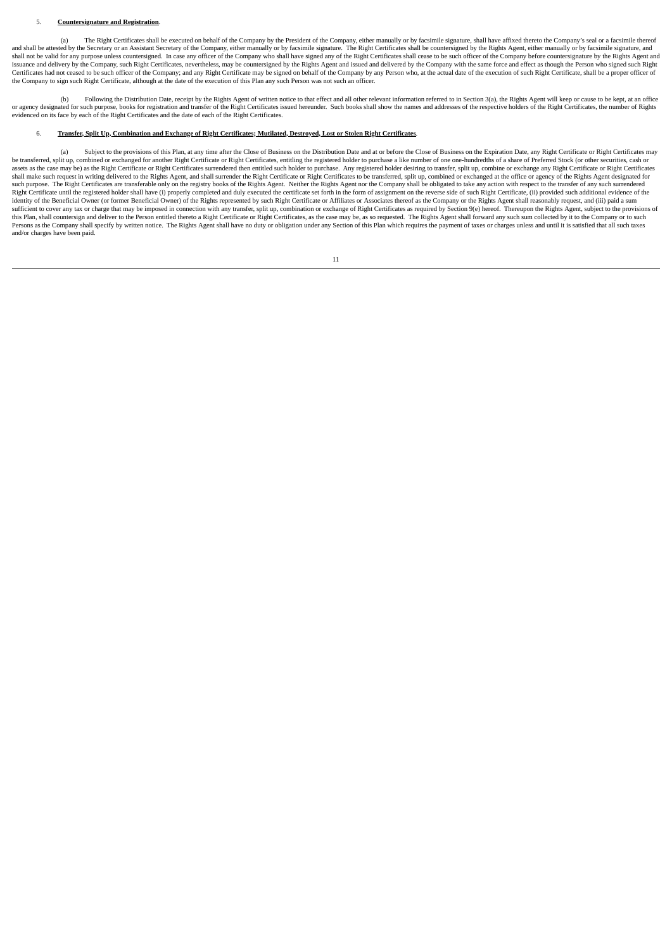## 5. **Countersignature and Registration**.

(a) The Right Certificates shall be executed on behalf of the Company by the President of the Company, either manually or by facsimile signature, shall have affixed thereto the Company's seal or a facsimile thereof (a) The shall not be valid for any purpose unless countersigned. In case any officer of the Company who shall have signed any of the Right Certificates shall cease to be such officer of the Company before countersignature by the R issuance and delivery by the Company, such Right Certificates, nevertheless, may be countersigned by the Rights Agent and issued and delivered by the Company with the same force and effect as though the Person who signed s Certificates had not ceased to be such officer of the Company; and any Right Certificate may be signed on behalf of the Company by any Person who, at the actual date of the execution of such Right Certificate, shall be a p the Company to sign such Right Certificate, although at the date of the execution of this Plan any such Person was not such an officer.

(b) Following the Distribution Date, receipt by the Rights Agent of written notice to that effect and all other relevant information referred to in Section 3(a), the Rights Agent will keep or cause to be kept, at an office or agency designated for such purpose, books for registration and transfer of the Right Certificates issued hereunder. Such books shall show the names and addresses of the respective holders of the Right Certificates, the

## 6. Transfer, Split Up, Combination and Exchange of Right Certificates: Mutilated, Destroved, Lost or Stolen Right Certificates.

Subject to the provisions of this Plan, at any time after the Close of Business on the Distribution Date and at or before the Close of Business on the Expiration Date, any Right Certificate or Right Certificates may be transferred, split up, combined or exchanged for another Right Certificate or Right Certificates, entitling the registered holder to purchase a like number of one one-hundredths of a share of Preferred Stock (or other s shall make such request in writing delivered to the Rights Agent, and shall surrender the Right Certificate or Right Certificates to be transferred, split up, combined or exchanged at the office or agency of the Rights Age Right Certificate until the registered holder shall have (i) properly completed and duly executed the certificate set forth in the form of assignment on the reverse side of such Right Certificate, (ii) provided such additi identity of the Beneficial Owner (or former Beneficial Owner) of the Rights represented by such Right Certificate or Affiliates or Associates thereof as the Company or the Rights Agent shall reasonably request, and (iii) p sufficient to cover any tax or charge that may be imposed in connection with any transfer, split up, combination or exchange of Right Certificates as required by Section 9(e) hereof. Thereupon the Rights Agent, subject to this Plan, shall countersign and deliver to the Person entitled thereto a Right Certificate or Right Certificates, as the case may be, as so requested. The Rights Agent shall forward any such sum collected by it to the Com and/or charges have been paid.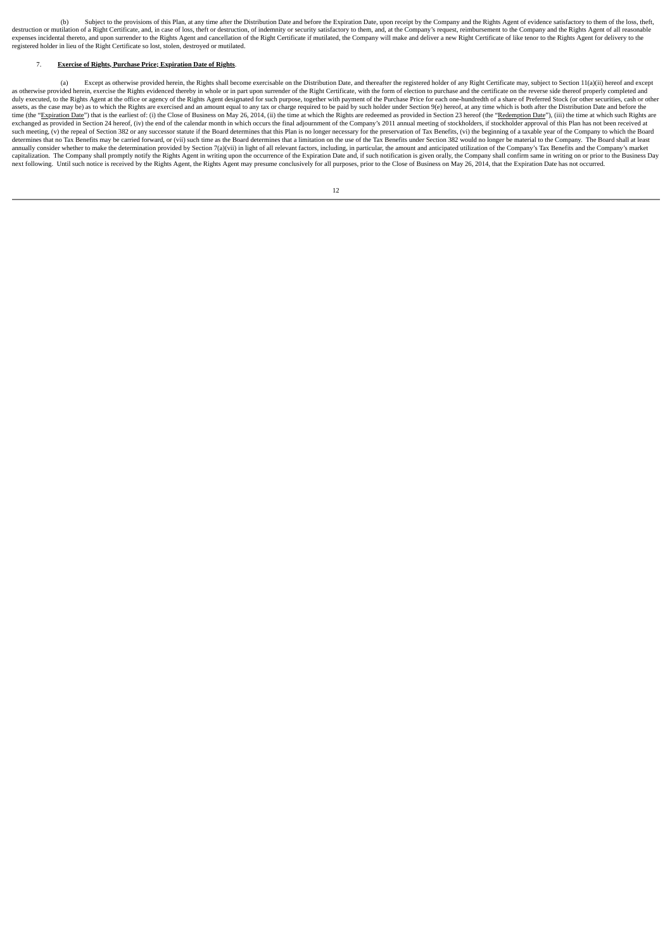(b) Subject to the provisions of this Plan, at any time after the Distribution Date and before the Expiration Date, upon receipt by the Company and the Rights Agent of evidence satisfactory to them of the loss, theft, dest expenses incidental thereto, and upon surrender to the Rights Agent and cancellation of the Right Certificate if mutilated, the Company will make and deliver a new Right Certificate of like tenor to the Rights Agent for de registered holder in lieu of the Right Certificate so lost, stolen, destroyed or mutilated.

### 7. **Exercise of Rights, Purchase Price; Expiration Date of Rights**.

(a) Except as otherwise provided herein, the Rights shall become exercisable on the Distribution Date, and thereafter the registered holder of any Right Certificate may, subject to Section 11(a)(ii) hereof and except as otherwise provided herein, exercise the Rights evidenced thereby in whole or in part upon surrender of the Right Certificate, with the form of election to purchase and the certificate on the reverse side thereof properl and the Case may be) as to which the Rights are exercised and an amount equal to any tax or charge required to be paid by such holder under Section 9(e) hereof, at any time which is both after the Distribution Date and bef time (the "Expiration Date") that is the earliest of: (i) the Close of Business on May 26, 2014, (ii) the time at which the Rights are redeemed as provided in Section 23 hereof (the "Redemption Date"), (iii) the time at wh exchanged as provided in Section 24 hereof, (iv) the end of the calendar month in which occurs the final adjournment of the Company's 2011 annual meeting of stockholders, if stockholder approval of this Plan has not been r such meeting, (v) the repeal of Section 382 or any successor statute if the Board determines that this Plan is no longer necessary for the preservation of Tax Benefits, (vi) the beginning of a taxable year of the Company t annually consider whether to make the determination provided by Section 7(a)(vii) in light of all relevant factors, including, in particular, the amount and anticipated utilization of the Company's Tax Benefits and the Com next following. Until such notice is received by the Rights Agent, the Rights Agent may presume conclusively for all purposes, prior to the Close of Business on May 26, 2014, that the Expiration Date has not occurred.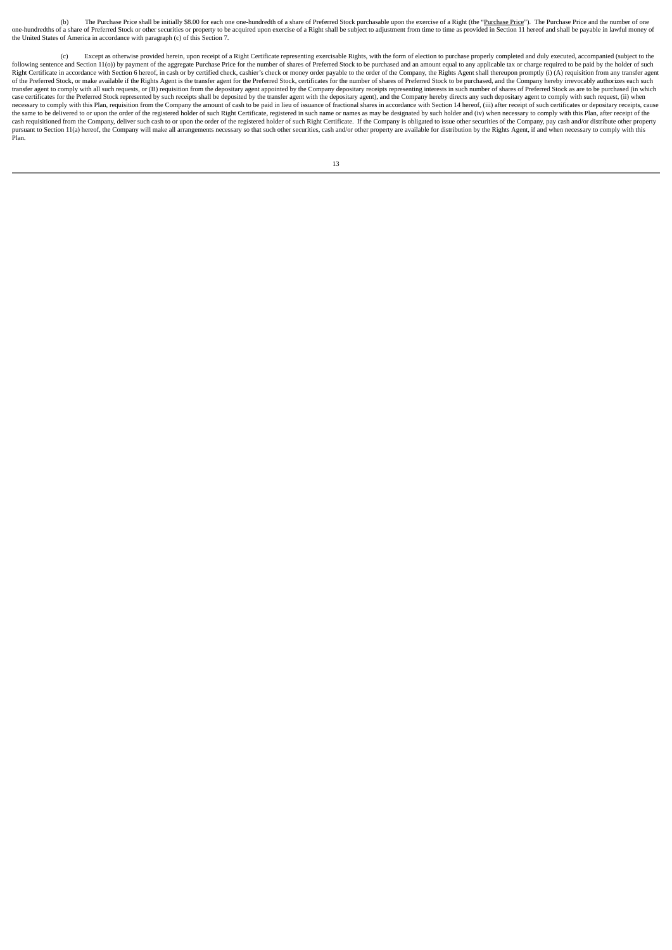(b) The Purchase Price shall be initially \$8.00 for each one one-hundredth of a share of Preferred Stock purchasable upon the exercise of a Right (the "<u>Purchase Price</u>"). The Purchase Price and the number of one one one o the United States of America in accordance with paragraph (c) of this Section 7.

(c) Except as otherwise provided herein, upon receipt of a Right Certificate representing exercisable Rights, with the form of election to purchase properly completed and duly executed, accompanied (subject to the following sentence and Section 11(o)) by payment of the aggregate Purchase Price for the number of shares of Preferred Stock to be purchased and an amount equal to any applicable tax or charge required to be paid by the ho transfer agent to comply with all such requests, or (B) requisition from the depositary agent appointed by the Company depositary receipts representing interests in such number of shares of Preferred Stock as are to be pur the same to be delivered to or upon the order of the registered holder of such Right Certificate, registered in such name or names as may be designated by such holder and (iv) when necessary to comply with this Plan, after expression of the Company will make all arrangements necessary so that such other securities, cash and/or other property are available for distribution by the Rights Agent, if and when necessary to comply with this Plan.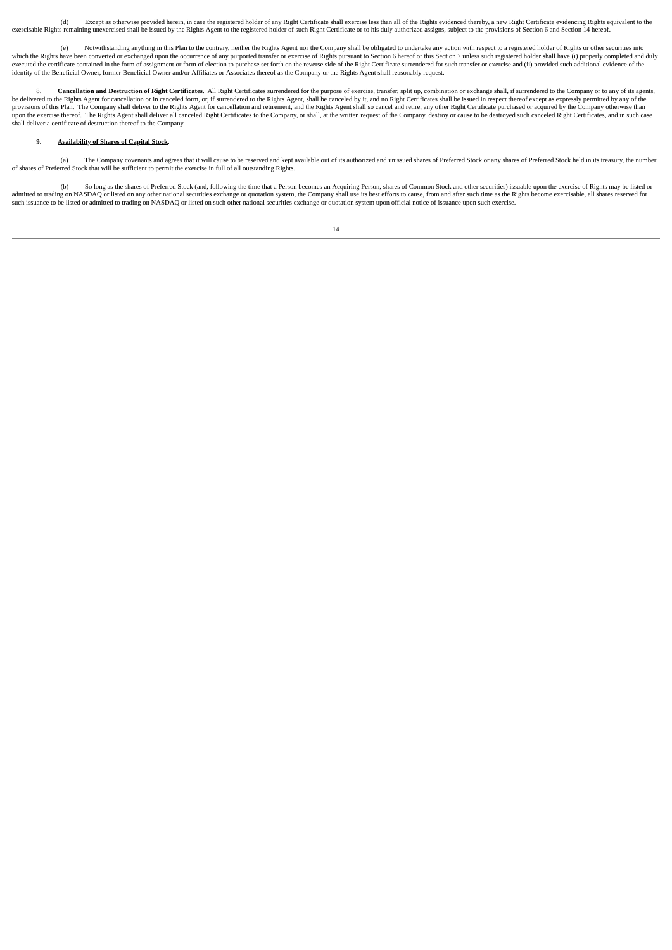(d) Except as otherwise provided herein, in case the registered holder of any Right Certificate shall exercise less than all of the Rights evidenced thereby, a new Right Certificate evidencing Rights equivalent to the exercisable Rights remaining unexercised shall be issued by the Rights Agent to the registered holder of such Right Certificate or to his duly authorized assigns, subject to the provisions of Section 6 and Section 14 hereof.

(e) Notwithstanding anything in this Plan to the contrary, neither the Rights Agent nor the Company shall be obligated to undertake any action with respect to a registered holder of Rights or other securities into which the Rights have been converted or exchanged upon the occurrence of any purported transfer or exercise of Rights pursuant to Section 6 hereof or this Section 7 unless such registered holder shall have (i) properly com

8. **Cancellation and Destruction of Right Certificates**. All Right Certificates surrendered for the purpose of exercise, transfer, split up, combination or exchange shall, if surrendered to the Company or to any of its age shall deliver a certificate of destruction thereof to the Company.

# **9. Availability of Shares of Capital Stock**.

(a) The Company covenants and agrees that it will cause to be reserved and kept available out of its authorized and unissued shares of Preferred Stock or any shares of Preferred Stock held in its treasury, the number<br>of sh

(b) So long as the shares of Preferred Stock (and, following the time that a Person becomes an Acquiring Person, shares of Common Stock and other securities) issuable upon the exercise of Rights may be listed or admitted to trading on NASDAQ or listed on any other national securities exchange or quotation system, the Company shall use its best efforts to cause, from and after such time as the Rights become exercisable, all shares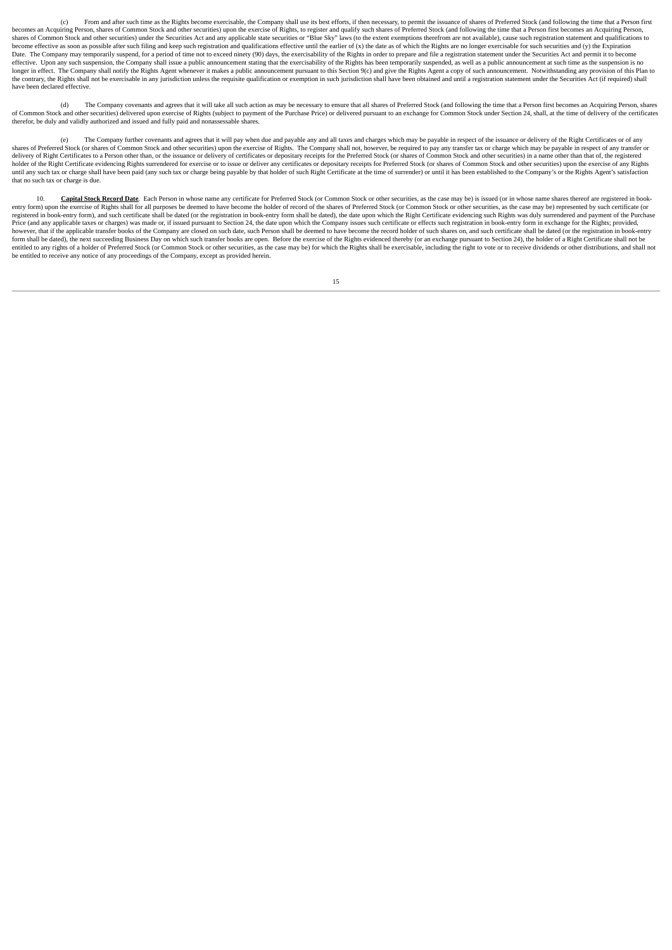(c) From and after such time as the Rights become exercisable, the Company shall use its best efforts, if then necessary, to permit the issuance of shares of Preferred Stock (and following the time that a Person first becomes an Acquiring Person, shares of Common Stock and other securities) upon the exercise of Rights, to register and qualify such shares of Preferred Stock (and following the time that a Person first becomes an Acquiring shares of Common Stock and other securities) under the Securities Act and any applicable state securities or "Blue Sky" laws (to the extent exemptions therefrom are not available), cause such registration statement and qua become effective as soon as possible after such filing and keep such registration and qualifications effective until the earlier of (x) the date as of which the Rights are no longer exercisable for such securities and (y) Date. The Company may temporarily suspend, for a period of time not to exceed ninety (90) days, the exercisability of the Rights in order to prepare and file a registration statement under the Securities Act and permit it effective. Upon any such suspension, the Company shall issue a public announcement stating that the exercisability of the Rights has been temporarily suspended, as well as a public announcement at such time as the suspensi the contrary, the Rights shall not be exercisable in any jurisdiction unless the requisite qualification or exemption in such jurisdiction shall have been obtained and until a registration statement under the Securities Ac have been declared effective.

(d) The Company covenants and agrees that it will take all such action as may be necessary to ensure that all shares of Preferred Stock (and following the time that a Person first becomes an Acquiring Person, shares of Common Stock and other securities) delivered upon exercise of Rights (subject to payment of the Purchase Price) or delivered pursuant to an exchange for Common Stock under Section 24, shall, at the time of delivery of t

(e) The Company further covenants and agrees that it will pay when due and payable any and all taxes and charges which may be payable in respect of the issuance or delivery of the Right Certificates or of any shares of Preferred Stock (or shares of Common Stock and other securities) upon the exercise of Rights. The Company shall not, however, be required to pay any transfer tax or charge which may be payable in respect of any t holder of the Right Certificate evidencing Rights surrendered for exercise or to issue or deliver any certificates or depositary receipts for Preferred Stock (or shares of Common Stock and other securities) upon the exerci until any such tax or charge shall have been paid (any such tax or charge being payable by that holder of such Right Certificate at the time of surrender) or until it has been established to the Company's or the Rights Age that no such tax or charge is due.

10. **Capital Stock Record Date**. Each Person in whose name any certificate for Preferred Stock (or Common Stock or other securities, as the case may be) is issued (or in whose name shares thereof are registered in book-<br>en registered in book-entry form), and such certificate shall be dated (or the registration in book-entry form shall be dated), the date upon which the Right Certificate evidencing such Rights was duly surrendered and payment Price (and any applicable taxes or charges) was made or, if issued pursuant to Section 24, the date upon which the Company issues such certificate or effects such registration in book-entry form in exchange for the Rights; however, that if the applicable transfer books of the Company are closed on such date, such Person shall be deemed to have become the record holder of such shares on, and such certificate shall be dated (or the registratio form shall be dated), the next succeeding Business Day on which such transfer books are open. Before the exercise of the Rights evidenced thereby (or an exchange pursuant to Section 24), the holder of a Right Certificate s be entitled to receive any notice of any proceedings of the Company, except as provided herein.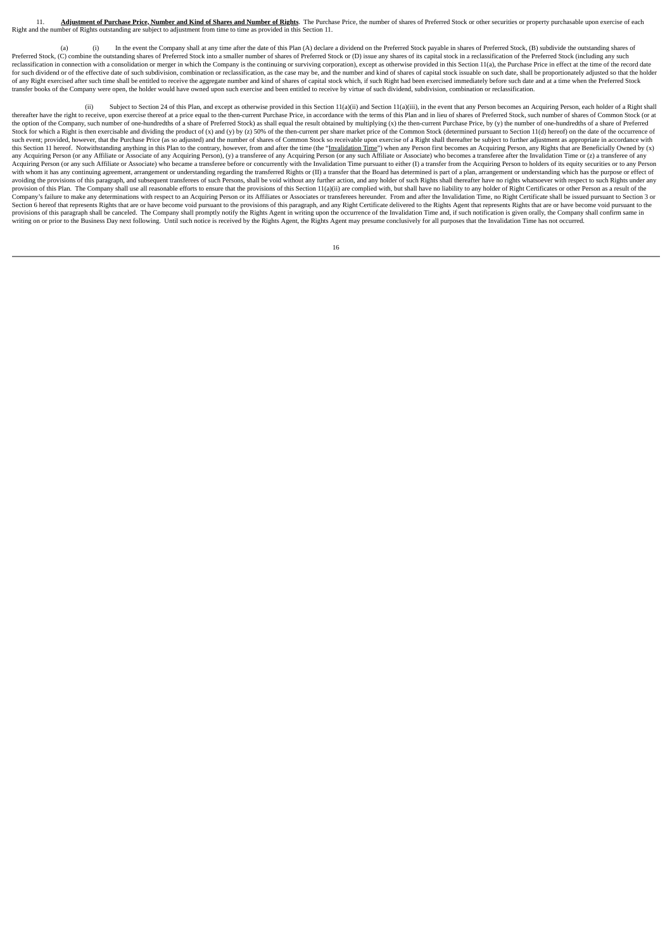Adjustment of Purchase Price, Number and Kind of Shares and Number of Rights. The Purchase Price, the number of shares of Preferred Stock or other securities or property purchasable upon exercise of each Right and the number of Rights outstanding are subject to adjustment from time to time as provided in this Section 11.

In the event the Company shall at any time after the date of this Plan (A) declare a dividend on the Preferred Stock payable in shares of Preferred Stock, (B) subdivide the outstanding shares of Preferred Stock, (C) combine the outstanding shares of Preferred Stock into a smaller number of shares of Preferred Stock or (D) issue any shares of is capital stock in a reclassification of the Preferred Stock (including reclassification in connection with a consolidation or merger in which the Company is the continuing or surviving corporation), except as otherwise provided in this Section 11(a), the Purchase Price in effect at the time o for such dividend or of the effective date of such subdivision, combination or reclassification, as the case may be, and the number and kind of shares of capital stock issuable on such date, shall be proportionately adjust of any Right exercised after such time shall be entitled to receive the aggregate number and kind of shares of capital stock which, if such Right had been exercised immediately before such date and at a time when the Prefe transfer books of the Company were open, the holder would have owned upon such exercise and been entitled to receive by virtue of such dividend, subdivision, combination or reclassification.

(ii) Subject to Section 24 of this Plan, and except as otherwise provided in this Section 11(a)(ii) and Section 11(a)(iii), in the event that any Person becomes an Acquiring Person, each holder of a Right shall thereafter have the right to receive, upon exercise thereof at a price equal to the then-current Purchase Price, in accordance with the terms of this Plan and in lieu of shares of Preferred Stock, such number of shares of the option of the Company, such number of one-hundredths of a share of Preferred Stock) as shall equal the result obtained by multiplying (x) the then-current Purchase Price, by (y) the number of one-hundredths of a share Stock for which a Right is then exercisable and dividing the product of (x) and (y) by (z) 50% of the then-current per share market price of the Common Stock (determined pursuant to Section 11(d) hereof) on the date of the this Section 11 hereof. Notwithstanding anything in this Plan to the contrary, however, from and after the time (the "<u>Invalidation Time</u>") when any Person first becomes an Acquiring Person, any Rights that are Beneficiall Acquiring Person (or any such Affiliate or Associate) who became a transferee before or concurrently with the Invalidation Time pursuant to either (I) a transfer from the Acquiring Person to holders of its equity securitie with whom it has any continuing agreement arrangement or understanding regarding the transferred Rights or (II) a transfer that the Board has determined is part of a plan, arrangement or understanding which has the purpose and the provisions of this paragraph, and subsequent transferees of such Persons, shall be void without any further action, and any holder of such Rights shall thereafter have no rights whatsoever with respect to such Righ provision of this Plan. The Company shall use all reasonable efforts to ensure that the provisions of this Section 11(a)(ii) are complied with, but shall have no liability to any holder of Right Certificates or other Perso Section 6 hereof that represents Rights that are or have become void pursuant to the provisions of this paragraph, and any Right Certificate delivered to the Rights Agent that represents Rights that are or have become void writing on or prior to the Business Day next following. Until such notice is received by the Rights Agent, the Rights Agent may presume conclusively for all purposes that the Invalidation Time has not occurred.

|  | × |  |
|--|---|--|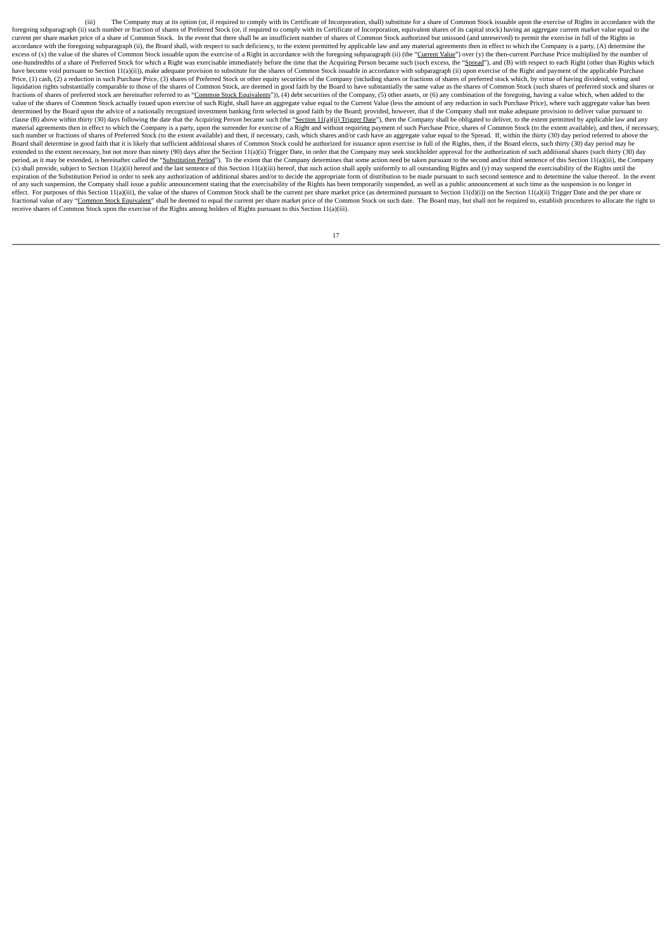(iii) The Company may at its option (or, if required to comply with its Certificate of Incorporation, shall) substitute for a share of Common Stock issuable upon the exercise of Rights in accordance with the foregoing subparagraph (ii) such number or fraction of shares of Preferred Stock (or, if required to comply with its Certificate of Incorporation, equivalent shares of its capital stock) having an aggregate current market accordance with the foregoing subparagraph (ii), the Board shall, with respect to such deficiency, to the extent permitted by applicable law and any material agreements then in effect to which the Company is a party, (A) d one-hundredths of a share of Preferred Stock for which a Right was exercisable immediately before the time that the Acquiring Person became such (such excess, the "Spread"), and (B) with respect to each Right (other than R have become void pursuant to Section 11(a)(ii)), make adequate provision to substitute for the shares of Common Stock issuable in accordance with subparagraph (ii) upon exercise of the Right and payment of the applicable P Price, (1) cash, (2) a reduction in such Purchase Price, (3) shares of Preferred Stock or other equity securities of the Company (including shares or fractions of shares of preferred stock which, by virtue of having divide liquidation rights substantially comparable to those of the shares of Common Stock, are deemed in good faith by the Board to have substantially the same value as the shares of Common Stock (such shares of preferred stock a fractions of shares of preferred stock are hereinafter referred to as "Common Stock Equivalents")), (4) debt securities of the Company, (5) other assets, or (6) any combination of the foregoing, having a value which, when value of the shares of Common Stock actually issued upon exercise of such Right, shall have an aggregate value equal to the Current Value (less the amount of any reduction in such Purchase Price), where such aggregate valu clause (B) above within thirty (30) days following the date that the Acquiring Person became such (the "Section 11(a)(ii) Trigger Date"), then the Company shall be obligated to deliver, to the extent permitted by applicabl material agreements then in effect to which the Company is a party, upon the surrender for exercise of a Right and without requiring payment of such Purchase Price, shares of Common Stock (to the extent available), and the Board shall determine in good faith that it is likely that sufficient additional shares of Common Stock could be authorized for issuance upon exercise in full of the Rights, then, if the Board elects, such thirty (30) day extended to the extent necessary, but not more than ninety (90) days after the Section 11(a)(ii) Trigger Date, in order that the Company may seek stockholder approval for the authorization of such additional shares (such t period, as it may be extended, is hereinafter called the "<u>Substitution Period</u>"). To the extent that the Company determines that some action need be taken pursuant to the second and/or third sentence of this Section 11(a) expiration of the Substitution Period in order to seek any authorization of additional shares and/or to decide the appropriate form of distribution to be made pursuant to such second sentence and to determine the value the of any such suspension, the Company shall issue a public announcement stating that the exercisability of the Rights has been temporarily suspended, as well as a public announcement at such time as the suspension is no lon effect. For purposes of this Section 11(a)(iii), the value of the shares of Common Stock shall be the current per share market price (as determined pursuant to Section 11(d)(i)) on the Section 11(a)(ii) Trigger Date and th fractional value of any "Common Stock Equivalent" shall be deemed to equal the current per share market price of the Common Stock on such date. The Board may, but shall not be required to, establish procedures to allocate receive shares of Common Stock upon the exercise of the Rights among holders of Rights pursuant to this Section 11(a)(iii).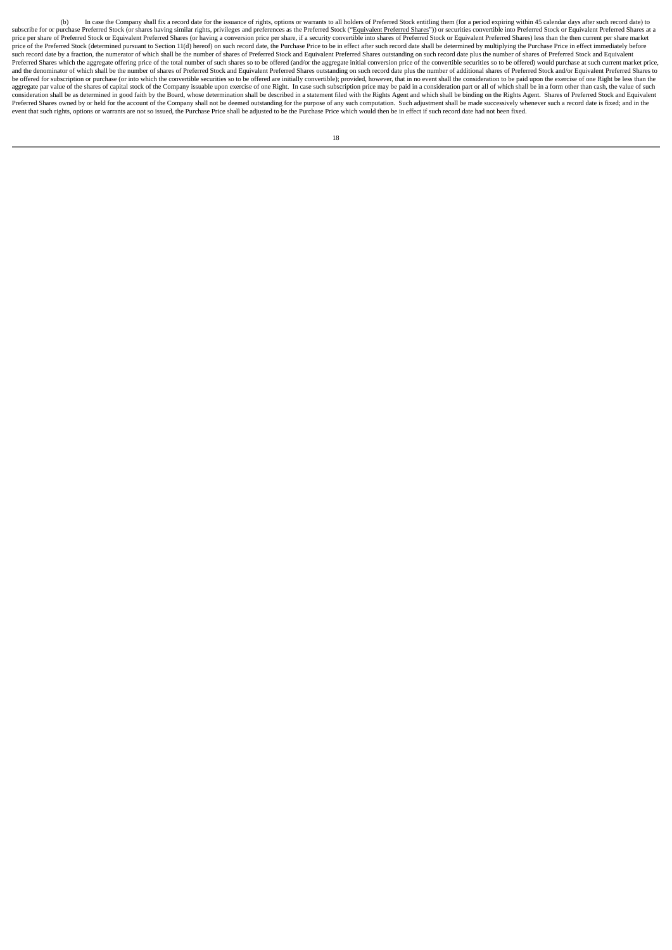(b) In case the Company shall fix a record date for the issuance of rights, options or warrants to all holders of Preferred Stock entitling them (for a period expiring within 45 calendar days after such record date) to subscribe for or purchase Preferred Stock (or shares having similar rights, privileges and preferences as the Preferred Stock ("<u>Equivalent Preferred Shares</u>")) or securities convertible into Preferred Stock or Equivalent price of the Preferred Stock (determined pursuant to Section 11(d) hereof) on such record date, the Purchase Price to be in effect after such record date shall be determined by multiplying the Purchase Price in effect imme such record date by a fraction, the numerator of which shall be the number of shares of Preferred Stock and Equivalent Preferred Shares outstanding on such record date plus the number of shares of Preferred Stock and Equiv Preferred Shares which the aggregate offering price of the total number of such shares so to be offered (and/or the aggregate initial conversion price of the convertible securities so to be offered) would purchase at such be offered for subscription or purchase (or into which the convertible securities so to be offered are initially convertible); provided, however, that in no event shall the consideration to be paid upon the exercise of one consideration shall be as determined in good faith by the Board, whose determination shall be described in a statement filed with the Rights Agent and which shall be binding on the Rights Agent. Shares of Preferred Stock a Preferred Shares owned by or held for the account of the Company shall not be deemed outstanding for the purpose of any such computation. Such adjustment shall be made successively whenever such a record date is fixed; and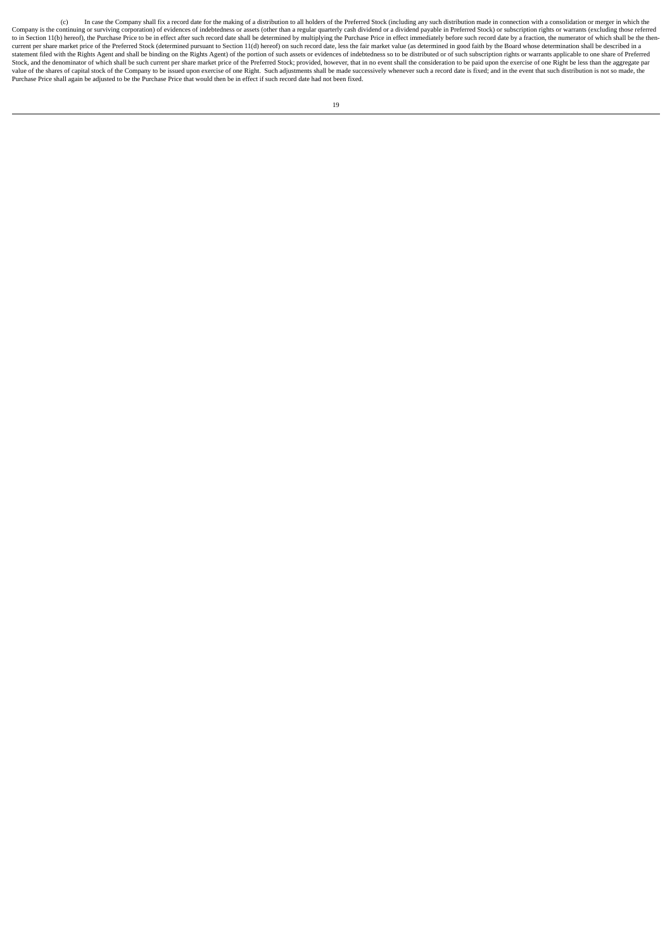(c) In case the Company shall fix a record date for the making of a distribution to all holders of the Preferred Stock (including any such distribution made in connection with a consolidation or merger in which the Company is the continuing or surviving corporation) of evidences of indebtedness or assets (other than a regular quarterly cash dividend or a dividend payable in Preferred Stock) or subscription rights or warrants (excludi current per share market price of the Preferred Stock (determined pursuant to Section 11(d) hereof) on such record date, less the fair market value (as determined in good faith by the Board whose determination shall be des Stock, and the denominator of which shall be such current per share market price of the Preferred Stock; provided, however, that in no event shall the consideration to be paid upon the exercise of one Right be less than th Purchase Price shall again be adjusted to be the Purchase Price that would then be in effect if such record date had not been fixed.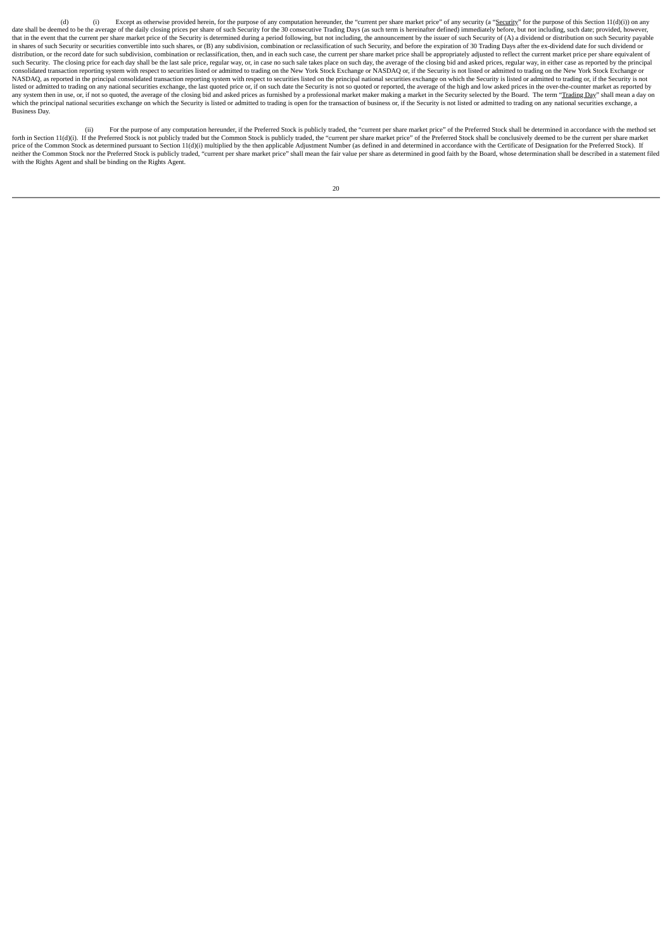(d) Except as otherwise provided herein, for the purpose of any computation hereunder, the "current per share market price" of any security (a "Security" for the purpose of this Section 11(d)(i)) on any date shall be deemed to be the average of the daily closing prices per share of such Security for the 30 consecutive Trading Days (as such term is hereinafter defined) immediately before, but not including, such date; prov in shares of such Security or securities convertible into such shares, or (B) any subdivision, combination or reclassification of such Security, and before the expiration of 30 Trading Days after the ex-dividend date for s Marinola or the record date for such subdivision, combination or reclassification, then, and in each such case, the current per share market price shall be appropriately adjusted to reflect the current market price per sha such Security. The closing price for each day shall be the last sale price, regular way, or, in case no such sale takes place on such day, the average of the closing bid and asked prices, regular way, in either case as rep NASDAQ, as reported in the principal consolidated transaction reporting system with respect to securities listed on the principal national securities exchange on which the Security is listed or admitted to trading or, if t listed or admitted to trading on any national securities exchange the last quoted price or if on such date the Security is not so quoted or reported the average of the high and low asked prices in the over-the-counter mark and y system then in use, or, if not so quoted, the average of the closing bid and asked prices as furnished by a professional market making a market in the Security selected by the Board. The term "Trading Day" shall mean which the principal national securities exchange on which the Security is listed or admitted to trading is open for the transaction of business or, if the Security is not listed or admitted to trading on any national secur

(ii) For the purpose of any computation hereunder, if the Preferred Stock is publicly traded, the "current per share market price" of the Preferred Stock shall be determined in accordance with the method set forth in Section 11(d)(i). If the Preferred Stock is not publicly traded but the Common Stock is publicly traded, the "current per share market price" of the Preferred Stock shall be conclusively deemed to be the current p neither the Common Stock nor the Preferred Stock is publicly traded, "current per share market price" shall mean the fair value per share as determined in good faith by the Board, whose determination shall be described in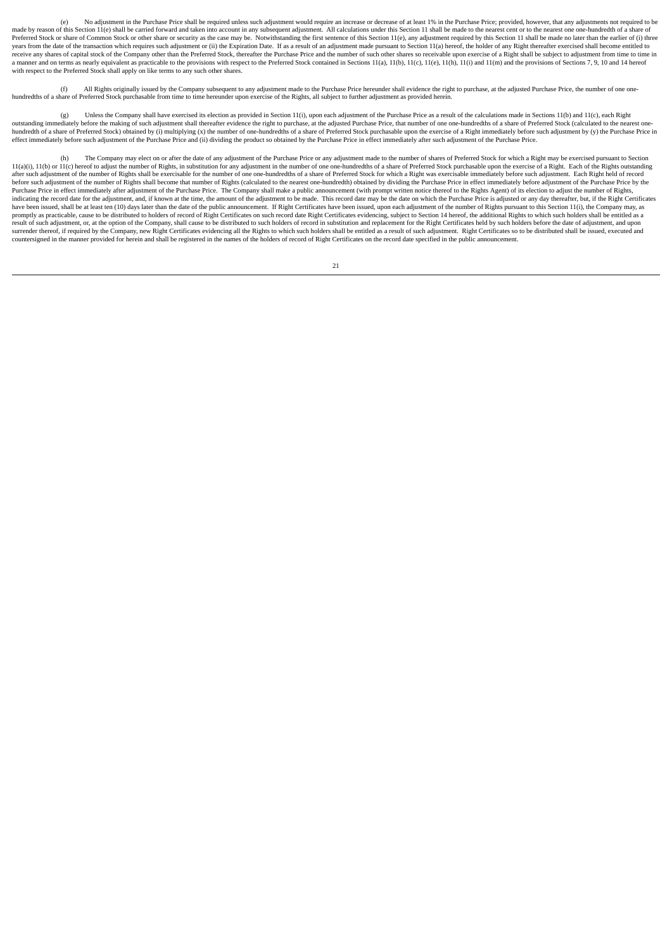(e) No adjustment in the Purchase Price shall be required unless such adjustment would require an increase or decrease of at least 1% in the Purchase Price; provided, however, that any adjustments not required to be made by reason of this Section 11(e) shall be carried forward and taken into account in any subsequent adjustment. All calculations under this Section 11 shall be made to the nearest cent or to the nearest one one-hundredt Preferred Stock or share of Common Stock or other share or security as the case may be. Notwithstanding the first sentence of this Section 11(e), any adjustment required by this Section 11 shall be made no later than the e years from the date of the transaction which requires such adjustment or (ii) the Expiration Date. If as a result of an adjustment made pursuant to Section 11(a) hereof, the holder of any Right thereafter exercised shall b y can see the see the see the company other than the Prefered Stock, thereafter the Purchase Price and the number of such other shares so receivable upon exercise of a Right shall be subject to adjustment from time to time a manner and on terms as nearly equivalent as practicable to the provisions with respect to the Preferred Stock contained in Sections 11(a), 11(b), 11(c), 11(e), 11(h), 11(i) and 11(m) and the provisions of Sections 7, 9,

(f) All Rights originally issued by the Company subsequent to any adjustment made to the Purchase Price hereunder shall evidence the right to purchase, at the adjusted Purchase Price, the number of one onehundredths of a share of Preferred Stock purchasable from time to time hereunder upon exercise of the Rights, all subject to further adjustment as provided herein.

(g) Unless the Company shall have exercised its election as provided in Section 11(i), upon each adjustment of the Purchase Price as a result of the calculations made in Sections 11(b) and 11(c), each Right outstanding immediately before the making of such adjustment shall thereafter evidence the right to purchase, at the adjusted Purchase Price, that number of one one-hundredths of a share of Preferred Stock (calculated to t hundredth of a share of Preferred Stock) obtained by (i) multiplying (x) the number of one-hundredths of a share of Preferred Stock purchasable upon the exercise of a Right immediately before such adjustment by (y) the Pur effect immediately before such adjustment of the Purchase Price and (ii) dividing the product so obtained by the Purchase Price in effect immediately after such adjustment of the Purchase Price.

The Company may elect on or after the date of any adjustment of the Purchase Price or any adjustment made to the number of shares of Preferred Stock for which a Right may be exercised pursuant to Section  $11(a)(i)$ ,  $11(b)$  or  $11(c)$  hereof to adjust the number of Rights, in substitution for any adjustment in the number of one one-hundredths of a share of Preferred Stock purchasable upon the exercise of a Right. Each of the after such adjustment of the number of Rights shall be exercisable for the number of one one-hundredths of a share of Preferred Stock for which a Right was exercisable immediately before such adjustment. Each Right held of before such adjustment of the number of Rights shall become that number of Rights (calculated to the nearest one-hundredth) obtained by dividing the Purchase Price in effect immediately before adjustment of the Purchase Pr Purchase Price in effect immediately after adjustment of the Purchase Price. The Company shall make a public announcement (with prompt written notice thereof to the Rights Agent) of its election to adjust the number of Rig indicating the record date for the adjustment, and, if known at the time, the amount of the adjustment to be made. This record date may be the date on which the Purchase Price is adjusted or any day thereafter, but, if the nomply as practicable, cause to be distributed to holders of record of Right Certificates on such record date Right Certificates evidencing, subject to Section 14 hereof, the additional Rights to which such holders shall b result of such adjustment, or, at the option of the Company, shall cause to be distributed to such holders of record in substitution and replacement for the Right Certificates held by such holders before the date of adjust surrender thereof, if required by the Company, new Right Certificates evidencing all the Rights to which such holders shall be entitled as a result of such adjustment. Right Certificates so to be distributed shall be issue countersigned in the manner provided for herein and shall be registered in the names of the holders of record of Right Certificates on the record date specified in the public announcement.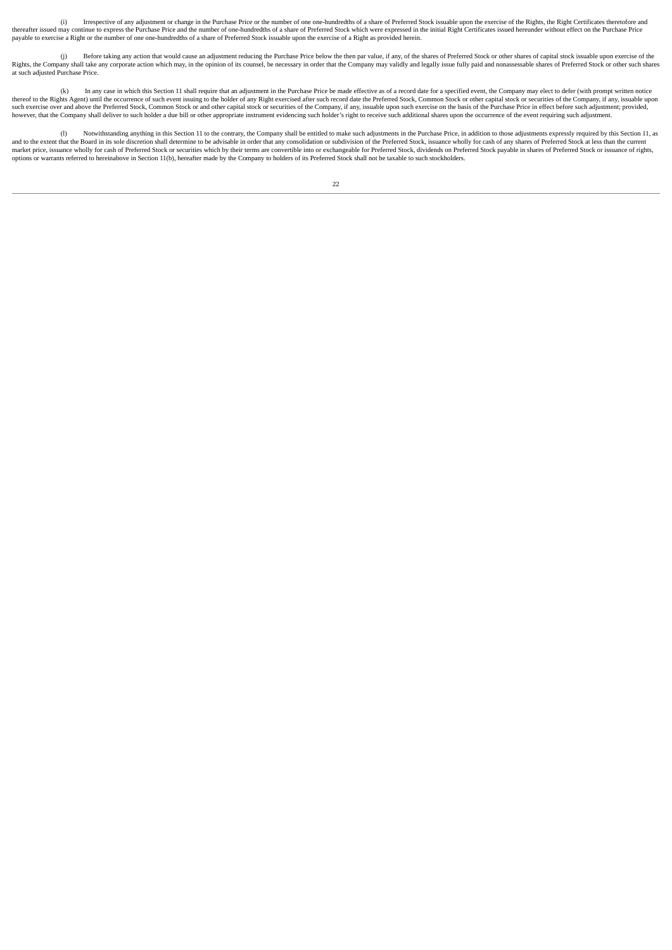(i) Irrespective of any adjustment or change in the Purchase Price or the number of one one-hundredths of a share of Preferred Stock issuable upon the exercise of the Rights, the Right Certificates theretofore and thereafter issued may continue to express the Purchase Price and the number of one-hundredths of a share of Preferred Stock which were expressed in the initial Right Certificates issued hereunder without effect on the Purc payable to exercise a Right or the number of one one-hundredths of a share of Preferred Stock issuable upon the exercise of a Right as provided herein.

(j) Before taking any action that would cause an adjustment reducing the Purchase Price below the then par value, if any, of the shares of Preferred Stock or other shares of capital stock issuable upon exercise of the Rights, the Company shall take any corporate action which may, in the opinion of its counsel, be necessary in order that the Company may validly and legally issue fully paid and nonassessable shares of Preferred Stock or o at such adjusted Purchase Price.

(k) In any case in which this Section 11 shall require that an adjustment in the Purchase Price be made effective as of a record date for a specified event, the Company may elect to defer (with prompt written notice produc however, that the Company shall deliver to such holder a due bill or other appropriate instrument evidencing such holder's right to receive such additional shares upon the occurrence of the event requiring such adjustment.

(l) Notwithstanding anything in this Section 11 to the contrary, the Company shall be entitled to make such adjustments in the Purchase Price, in addition to those adjustments expressly required by this Section 11, as and to the extent that the Board in its sole discretion shall determine to be advisable in order that any consolidation or subdivision of the Preferred Stock, issuance wholly for cash of any shares of Preferred Stock at le options or warrants referred to hereinabove in Section 11(b), hereafter made by the Company to holders of its Preferred Stock shall not be taxable to such stockholders.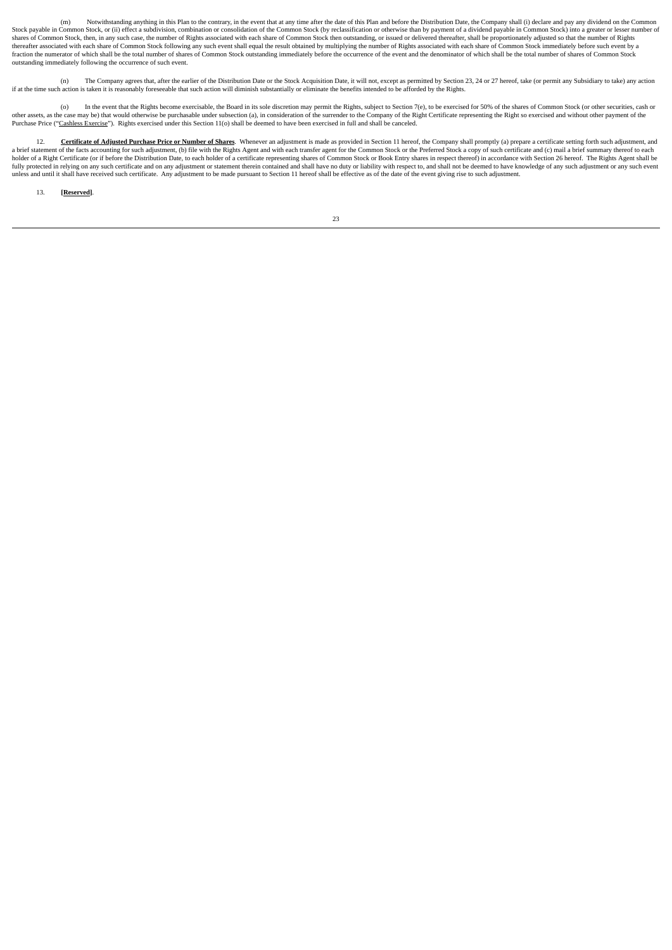(m) Notwithstanding anything in this Plan to the contrary, in the event that at any time after the date of this Plan and before the Distribution Date, the Company shall (i) declare and pay any dividend on the Common Stock payable in Common Stock, or (ii) effect a subdivision, combination or consolidation of the Common Stock (by reclassification or otherwise than by payment of a dividend payable in Common Stock) into a greater or lesse shares of Common Stock, then, in any such case, the number of Rights associated with each share of Common Stock then outstanding, or issued or delivered thereafter, shall be proportionately adjusted so that the number of R thereafter associated with each share of Common Stock following any such event shall equal the result obtained by multiplying the number of Rights associated with each share of Common Stock immediately before such event by a fraction the numerator of which shall be the total number of shares of Common Stock outstanding immediately before the occurrence of the event and the denominator of which shall be the total number of shares of Common Stoc outstanding immediately following the occurrence of such event.

(n) The Company agrees that, after the earlier of the Distribution Date or the Stock Acquisition Date, it will not, except as permitted by Section 23, 24 or 27 hereof, take (or permit any Subsidiary to take) any action if at the time such action is taken it is reasonably foreseeable that such action will diminish substantially or eliminate the benefits intended to be afforded by the Rights.

(o) In the event that the Rights become exercisable, the Board in its sole discretion may permit the Rights, subject to Section 7(e), to be exercised for 50% of the shares of Common Stock (or other securities, cash or secu Purchase Price ("Cashless Exercise"). Rights exercised under this Section 11(o) shall be deemed to have been exercised in full and shall be canceled.

12. **Certificate of Adjusted Purchase Price or Number of Shares**. Whenever an adjustment is made as provided in Section 11 hereof, the Company shall promptly (a) prepare a certificate setting forth such adjustment, and a brief statement of the facts accounting for such adjustment, (b) file with the Rights Agent and with each transfer agent for the Common Stock or the Preferred Stock a copy of such certificate and (c) mail a brief summary fully protected in relying on any such certificate and on any adjustment or statement therein contained and shall have no duty or liability with respect to, and shall not be deemed to have knowledge of any such adjustment

13. **[Reserved]**.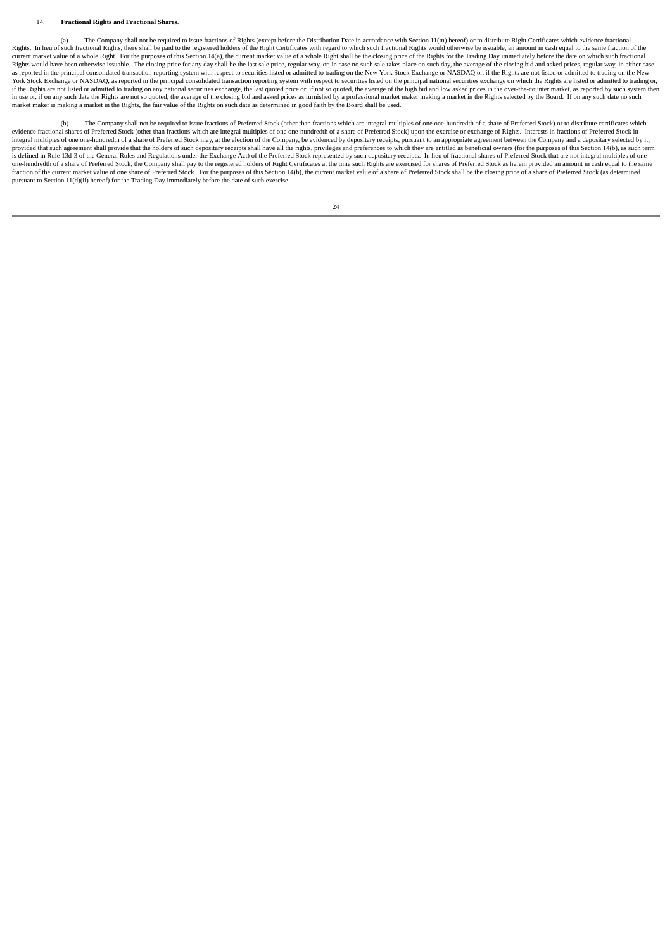#### 14. **Fractional Rights and Fractional Shares**.

(a) The Company shall not be required to issue fractions of Rights (except before the Distribution Date in accordance with Section 11(m) hereof) or to distribute Right Certificates which evidence fractional Rights. In lieu of such fractional Rights, there shall be paid to the registered holders of the Right Certificates with regard to which such fractional Rights would otherwise be issuable, an amount in cash equal to the sam Current market value of a whole Right. For the purposes of this Section 14(a), the current market value of a whole Right shall be the closing price of the Rights for the Trading Day immediately before the date on which suc Rights would have been otherwise issuable. The closing price for any day shall be the last sale price, regular way, or, in case no such sale takes place on such day, the average of the closing bid and asked prices, regular York Stock Exchange or NASDAQ, as reported in the principal consolidated transaction reporting system with respect to securities listed on the principal national securities exchange on which the Rights are listed or admitt if the Rights are not listed or admitted to trading on any national securities exchange, the last quoted price or, if not so quoted, the average of the high bid and low asked prices in the over-the-counter market, as repor in use or, if on any such date the Rights are not so quoted, the average of the closing bid and asked prices as furnished by a professional market makier making a market in the Rights selected by the Board. If on any such

(b) The Company shall not be required to issue fractions of Preferred Stock (other than fractions which are integral multiples of one one-hundredth of a share of Preferred Stock) or to distribute certificates which evidence fractional shares of Preferred Stock (other than fractions which are integral multiples of one one-hundredth of a share of Preferred Stock) upon the exercise or exchange of Rights. Interests in fractions of Prefer provided that such agreement shall provide that the holders of such depositary receipts shall have all the rights, privileges and preferences to which they are entitled as beneficial owners (for the purposes of this Sectio one-hundredth of a share of Preferred Stock, the Company shall pay to the registered holders of Right Certificates at the time such Rights are exercised for shares of Preferred Stock as herein provided an amount in cash eq pursuant to Section 11(d)(ii) hereof) for the Trading Day immediately before the date of such exercise.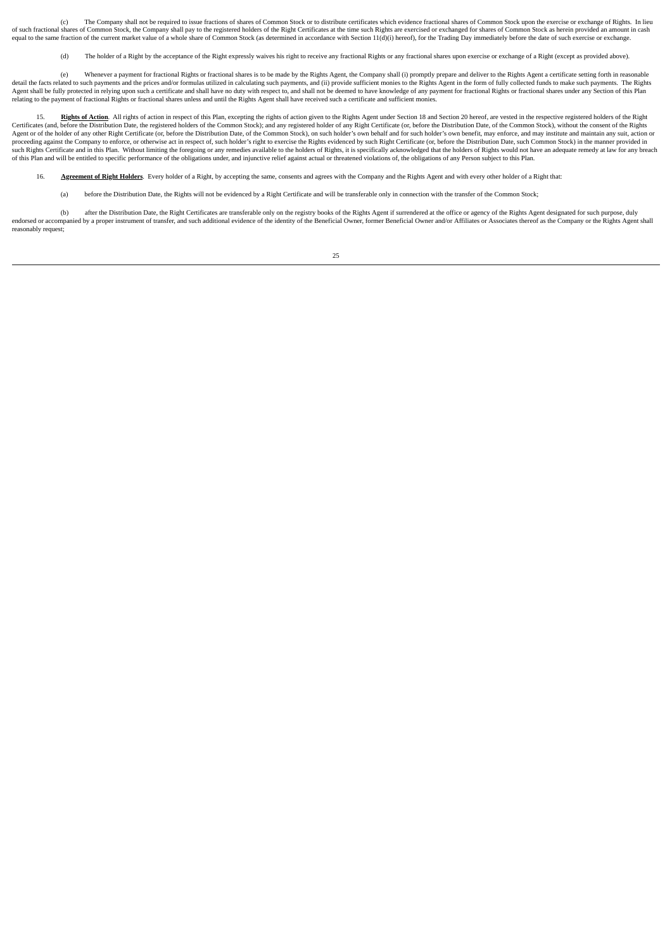(c) The Company shall not be required to issue fractions of shares of Common Stock or to distribute certificates which evidence fractional shares of Common Stock upon the exercise or exchange of Rights. In lieu of such fractional shares of Common Stock, the Company shall pay to the registered holders of the Right Certificates at the time such Rights are exercised or exchanged for shares of Common Stock as herein provided an amoun equal to the same fraction of the current market value of a whole share of Common Stock (as determined in accordance with Section 11(d)(i) hereof), for the Trading Day immediately before the date of such exercise or exchan

(d) The holder of a Right by the acceptance of the Right expressly waives his right to receive any fractional Rights or any fractional shares upon exercise or exchange of a Right (except as provided above).

e) Whenever a payment for fractional Rights or fractional shares is to be made by the Rights Agent, the Company shall (i) promptly prepare and deliver to the Rights Agent a certificate setting forth in reasonable (e) Whene Agent shall be fully protected in relying upon such a certificate and shall have no duty with respect to, and shall not be deemed to have knowledge of any payment for fractional Rights or fractional shares under any Sectio relating to the payment of fractional Rights or fractional shares unless and until the Rights Agent shall have received such a certificate and sufficient monies.

15. Rights of Action. All rights of action in respect of this Plan, excepting the rights of action given to the Rights Agent under Section 18 and Section 20 hereof, are vested in the respective registered holders of the Ri Certificates (and, before the Distribution Date, the registered holders of the Common Stock); and any registered holder of any Right Certificate (or, before the Distribution Date, of the Common Stock), without the consent proceeding against the Company to enforce, or otherwise act in respect of, such holder's right to exercise the Rights evidenced by such Right Certificate (or, before the Distribution Date, such Common Stock) in the manner of this Plan and will be entitled to specific performance of the obligations under, and injunctive relief against actual or threatened violations of, the obligations of any Person subject to this Plan.

16. **Agreement of Right Holders**. Every holder of a Right, by accepting the same, consents and agrees with the Company and the Rights Agent and with every other holder of a Right that:

(a) before the Distribution Date, the Rights will not be evidenced by a Right Certificate and will be transferable only in connection with the transfer of the Common Stock;

(b) after the Distribution Date, the Right Certificates are transferable only on the registry books of the Rights Agent if surrendered at the office or agency of the Rights Agent designated for such purpose, duly endorsed or accompanied by a proper instrument of transfer, and such additional evidence of the identity of the Beneficial Owner, former Beneficial Owner and/or Affiliates or Associates thereof as the Company or the Rights reasonably request;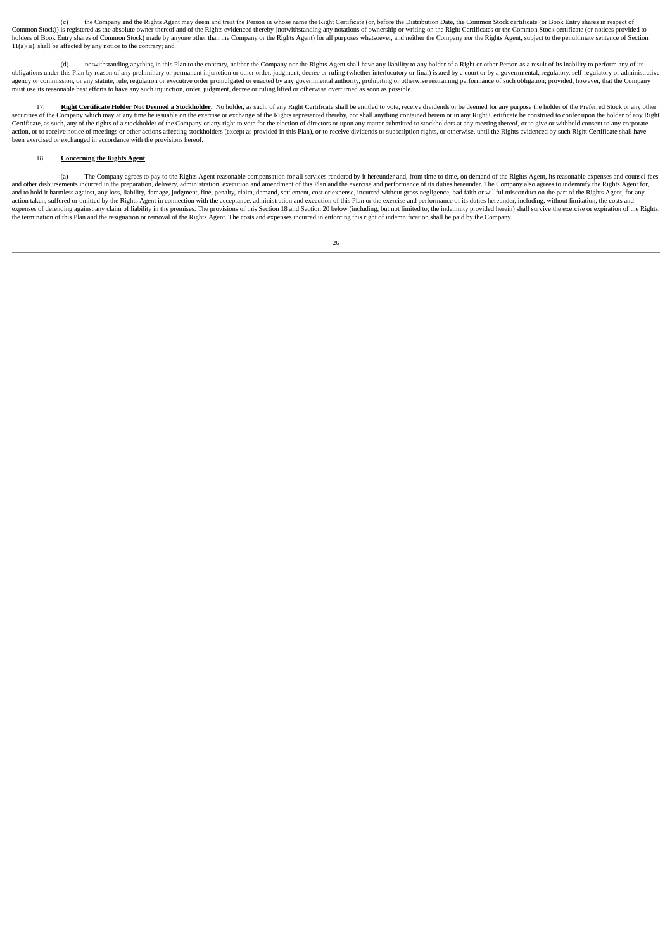(c) the Company and the Rights Agent may deem and treat the Person in whose name the Right Certificate (or, before the Distribution Date, the Common Stock certificate (or Book Entry shares in respect of Common Stock) is registered as the absolute owner thereof and of the Rights evidenced thereby (notwithstanding any notations of ownership or writing on the Right Certificates or the Common Stock certificate (or notices pro book Entry shares of Common Stock) made by anyone other than the Company or the Rights Agent) for all purposes whatsoever, and neither the Company nor the Rights Agent, subject to the penultimate sentence of Section 11(a)(ii), shall be affected by any notice to the contrary; and

(d) notwithstanding anything in this Plan to the contrary, neither the Company nor the Rights Agent shall have any liability to any holder of a Right or other Person as a result of its inability to perform any of its obligations under this Plan by reason of any preliminary or permanent injunction or other order, judgment, decree or ruling (whether interlocutory or final) issued by a court or by a governmental, regulatory, self-regulato must use its reasonable best efforts to have any such injunction, order, judgment, decree or ruling lifted or otherwise overturned as soon as possible.

17. Right Certificate Holder Not Deemed a Stockholder. No holder, as such, of any Right Certificate shall be entitled to vote, receive dividends or be deemed for any purpose the holder of the Preferred Stock or any other securities of the Company which may at any time be issuable on the exercise or exchange of the Rights represented thereby, nor shall anything contained herein or in any Right Certificate be construed to confer upon the hol action, or to receive notice of meetings or other actions affecting stockholders (except as provided in this Plan), or to receive dividends or subscription rights, or otherwise, until the Rights evidenced by such Right Cer been exercised or exchanged in accordance with the provisions hereof.

## 18. **Concerning the Rights Agent**.

(a) The Company agrees to pay to the Rights Agent reasonable compensation for all services rendered by it hereunder and, from time to time, on demand of the Rights Agent, its reasonable expenses and counsel fees and other disbursements incurred in the preparation, delivery, administration, execution and amendment of this Plan and the exercise and performance of its duties hereunder. The Company also agrees to indemnify the Rights action taken, suffered or omitted by the Rights Agent in connection with the acceptance, administration and execution of this Plan or the exercise and performance of its duties hereunder, including, without limitation, the the termination of this Plan and the resignation or removal of the Rights Agent. The costs and expenses incurred in enforcing this right of indemnification shall be paid by the Company.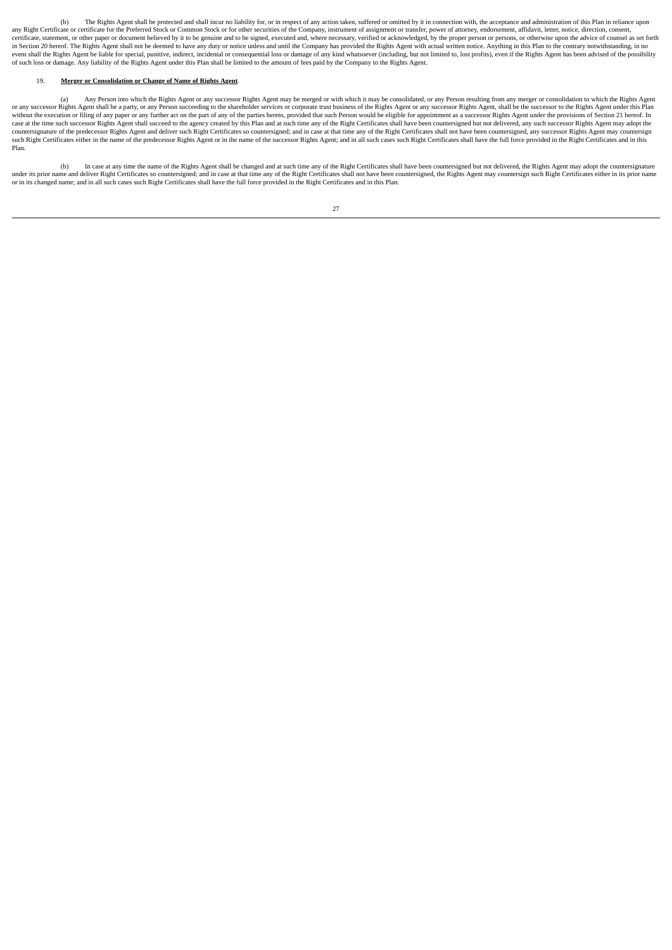(b) The Rights Agent shall be protected and shall incur no liability for, or in respect of any action taken, suffered or omitted by it in connection with, the acceptance and administration of this Plan in reliance upon any Right Certificate or certificate for the Preferred Stock or Common Stock or for other securities of the Company, instrument of assignment or transfer, power of attorney, endorsement, affidavit, letter, notice, directio in Section 20 hereof. The Rights Agent shall not be deemed to have any duty or notice unless and until the Company has provided the Rights Agent with actual written notice. Anything in this Plan to the contrary notwithstan of such loss or damage. Any liability of the Rights Agent under this Plan shall be limited to the amount of fees paid by the Company to the Rights Agent.

## 19. **Merger or Consolidation or Change of Name of Rights Agent**.

(a) Any Person into which the Rights Agent or any successor Rights Agent may be merged or with which it may be consolidated, or any Person resulting from any merger or consolidation to which the Rights Agent or any successor Rights Agent shall be a party, or any Person succeeding to the shareholder services or corporate trust business of the Rights Agent or any successor Rights Agent, shall be the successor to the Rights Agent countersignature of the predecessor Rights Agent and deliver such Right Certificates so countersigned; and in case at that time any of the Right Certificates shall not have been countersigned, any successor Rights Agent ma such Right Certificates the information of the predecessor Rights Agent or in the name of the successor Rights Agent; and in all such cases such Right Certificates shall have the full force provided in the Right Certificat Plan.

(b) In case at any time the name of the Rights Agent shall be changed and at such time any of the Right Certificates shall have been countersigned but not delivered, the Rights Agent may adopt the countersignature under its prior name and deliver Right Certificates so countersigned; and in case at that time any of the Right Certificates shall not have been countersigned, the Rights Agent may countersign such Right Certificates eithe

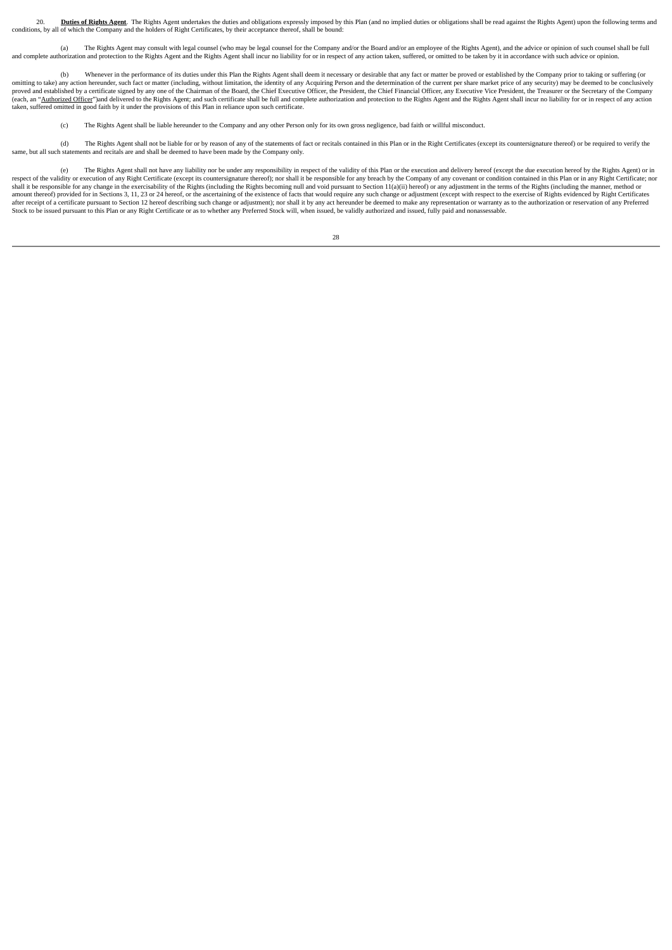20. Duties of Rights Agent. The Rights Agent undertakes the duties and obligations expressly imposed by this Plan (and no implied duties or obligations shall be read against the Rights Agent) upon the following terms and c

(a) The Rights Agent may consult with legal counsel (who may be legal counsel for the Company and/or the Board and/or an employee of the Rights Agent), and the advice or opinion of such counsel shall be full and complete authorization and protection to the Rights Agent and the Rights Agent shall incur no liability for or in respect of any action taken, suffered, or omitted to be taken by it in accordance with such advice or op

(b) Whenever in the performance of its duties under this Plan the Rights Agent shall deem it necessary or desirable that any fact or matter be proved or established by the Company prior to taking or suffering (or omitting to take) any action hereunder, such fact or matter (including, without limitation, the identity of any Acquiring Person and the determination of the current per share market price of any security) may be deemed to proved and established by a certificate signed by any one of the Chairman of the Board, the Chief Executive Officer, the President, the Chief Financial Officer, any Executive Vice President, the Treasurer or the Secretary (each, an "Authorized Officer")and delivered to the Rights Agent; and such certificate shall be full and complete authorization and protection to the Rights Agent and the Rights Agent shall incur no liability for or in res taken, suffered omitted in good faith by it under the provisions of this Plan in reliance upon such certificate.

(c) The Rights Agent shall be liable hereunder to the Company and any other Person only for its own gross negligence, bad faith or willful misconduct.

(d) The Rights Agent shall not be liable for or by reason of any of the statements of fact or recitals contained in this Plan or in the Right Certificates (except its countersignature thereof) or be required to verify the same, but all such statements and recitals are and shall be deemed to have been made by the Company only.

(e) The Rights Agent shall not have any liability nor be under any responsibility in respect of the validity of this Plan or the execution and delivery hereof (except the due execution hereof by the Rights Agent) or in respect of the validity or execution of any Right Certificate (except its countersignature thereof); nor shall it be responsible for any breach by the Company of any covenant or condition contained in this Plan or in any R amount thereof) provided for in Sections 3, 11, 23 or 24 hereof, or the ascertaining of the existence of facts that would require any such change or adjustment (except with respect to the exercise of Rights evidenced by Ri Stock to be issued pursuant to this Plan or any Right Certificate or as to whether any Preferred Stock will, when issued, be validly authorized and issued, fully paid and nonassessable.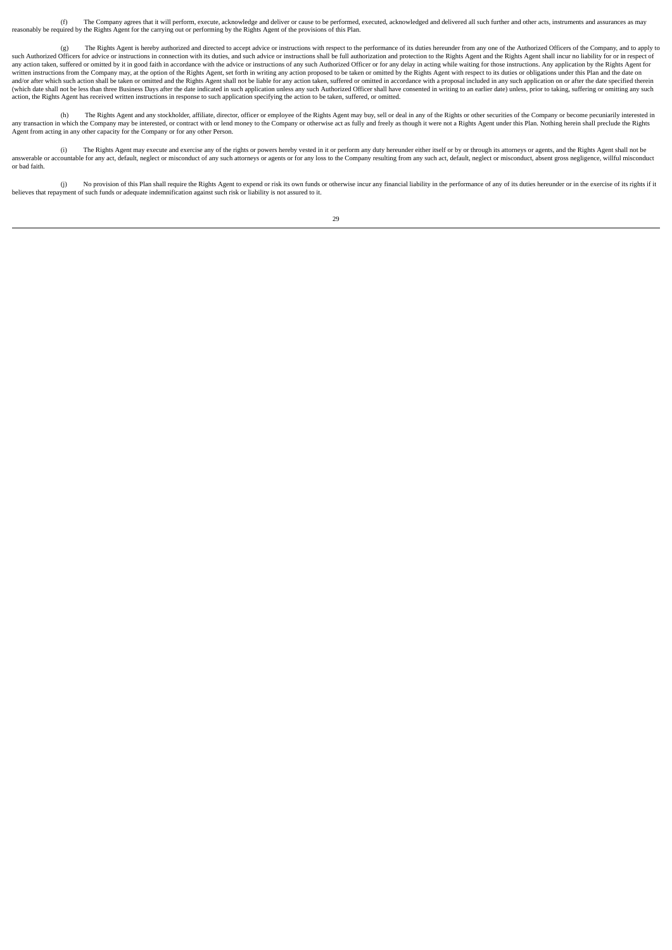(f) The Company agrees that it will perform, execute, acknowledge and deliver or cause to be performed, executed, acknowledged and delivered all such further and other acts, instruments and assurances as may reasonably be required by the Rights Agent for the carrying out or performing by the Rights Agent of the provisions of this Plan.

(g) The Rights Agent is hereby authorized and directed to accept advice or instructions with respect to the performance of its duties hereunder from any one of the Authorized Officers of the Company, and to apply to such Authorized Officers for advice or instructions in connection with its duties, and such advice or instructions shall be full authorization and protection to the Rights Agent and the Rights Agent shall incur no liabilit and a reference of omitted by it in good faith in accordance with the advice or instructions of any such Authorized Officer or for any delay in acting while waiting for those instructions. Any application by the Rights Age written instructions from the Company may, at the option of the Rights Agent, set forth in writing any action proposed to be taken or omitted by the Rights Agent with respect to its duties or obligations under this Plan an and/or after which such action shall be taken or omitted and the Rights Agent shall not be liable for any action taken, suffered or omitted in accordance with a proposal included in any such application on or after the dat (which date shall not be less than three Business Days after the date indicated in such application unless any such Authorized Officer shall have consented in writing to an earlier date) unless, prior to taking, suffering action, the Rights Agent has received written instructions in response to such application specifying the action to be taken, suffered, or omitted.

(h) The Rights Agent and any stockholder, affiliate, director, officer or employee of the Rights Agent may buy, sell or deal in any of the Rights or other securities of the Company or become pecuniarily interested in any transaction in which the Company may be interested, or contract with or lend money to the Company or otherwise act as fully and freely as though it were not a Rights Agent under this Plan. Nothing herein shall preclude Agent from acting in any other capacity for the Company or for any other Person.

(i) The Rights Agent may execute and exercise any of the rights or powers hereby vested in it or perform any duty hereunder either itself or by or through its attorneys or agents, and the Rights Agent shall not be answerable or anisomation environment of the Company resulting from any such act, default, neglect or misconduct of any such actomeys or agents or for any loss to the Company resulting from any such act, default, neglect o or bad faith.

(i) No provision of this Plan shall require the Rights Agent to expend or risk its own funds or otherwise incur any financial liability in the performance of any of its duties hereunder or in the exercise of its rights if believes that repayment of such funds or adequate indemnification against such risk or liability is not assured to it.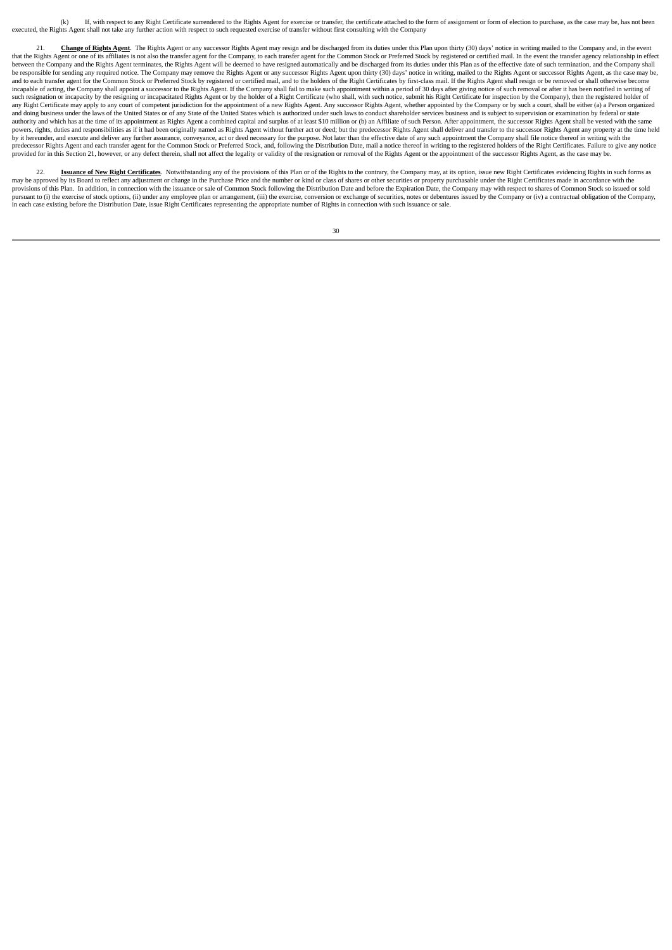(k) If, with respect to any Right Certificate surrendered to the Rights Agent for exercise or transfer, the certificate attached to the form of assignment or form of election to purchase, as the case may be, has not been executed, the Rights Agent shall not take any further action with respect to such requested exercise of transfer without first consulting with the Company

Change of Rights Agent. The Rights Agent or any successor Rights Agent may resign and be discharged from its duties under this Plan upon thirty (30) days' notice in writing mailed to the Company and, in the event that the Rights Agent or one of its affiliates is not also the transfer agent for the Company, to each transfer agent for the Common Stock or Preferred Stock by registered or certified mail. In the event the transfer agent between the Company and the Rights Agent terminates, the Rights Agent will be deemed to have resigned automatically and be discharged from its duties under this Plan as of the effective date of such termination, and the Co be responsible for sending any required notice. The Company may remove the Rights Agent or any successor Rights Agent upon thirty (30) days' notice in writing, mailed to the Rights Agent or successor Rights Agent, as the c incapable of acting, the Company shall appoint a successor to the Rights Agent. If the Company shall fail to make such appointment within a period of 30 days after giving notice of such removal or after it has been notifie such resignation or incapacity by the resigning or incapacitated Rights Agent or by the holder of a Right Certificate (who shall, with such notice, submit his Right Certificate for inspection by the Company), then the regi and doing business under the laws of the United States or of any State of the United States which is authorized under such laws to conduct shareholder services business and is subject to supervision or examination by feder and the main and the measurement in the measurement of the control of the control of the control of the control of the control of the control of the control of the control of the control of the control of the property at t by it hereunder, and execute and deliver any further assurance, conveyance, act or deed necessary for the purpose. Not later than the effective date of any such appointment the Company shall file notice thereof in writing provided for in this Section 21, however, or any defect therein, shall not affect the legality or validity of the resignation or removal of the Rights Agent or the appointment of the successor Rights Agent, as the case may

22. **Issuance of New Right Certificates**. Notwithstanding any of the provisions of this Plan or of the Rights to the contrary, the Company may, at its option, issue new Right Certificates evidencing Rights in such forms as may be approved by its Board to reflect any adjustment or change in the Purchase Price and the number or kind or class of shares or other securities or property purchasable under the Right Certificates made in accordance w provisions of this Plan. In addition, in connection with the issuance or sale of Common Stock following the Distribution Date and before the Expiration Date, the Company may with respect to shares of Common Stock so issued in each case existing before the Distribution Date, issue Right Certificates representing the appropriate number of Rights in connection with such issuance or sale.

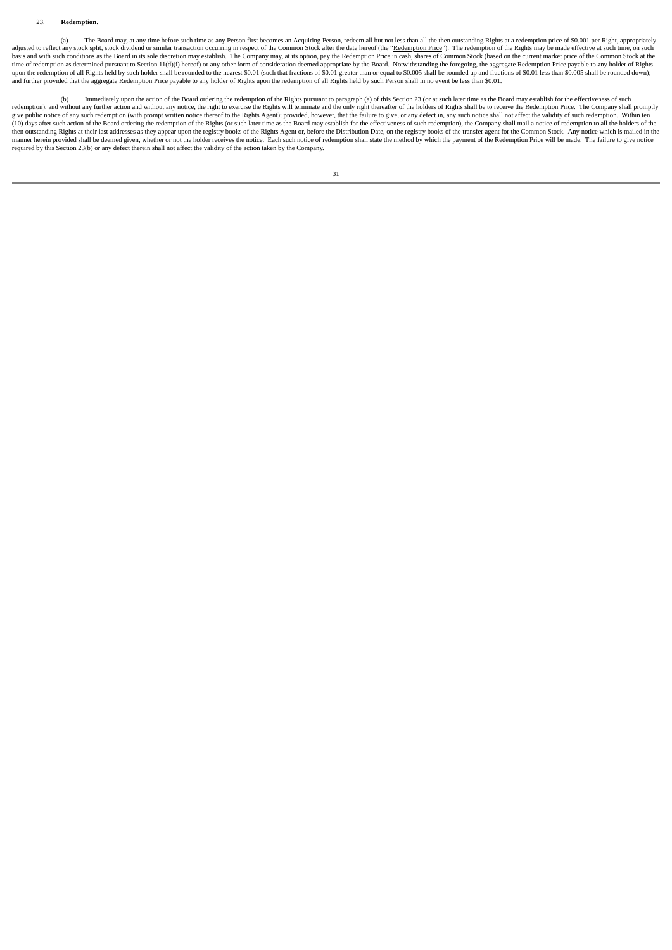## 23. **Redemption**.

(a) The Board may, at any time before such time as any Person first becomes an Acquiring Person, redeem all but not less than all the then outstanding Rights at a redemption price of \$0.001 per Right, appropriately adjusted to reflect any stock split, stock dividend or similar transaction occurring in respect of the Common Stock after the date hereof (the "Redemption Price"). The redemption of the Rights may be made effective at such and further provided that the aggregate Redemption Price payable to any holder of Rights upon the redemption of all Rights held by such Person shall in no event be less than \$0.01.

(b) Immediately upon the action of the Board ordering the redemption of the Rights pursuant to paragraph (a) of this Section 23 (or at such later time as the Board may establish for the effectiveness of such redemption), and without any further action and without any notice, the right to exercise the Rights will terminate and the only right thereafter of the holders of Rights shall be to receive the Redemption Price. The Compa then outstanding Rights at their last addresses as they appear upon the registry books of the Rights Agent or, before the Distribution Date, on the registry books of the transfer agent for the Common Stock. Any notice whic required by this Section 23(b) or any defect therein shall not affect the validity of the action taken by the Company.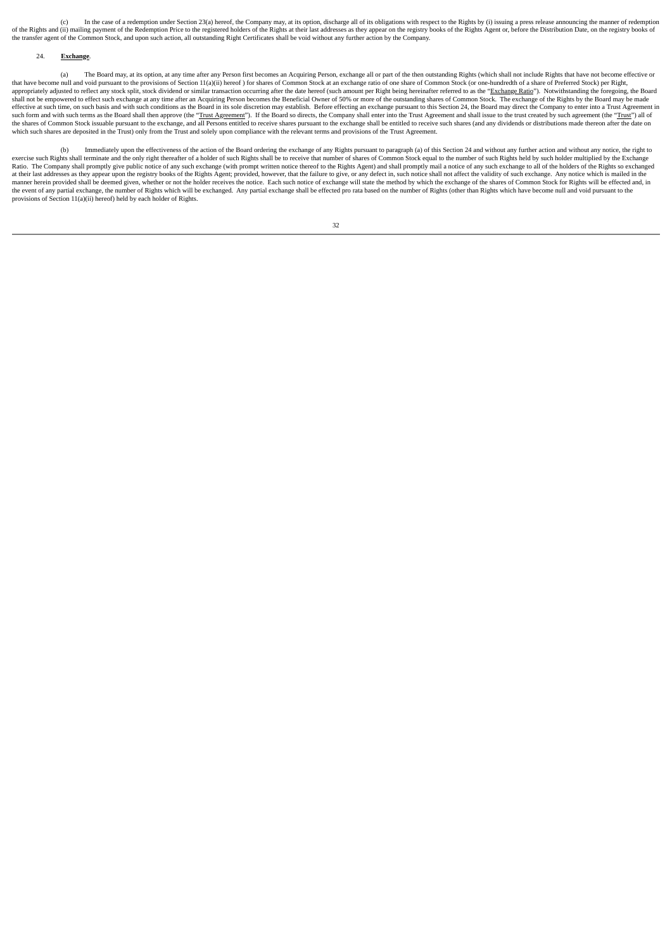(c) In the case of a redemption under Section 23(a) hereof, the Company may, at its option, discharge all of its obligations with respect to the Rights by (i) issuing a press release announcing the manner of redemption of the Rights and (ii) mailing payment of the Redemption Price to the registered holders of the Rights at their last addresses as they appear on the registry books of the Rights Agent or, before the Distribution Date, on t the transfer agent of the Common Stock, and upon such action, all outstanding Right Certificates shall be void without any further action by the Company.

# 24. **Exchange**.

(a) The Board may, at its option, at any time after any Person first becomes an Acquiring Person, exchange all or part of the then outstanding Rights (which shall not include Rights that have not become effective or that have become null and void pursuant to the provisions of Section 11(a)(ii) hereof ) for shares of Common Stock at an exchange ratio of one share of Common Stock (or one-hundredth of a share of Preferred Stock) per Right, appropriately adjusted to reflect any stock split, stock dividend or similar transaction occurring after the date hereof (such amount per Right being hereinafter referred to as the "Exchange Ratio"). Notwithstanding the fo shall not be empowered to effect such exchange at any time after an Acquiring Person becomes the Beneficial Owner of 50% or more of the outstanding shares of Common Stock. The exchange of the Rights by the Board may be made effective at such time, on such basis and with such conditions as the Board in its sole discretion may establish. Before effecting an exchange pursuant to this Section 24, the Board may direct the Company to enter into a T such form and with such terms as the Board shall then approve (the "Trust Agreement"). If the Board so directs, the Company shall enter into the Trust Agreement and shall issue to the trust created by such agreement (the " the shares of Common Stock issuable pursuant to the exchange, and all Persons entitled to receive shares pursuant to the exchange shall be entitled to receive such shares (and any dividends or distributions made thereon af

(b) Immediately upon the effectiveness of the action of the Board ordering the exchange of any Rights pursuant to paragraph (a) of this Section 24 and without any further action and without any notice, the right to exercise such Rights shall terminate and the only right thereafter of a holder of such Rights shall be to receive that number of shares of Common Stock equal to the number of such Rights held by such holder multiplied by t at their last addresses as they appear upon the registry books of the Rights Agent; provided, however, that the failure to give, or any defect in, such notice shall not affect the validity of such exchange. Any notice whic manner herein provided shall be deemed given, whether or not the holder receives the notice. Each such notice of exchange will state the method by which the exchange of the shares of Common Stock for Rights will be effecte provisions of Section 11(a)(ii) hereof) held by each holder of Rights.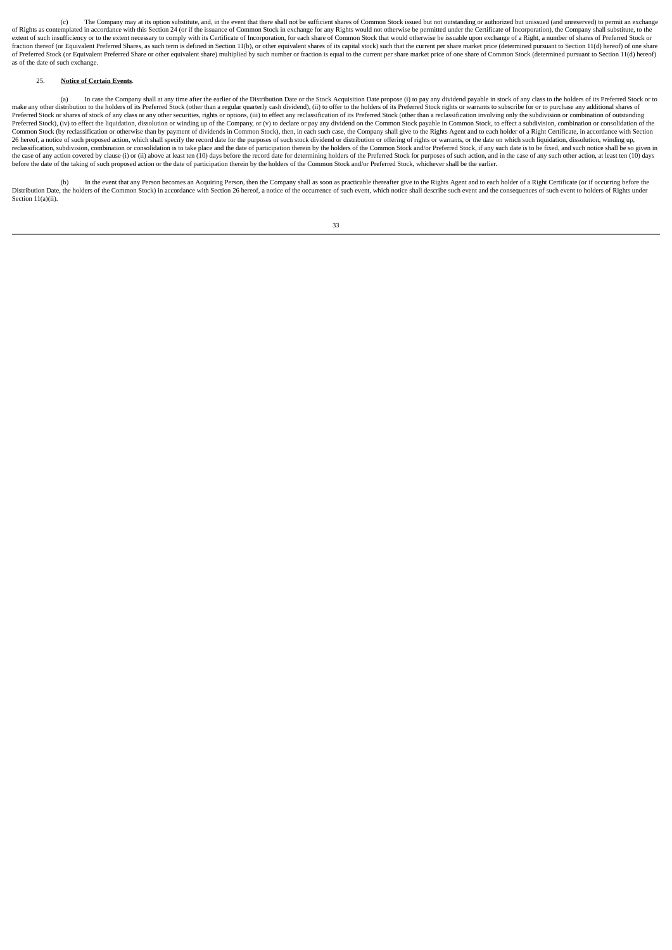(c) The Company may at its option substitute, and, in the event that there shall not be sufficient shares of Common Stock issued but not outstanding or authorized but unissued (and unreserved) to permit an exchange of Rights as contemplated in accordance with this Section 24 (or if the issuance of Common Stock in exchange for any Rights would not otherwise be permitted under the Certificate of Incorporation), the Company shall substi fraction thereof (or Equivalent Preferred Shares, as such term is defined in Section 11(b), or other equivalent shares of its capital stock) such that the current per share market price (determined pursuant to Section 11(d n account of the companion of the companion of the companion of the companion of the companion of the current per share market price of one share of Common Stock (determined pursuant to Section 11(d) hereof) of Preferred S as of the date of such exchange.

### 25. **Notice of Certain Events**.

(a) In case the Company shall at any time after the earlier of the Distribution Date or the Stock Acquisition Date propose (i) to pay any dividend payable in stock of any class to the holders of its Preferred Stock or to ( Preferred Stock), (iv) to effect the liquidation, dissolution or winding up of the Company, or (v) to declare or pay any dividend on the Common Stock payable in Common Stock, to effect a subdivision, combination or consoli Common Stock (by reclassification or otherwise than by payment of dividends in Common Stock), then, in each such case, the Company shall give to the Rights Agent and to each holder of a Right Certificate, in accordance wit 26 hereof, a notice of such proposed action, which shall specify the record date for the purposes of such stock dividend or distribution or offering of rights or warrants, or the date on which such liquidation, dissolution reclassification, subdivision, combination or consolidation is to take place and the date of participation therein by the holders of the Common Stock and/or Preferred Stock, if any such date is to be fixed, and such notice before the date of the taking of such proposed action or the date of participation therein by the holders of the Common Stock and/or Preferred Stock, whichever shall be the earlier.

(b) In the event that any Person becomes an Acquiring Person, then the Company shall as soon as practicable thereafter give to the Rights Agent and to each holder of a Right Certificate (or if occurring before the Distribu Section 11(a)(ii).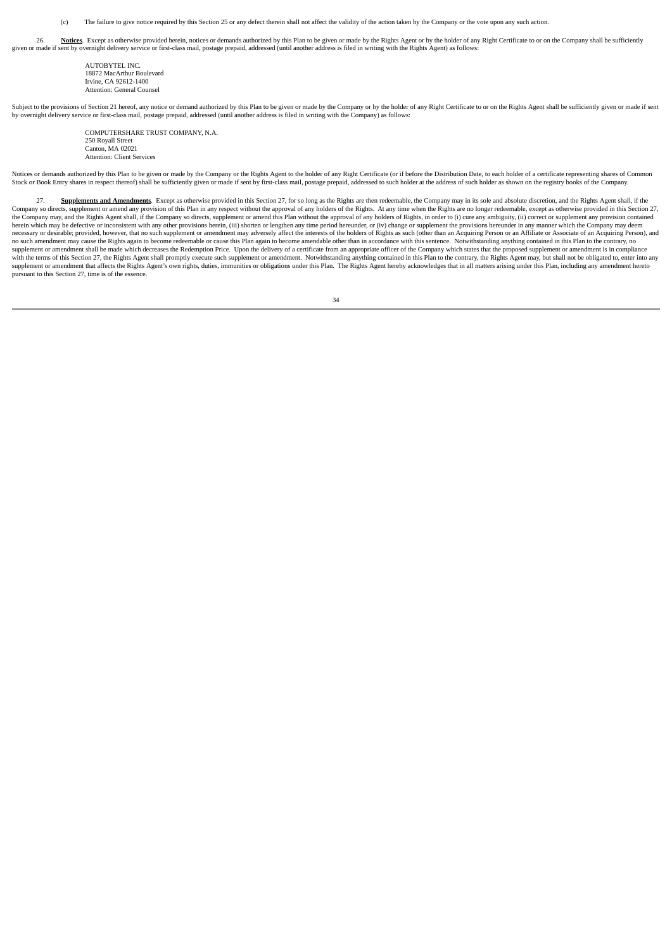(c) The failure to give notice required by this Section 25 or any defect therein shall not affect the validity of the action taken by the Company or the vote upon any such action.

26. **Notices.** Except as otherwise provided herein, notices or demands authorized by this Plan to be given or made by the Rights Agent or by the holder of any Right Certificate to or on the Company shall be sufficiently gi

AUTORYTEL INC. 18872 MacArthur Boulevard Irvine, CA 92612-1400 Attention: General Counsel

Subject to the provisions of Section 21 hereof, any notice or demand authorized by this Plan to be given or made by the Company or by the holder of any Right Certificate to or on the Rights Agent shall be sufficiently give by overnight delivery service or first-class mail, postage prepaid, addressed (until another address is filed in writing with the Company) as follows:

> COMPUTERSHARE TRUST COMPANY, N.A. 250 Royall Street Canton, MA 02021 Attention: Client Services

Notices or demands authorized by this Plan to be given or made by the Company or the Rights Agent to the holder of any Right Certificate (or if before the Distribution Date, to each holder of a certificate representing sha Stock or Book Entry shares in respect thereof) shall be sufficiently given or made if sent by first-class mail, postage prepaid, addressed to such holder at the address of such holder as shown on the registry books of the

27. Supplements and Amendments. Except as otherwise provided in this Section 27, for so long as the Rights are then redeemable, the Company may in its sole and absolute discretion, and the Rights Agent shall, if the Company so directs, supplement or amend any provision of this Plan in any respect without the approval of any holders of the Rights. At any time when the Rights are no longer redeemable, except as otherwise provided in thi necessary or desirable; provided, however, that no such supplement or amendment may adversely affect the interests of the holders of Rights as such (other than an Acquiring Person or an Affiliate or Associate of an Acquiri no such amendment may cause the Rights again to become redeemable or cause this Plan again to become amendable other than in accordance with this sentence. Notwithstanding anything contained in this Plan to the contrary, n supplement or amendment shall be made which decreases the Redemption Price. Upon the delivery of a certificate from an appropriate officer of the Company which states that the proposed supplement or amendment is in complia n and contract the distribution of the second contract of the second contract of the second contract of the second contract of the second contract of the state of the state of the state of the second contract of the second pursuant to this Section 27, time is of the essence.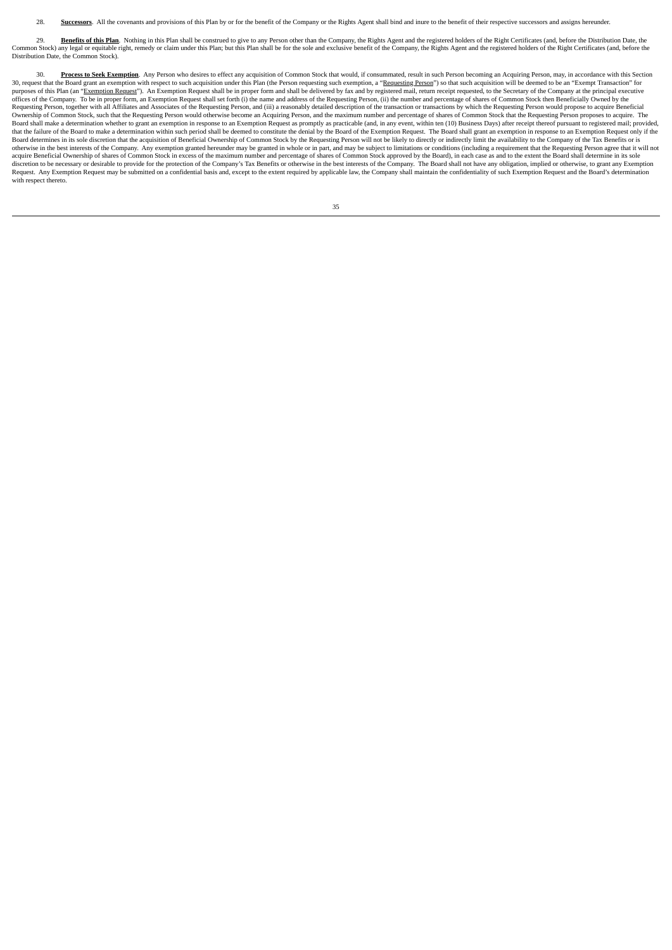28. Successors. All the covenants and provisions of this Plan by or for the benefit of the Company or the Rights Agent shall bind and inure to the benefit of their respective successors and assigns hereunder.

29. **Benefits of this Plan**. Nothing in this Plan shall be construed to give to any Person other than the Company, the Rights Agent and the registered holders of the Right Certificates (and, before the Distribution Date, t Distribution Date, the Common Stock).

30. Process to Seek Exemption. Any Person who desires to effect any acquisition of Common Stock that would, if consummated, result in such Person becoming an Acquiring Person, may, in accordance with this Section 30, request that the Board grant an exemption with respect to such acquisition under this Plan (the Person requesting such exemption, a "Requesting Person") so that such acquisition will be deemed to be an "Exempt Transact purposes of this Plan (an "<u>Exemption Request</u>"). An Exemption Request shall be in proper form and shall be delivered by fax and by registered mail, return receipt requested, to the Secretary of the Company at the principa Ownership of Common Stock, such that the Requesting Person would otherwise become an Acquiring Person, and the maximum number and percentage of shares of Common Stock that the Requesting Person proposes to acquire. The Board shall make a determination whether to grant an exemption in response to an Exemption Request as promptly as practicable (and, in any event, within ten (10) Business Days) after receipt thereof pursuant to registered that the failure of the Board to make a determination within such period shall be deemed to constitute the denial by the Board of the Exemption Request. The Board shall grant an exemption in response to an Exemption Reques Board determines in its sole discretion that the acquisition of Beneficial Ownership of Common Stock by the Requesting Person will not be likely to directly or indirectly limit the availability to the Company of the Tax Be otherwise in the best interests of the Company. Any exemption granted hereunder may be granted in whole or in part, and may be subject to limitations or conditions (including a requirement that the Requesting Person agree discretion to be necessary or desirable to provide for the protection of the Company's Tax Benefits or otherwise in the best interests of the Company. The Board shall not have any obligation, implied or otherwise, to grant with respect thereto.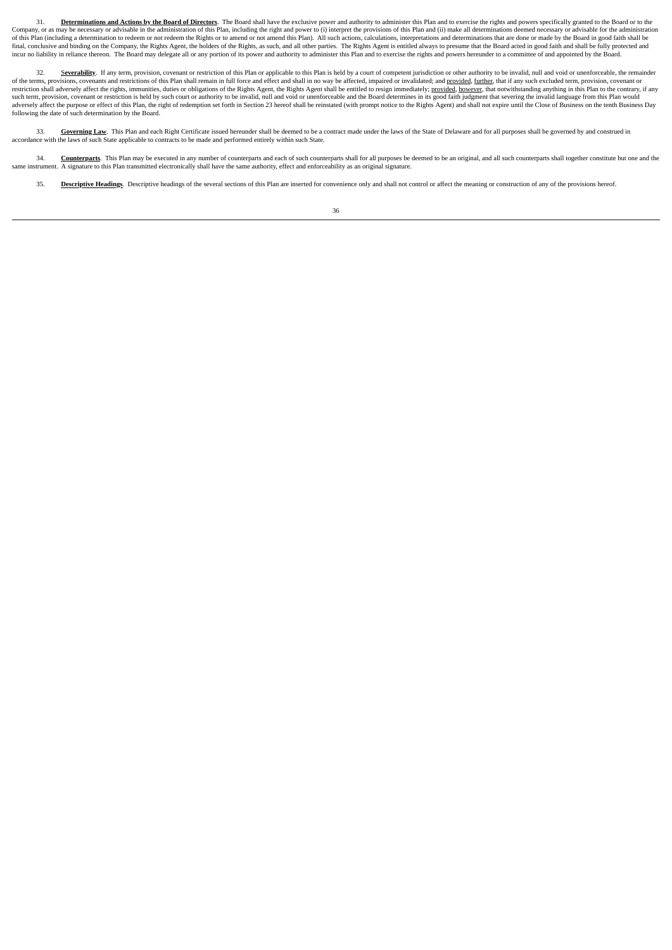31. Determinations and Actions by the Board of Directors. The Board shall have the exclusive power and authority to administer this Plan and to exercise the rights and powers specifically granted to the Board or to the Company, or as may be necessary or advisable in the administration of this Plan, including the right and power to (i) interpret the provisions of this Plan and (ii) make all determinations deemed necessary or advisable for final, conclusive and binding on the Company, the Rights Agent, the holders of the Rights, as such, and all other parties. The Rights Agent is entitled always to presume that the Board acted in good faith and shall be full incur to liability in reliance thereon. The Board may delegate all or any portion of its power and authority to administer this Plan and to exercise the rights and powers hereunder to a committee of and appointed by the Bo

Severability. If any term, provision, covenant or restriction of this Plan or applicable to this Plan is held by a court of competent jurisdiction or other authority to be invalid, null and void or unenforceable, the remai of the terms, provisions, covenants and restrictions of this Plan shall remain in full force and effect and shall in no way be affected, impaired or invalidated; and <u>provided, further</u>, that if any such excluded term, pro such term, provision, covenant or restriction is held by such court or authority to be invalid, null and void or unenforceable and the Board determines in its good faith judgment that severing the invalid language from thi following the date of such determination by the Board.

33. **Governing Law**. This Plan and each Right Certificate issued hereunder shall be deemed to be a contract made under the laws of the State of Delaware and for all purposes shall be governed by and construed in accordance with the laws of such State applicable to contracts to be made and performed entirely within such State.

34. Counterparts. This Plan may be executed in any number of counterparts and each of such counterparts shall for all purposes be deemed to be an original, and all such counterparts shall together constitute but one and th

35. **Descriptive Headings**. Descriptive headings of the several sections of this Plan are inserted for convenience only and shall not control or affect the meaning or construction of any of the provisions hereof.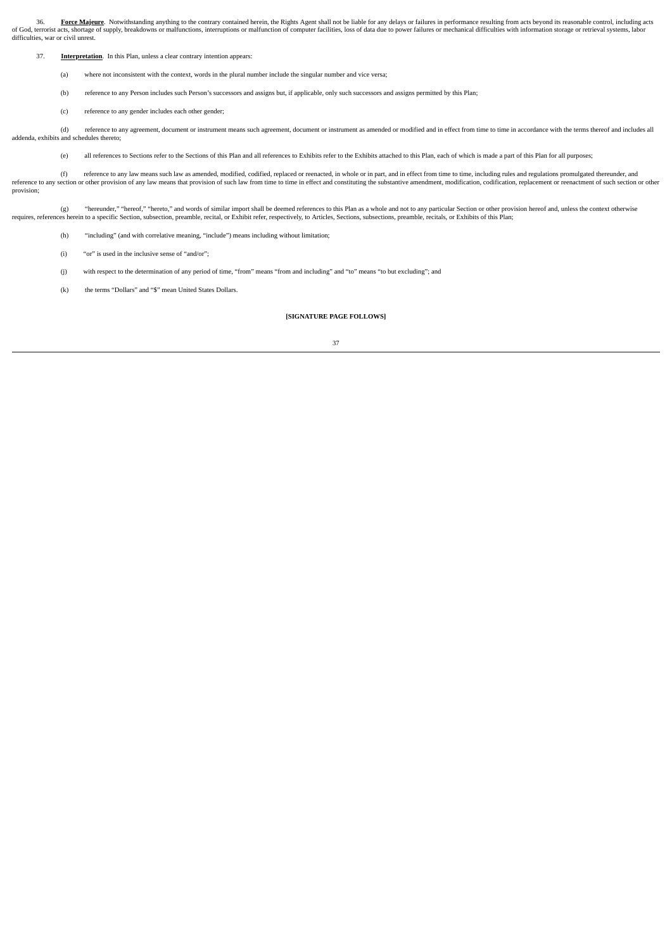36. **Force Majeure**. Notwithstanding anything to the contrary contained herein, the Rights Agent shall not be liable for any delays or failures in performance resulting from acts beyond its reasonable control, including ac difficulties, war or civil unrest.

37. **Interpretation**. In this Plan, unless a clear contrary intention appears:

(a) where not inconsistent with the context, words in the plural number include the singular number and vice versa;

(b) reference to any Person includes such Person's successors and assigns but, if applicable, only such successors and assigns permitted by this Plan;

(c) reference to any gender includes each other gender;

(d) reference to any agreement, document or instrument means such agreement, document or instrument as amended or modified and in effect from time to time in accordance with the terms thereof and includes all addenda, exhibits and schedules thereto;

(e) all references to Sections refer to the Sections of this Plan and all references to Exhibits refer to the Exhibits attached to this Plan, each of which is made a part of this Plan for all purposes;

(f) reference to any law means such law as amended, modified, codified, replaced or reenacted, in whole or in part, and in effect from time to time, including rules and regulations promulgated thereunder, and<br>reference to provision;

(g) "hereunder," "hereof," "hereof," and words of similar import shall be deemed references to this Plan as a whole and not to any particular Section or other provision hereof and, unless the context otherwise requires, re

(h) "including" (and with correlative meaning, "include") means including without limitation;

(i) "or" is used in the inclusive sense of "and/or";

(j) with respect to the determination of any period of time, "from" means "from and including" and "to" means "to but excluding"; and

(k) the terms "Dollars" and "\$" mean United States Dollars

## **[SIGNATURE PAGE FOLLOWS]**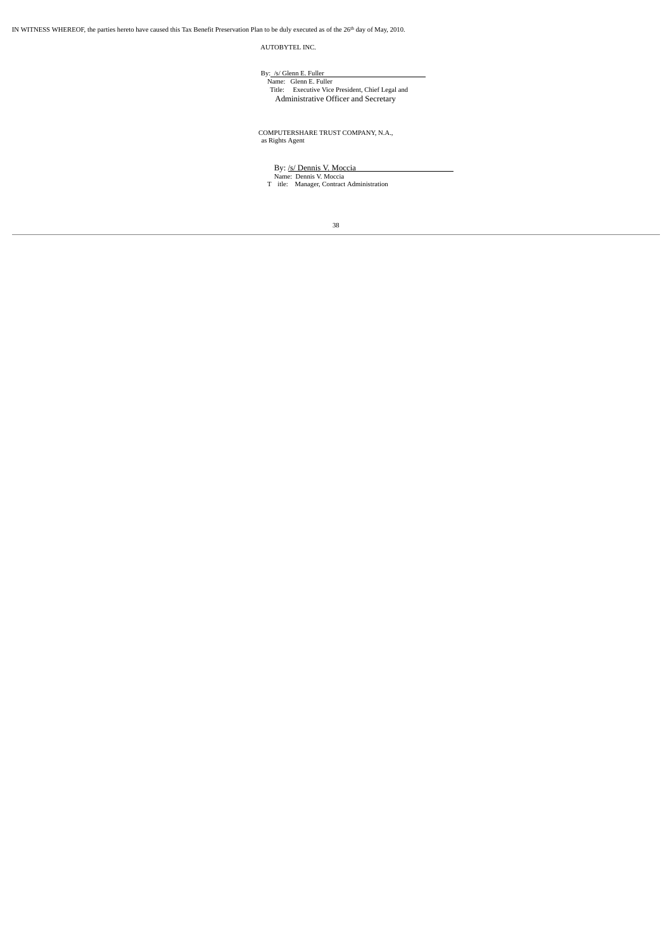IN WITNESS WHEREOF, the parties hereto have caused this Tax Benefit Preservation Plan to be duly executed as of the 26<sup>th</sup> day of May, 2010.

AUTOBYTEL INC.

By: <u>/s/ Glenn E. Fuller</u><br>Name: Glenn E. Fuller<br>Title: Executive Vice President, Chief Legal and<br>Administrative Officer and Secretary

COMPUTERSHARE TRUST COMPANY, N.A., as Rights Agent

By: <u>/s/ Dennis V. Moccia</u><br>
Name: Dennis V. Moccia<br>
T itle: Manager, Contract Administration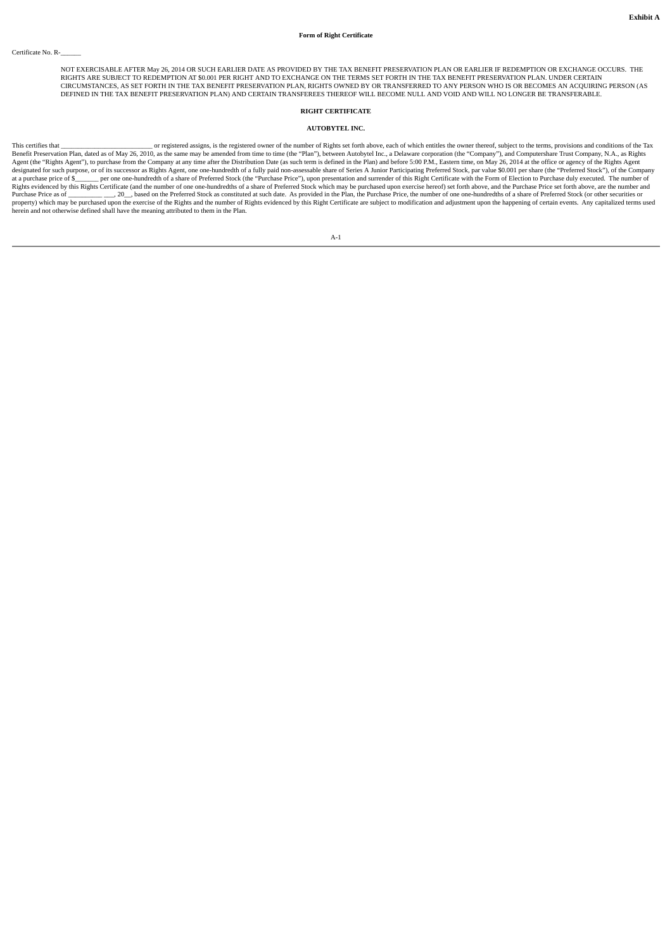NOT EXERCISABLE AFTER May 26, 2014 OR SUCH EARLIER DATE AS PROVIDED BY THE TAX BENEFIT PRESERVATION PLAN OR EARLIER IF REDEMPTION OR EXCHANGE OCCURS. THE RIGHTS ARE SUBJECT TO REDEMPTION AT \$0.001 PER RIGHT AND TO EXCHANGE ON THE TERMS SET FORTH IN THE TAX BENEFIT PRESERVATION PLAN. UNDER CERTAIN<br>CIRCUMSTANCES, AS SET FORTH IN THE TAX BENEFIT PRESERVATION PLAN, RIGHTS OWNED DEFINED IN THE TAX BENEFIT PRESERVATION PLAN) AND CERTAIN TRANSFEREES THEREOF WILL BECOME NULL AND VOID AND WILL NO LONGER BE TRANSFERABLE.

# **RIGHT CERTIFICATE**

### **AUTOBYTEL INC.**

This certifies that \_\_\_\_\_\_\_\_\_\_\_\_\_\_\_\_\_\_\_\_\_\_\_\_\_\_\_ or registered assigns, is the registered owner of the number of Rights set forth above, each of which entitles the owner thereof, subject to the terms, provisions and conditions of the Tax Benefit Preservation Plan, dated as of May 26, 2010, as the same may be amended from time to time (the "Plan"), between Autobytel Inc., a Delaware corporation (the "Company"), and Computershare Trust Company, N.A., as Righ designated for such purpose, or of its successor as Rights Agent, one one-hundredth of a fully paid non-assessable share of Series A Junior Participating Preferred Stock, par value \$0.001 per share (the "Preferred Stock"), herein and not otherwise defined shall have the meaning attributed to them in the Plan.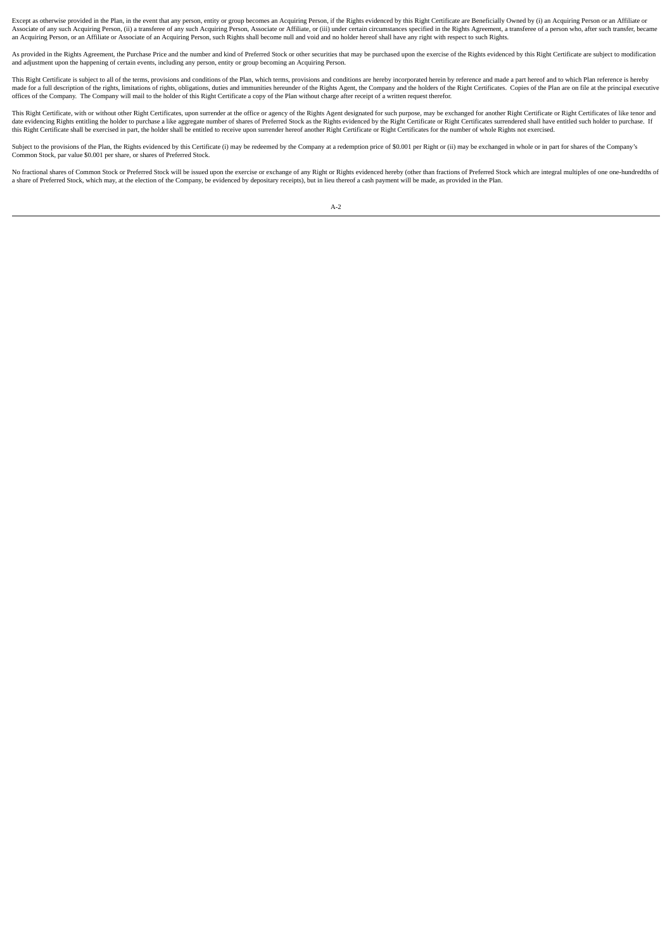Except as otherwise provided in the Plan, in the event that any person, entity or group becomes an Acquiring Person, if the Rights evidenced by this Right Certificate are Beneficially Owned by (i) an Acquiring Person or an an Acquiring Person, or an Affiliate or Associate of an Acquiring Person, such Rights shall become null and void and no holder hereof shall have any right with respect to such Rights.

As provided in the Rights Agreement, the Purchase Price and the number and kind of Preferred Stock or other securities that may be purchased upon the exercise of the Rights evidenced by this Right Certificate are subject t and adjustment upon the happening of certain events, including any person, entity or group becoming an Acquiring Person.

This Right Certificate is subject to all of the terms, provisions and conditions of the Plan, which terms, provisions and conditions are hereby incorporated herein by reference and made a part hereof and to which Plan refe made for a full description of the rights, limitations of rights, obligations, duties and immunities hereunder of the Rights Agent, the Company and the holders of the Right Certificates. Copies of the Plan are on file at t

This Right Certificate, with or without other Right Certificates, upon surrender at the office or agency of the Rights Agent designated for such purpose, may be exchanged for another Right Certificate or Right Certificates this Right Certificate shall be exercised in part, the holder shall be entitled to receive upon surrender hereof another Right Certificates or Right Certificates for the number of whole Rights not exercised. This may be ex

Subject to the provisions of the Plan, the Rights evidenced by this Certificate (i) may be redeemed by the Company at a redemption price of \$0.001 per Right or (ii) may be exchanged in whole or in part for shares of the Co Common Stock, par value \$0.001 per share, or shares of Preferred Stock.

No fractional shares of Common Stock or Preferred Stock will be issued upon the exercise or exchange of any Right or Rights evidenced hereby (other than fractions of Preferred Stock which are integral multiples of one onea share of Preferred Stock, which may, at the election of the Company, be evidenced by depositary receipts), but in lieu thereof a cash payment will be made, as provided in the Plan.

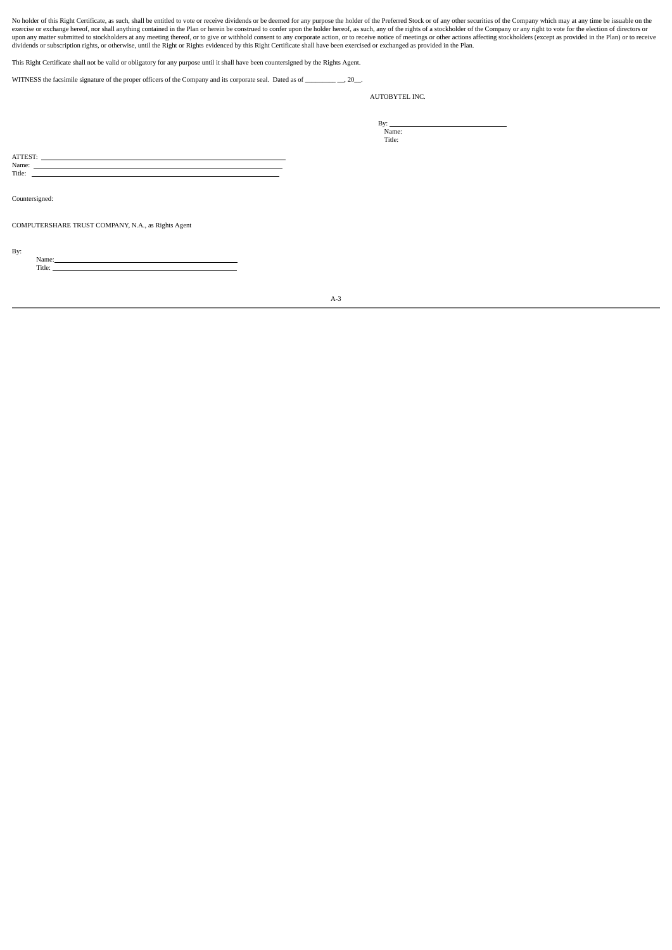No holder of this Right Certificate, as such, shall be entitled to vote or receive dividends or be deemed for any purpose the holder of the Preferred Stock or of any other securities of the Company which may at any time be

This Right Certificate shall not be valid or obligatory for any purpose until it shall have been countersigned by the Rights Agent.

WITNESS the facsimile signature of the proper officers of the Company and its corporate seal. Dated as of \_\_\_\_\_\_\_\_\_\_\_\_, 20\_\_.

AUTOBYTEL INC.

By: <u>Name</u>: Title:

ATTEST: Name:

Title:

Countersigned:

Name: Title:

COMPUTERSHARE TRUST COMPANY, N.A., as Rights Agent

By:

A-3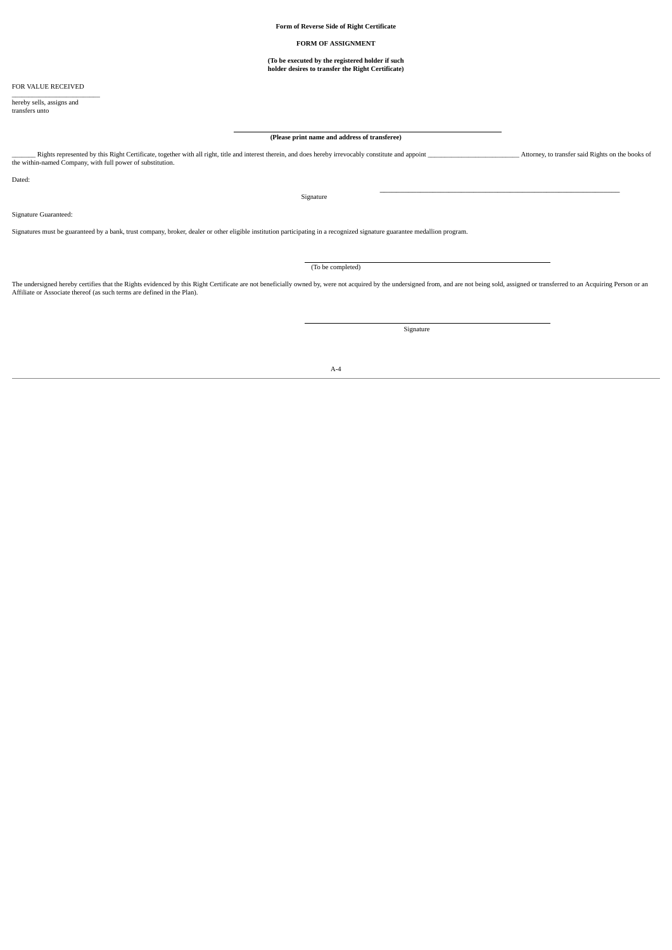**Form of Reverse Side of Right Certificate**

#### **FORM OF ASSIGNMENT**

# **(To be executed by the registered holder if such holder desires to transfer the Right Certificate)**

FOR VALUE RECEIVED

hereby sells, assigns and transfers unto

# **(Please print name and address of transferee)**

\_\_\_\_\_\_\_ Rights represented by this Right Certificate, together with all right, title and interest therein, and does hereby irrevocably constitute and appoint \_\_\_\_\_\_\_\_\_\_\_\_\_\_\_\_\_\_\_\_\_\_\_\_\_\_\_ Attorney, to transfer said Rights on the books of the within-named Company, with full power of substitution.

Dated:

Signature

Signature Guaranteed:

Signatures must be guaranteed by a bank, trust company, broker, dealer or other eligible institution participating in a recognized signature guarantee medallion program.

(To be completed)

The undersigned hereby certifies that the Rights evidenced by this Right Certificate are not beneficially owned by, were not acquired by the undersigned from, and are not being sold, assigned or transferred to an Acquiring

Signature

 $\overline{\phantom{a}}$  , and the contribution of the contribution of the contribution of the contribution of  $\overline{\phantom{a}}$ 

A-4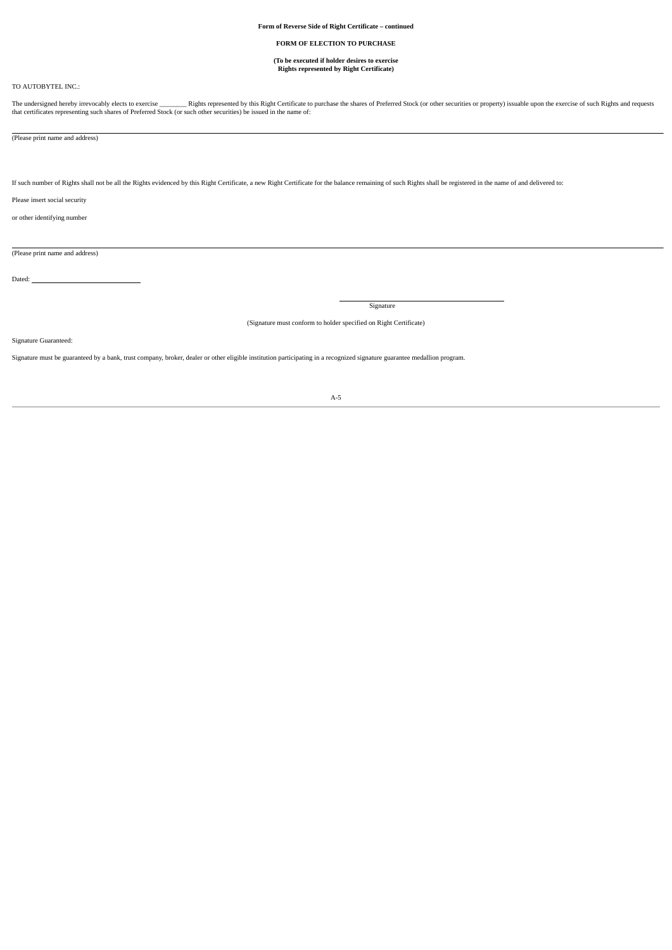## **FORM OF ELECTION TO PURCHASE**

# **(To be executed if holder desires to exercise Rights represented by Right Certificate)**

# TO AUTOBYTEL INC.:

The undersigned hereby irrevocably elects to exercise \_\_\_\_\_\_\_\_\_\_\_Rights represented by this Right Certificate to purchase the shares of Preferred Stock (or other securities or property) issuable upon the exercise of such R

(Please print name and address)

If such number of Rights shall not be all the Rights evidenced by this Right Certificate, a new Right Certificate for the balance remaining of such Rights shall be registered in the name of and delivered to:

Please insert social security

or other identifying number

(Please print name and address)

Dated:

Signature

(Signature must conform to holder specified on Right Certificate)

Signature Guaranteed:

Signature must be guaranteed by a bank, trust company, broker, dealer or other eligible institution participating in a recognized signature guarantee medallion program.

### A-5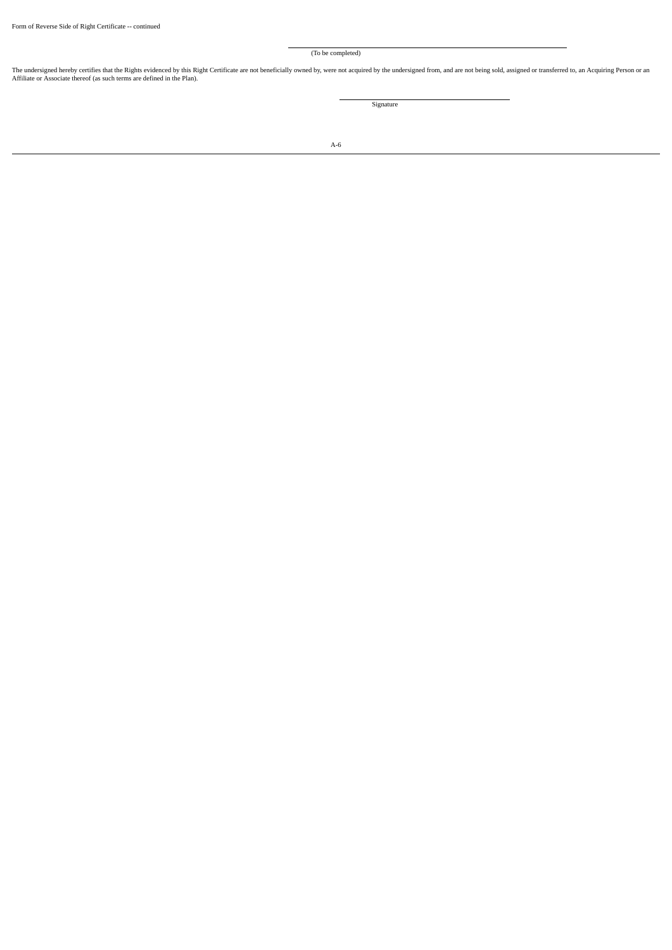(To be completed)

The undersigned hereby certifies that the Rights evidenced by this Right Certificate are not beneficially owned by, were not acquired by the undersigned from, and are not being sold, assigned or transferred to, an Acquirin

Signature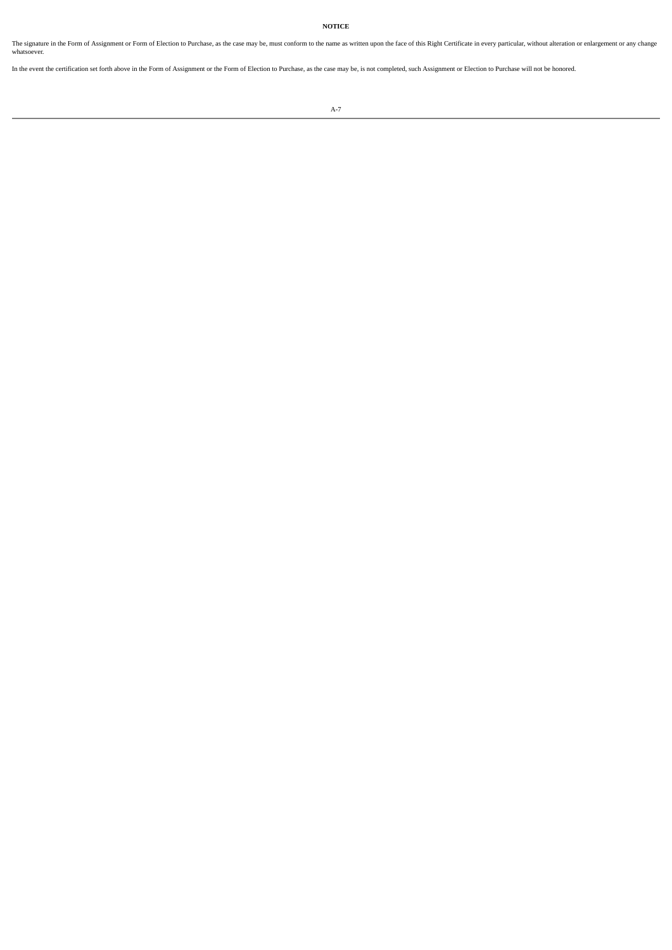**NOTICE**

The signature in the Form of Assignment or Form of Election to Purchase, as the case may be, must conform to the name as written upon the face of this Right Certificate in every particular, without alteration or enlargemen

In the event the certification set forth above in the Form of Assignment or the Form of Election to Purchase, as the case may be, is not completed, such Assignment or Election to Purchase will not be honored.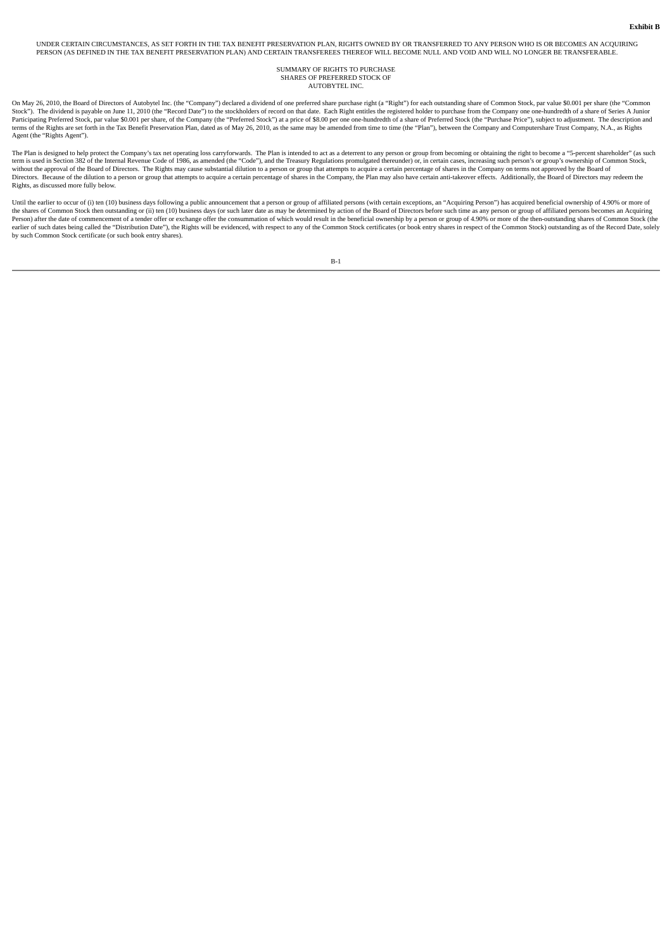UNDER CERTAIN CIRCUMSTANCES, AS SET FORTH IN THE TAX BENEFIT PRESERVATION PLAN, RIGHTS OWNED BY OR TRANSFERRED TO ANY PERSON WHO IS OR BECOMES AN ACQUIRING PERSON (AS DEFINED IN THE TAX BENEFIT PRESERVATION PLAN) AND CERTAIN TRANSFEREES THEREOF WILL BECOME NULL AND VOID AND WILL NO LONGER BE TRANSFERABLE.

#### SUMMARY OF RIGHTS TO PURCHASE SHARES OF PREFERRED STOCK OF AUTOBYTEL INC.

On May 26, 2010, the Board of Directors of Autobytel Inc. (the "Company") declared a dividend of one preferred share purchase right (a "Right") for each outstanding share of Common Stock, par value \$0.001 per share (the "C Participating Preferred Stock, par value \$0.001 per share, of the Company (the "Preferred Stock") at a price of \$8.00 per one one-hundredth of a share of Preferred Stock (the "Purchase Price"), subject to adjustment. The d Agent (the "Rights Agent").

The Plan is designed to help protect the Company's tax net operating loss carryforwards. The Plan is intended to act as a deterrent to any person or group from becoming or obtaining the right to become a "5-percent shareho without the approval of the Board of Directors. The Rights may cause substantial dilution to a person or group that attempts to acquire a certain percentage of shares in the Company on terms not approved by the Board of<br>Di Rights, as discussed more fully below.

Until the earlier to occur of (i) ten (10) business days following a public announcement that a person or group of affiliated persons (with certain exceptions, an "Acquiring Person") has acquired beneficial ownership of 4. the shares of Common Stock then outstanding or (ii) ten (10) business days (or such later date as may be determined by action of the Board of Directors before such time as any person or group of affiliated persons becomes earlier of such dates being called the "Distribution Date"), the Rights will be evidenced, with respect to any of the Common Stock certificates (or book entry shares in respect of the Common Stock) outstanding as of the Re by such Common Stock certificate (or such book entry shares).

B-1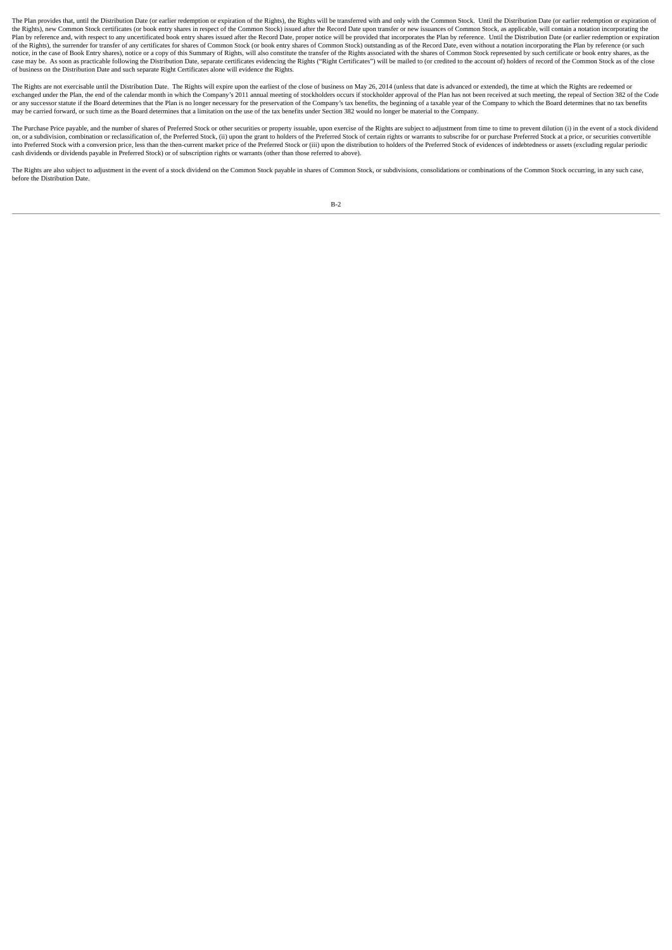The Plan provides that, until the Distribution Date (or earlier redemption or expiration of the Rights), the Rights will be transferred with and only with the Common Stock. Until the Distribution Date (or earlier redemptio the Rights), new Common Stock certificates (or book entry shares in respect of the Common Stock) issued after the Record Date upon transfer or new issuances of Common Stock, as applicable, will contain a notation incorpora Plan by reference and, with respect to any uncertificated book entry shares issued after the Record Date, proper notice will be provided that incorporates the Plan by reference. Until the Distribution Date (or earlier rede notice, in the case of Book Entry shares), notice or a copy of this Summary of Rights, will also constitute the transfer of the Rights associated with the shares of Common Stock represented by such certificate or book entr case may be. As soon as practicable following the Distribution Date, separate certificates evidencing the Rights ("Right Certificates") will be mailed to (or credited to the account of) holders of record of the Common Stoc of business on the Distribution Date and such separate Right Certificates alone will evidence the Rights.

The Rights are not exercisable until the Distribution Date. The Rights will expire upon the earliest of the close of business on May 26, 2014 (unless that date is advanced or extended) the time at which the Rights are rede 2013 annual methods of the Company's 2011 annual meeting of stockholders occurs if stockholder approval of the Plan has not been received at such meeting, the repeal of Section 382 of the Code<br>exchanged under the Plan, the or any successor statute if the Board determines that the Plan is no longer necessary for the preservation of the Company's tax benefits, the beginning of a taxable year of the Company to which the Board determines that no

The Purchase Price payable, and the number of shares of Preferred Stock or other securities or property issuable, upon exercise of the Rights are subject to adjustment from time to time to prevent dilution (i) in the event into Preferred Stock with a conversion price, less than the then-current market price of the Preferred Stock or (iii) upon the distribution to holders of the Preferred Stock of evidences of indebtedness or assets (excludin cash dividends or dividends payable in Preferred Stock) or of subscription rights or warrants (other than those referred to above).

The Rights are also subject to adjustment in the event of a stock dividend on the Common Stock payable in shares of Common Stock, or subdivisions, consolidations or combinations of the Common Stock occurring, in any such c before the Distribution Date.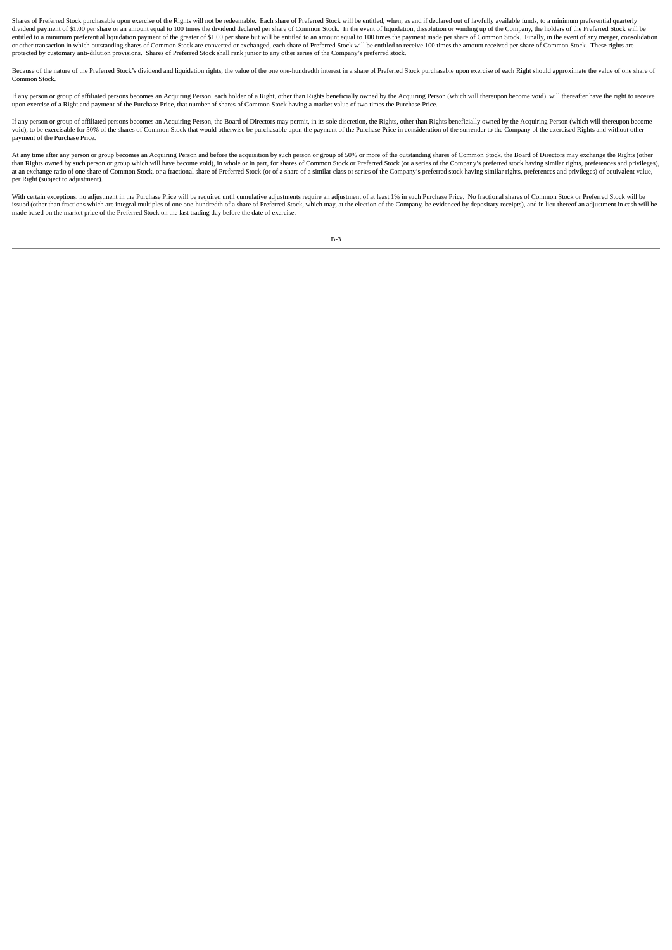Shares of Preferred Stock purchasable upon exercise of the Rights will not be redeemable. Each share of Preferred Stock will be entitled, when, as and if declared out of lawfully available funds, to a minimum preferential dividend payment of \$1.00 per share or an amount equal to 100 times the dividend declared per share of Common Stock. In the event of liquidation, dissolution or winding up of the Company, the holders of the Preferred Stock entitled to a minimum preferential liquidation payment of the greater of \$1.00 per share but will be entitled to an amount equal to 100 times the payment made per share of Common Stock. Finally, in the event of any merger, protected by customary anti-dilution provisions. Shares of Preferred Stock shall rank junior to any other series of the Company's preferred stock.

Because of the nature of the Preferred Stock's dividend and liquidation rights, the value of the one one-hundredth interest in a share of Preferred Stock purchasable upon exercise of each Right should approximate the value Common Stock.

If any person or group of affiliated persons becomes an Acquiring Person, each holder of a Right, other than Rights beneficially owned by the Acquiring Person (which will thereupon become yoid), will thereafter have the ri upon exercise of a Right and payment of the Purchase Price, that number of shares of Common Stock having a market value of two times the Purchase Price.

If any person or group of affiliated persons becomes an Acquiring Person, the Board of Directors may permit, in its sole discretion, the Rights, other than Rights beneficially owned by the Acquiring Person (which will ther Note that the second of the state of Common Stock that would otherwise be purchasable upon the payment of the Purchase Price in consideration of the surrender to the Company of the exercised Rights and without other vicing payment of the Purchase Price.

At any time after any person or group becomes an Acquiring Person and before the acquisition by such person or group of 50% or more of the outstanding shares of Common Stock, the Board of Directors may exchange the Rights than Rights owned by such person or group which will have become void), in whole or in part, for shares of Common Stock or Preferred Stock (or a series of the Company's preferred stock having similar rights, preferences an per Right (subject to adjustment).

With certain exceptions, no adjustment in the Purchase Price will be required until cumulative adjustments require an adjustment of at least 1% in such Purchase Price. No fractional shares of Common Stock or Preferred Stoc issued (other than fractions which are integral multiples of one one-hundredth of a share of Preferred Stock, which may, at the election of the Company, be evidenced by depositary receipts), and in lieu thereof an adjustme

B-3